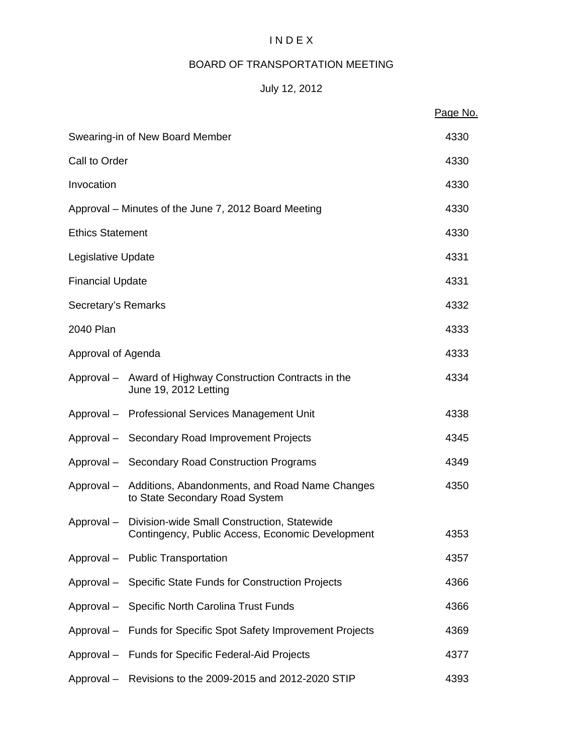# I N D E X

# BOARD OF TRANSPORTATION MEETING

# July 12, 2012

|                         |                                                                                                            | Page No. |
|-------------------------|------------------------------------------------------------------------------------------------------------|----------|
|                         | Swearing-in of New Board Member                                                                            | 4330     |
|                         | Call to Order                                                                                              |          |
| Invocation              |                                                                                                            | 4330     |
|                         | Approval – Minutes of the June 7, 2012 Board Meeting                                                       | 4330     |
| <b>Ethics Statement</b> |                                                                                                            | 4330     |
| Legislative Update      |                                                                                                            | 4331     |
| <b>Financial Update</b> |                                                                                                            | 4331     |
| Secretary's Remarks     |                                                                                                            | 4332     |
| 2040 Plan               |                                                                                                            | 4333     |
| Approval of Agenda      |                                                                                                            | 4333     |
|                         | Approval - Award of Highway Construction Contracts in the<br>June 19, 2012 Letting                         | 4334     |
|                         | Approval - Professional Services Management Unit                                                           | 4338     |
|                         | Approval - Secondary Road Improvement Projects                                                             | 4345     |
|                         | Approval - Secondary Road Construction Programs                                                            | 4349     |
|                         | Approval - Additions, Abandonments, and Road Name Changes<br>to State Secondary Road System                | 4350     |
|                         | Approval - Division-wide Small Construction, Statewide<br>Contingency, Public Access, Economic Development | 4353     |
|                         | Approval - Public Transportation                                                                           | 4357     |
|                         | Approval - Specific State Funds for Construction Projects                                                  | 4366     |
|                         | Approval - Specific North Carolina Trust Funds                                                             | 4366     |
|                         | Approval - Funds for Specific Spot Safety Improvement Projects                                             | 4369     |
|                         | Approval - Funds for Specific Federal-Aid Projects                                                         | 4377     |
|                         | Approval - Revisions to the 2009-2015 and 2012-2020 STIP                                                   | 4393     |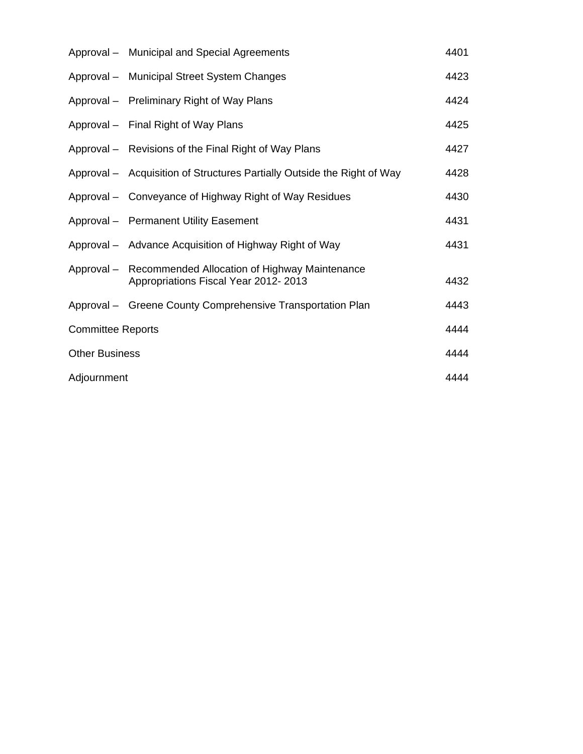|                          | Approval - Municipal and Special Agreements                                                      | 4401 |
|--------------------------|--------------------------------------------------------------------------------------------------|------|
|                          | Approval - Municipal Street System Changes                                                       | 4423 |
|                          | Approval - Preliminary Right of Way Plans                                                        | 4424 |
|                          | Approval - Final Right of Way Plans                                                              | 4425 |
|                          | Approval – Revisions of the Final Right of Way Plans                                             | 4427 |
|                          | Approval - Acquisition of Structures Partially Outside the Right of Way                          | 4428 |
|                          | Approval - Conveyance of Highway Right of Way Residues                                           | 4430 |
|                          | Approval - Permanent Utility Easement                                                            | 4431 |
|                          | Approval - Advance Acquisition of Highway Right of Way                                           | 4431 |
|                          | Approval – Recommended Allocation of Highway Maintenance<br>Appropriations Fiscal Year 2012-2013 | 4432 |
|                          | Approval – Greene County Comprehensive Transportation Plan                                       | 4443 |
| <b>Committee Reports</b> |                                                                                                  | 4444 |
| <b>Other Business</b>    |                                                                                                  | 4444 |
| Adjournment              |                                                                                                  | 4444 |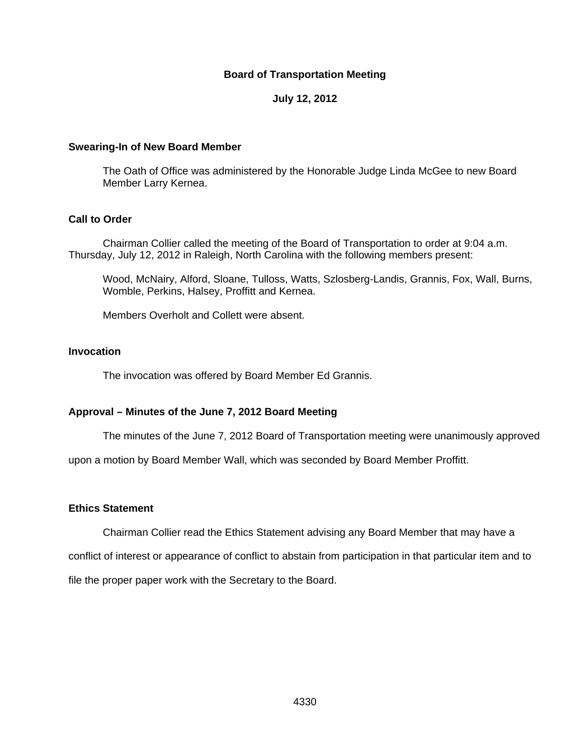#### **Board of Transportation Meeting**

## **July 12, 2012**

#### **Swearing-In of New Board Member**

 The Oath of Office was administered by the Honorable Judge Linda McGee to new Board Member Larry Kernea.

#### **Call to Order**

Chairman Collier called the meeting of the Board of Transportation to order at 9:04 a.m. Thursday, July 12, 2012 in Raleigh, North Carolina with the following members present:

Wood, McNairy, Alford, Sloane, Tulloss, Watts, Szlosberg-Landis, Grannis, Fox, Wall, Burns, Womble, Perkins, Halsey, Proffitt and Kernea.

Members Overholt and Collett were absent.

# **Invocation**

The invocation was offered by Board Member Ed Grannis.

#### **Approval – Minutes of the June 7, 2012 Board Meeting**

The minutes of the June 7, 2012 Board of Transportation meeting were unanimously approved

upon a motion by Board Member Wall, which was seconded by Board Member Proffitt.

#### **Ethics Statement**

Chairman Collier read the Ethics Statement advising any Board Member that may have a

conflict of interest or appearance of conflict to abstain from participation in that particular item and to

file the proper paper work with the Secretary to the Board.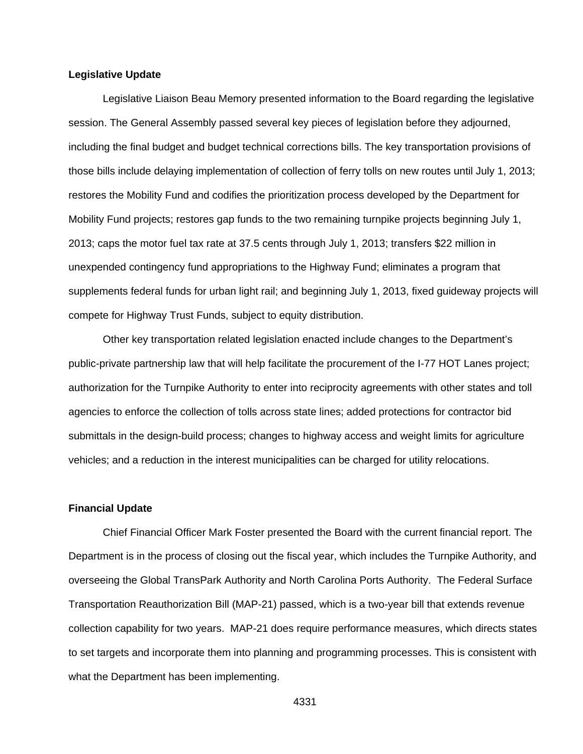#### **Legislative Update**

 Legislative Liaison Beau Memory presented information to the Board regarding the legislative session. The General Assembly passed several key pieces of legislation before they adjourned, including the final budget and budget technical corrections bills. The key transportation provisions of those bills include delaying implementation of collection of ferry tolls on new routes until July 1, 2013; restores the Mobility Fund and codifies the prioritization process developed by the Department for Mobility Fund projects; restores gap funds to the two remaining turnpike projects beginning July 1, 2013; caps the motor fuel tax rate at 37.5 cents through July 1, 2013; transfers \$22 million in unexpended contingency fund appropriations to the Highway Fund; eliminates a program that supplements federal funds for urban light rail; and beginning July 1, 2013, fixed guideway projects will compete for Highway Trust Funds, subject to equity distribution.

 Other key transportation related legislation enacted include changes to the Department's public-private partnership law that will help facilitate the procurement of the I-77 HOT Lanes project; authorization for the Turnpike Authority to enter into reciprocity agreements with other states and toll agencies to enforce the collection of tolls across state lines; added protections for contractor bid submittals in the design-build process; changes to highway access and weight limits for agriculture vehicles; and a reduction in the interest municipalities can be charged for utility relocations.

#### **Financial Update**

 Chief Financial Officer Mark Foster presented the Board with the current financial report. The Department is in the process of closing out the fiscal year, which includes the Turnpike Authority, and overseeing the Global TransPark Authority and North Carolina Ports Authority. The Federal Surface Transportation Reauthorization Bill (MAP-21) passed, which is a two-year bill that extends revenue collection capability for two years. MAP-21 does require performance measures, which directs states to set targets and incorporate them into planning and programming processes. This is consistent with what the Department has been implementing.

4331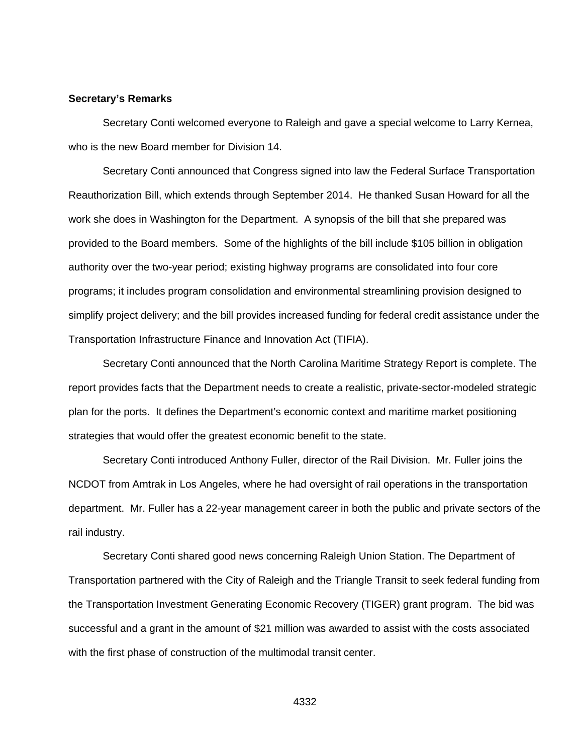#### **Secretary's Remarks**

Secretary Conti welcomed everyone to Raleigh and gave a special welcome to Larry Kernea, who is the new Board member for Division 14.

 Secretary Conti announced that Congress signed into law the Federal Surface Transportation Reauthorization Bill, which extends through September 2014. He thanked Susan Howard for all the work she does in Washington for the Department. A synopsis of the bill that she prepared was provided to the Board members. Some of the highlights of the bill include \$105 billion in obligation authority over the two-year period; existing highway programs are consolidated into four core programs; it includes program consolidation and environmental streamlining provision designed to simplify project delivery; and the bill provides increased funding for federal credit assistance under the Transportation Infrastructure Finance and Innovation Act (TIFIA).

 Secretary Conti announced that the North Carolina Maritime Strategy Report is complete. The report provides facts that the Department needs to create a realistic, private-sector-modeled strategic plan for the ports. It defines the Department's economic context and maritime market positioning strategies that would offer the greatest economic benefit to the state.

 Secretary Conti introduced Anthony Fuller, director of the Rail Division. Mr. Fuller joins the NCDOT from Amtrak in Los Angeles, where he had oversight of rail operations in the transportation department. Mr. Fuller has a 22-year management career in both the public and private sectors of the rail industry.

 Secretary Conti shared good news concerning Raleigh Union Station. The Department of Transportation partnered with the City of Raleigh and the Triangle Transit to seek federal funding from the Transportation Investment Generating Economic Recovery (TIGER) grant program. The bid was successful and a grant in the amount of \$21 million was awarded to assist with the costs associated with the first phase of construction of the multimodal transit center.

4332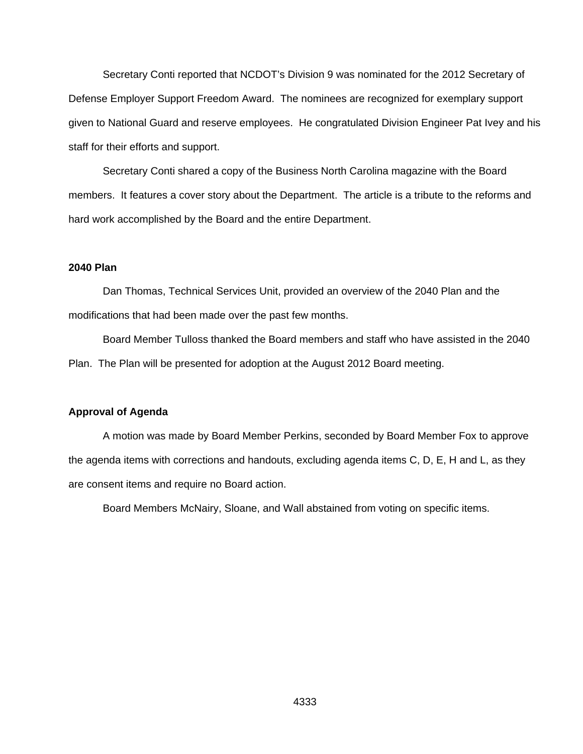Secretary Conti reported that NCDOT's Division 9 was nominated for the 2012 Secretary of Defense Employer Support Freedom Award. The nominees are recognized for exemplary support given to National Guard and reserve employees. He congratulated Division Engineer Pat Ivey and his staff for their efforts and support.

 Secretary Conti shared a copy of the Business North Carolina magazine with the Board members. It features a cover story about the Department. The article is a tribute to the reforms and hard work accomplished by the Board and the entire Department.

# **2040 Plan**

 Dan Thomas, Technical Services Unit, provided an overview of the 2040 Plan and the modifications that had been made over the past few months.

 Board Member Tulloss thanked the Board members and staff who have assisted in the 2040 Plan. The Plan will be presented for adoption at the August 2012 Board meeting.

#### **Approval of Agenda**

 A motion was made by Board Member Perkins, seconded by Board Member Fox to approve the agenda items with corrections and handouts, excluding agenda items C, D, E, H and L, as they are consent items and require no Board action.

Board Members McNairy, Sloane, and Wall abstained from voting on specific items.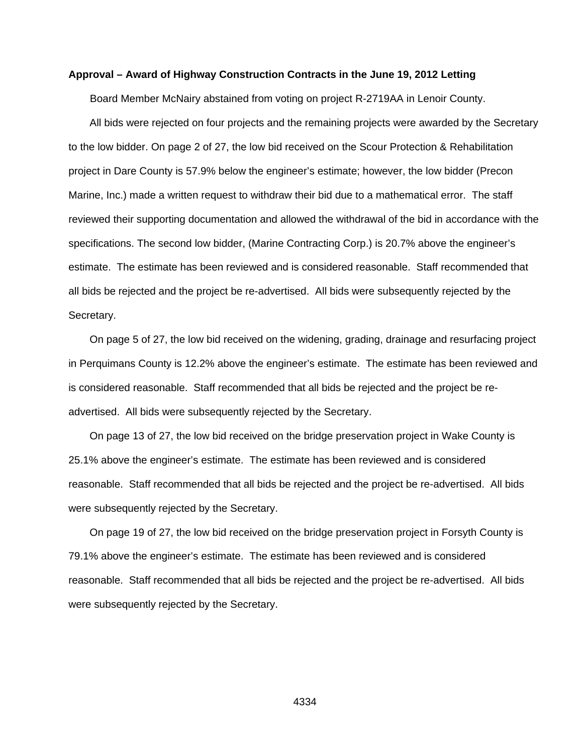#### **Approval – Award of Highway Construction Contracts in the June 19, 2012 Letting**

Board Member McNairy abstained from voting on project R-2719AA in Lenoir County.

All bids were rejected on four projects and the remaining projects were awarded by the Secretary to the low bidder. On page 2 of 27, the low bid received on the Scour Protection & Rehabilitation project in Dare County is 57.9% below the engineer's estimate; however, the low bidder (Precon Marine, Inc.) made a written request to withdraw their bid due to a mathematical error. The staff reviewed their supporting documentation and allowed the withdrawal of the bid in accordance with the specifications. The second low bidder, (Marine Contracting Corp.) is 20.7% above the engineer's estimate. The estimate has been reviewed and is considered reasonable. Staff recommended that all bids be rejected and the project be re-advertised. All bids were subsequently rejected by the Secretary.

On page 5 of 27, the low bid received on the widening, grading, drainage and resurfacing project in Perquimans County is 12.2% above the engineer's estimate. The estimate has been reviewed and is considered reasonable. Staff recommended that all bids be rejected and the project be readvertised. All bids were subsequently rejected by the Secretary.

On page 13 of 27, the low bid received on the bridge preservation project in Wake County is 25.1% above the engineer's estimate. The estimate has been reviewed and is considered reasonable. Staff recommended that all bids be rejected and the project be re-advertised. All bids were subsequently rejected by the Secretary.

On page 19 of 27, the low bid received on the bridge preservation project in Forsyth County is 79.1% above the engineer's estimate. The estimate has been reviewed and is considered reasonable. Staff recommended that all bids be rejected and the project be re-advertised. All bids were subsequently rejected by the Secretary.

4334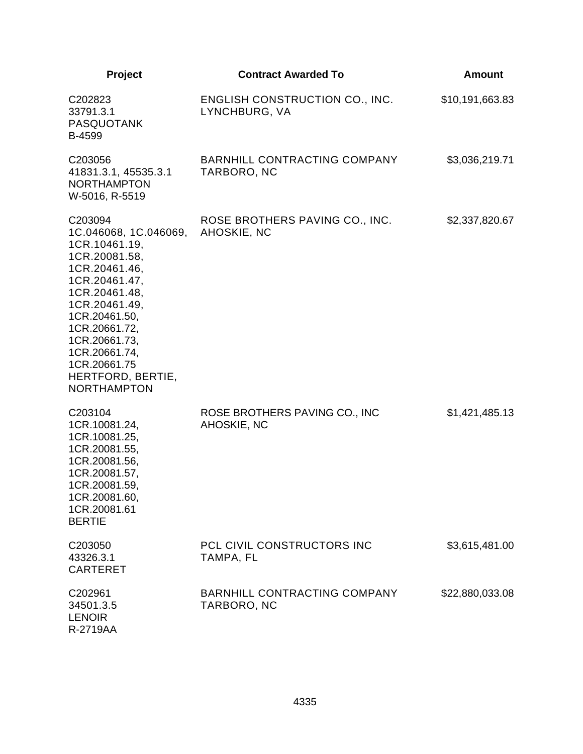| Project                                                                                                                                                                                                                                                               | <b>Contract Awarded To</b>                             | Amount          |
|-----------------------------------------------------------------------------------------------------------------------------------------------------------------------------------------------------------------------------------------------------------------------|--------------------------------------------------------|-----------------|
| C202823<br>33791.3.1<br><b>PASQUOTANK</b><br>B-4599                                                                                                                                                                                                                   | <b>ENGLISH CONSTRUCTION CO., INC.</b><br>LYNCHBURG, VA | \$10,191,663.83 |
| C203056<br>41831.3.1, 45535.3.1<br><b>NORTHAMPTON</b><br>W-5016, R-5519                                                                                                                                                                                               | <b>BARNHILL CONTRACTING COMPANY</b><br>TARBORO, NC     | \$3,036,219.71  |
| C203094<br>1C.046068, 1C.046069,<br>1CR.10461.19,<br>1CR.20081.58,<br>1CR.20461.46,<br>1CR.20461.47,<br>1CR.20461.48,<br>1CR.20461.49,<br>1CR.20461.50,<br>1CR.20661.72,<br>1CR.20661.73,<br>1CR.20661.74,<br>1CR.20661.75<br>HERTFORD, BERTIE,<br><b>NORTHAMPTON</b> | ROSE BROTHERS PAVING CO., INC.<br>AHOSKIE, NC          | \$2,337,820.67  |
| C203104<br>1CR.10081.24,<br>1CR.10081.25,<br>1CR.20081.55,<br>1CR.20081.56,<br>1CR.20081.57,<br>1CR.20081.59,<br>1CR.20081.60,<br>1CR.20081.61<br><b>BERTIE</b>                                                                                                       | ROSE BROTHERS PAVING CO., INC<br>AHOSKIE, NC           | \$1,421,485.13  |
| C203050<br>43326.3.1<br><b>CARTERET</b>                                                                                                                                                                                                                               | PCL CIVIL CONSTRUCTORS INC<br>TAMPA, FL                | \$3,615,481.00  |
| C202961<br>34501.3.5<br><b>LENOIR</b><br>R-2719AA                                                                                                                                                                                                                     | BARNHILL CONTRACTING COMPANY<br>TARBORO, NC            | \$22,880,033.08 |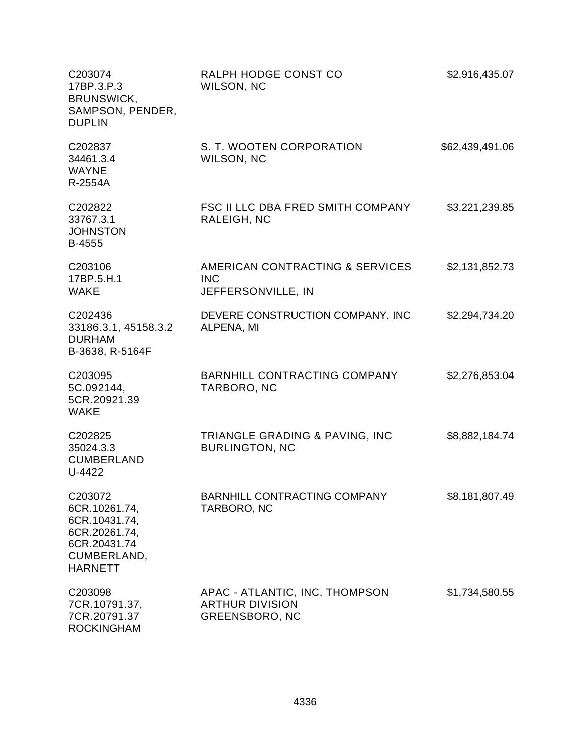| C203074<br>17BP.3.P.3<br>BRUNSWICK,<br>SAMPSON, PENDER,<br><b>DUPLIN</b>                                    | RALPH HODGE CONST CO<br>WILSON, NC                                                | \$2,916,435.07  |
|-------------------------------------------------------------------------------------------------------------|-----------------------------------------------------------------------------------|-----------------|
| C202837<br>34461.3.4<br><b>WAYNE</b><br>R-2554A                                                             | S. T. WOOTEN CORPORATION<br>WILSON, NC                                            | \$62,439,491.06 |
| C202822<br>33767.3.1<br><b>JOHNSTON</b><br>B-4555                                                           | <b>FSC II LLC DBA FRED SMITH COMPANY</b><br>RALEIGH, NC                           | \$3,221,239.85  |
| C203106<br>17BP.5.H.1<br><b>WAKE</b>                                                                        | AMERICAN CONTRACTING & SERVICES<br><b>INC</b><br>JEFFERSONVILLE, IN               | \$2,131,852.73  |
| C202436<br>33186.3.1, 45158.3.2<br><b>DURHAM</b><br>B-3638, R-5164F                                         | DEVERE CONSTRUCTION COMPANY, INC<br>ALPENA, MI                                    | \$2,294,734.20  |
| C203095<br>5C.092144,<br>5CR.20921.39<br><b>WAKE</b>                                                        | <b>BARNHILL CONTRACTING COMPANY</b><br>TARBORO, NC                                | \$2,276,853.04  |
| C202825<br>35024.3.3<br><b>CUMBERLAND</b><br>U-4422                                                         | TRIANGLE GRADING & PAVING, INC<br><b>BURLINGTON, NC</b>                           | \$8,882,184.74  |
| C203072<br>6CR.10261.74,<br>6CR.10431.74,<br>6CR.20261.74,<br>6CR.20431.74<br>CUMBERLAND,<br><b>HARNETT</b> | <b>BARNHILL CONTRACTING COMPANY</b><br>TARBORO, NC                                | \$8,181,807.49  |
| C203098<br>7CR.10791.37,<br>7CR.20791.37<br><b>ROCKINGHAM</b>                                               | APAC - ATLANTIC, INC. THOMPSON<br><b>ARTHUR DIVISION</b><br><b>GREENSBORO, NC</b> | \$1,734,580.55  |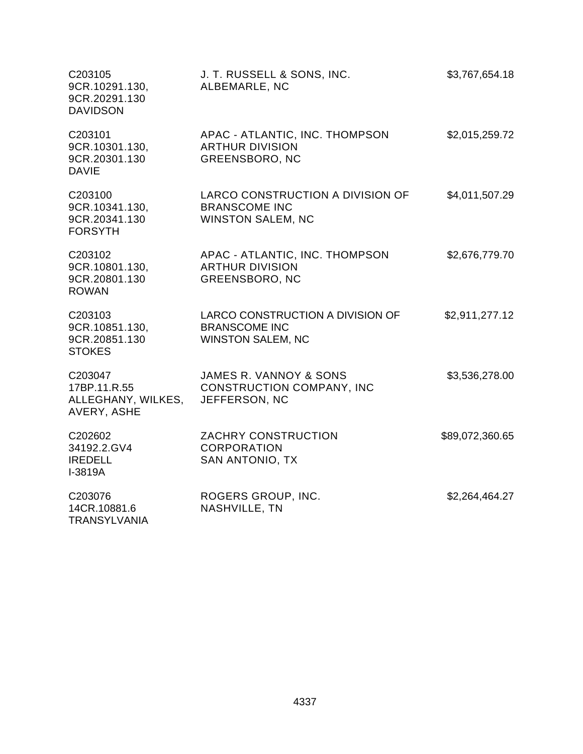| C203105<br>9CR.10291.130,<br>9CR.20291.130<br><b>DAVIDSON</b> | J. T. RUSSELL & SONS, INC.<br>ALBEMARLE, NC                                          | \$3,767,654.18  |
|---------------------------------------------------------------|--------------------------------------------------------------------------------------|-----------------|
| C203101<br>9CR.10301.130,<br>9CR.20301.130<br><b>DAVIE</b>    | APAC - ATLANTIC, INC. THOMPSON<br><b>ARTHUR DIVISION</b><br><b>GREENSBORO, NC</b>    | \$2,015,259.72  |
| C203100<br>9CR.10341.130,<br>9CR.20341.130<br><b>FORSYTH</b>  | LARCO CONSTRUCTION A DIVISION OF<br><b>BRANSCOME INC</b><br><b>WINSTON SALEM, NC</b> | \$4,011,507.29  |
| C203102<br>9CR.10801.130,<br>9CR.20801.130<br><b>ROWAN</b>    | APAC - ATLANTIC, INC. THOMPSON<br><b>ARTHUR DIVISION</b><br><b>GREENSBORO, NC</b>    | \$2,676,779.70  |
| C203103<br>9CR.10851.130,<br>9CR.20851.130<br><b>STOKES</b>   | LARCO CONSTRUCTION A DIVISION OF<br><b>BRANSCOME INC</b><br><b>WINSTON SALEM, NC</b> | \$2,911,277.12  |
| C203047<br>17BP.11.R.55<br>ALLEGHANY, WILKES,<br>AVERY, ASHE  | JAMES R. VANNOY & SONS<br><b>CONSTRUCTION COMPANY, INC</b><br>JEFFERSON, NC          | \$3,536,278.00  |
| C202602<br>34192.2.GV4<br><b>IREDELL</b><br>I-3819A           | ZACHRY CONSTRUCTION<br><b>CORPORATION</b><br>SAN ANTONIO, TX                         | \$89,072,360.65 |
| C203076<br>14CR.10881.6<br><b>TRANSYLVANIA</b>                | ROGERS GROUP, INC.<br>NASHVILLE, TN                                                  | \$2,264,464.27  |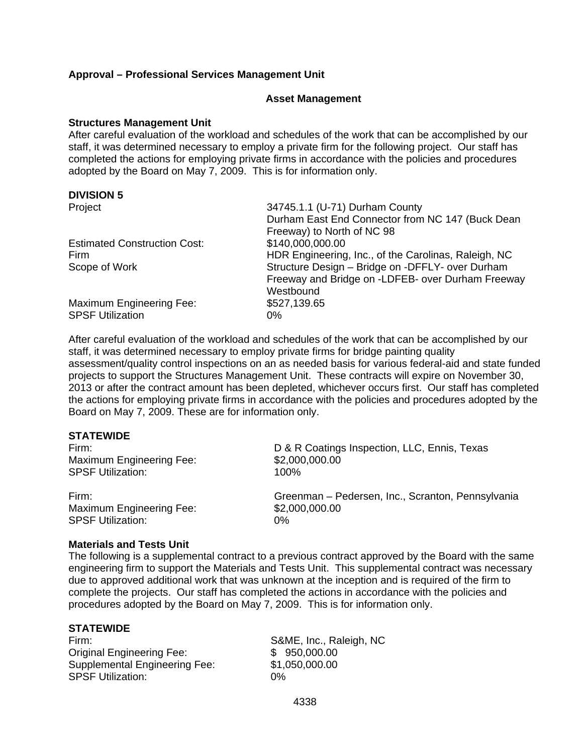# **Approval – Professional Services Management Unit**

#### **Asset Management**

#### **Structures Management Unit**

After careful evaluation of the workload and schedules of the work that can be accomplished by our staff, it was determined necessary to employ a private firm for the following project. Our staff has completed the actions for employing private firms in accordance with the policies and procedures adopted by the Board on May 7, 2009. This is for information only.

# **DIVISION 5**

| Project                                             | 34745.1.1 (U-71) Durham County<br>Durham East End Connector from NC 147 (Buck Dean<br>Freeway) to North of NC 98   |
|-----------------------------------------------------|--------------------------------------------------------------------------------------------------------------------|
| <b>Estimated Construction Cost:</b>                 | \$140,000,000.00                                                                                                   |
| <b>Firm</b>                                         | HDR Engineering, Inc., of the Carolinas, Raleigh, NC                                                               |
| Scope of Work                                       | Structure Design - Bridge on -DFFLY- over Durham<br>Freeway and Bridge on -LDFEB- over Durham Freeway<br>Westbound |
| Maximum Engineering Fee:<br><b>SPSF Utilization</b> | \$527,139.65<br>0%                                                                                                 |

After careful evaluation of the workload and schedules of the work that can be accomplished by our staff, it was determined necessary to employ private firms for bridge painting quality assessment/quality control inspections on an as needed basis for various federal-aid and state funded projects to support the Structures Management Unit. These contracts will expire on November 30, 2013 or after the contract amount has been depleted, whichever occurs first. Our staff has completed the actions for employing private firms in accordance with the policies and procedures adopted by the Board on May 7, 2009. These are for information only.

#### **STATEWIDE**

Maximum Engineering Fee: \$2,000,000.00<br>SPSF Utilization: \$100% SPSF Utilization:

Maximum Engineering Fee: \$2,000,000.00 SPSF Utilization: 0%

Firm: D & R Coatings Inspection, LLC, Ennis, Texas

Firm: Greenman – Pedersen, Inc., Scranton, Pennsylvania

#### **Materials and Tests Unit**

The following is a supplemental contract to a previous contract approved by the Board with the same engineering firm to support the Materials and Tests Unit. This supplemental contract was necessary due to approved additional work that was unknown at the inception and is required of the firm to complete the projects. Our staff has completed the actions in accordance with the policies and procedures adopted by the Board on May 7, 2009. This is for information only.

#### **STATEWIDE**

Firm: S&ME, Inc., Raleigh, NC Original Engineering Fee: \$ 950,000.00 Supplemental Engineering Fee: \$1,050,000.00 SPSF Utilization: 0%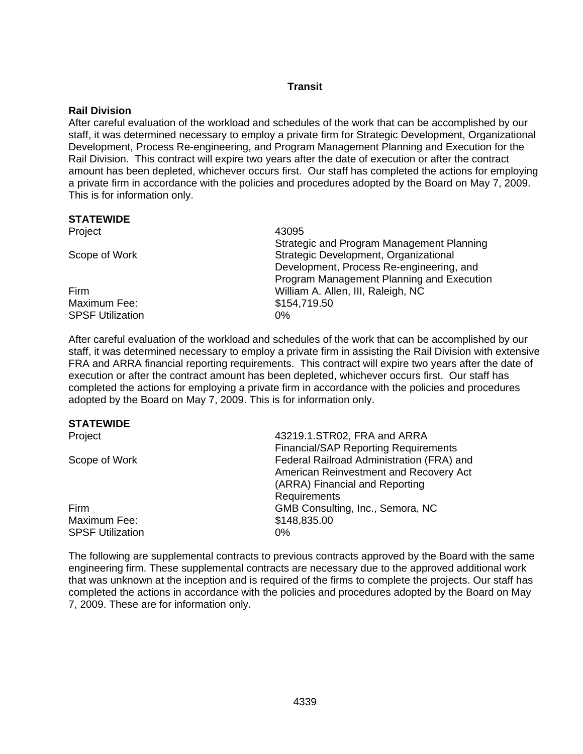# **Transit**

# **Rail Division**

After careful evaluation of the workload and schedules of the work that can be accomplished by our staff, it was determined necessary to employ a private firm for Strategic Development, Organizational Development, Process Re-engineering, and Program Management Planning and Execution for the Rail Division. This contract will expire two years after the date of execution or after the contract amount has been depleted, whichever occurs first. Our staff has completed the actions for employing a private firm in accordance with the policies and procedures adopted by the Board on May 7, 2009. This is for information only.

#### **STATEWIDE**

| Project                 | 43095                                     |
|-------------------------|-------------------------------------------|
|                         | Strategic and Program Management Planning |
| Scope of Work           | Strategic Development, Organizational     |
|                         | Development, Process Re-engineering, and  |
|                         | Program Management Planning and Execution |
| Firm                    | William A. Allen, III, Raleigh, NC        |
| Maximum Fee:            | \$154,719.50                              |
| <b>SPSF Utilization</b> | 0%                                        |

After careful evaluation of the workload and schedules of the work that can be accomplished by our staff, it was determined necessary to employ a private firm in assisting the Rail Division with extensive FRA and ARRA financial reporting requirements. This contract will expire two years after the date of execution or after the contract amount has been depleted, whichever occurs first. Our staff has completed the actions for employing a private firm in accordance with the policies and procedures adopted by the Board on May 7, 2009. This is for information only.

# **STATEWIDE**

| 43219.1.STR02, FRA and ARRA                 |
|---------------------------------------------|
| <b>Financial/SAP Reporting Requirements</b> |
| Federal Railroad Administration (FRA) and   |
| American Reinvestment and Recovery Act      |
| (ARRA) Financial and Reporting              |
| Requirements                                |
| GMB Consulting, Inc., Semora, NC            |
| \$148,835.00                                |
| $0\%$                                       |
|                                             |

The following are supplemental contracts to previous contracts approved by the Board with the same engineering firm. These supplemental contracts are necessary due to the approved additional work that was unknown at the inception and is required of the firms to complete the projects. Our staff has completed the actions in accordance with the policies and procedures adopted by the Board on May 7, 2009. These are for information only.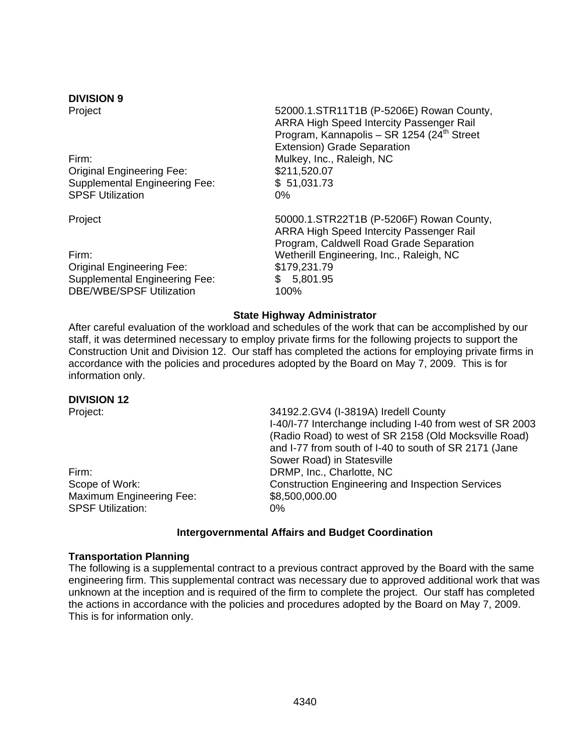# **DIVISION 9**

Firm: **Mulkey, Inc., Raleigh, NC** Original Engineering Fee: \$211,520.07 Supplemental Engineering Fee: \$ 51,031.73 SPSF Utilization 0%

Original Engineering Fee: \$179,231.79 Supplemental Engineering Fee: \$ 5,801.95 DBE/WBE/SPSF Utilization 100%

Project **12000.1.STR11T1B** (P-5206E) Rowan County, ARRA High Speed Intercity Passenger Rail Program, Kannapolis – SR 1254 (24<sup>th</sup> Street Extension) Grade Separation

Project 50000.1.STR22T1B (P-5206F) Rowan County, ARRA High Speed Intercity Passenger Rail Program, Caldwell Road Grade Separation Firm: Wetherill Engineering, Inc., Raleigh, NC

# **State Highway Administrator**

After careful evaluation of the workload and schedules of the work that can be accomplished by our staff, it was determined necessary to employ private firms for the following projects to support the Construction Unit and Division 12. Our staff has completed the actions for employing private firms in accordance with the policies and procedures adopted by the Board on May 7, 2009. This is for information only.

#### **DIVISION 12**

Firm: DRMP, Inc., Charlotte, NC Maximum Engineering Fee: \$8,500,000.00 SPSF Utilization: 0%

Project: 34192.2.GV4 (I-3819A) Iredell County I-40/I-77 Interchange including I-40 from west of SR 2003 (Radio Road) to west of SR 2158 (Old Mocksville Road) and I-77 from south of I-40 to south of SR 2171 (Jane Sower Road) in Statesville Scope of Work: Construction Engineering and Inspection Services

# **Intergovernmental Affairs and Budget Coordination**

#### **Transportation Planning**

The following is a supplemental contract to a previous contract approved by the Board with the same engineering firm. This supplemental contract was necessary due to approved additional work that was unknown at the inception and is required of the firm to complete the project. Our staff has completed the actions in accordance with the policies and procedures adopted by the Board on May 7, 2009. This is for information only.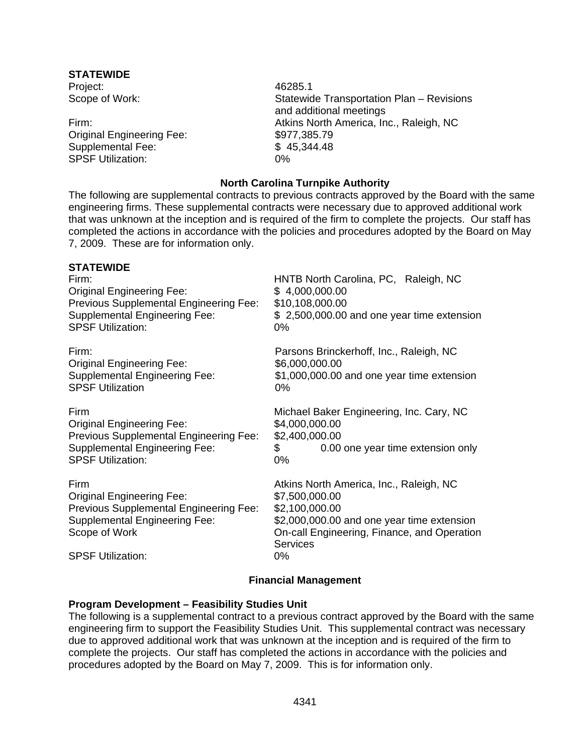# **STATEWIDE**

Project: 46285.1

Original Engineering Fee: \$977,385.79 Supplemental Fee: \$ 45,344.48 SPSF Utilization: 0%

Scope of Work: Statewide Transportation Plan – Revisions and additional meetings Firm: Atkins North America, Inc., Raleigh, NC

# **North Carolina Turnpike Authority**

The following are supplemental contracts to previous contracts approved by the Board with the same engineering firms. These supplemental contracts were necessary due to approved additional work that was unknown at the inception and is required of the firm to complete the projects. Our staff has completed the actions in accordance with the policies and procedures adopted by the Board on May 7, 2009. These are for information only.

| <b>STATEWIDE</b><br>Firm:<br><b>Original Engineering Fee:</b><br>Previous Supplemental Engineering Fee:<br><b>Supplemental Engineering Fee:</b><br><b>SPSF Utilization:</b>    | HNTB North Carolina, PC, Raleigh, NC<br>\$4,000,000.00<br>\$10,108,000.00<br>\$2,500,000.00 and one year time extension<br>0%                                                                        |
|--------------------------------------------------------------------------------------------------------------------------------------------------------------------------------|------------------------------------------------------------------------------------------------------------------------------------------------------------------------------------------------------|
| Firm:<br><b>Original Engineering Fee:</b><br><b>Supplemental Engineering Fee:</b><br><b>SPSF Utilization</b>                                                                   | Parsons Brinckerhoff, Inc., Raleigh, NC<br>\$6,000,000.00<br>\$1,000,000.00 and one year time extension<br>0%                                                                                        |
| Firm<br><b>Original Engineering Fee:</b><br>Previous Supplemental Engineering Fee:<br><b>Supplemental Engineering Fee:</b><br><b>SPSF Utilization:</b>                         | Michael Baker Engineering, Inc. Cary, NC<br>\$4,000,000.00<br>\$2,400,000.00<br>\$<br>0.00 one year time extension only<br>0%                                                                        |
| Firm<br><b>Original Engineering Fee:</b><br><b>Previous Supplemental Engineering Fee:</b><br><b>Supplemental Engineering Fee:</b><br>Scope of Work<br><b>SPSF Utilization:</b> | Atkins North America, Inc., Raleigh, NC<br>\$7,500,000.00<br>\$2,100,000.00<br>\$2,000,000.00 and one year time extension<br>On-call Engineering, Finance, and Operation<br><b>Services</b><br>$0\%$ |

# **Financial Management**

#### **Program Development – Feasibility Studies Unit**

The following is a supplemental contract to a previous contract approved by the Board with the same engineering firm to support the Feasibility Studies Unit. This supplemental contract was necessary due to approved additional work that was unknown at the inception and is required of the firm to complete the projects. Our staff has completed the actions in accordance with the policies and procedures adopted by the Board on May 7, 2009. This is for information only.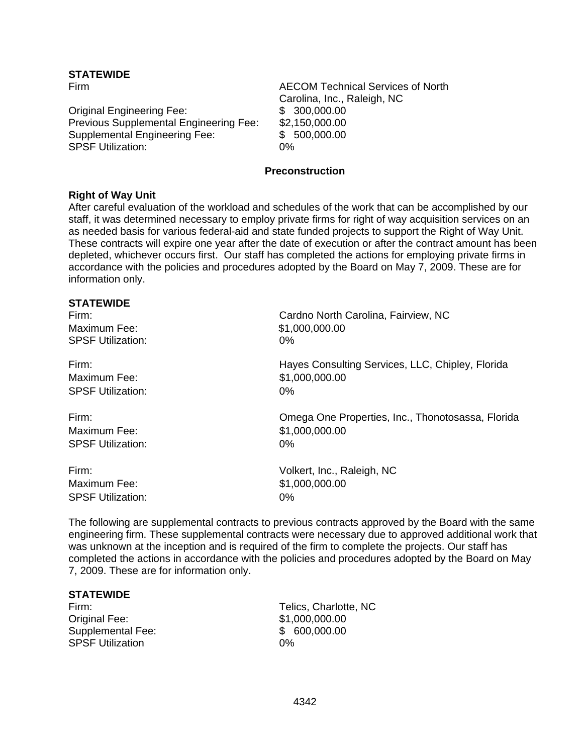# **STATEWIDE**

Original Engineering Fee: \$ 300,000.00 Previous Supplemental Engineering Fee: \$2,150,000.00 Supplemental Engineering Fee: \$ 500,000.00 SPSF Utilization: 0%

Firm AECOM Technical Services of North Carolina, Inc., Raleigh, NC

#### **Preconstruction**

# **Right of Way Unit**

After careful evaluation of the workload and schedules of the work that can be accomplished by our staff, it was determined necessary to employ private firms for right of way acquisition services on an as needed basis for various federal-aid and state funded projects to support the Right of Way Unit. These contracts will expire one year after the date of execution or after the contract amount has been depleted, whichever occurs first. Our staff has completed the actions for employing private firms in accordance with the policies and procedures adopted by the Board on May 7, 2009. These are for information only.

| <b>STATEWIDE</b>         |                                                   |
|--------------------------|---------------------------------------------------|
| Firm:                    | Cardno North Carolina, Fairview, NC               |
| Maximum Fee:             | \$1,000,000.00                                    |
| <b>SPSF Utilization:</b> | 0%                                                |
| Firm:                    | Hayes Consulting Services, LLC, Chipley, Florida  |
| Maximum Fee:             | \$1,000,000.00                                    |
| <b>SPSF Utilization:</b> | 0%                                                |
| Firm:                    | Omega One Properties, Inc., Thonotosassa, Florida |
| Maximum Fee:             | \$1,000,000.00                                    |
| <b>SPSF Utilization:</b> | 0%                                                |
| Firm:                    | Volkert, Inc., Raleigh, NC                        |
| Maximum Fee:             | \$1,000,000.00                                    |
| <b>SPSF Utilization:</b> | $0\%$                                             |
|                          |                                                   |

The following are supplemental contracts to previous contracts approved by the Board with the same engineering firm. These supplemental contracts were necessary due to approved additional work that was unknown at the inception and is required of the firm to complete the projects. Our staff has completed the actions in accordance with the policies and procedures adopted by the Board on May 7, 2009. These are for information only.

#### **STATEWIDE**

Original Fee: \$1,000,000.00 Supplemental Fee: \$ 600,000.00 SPSF Utilization 0%

Firm: Telics, Charlotte, NC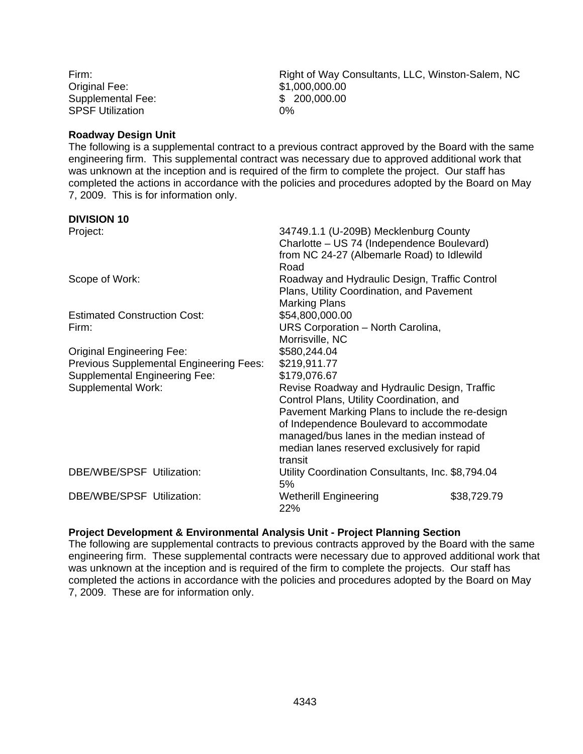Original Fee: \$1,000,000.00 Supplemental Fee:  $$ 200,000.00$ SPSF Utilization 0%

Firm: Firm: Example 2011 11 Right of Way Consultants, LLC, Winston-Salem, NC

#### **Roadway Design Unit**

The following is a supplemental contract to a previous contract approved by the Board with the same engineering firm. This supplemental contract was necessary due to approved additional work that was unknown at the inception and is required of the firm to complete the project. Our staff has completed the actions in accordance with the policies and procedures adopted by the Board on May 7, 2009. This is for information only.

#### **DIVISION 10**

| Project:                                | 34749.1.1 (U-209B) Mecklenburg County<br>Charlotte - US 74 (Independence Boulevard)<br>from NC 24-27 (Albemarle Road) to Idlewild |             |
|-----------------------------------------|-----------------------------------------------------------------------------------------------------------------------------------|-------------|
|                                         | Road                                                                                                                              |             |
| Scope of Work:                          | Roadway and Hydraulic Design, Traffic Control<br>Plans, Utility Coordination, and Pavement                                        |             |
|                                         | <b>Marking Plans</b>                                                                                                              |             |
| <b>Estimated Construction Cost:</b>     | \$54,800,000.00                                                                                                                   |             |
| Firm:                                   | URS Corporation - North Carolina,                                                                                                 |             |
|                                         | Morrisville, NC                                                                                                                   |             |
| <b>Original Engineering Fee:</b>        | \$580,244.04                                                                                                                      |             |
| Previous Supplemental Engineering Fees: | \$219,911.77                                                                                                                      |             |
| <b>Supplemental Engineering Fee:</b>    | \$179,076.67                                                                                                                      |             |
| <b>Supplemental Work:</b>               | Revise Roadway and Hydraulic Design, Traffic                                                                                      |             |
|                                         | Control Plans, Utility Coordination, and<br>Pavement Marking Plans to include the re-design                                       |             |
|                                         | of Independence Boulevard to accommodate                                                                                          |             |
|                                         | managed/bus lanes in the median instead of                                                                                        |             |
|                                         | median lanes reserved exclusively for rapid                                                                                       |             |
|                                         | transit                                                                                                                           |             |
| DBE/WBE/SPSF Utilization:               | Utility Coordination Consultants, Inc. \$8,794.04<br>5%                                                                           |             |
| DBE/WBE/SPSF Utilization:               | <b>Wetherill Engineering</b><br>22%                                                                                               | \$38,729.79 |

#### **Project Development & Environmental Analysis Unit - Project Planning Section**

The following are supplemental contracts to previous contracts approved by the Board with the same engineering firm. These supplemental contracts were necessary due to approved additional work that was unknown at the inception and is required of the firm to complete the projects. Our staff has completed the actions in accordance with the policies and procedures adopted by the Board on May 7, 2009. These are for information only.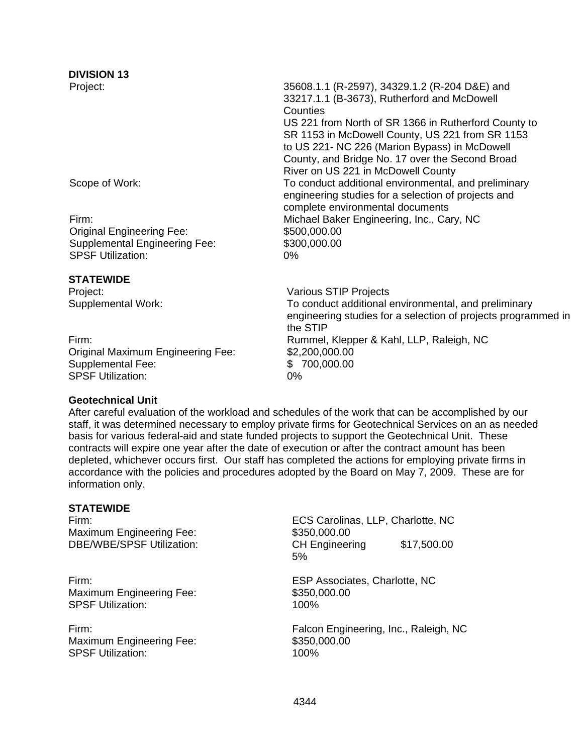# **DIVISION 13**

| Project:                             | 35608.1.1 (R-2597), 34329.1.2 (R-204 D&E) and                 |
|--------------------------------------|---------------------------------------------------------------|
|                                      | 33217.1.1 (B-3673), Rutherford and McDowell                   |
|                                      | Counties                                                      |
|                                      | US 221 from North of SR 1366 in Rutherford County to          |
|                                      | SR 1153 in McDowell County, US 221 from SR 1153               |
|                                      | to US 221- NC 226 (Marion Bypass) in McDowell                 |
|                                      | County, and Bridge No. 17 over the Second Broad               |
|                                      | River on US 221 in McDowell County                            |
| Scope of Work:                       | To conduct additional environmental, and preliminary          |
|                                      | engineering studies for a selection of projects and           |
|                                      | complete environmental documents                              |
| Firm:                                | Michael Baker Engineering, Inc., Cary, NC                     |
| <b>Original Engineering Fee:</b>     | \$500,000.00                                                  |
| <b>Supplemental Engineering Fee:</b> | \$300,000.00                                                  |
| <b>SPSF Utilization:</b>             | $0\%$                                                         |
|                                      |                                                               |
| <b>STATEWIDE</b>                     |                                                               |
| Project:                             | Various STIP Projects                                         |
| Supplemental Work:                   | To conduct additional environmental, and preliminary          |
|                                      | engineering studies for a selection of projects programmed in |
|                                      | the STIP                                                      |
| Firm:                                | Rummel, Klepper & Kahl, LLP, Raleigh, NC                      |
| Original Maximum Engineering Fee:    | \$2,200,000.00                                                |
| Supplemental Fee:                    | \$700,000.00                                                  |
| <b>SPSF Utilization:</b>             | 0%                                                            |

#### **Geotechnical Unit**

After careful evaluation of the workload and schedules of the work that can be accomplished by our staff, it was determined necessary to employ private firms for Geotechnical Services on an as needed basis for various federal-aid and state funded projects to support the Geotechnical Unit. These contracts will expire one year after the date of execution or after the contract amount has been depleted, whichever occurs first. Our staff has completed the actions for employing private firms in accordance with the policies and procedures adopted by the Board on May 7, 2009. These are for information only.

# **STATEWIDE**

Maximum Engineering Fee: \$350,000.00

Maximum Engineering Fee: \$350,000.00 SPSF Utilization: 100%

Maximum Engineering Fee: \$350,000.00 SPSF Utilization: 100%

Firm: ECS Carolinas, LLP, Charlotte, NC DBE/WBE/SPSF Utilization: CH Engineering \$17,500.00 5%

Firm: ESP Associates, Charlotte, NC

Firm: Falcon Engineering, Inc., Raleigh, NC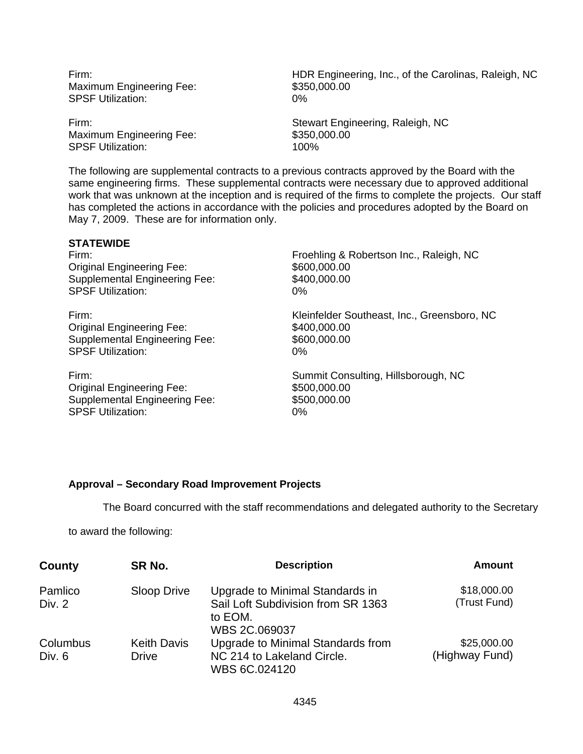Maximum Engineering Fee: \$350,000.00 SPSF Utilization: 0%

Maximum Engineering Fee: \$350,000.00 SPSF Utilization: 100%

Firm: HDR Engineering, Inc., of the Carolinas, Raleigh, NC

Firm: Stewart Engineering, Raleigh, NC

The following are supplemental contracts to a previous contracts approved by the Board with the same engineering firms. These supplemental contracts were necessary due to approved additional work that was unknown at the inception and is required of the firms to complete the projects. Our staff has completed the actions in accordance with the policies and procedures adopted by the Board on May 7, 2009. These are for information only.

# **STATEWIDE**

Original Engineering Fee: \$600,000.00 Supplemental Engineering Fee: SPSF Utilization:

Original Engineering Fee: \$400,000.00 Supplemental Engineering Fee: SPSF Utilization:

Original Engineering Fee: \$500,000.00 Supplemental Engineering Fee: SPSF Utilization:

Firm: Froehling & Robertson Inc., Raleigh, NC \$400,000.00 0%

Firm: Kleinfelder Southeast, Inc., Greensboro, NC \$600,000.00 0%

Firm: Summit Consulting, Hillsborough, NC \$500,000.00 0%

# **Approval – Secondary Road Improvement Projects**

The Board concurred with the staff recommendations and delegated authority to the Secretary

to award the following:

| County   | SR No.             | <b>Description</b>                                             | <b>Amount</b>  |
|----------|--------------------|----------------------------------------------------------------|----------------|
| Pamlico  | Sloop Drive        | Upgrade to Minimal Standards in                                | \$18,000.00    |
| Div. 2   |                    | Sail Loft Subdivision from SR 1363<br>to EOM.<br>WBS 2C.069037 | (Trust Fund)   |
| Columbus | <b>Keith Davis</b> | Upgrade to Minimal Standards from                              | \$25,000.00    |
| Div. 6   | <b>Drive</b>       | NC 214 to Lakeland Circle.                                     | (Highway Fund) |
|          |                    | WBS 6C.024120                                                  |                |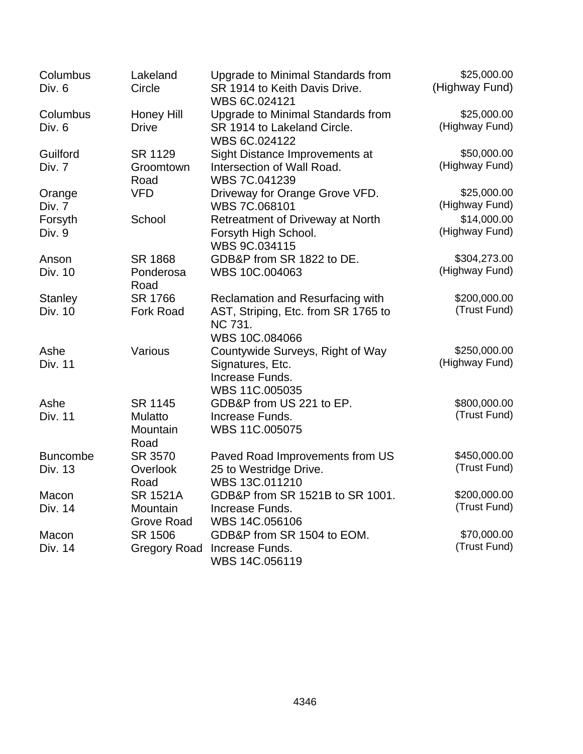| Columbus        | Lakeland            | Upgrade to Minimal Standards from                     | \$25,000.00    |
|-----------------|---------------------|-------------------------------------------------------|----------------|
| Div. 6          | Circle              | SR 1914 to Keith Davis Drive.<br>WBS 6C.024121        | (Highway Fund) |
| Columbus        | Honey Hill          | Upgrade to Minimal Standards from                     | \$25,000.00    |
| Div. 6          | <b>Drive</b>        | SR 1914 to Lakeland Circle.<br>WBS 6C.024122          | (Highway Fund) |
| Guilford        | SR 1129             | Sight Distance Improvements at                        | \$50,000.00    |
| Div. 7          | Groomtown           | Intersection of Wall Road.                            | (Highway Fund) |
|                 | Road                | WBS 7C.041239                                         |                |
| Orange          | <b>VFD</b>          | Driveway for Orange Grove VFD.                        | \$25,000.00    |
| Div. 7          |                     | WBS 7C.068101                                         | (Highway Fund) |
| Forsyth         | School              | Retreatment of Driveway at North                      | \$14,000.00    |
| Div. 9          |                     | Forsyth High School.<br>WBS 9C.034115                 | (Highway Fund) |
| Anson           | SR 1868             | GDB&P from SR 1822 to DE.                             | \$304,273.00   |
| Div. 10         | Ponderosa           | WBS 10C.004063                                        | (Highway Fund) |
|                 | Road                |                                                       |                |
| <b>Stanley</b>  | SR 1766             | Reclamation and Resurfacing with                      | \$200,000.00   |
| Div. 10         | <b>Fork Road</b>    | AST, Striping, Etc. from SR 1765 to<br><b>NC 731.</b> | (Trust Fund)   |
|                 |                     | WBS 10C.084066                                        |                |
| Ashe            | Various             | Countywide Surveys, Right of Way                      | \$250,000.00   |
| <b>Div. 11</b>  |                     | Signatures, Etc.                                      | (Highway Fund) |
|                 |                     | Increase Funds.                                       |                |
|                 |                     | WBS 11C.005035                                        |                |
| Ashe            | SR 1145             | GDB&P from US 221 to EP.                              | \$800,000.00   |
| <b>Div. 11</b>  | <b>Mulatto</b>      | Increase Funds.                                       | (Trust Fund)   |
|                 | Mountain            | WBS 11C.005075                                        |                |
|                 | Road                |                                                       |                |
| <b>Buncombe</b> | SR 3570             | Paved Road Improvements from US                       | \$450,000.00   |
| Div. 13         | Overlook            | 25 to Westridge Drive.                                | (Trust Fund)   |
|                 | Road                | WBS 13C.011210                                        |                |
| Macon           | <b>SR 1521A</b>     | GDB&P from SR 1521B to SR 1001.                       | \$200,000.00   |
| Div. 14         | Mountain            | Increase Funds.                                       | (Trust Fund)   |
|                 | <b>Grove Road</b>   | WBS 14C.056106                                        |                |
| Macon           | SR 1506             | GDB&P from SR 1504 to EOM.                            | \$70,000.00    |
| Div. 14         | <b>Gregory Road</b> | Increase Funds.<br>WBS 14C.056119                     | (Trust Fund)   |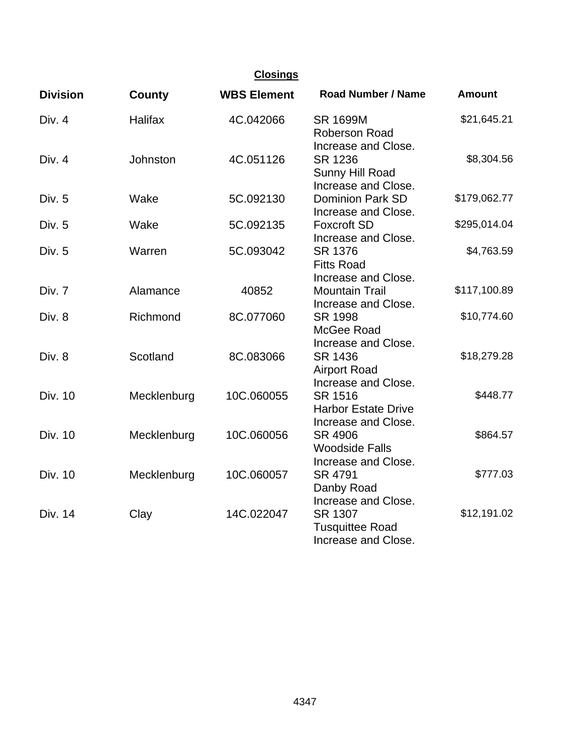| <b>Closings</b> |                |                    |                                                                |               |
|-----------------|----------------|--------------------|----------------------------------------------------------------|---------------|
| <b>Division</b> | <b>County</b>  | <b>WBS Element</b> | <b>Road Number / Name</b>                                      | <b>Amount</b> |
| Div. 4          | <b>Halifax</b> | 4C.042066          | <b>SR 1699M</b><br><b>Roberson Road</b><br>Increase and Close. | \$21,645.21   |
| Div. 4          | Johnston       | 4C.051126          | SR 1236<br>Sunny Hill Road<br>Increase and Close.              | \$8,304.56    |
| Div. 5          | Wake           | 5C.092130          | <b>Dominion Park SD</b><br>Increase and Close.                 | \$179,062.77  |
| Div. 5          | Wake           | 5C.092135          | <b>Foxcroft SD</b><br>Increase and Close.                      | \$295,014.04  |
| Div. 5          | Warren         | 5C.093042          | SR 1376<br><b>Fitts Road</b><br>Increase and Close.            | \$4,763.59    |
| Div. 7          | Alamance       | 40852              | <b>Mountain Trail</b><br>Increase and Close.                   | \$117,100.89  |
| Div. 8          | Richmond       | 8C.077060          | SR 1998<br>McGee Road<br>Increase and Close.                   | \$10,774.60   |
| Div. 8          | Scotland       | 8C.083066          | SR 1436<br><b>Airport Road</b><br>Increase and Close.          | \$18,279.28   |
| <b>Div. 10</b>  | Mecklenburg    | 10C.060055         | SR 1516<br><b>Harbor Estate Drive</b><br>Increase and Close.   | \$448.77      |
| Div. 10         | Mecklenburg    | 10C.060056         | SR 4906<br><b>Woodside Falls</b><br>Increase and Close.        | \$864.57      |
| <b>Div. 10</b>  | Mecklenburg    | 10C.060057         | SR 4791<br>Danby Road<br>Increase and Close.                   | \$777.03      |
| Div. 14         | Clay           | 14C.022047         | SR 1307<br><b>Tusquittee Road</b><br>Increase and Close.       | \$12,191.02   |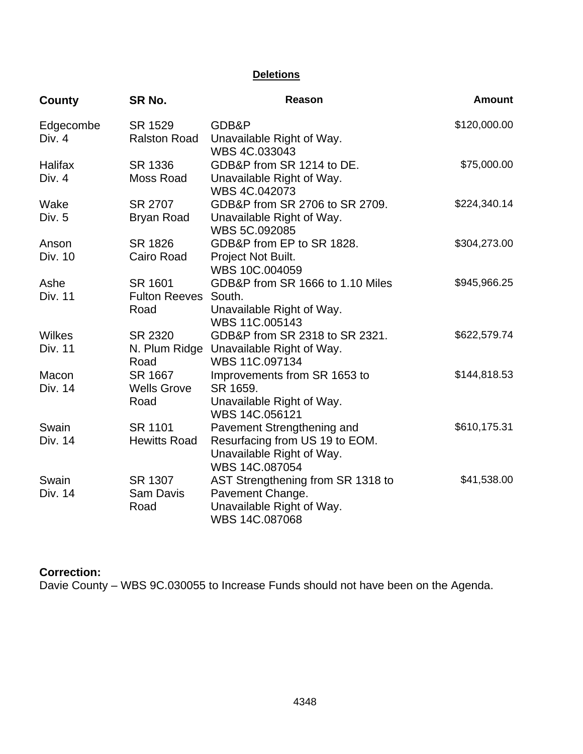# **Deletions**

| County              | SR No.                         | <b>Reason</b>                               | <b>Amount</b> |
|---------------------|--------------------------------|---------------------------------------------|---------------|
| Edgecombe<br>Div. 4 | SR 1529<br><b>Ralston Road</b> | GDB&P<br>Unavailable Right of Way.          | \$120,000.00  |
|                     |                                | WBS 4C.033043                               |               |
| Halifax             | SR 1336                        | GDB&P from SR 1214 to DE.                   | \$75,000.00   |
| Div. 4              | Moss Road                      | Unavailable Right of Way.                   |               |
|                     |                                | WBS 4C.042073                               |               |
| Wake                | SR 2707                        | GDB&P from SR 2706 to SR 2709.              | \$224,340.14  |
| Div. 5              | <b>Bryan Road</b>              | Unavailable Right of Way.<br>WBS 5C.092085  |               |
| Anson               | SR 1826                        | GDB&P from EP to SR 1828.                   | \$304,273.00  |
| Div. 10             | Cairo Road                     | Project Not Built.                          |               |
|                     |                                | WBS 10C.004059                              |               |
| Ashe                | SR 1601                        | GDB&P from SR 1666 to 1.10 Miles            | \$945,966.25  |
| <b>Div. 11</b>      | Fulton Reeves South.           |                                             |               |
|                     | Road                           | Unavailable Right of Way.                   |               |
|                     |                                | WBS 11C.005143                              |               |
| <b>Wilkes</b>       | SR 2320                        | GDB&P from SR 2318 to SR 2321.              | \$622,579.74  |
| <b>Div. 11</b>      | N. Plum Ridge<br>Road          | Unavailable Right of Way.<br>WBS 11C.097134 |               |
| Macon               | SR 1667                        | Improvements from SR 1653 to                | \$144,818.53  |
| Div. 14             | <b>Wells Grove</b>             | SR 1659.                                    |               |
|                     | Road                           | Unavailable Right of Way.                   |               |
|                     |                                | WBS 14C.056121                              |               |
| Swain               | SR 1101                        | Pavement Strengthening and                  | \$610,175.31  |
| Div. 14             | <b>Hewitts Road</b>            | Resurfacing from US 19 to EOM.              |               |
|                     |                                | Unavailable Right of Way.                   |               |
|                     |                                | WBS 14C.087054                              |               |
| Swain               | SR 1307                        | AST Strengthening from SR 1318 to           | \$41,538.00   |
| Div. 14             | <b>Sam Davis</b>               | Pavement Change.                            |               |
|                     | Road                           | Unavailable Right of Way.<br>WBS 14C.087068 |               |
|                     |                                |                                             |               |

# **Correction:**

Davie County – WBS 9C.030055 to Increase Funds should not have been on the Agenda.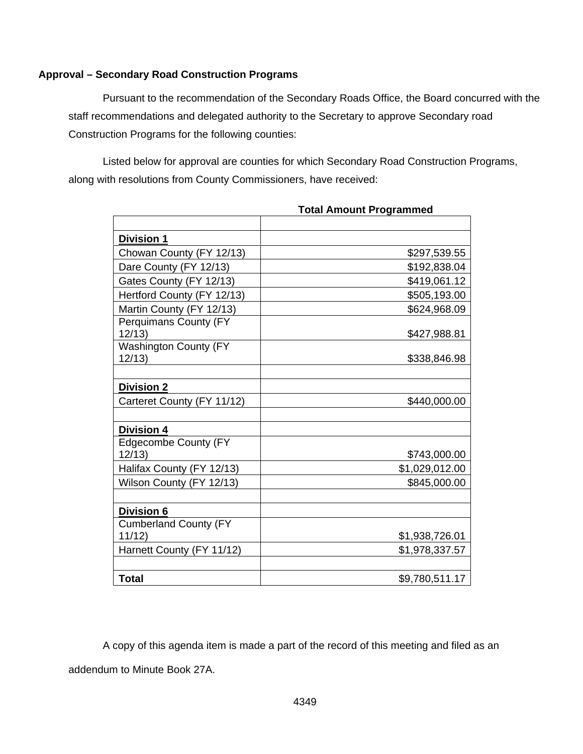# **Approval – Secondary Road Construction Programs**

 Pursuant to the recommendation of the Secondary Roads Office, the Board concurred with the staff recommendations and delegated authority to the Secretary to approve Secondary road Construction Programs for the following counties:

Listed below for approval are counties for which Secondary Road Construction Programs, along with resolutions from County Commissioners, have received:

| <b>Division 1</b>                     |                |
|---------------------------------------|----------------|
| Chowan County (FY 12/13)              | \$297,539.55   |
| Dare County (FY 12/13)                | \$192,838.04   |
| Gates County (FY 12/13)               | \$419,061.12   |
| Hertford County (FY 12/13)            | \$505,193.00   |
| Martin County (FY 12/13)              | \$624,968.09   |
| Perquimans County (FY<br>12/13        | \$427,988.81   |
| <b>Washington County (FY</b><br>12/13 | \$338,846.98   |
|                                       |                |
| Division 2                            |                |
| Carteret County (FY 11/12)            | \$440,000.00   |
|                                       |                |
| <b>Division 4</b>                     |                |
| <b>Edgecombe County (FY</b><br>12/13  | \$743,000.00   |
| Halifax County (FY 12/13)             | \$1,029,012.00 |
| Wilson County (FY 12/13)              | \$845,000.00   |
| Division 6                            |                |
| <b>Cumberland County (FY</b>          |                |
| 11/12                                 | \$1,938,726.01 |
| Harnett County (FY 11/12)             | \$1,978,337.57 |
|                                       |                |
| <b>Total</b>                          | \$9,780,511.17 |

**Total Amount Programmed** 

A copy of this agenda item is made a part of the record of this meeting and filed as an addendum to Minute Book 27A.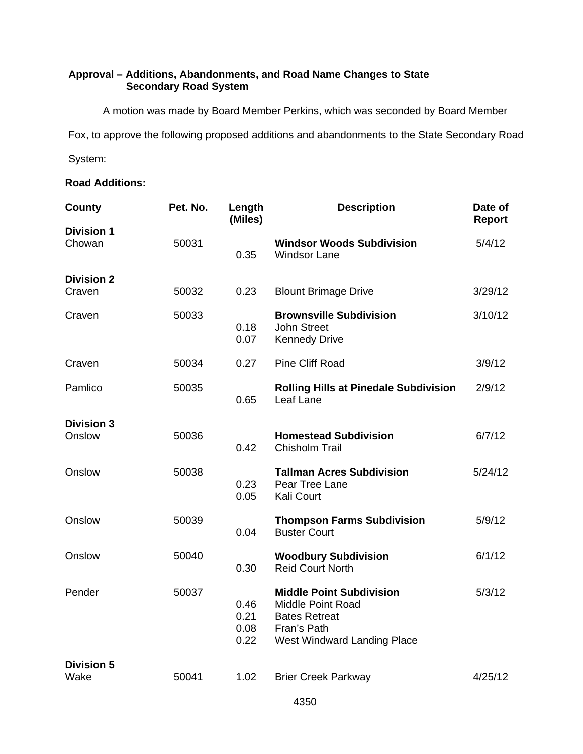# **Approval – Additions, Abandonments, and Road Name Changes to State Secondary Road System**

A motion was made by Board Member Perkins, which was seconded by Board Member

Fox, to approve the following proposed additions and abandonments to the State Secondary Road

System:

# **Road Additions:**

| County                      | Pet. No. | Length<br>(Miles)            | <b>Description</b>                                                                                                                | Date of<br>Report |
|-----------------------------|----------|------------------------------|-----------------------------------------------------------------------------------------------------------------------------------|-------------------|
| <b>Division 1</b><br>Chowan | 50031    | 0.35                         | <b>Windsor Woods Subdivision</b><br><b>Windsor Lane</b>                                                                           | 5/4/12            |
| <b>Division 2</b><br>Craven | 50032    | 0.23                         | <b>Blount Brimage Drive</b>                                                                                                       | 3/29/12           |
| Craven                      | 50033    | 0.18<br>0.07                 | <b>Brownsville Subdivision</b><br><b>John Street</b><br><b>Kennedy Drive</b>                                                      | 3/10/12           |
| Craven                      | 50034    | 0.27                         | <b>Pine Cliff Road</b>                                                                                                            | 3/9/12            |
| Pamlico                     | 50035    | 0.65                         | <b>Rolling Hills at Pinedale Subdivision</b><br>Leaf Lane                                                                         | 2/9/12            |
| <b>Division 3</b><br>Onslow | 50036    | 0.42                         | <b>Homestead Subdivision</b><br>Chisholm Trail                                                                                    | 6/7/12            |
| Onslow                      | 50038    | 0.23<br>0.05                 | <b>Tallman Acres Subdivision</b><br>Pear Tree Lane<br>Kali Court                                                                  | 5/24/12           |
| Onslow                      | 50039    | 0.04                         | <b>Thompson Farms Subdivision</b><br><b>Buster Court</b>                                                                          | 5/9/12            |
| Onslow                      | 50040    | 0.30                         | <b>Woodbury Subdivision</b><br><b>Reid Court North</b>                                                                            | 6/1/12            |
| Pender                      | 50037    | 0.46<br>0.21<br>0.08<br>0.22 | <b>Middle Point Subdivision</b><br><b>Middle Point Road</b><br><b>Bates Retreat</b><br>Fran's Path<br>West Windward Landing Place | 5/3/12            |
| <b>Division 5</b><br>Wake   | 50041    | 1.02                         | <b>Brier Creek Parkway</b>                                                                                                        | 4/25/12           |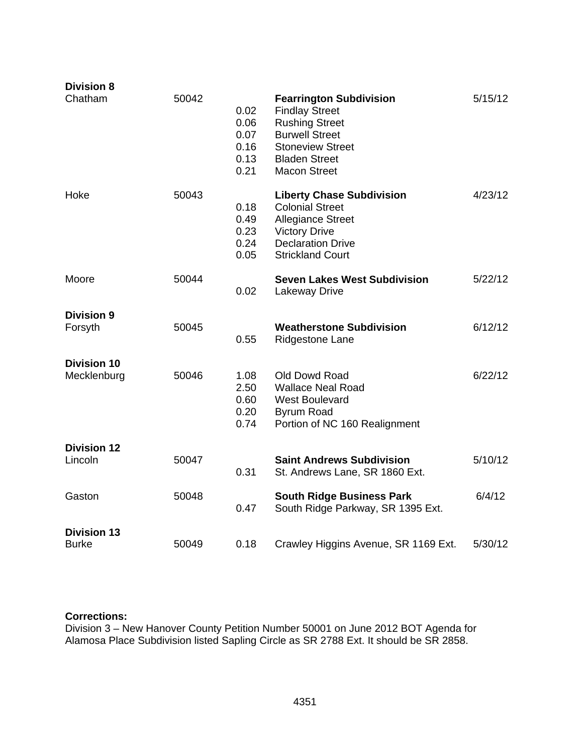| <b>Division 8</b>                  |       |                                              |                                                                                                                                                                                     |         |
|------------------------------------|-------|----------------------------------------------|-------------------------------------------------------------------------------------------------------------------------------------------------------------------------------------|---------|
| Chatham                            | 50042 | 0.02<br>0.06<br>0.07<br>0.16<br>0.13<br>0.21 | <b>Fearrington Subdivision</b><br><b>Findlay Street</b><br><b>Rushing Street</b><br><b>Burwell Street</b><br><b>Stoneview Street</b><br><b>Bladen Street</b><br><b>Macon Street</b> | 5/15/12 |
| Hoke                               | 50043 | 0.18<br>0.49<br>0.23<br>0.24<br>0.05         | <b>Liberty Chase Subdivision</b><br><b>Colonial Street</b><br><b>Allegiance Street</b><br><b>Victory Drive</b><br><b>Declaration Drive</b><br><b>Strickland Court</b>               | 4/23/12 |
| Moore                              | 50044 | 0.02                                         | <b>Seven Lakes West Subdivision</b><br>Lakeway Drive                                                                                                                                | 5/22/12 |
| <b>Division 9</b><br>Forsyth       | 50045 | 0.55                                         | <b>Weatherstone Subdivision</b><br>Ridgestone Lane                                                                                                                                  | 6/12/12 |
| <b>Division 10</b><br>Mecklenburg  | 50046 | 1.08<br>2.50<br>0.60<br>0.20<br>0.74         | Old Dowd Road<br><b>Wallace Neal Road</b><br><b>West Boulevard</b><br><b>Byrum Road</b><br>Portion of NC 160 Realignment                                                            | 6/22/12 |
| <b>Division 12</b><br>Lincoln      | 50047 | 0.31                                         | <b>Saint Andrews Subdivision</b><br>St. Andrews Lane, SR 1860 Ext.                                                                                                                  | 5/10/12 |
| Gaston                             | 50048 | 0.47                                         | <b>South Ridge Business Park</b><br>South Ridge Parkway, SR 1395 Ext.                                                                                                               | 6/4/12  |
| <b>Division 13</b><br><b>Burke</b> | 50049 | 0.18                                         | Crawley Higgins Avenue, SR 1169 Ext.                                                                                                                                                | 5/30/12 |

# **Corrections:**

Division 3 – New Hanover County Petition Number 50001 on June 2012 BOT Agenda for Alamosa Place Subdivision listed Sapling Circle as SR 2788 Ext. It should be SR 2858.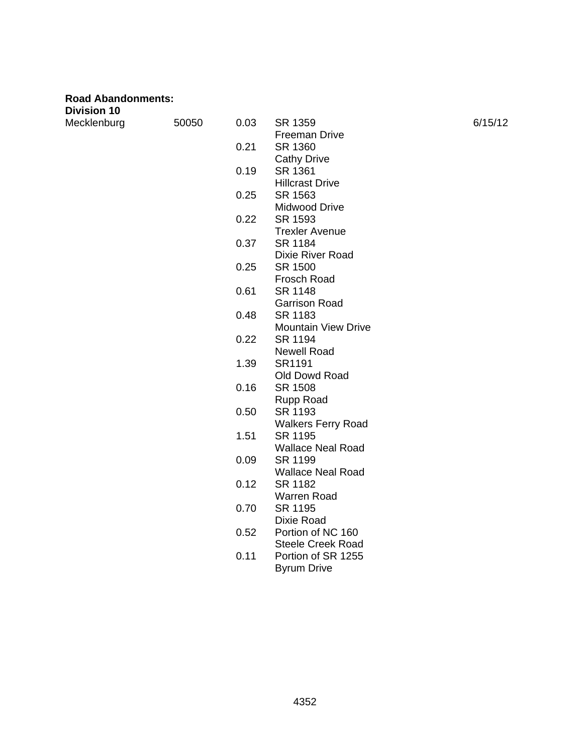| <b>Road Abandonments:</b><br><b>Division 10</b> |       |      |                                      |         |
|-------------------------------------------------|-------|------|--------------------------------------|---------|
| Mecklenburg                                     | 50050 | 0.03 | SR 1359<br><b>Freeman Drive</b>      | 6/15/12 |
|                                                 |       | 0.21 | SR 1360                              |         |
|                                                 |       |      | <b>Cathy Drive</b>                   |         |
|                                                 |       | 0.19 | SR 1361<br><b>Hillcrast Drive</b>    |         |
|                                                 |       | 0.25 | SR 1563                              |         |
|                                                 |       |      | Midwood Drive                        |         |
|                                                 |       | 0.22 | SR 1593                              |         |
|                                                 |       |      | <b>Trexler Avenue</b>                |         |
|                                                 |       | 0.37 | SR 1184                              |         |
|                                                 |       |      | Dixie River Road                     |         |
|                                                 |       | 0.25 | SR 1500                              |         |
|                                                 |       |      | Frosch Road                          |         |
|                                                 |       | 0.61 | SR 1148                              |         |
|                                                 |       |      | <b>Garrison Road</b>                 |         |
|                                                 |       | 0.48 | SR 1183                              |         |
|                                                 |       |      | <b>Mountain View Drive</b>           |         |
|                                                 |       | 0.22 | SR 1194                              |         |
|                                                 |       |      | <b>Newell Road</b>                   |         |
|                                                 |       | 1.39 | SR1191                               |         |
|                                                 |       |      | Old Dowd Road                        |         |
|                                                 |       | 0.16 | SR 1508                              |         |
|                                                 |       | 0.50 | <b>Rupp Road</b>                     |         |
|                                                 |       |      | SR 1193<br><b>Walkers Ferry Road</b> |         |
|                                                 |       | 1.51 | SR 1195                              |         |
|                                                 |       |      | <b>Wallace Neal Road</b>             |         |
|                                                 |       | 0.09 | SR 1199                              |         |
|                                                 |       |      | <b>Wallace Neal Road</b>             |         |
|                                                 |       | 0.12 | SR 1182                              |         |
|                                                 |       |      | <b>Warren Road</b>                   |         |
|                                                 |       | 0.70 | SR 1195                              |         |
|                                                 |       |      | Dixie Road                           |         |
|                                                 |       | 0.52 | Portion of NC 160                    |         |
|                                                 |       |      | <b>Steele Creek Road</b>             |         |
|                                                 |       | 0.11 | Portion of SR 1255                   |         |

Byrum Drive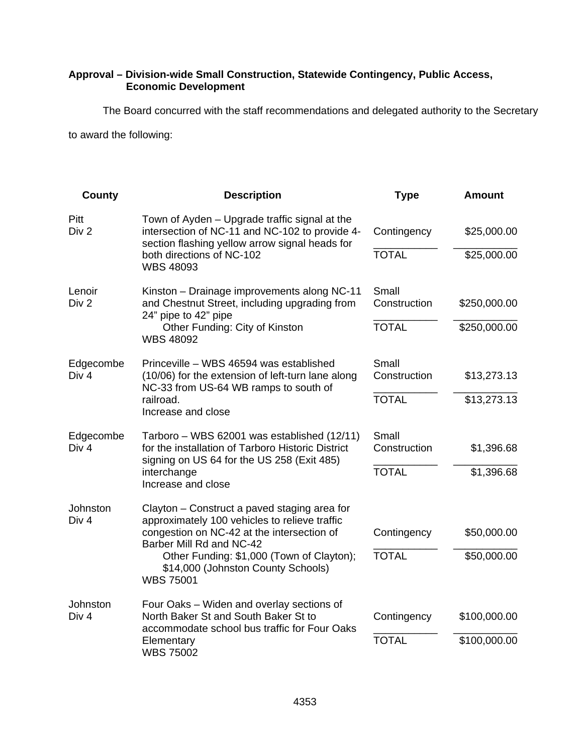# **Approval – Division-wide Small Construction, Statewide Contingency, Public Access, Economic Development**

The Board concurred with the staff recommendations and delegated authority to the Secretary

to award the following:

| County                        | <b>Description</b>                                                                                                                                | <b>Type</b>           | <b>Amount</b> |
|-------------------------------|---------------------------------------------------------------------------------------------------------------------------------------------------|-----------------------|---------------|
| Pitt<br>Div 2                 | Town of Ayden - Upgrade traffic signal at the<br>intersection of NC-11 and NC-102 to provide 4-<br>section flashing yellow arrow signal heads for | Contingency           | \$25,000.00   |
|                               | both directions of NC-102<br><b>WBS 48093</b>                                                                                                     | <b>TOTAL</b>          | \$25,000.00   |
| Lenoir<br>Div 2               | Kinston - Drainage improvements along NC-11<br>and Chestnut Street, including upgrading from                                                      | Small<br>Construction | \$250,000.00  |
|                               | 24" pipe to 42" pipe<br>Other Funding: City of Kinston<br><b>WBS 48092</b>                                                                        | <b>TOTAL</b>          | \$250,000.00  |
| Edgecombe<br>Div 4            | Princeville – WBS 46594 was established<br>(10/06) for the extension of left-turn lane along<br>NC-33 from US-64 WB ramps to south of             | Small<br>Construction | \$13,273.13   |
|                               | railroad.<br>Increase and close                                                                                                                   | <b>TOTAL</b>          | \$13,273.13   |
| Edgecombe<br>Div <sub>4</sub> | Tarboro – WBS 62001 was established (12/11)<br>for the installation of Tarboro Historic District                                                  | Small<br>Construction | \$1,396.68    |
|                               | signing on US 64 for the US 258 (Exit 485)<br>interchange<br>Increase and close                                                                   | <b>TOTAL</b>          | \$1,396.68    |
| Johnston<br>Div <sub>4</sub>  | Clayton – Construct a paved staging area for<br>approximately 100 vehicles to relieve traffic                                                     |                       |               |
|                               | congestion on NC-42 at the intersection of<br>Barber Mill Rd and NC-42                                                                            | Contingency           | \$50,000.00   |
|                               | Other Funding: \$1,000 (Town of Clayton);<br>\$14,000 (Johnston County Schools)<br><b>WBS 75001</b>                                               | <b>TOTAL</b>          | \$50,000.00   |
| Johnston<br>Div <sub>4</sub>  | Four Oaks - Widen and overlay sections of<br>North Baker St and South Baker St to                                                                 | Contingency           | \$100,000.00  |
|                               | accommodate school bus traffic for Four Oaks<br>Elementary<br><b>WBS 75002</b>                                                                    | <b>TOTAL</b>          | \$100,000.00  |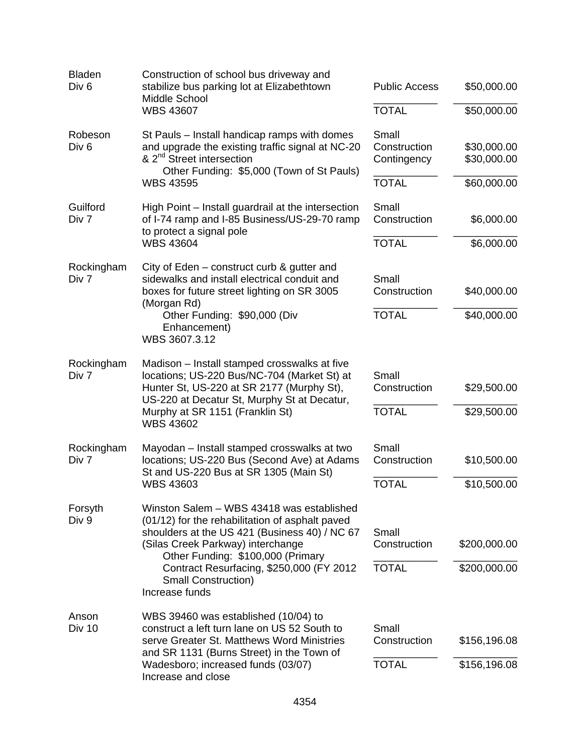| <b>Bladen</b><br>Div <sub>6</sub> | Construction of school bus driveway and<br>stabilize bus parking lot at Elizabethtown<br>Middle School<br><b>WBS 43607</b>                                                                                              | <b>Public Access</b><br><b>TOTAL</b>  | \$50,000.00<br>\$50,000.00 |
|-----------------------------------|-------------------------------------------------------------------------------------------------------------------------------------------------------------------------------------------------------------------------|---------------------------------------|----------------------------|
| Robeson<br>Div <sub>6</sub>       | St Pauls - Install handicap ramps with domes<br>and upgrade the existing traffic signal at NC-20<br>& 2 <sup>nd</sup> Street intersection<br>Other Funding: \$5,000 (Town of St Pauls)                                  | Small<br>Construction<br>Contingency  | \$30,000.00<br>\$30,000.00 |
|                                   | <b>WBS 43595</b>                                                                                                                                                                                                        | <b>TOTAL</b>                          | \$60,000.00                |
| Guilford<br>Div 7                 | High Point – Install guardrail at the intersection<br>of I-74 ramp and I-85 Business/US-29-70 ramp<br>to protect a signal pole                                                                                          | Small<br>Construction                 | \$6,000.00                 |
|                                   | <b>WBS 43604</b>                                                                                                                                                                                                        | <b>TOTAL</b>                          | \$6,000.00                 |
| Rockingham<br>Div 7               | City of Eden – construct curb & gutter and<br>sidewalks and install electrical conduit and<br>boxes for future street lighting on SR 3005<br>(Morgan Rd)                                                                | Small<br>Construction<br><b>TOTAL</b> | \$40,000.00                |
|                                   | Other Funding: \$90,000 (Div<br>Enhancement)<br>WBS 3607.3.12                                                                                                                                                           |                                       | \$40,000.00                |
| Rockingham<br>Div 7               | Madison – Install stamped crosswalks at five<br>locations; US-220 Bus/NC-704 (Market St) at<br>Hunter St, US-220 at SR 2177 (Murphy St),<br>US-220 at Decatur St, Murphy St at Decatur,                                 | Small<br>Construction                 | \$29,500.00                |
|                                   | Murphy at SR 1151 (Franklin St)<br><b>WBS 43602</b>                                                                                                                                                                     | <b>TOTAL</b>                          | \$29,500.00                |
| Rockingham<br>Div 7               | Mayodan - Install stamped crosswalks at two<br>locations; US-220 Bus (Second Ave) at Adams<br>St and US-220 Bus at SR 1305 (Main St)                                                                                    | Small<br>Construction                 | \$10,500.00                |
|                                   | <b>WBS 43603</b>                                                                                                                                                                                                        | <b>TOTAL</b>                          | \$10,500.00                |
| Forsyth<br>Div 9                  | Winston Salem - WBS 43418 was established<br>(01/12) for the rehabilitation of asphalt paved<br>shoulders at the US 421 (Business 40) / NC 67<br>(Silas Creek Parkway) interchange<br>Other Funding: \$100,000 (Primary | Small<br>Construction                 | \$200,000.00               |
|                                   | Contract Resurfacing, \$250,000 (FY 2012<br><b>Small Construction)</b><br>Increase funds                                                                                                                                | <b>TOTAL</b>                          | \$200,000.00               |
| Anson<br><b>Div 10</b>            | WBS 39460 was established (10/04) to<br>construct a left turn lane on US 52 South to<br>serve Greater St. Matthews Word Ministries                                                                                      | Small<br>Construction                 | \$156,196.08               |
|                                   | and SR 1131 (Burns Street) in the Town of<br>Wadesboro; increased funds (03/07)<br>Increase and close                                                                                                                   | <b>TOTAL</b>                          | \$156,196.08               |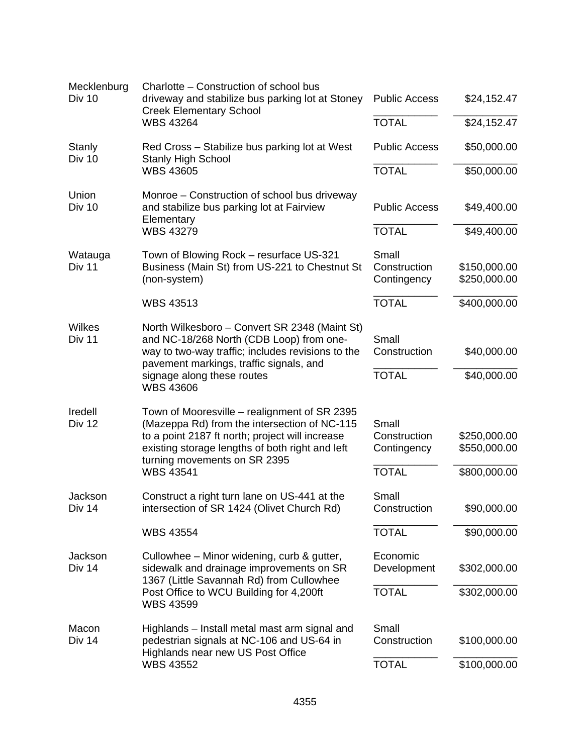| Mecklenburg<br>Div 10    | Charlotte - Construction of school bus<br>driveway and stabilize bus parking lot at Stoney<br><b>Creek Elementary School</b>                                                                                                       | <b>Public Access</b>                 | \$24,152.47                  |
|--------------------------|------------------------------------------------------------------------------------------------------------------------------------------------------------------------------------------------------------------------------------|--------------------------------------|------------------------------|
|                          | <b>WBS 43264</b>                                                                                                                                                                                                                   | <b>TOTAL</b>                         | \$24,152.47                  |
| <b>Stanly</b><br>Div 10  | Red Cross – Stabilize bus parking lot at West<br><b>Stanly High School</b>                                                                                                                                                         | <b>Public Access</b>                 | \$50,000.00                  |
|                          | <b>WBS 43605</b>                                                                                                                                                                                                                   | <b>TOTAL</b>                         | \$50,000.00                  |
| Union<br><b>Div 10</b>   | Monroe – Construction of school bus driveway<br>and stabilize bus parking lot at Fairview<br>Elementary                                                                                                                            | <b>Public Access</b>                 | \$49,400.00                  |
|                          | <b>WBS 43279</b>                                                                                                                                                                                                                   | <b>TOTAL</b>                         | \$49,400.00                  |
| Watauga<br>Div 11        | Town of Blowing Rock - resurface US-321<br>Business (Main St) from US-221 to Chestnut St<br>(non-system)                                                                                                                           | Small<br>Construction<br>Contingency | \$150,000.00<br>\$250,000.00 |
|                          | <b>WBS 43513</b>                                                                                                                                                                                                                   | <b>TOTAL</b>                         | \$400,000.00                 |
| Wilkes<br>Div 11         | North Wilkesboro - Convert SR 2348 (Maint St)<br>and NC-18/268 North (CDB Loop) from one-<br>way to two-way traffic; includes revisions to the<br>pavement markings, traffic signals, and                                          | Small<br>Construction                | \$40,000.00                  |
|                          | signage along these routes<br><b>WBS 43606</b>                                                                                                                                                                                     | <b>TOTAL</b>                         | \$40,000.00                  |
| Iredell<br><b>Div 12</b> | Town of Mooresville - realignment of SR 2395<br>(Mazeppa Rd) from the intersection of NC-115<br>to a point 2187 ft north; project will increase<br>existing storage lengths of both right and left<br>turning movements on SR 2395 | Small<br>Construction<br>Contingency | \$250,000.00<br>\$550,000.00 |
|                          | <b>WBS 43541</b>                                                                                                                                                                                                                   | <b>TOTAL</b>                         | \$800,000.00                 |
| Jackson<br>Div 14        | Construct a right turn lane on US-441 at the<br>intersection of SR 1424 (Olivet Church Rd)                                                                                                                                         | Small<br>Construction                | \$90,000.00                  |
|                          | <b>WBS 43554</b>                                                                                                                                                                                                                   | <b>TOTAL</b>                         | \$90,000.00                  |
| Jackson<br><b>Div 14</b> | Cullowhee – Minor widening, curb & gutter,<br>sidewalk and drainage improvements on SR<br>1367 (Little Savannah Rd) from Cullowhee                                                                                                 | Economic<br>Development              | \$302,000.00                 |
|                          | Post Office to WCU Building for 4,200ft<br><b>WBS 43599</b>                                                                                                                                                                        | <b>TOTAL</b>                         | \$302,000.00                 |
| Macon<br>Div 14          | Highlands - Install metal mast arm signal and<br>pedestrian signals at NC-106 and US-64 in<br>Highlands near new US Post Office                                                                                                    | Small<br>Construction                | \$100,000.00                 |
|                          | <b>WBS 43552</b>                                                                                                                                                                                                                   | <b>TOTAL</b>                         | \$100,000.00                 |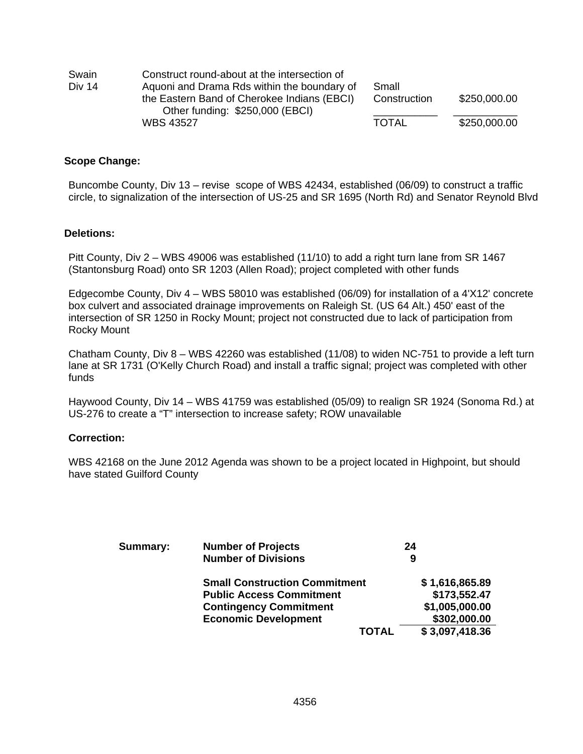| Swain    | Construct round-about at the intersection of                                   |              |              |
|----------|--------------------------------------------------------------------------------|--------------|--------------|
| Div $14$ | Aguoni and Drama Rds within the boundary of                                    | Small        |              |
|          | the Eastern Band of Cherokee Indians (EBCI)<br>Other funding: \$250,000 (EBCI) | Construction | \$250,000.00 |
|          | <b>WBS 43527</b>                                                               | <b>TOTAL</b> | \$250,000.00 |

#### **Scope Change:**

Buncombe County, Div 13 – revise scope of WBS 42434, established (06/09) to construct a traffic circle, to signalization of the intersection of US-25 and SR 1695 (North Rd) and Senator Reynold Blvd

#### **Deletions:**

Pitt County, Div 2 – WBS 49006 was established (11/10) to add a right turn lane from SR 1467 (Stantonsburg Road) onto SR 1203 (Allen Road); project completed with other funds

Edgecombe County, Div 4 – WBS 58010 was established (06/09) for installation of a 4'X12' concrete box culvert and associated drainage improvements on Raleigh St. (US 64 Alt.) 450' east of the intersection of SR 1250 in Rocky Mount; project not constructed due to lack of participation from Rocky Mount

Chatham County, Div 8 – WBS 42260 was established (11/08) to widen NC-751 to provide a left turn lane at SR 1731 (O'Kelly Church Road) and install a traffic signal; project was completed with other funds

Haywood County, Div 14 – WBS 41759 was established (05/09) to realign SR 1924 (Sonoma Rd.) at US-276 to create a "T" intersection to increase safety; ROW unavailable

#### **Correction:**

WBS 42168 on the June 2012 Agenda was shown to be a project located in Highpoint, but should have stated Guilford County

| <b>Summary:</b> | <b>Number of Projects</b><br><b>Number of Divisions</b> | 24<br>9        |
|-----------------|---------------------------------------------------------|----------------|
|                 | <b>Small Construction Commitment</b>                    | \$1,616,865.89 |
|                 | <b>Public Access Commitment</b>                         | \$173,552.47   |
|                 | <b>Contingency Commitment</b>                           | \$1,005,000.00 |
|                 | <b>Economic Development</b>                             | \$302,000.00   |
|                 | <b>TOTAL</b>                                            | \$3,097,418.36 |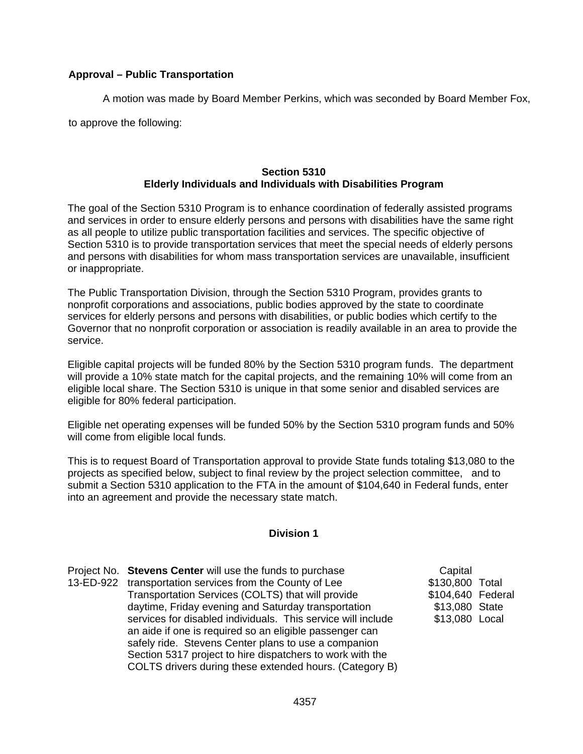# **Approval – Public Transportation**

A motion was made by Board Member Perkins, which was seconded by Board Member Fox,

to approve the following:

# **Section 5310 Elderly Individuals and Individuals with Disabilities Program**

The goal of the Section 5310 Program is to enhance coordination of federally assisted programs and services in order to ensure elderly persons and persons with disabilities have the same right as all people to utilize public transportation facilities and services. The specific objective of Section 5310 is to provide transportation services that meet the special needs of elderly persons and persons with disabilities for whom mass transportation services are unavailable, insufficient or inappropriate.

The Public Transportation Division, through the Section 5310 Program, provides grants to nonprofit corporations and associations, public bodies approved by the state to coordinate services for elderly persons and persons with disabilities, or public bodies which certify to the Governor that no nonprofit corporation or association is readily available in an area to provide the service.

Eligible capital projects will be funded 80% by the Section 5310 program funds. The department will provide a 10% state match for the capital projects, and the remaining 10% will come from an eligible local share. The Section 5310 is unique in that some senior and disabled services are eligible for 80% federal participation.

Eligible net operating expenses will be funded 50% by the Section 5310 program funds and 50% will come from eligible local funds.

This is to request Board of Transportation approval to provide State funds totaling \$13,080 to the projects as specified below, subject to final review by the project selection committee, and to submit a Section 5310 application to the FTA in the amount of \$104,640 in Federal funds, enter into an agreement and provide the necessary state match.

# **Division 1**

Project No. **Stevens Center** will use the funds to purchase 13-ED-922 transportation services from the County of Lee Transportation Services (COLTS) that will provide daytime, Friday evening and Saturday transportation services for disabled individuals. This service will include an aide if one is required so an eligible passenger can safely ride. Stevens Center plans to use a companion Section 5317 project to hire dispatchers to work with the COLTS drivers during these extended hours. (Category B)

**Capital** \$130,800 Total \$104,640 Federal \$13,080 State \$13,080 Local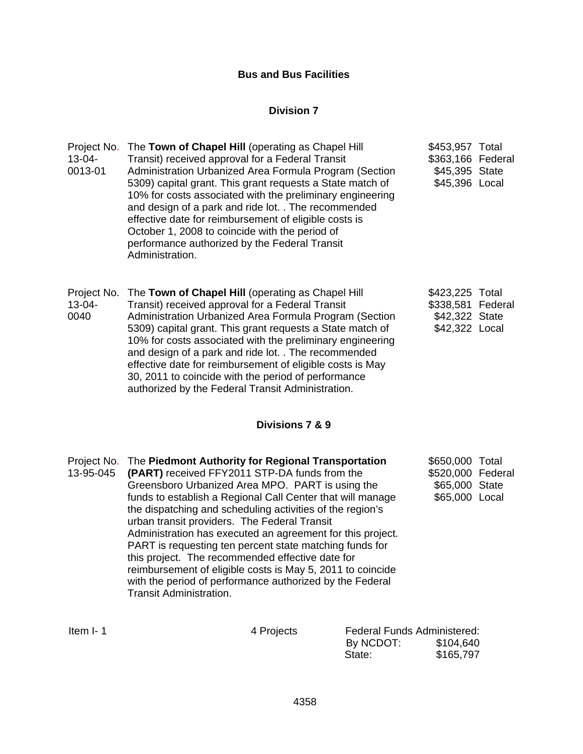# **Bus and Bus Facilities**

# **Division 7**

| Project No.<br>$13 - 04 -$<br>0013-01 | The Town of Chapel Hill (operating as Chapel Hill<br>Transit) received approval for a Federal Transit<br>Administration Urbanized Area Formula Program (Section<br>5309) capital grant. This grant requests a State match of<br>10% for costs associated with the preliminary engineering<br>and design of a park and ride lot. . The recommended<br>effective date for reimbursement of eligible costs is<br>October 1, 2008 to coincide with the period of<br>performance authorized by the Federal Transit<br>Administration. | \$453,957 Total<br>\$363,166 Federal<br>\$45,395 State<br>\$45,396 Local |  |
|---------------------------------------|----------------------------------------------------------------------------------------------------------------------------------------------------------------------------------------------------------------------------------------------------------------------------------------------------------------------------------------------------------------------------------------------------------------------------------------------------------------------------------------------------------------------------------|--------------------------------------------------------------------------|--|
| Project No.<br>$13 - 04 -$<br>0040    | The Town of Chapel Hill (operating as Chapel Hill<br>Transit) received approval for a Federal Transit<br>Administration Urbanized Area Formula Program (Section<br>5309) capital grant. This grant requests a State match of<br>10% for costs associated with the preliminary engineering<br>and design of a park and ride lot. . The recommended<br>effective date for reimbursement of eligible costs is May<br>30, 2011 to coincide with the period of performance<br>authorized by the Federal Transit Administration.       | \$423,225 Total<br>\$338,581 Federal<br>\$42,322 State<br>\$42,322 Local |  |
|                                       | Divisions 7 & 9                                                                                                                                                                                                                                                                                                                                                                                                                                                                                                                  |                                                                          |  |
| Project No.<br>13-95-045              | The Piedmont Authority for Regional Transportation<br>(PART) received FFY2011 STP-DA funds from the<br>Greensboro Urbanized Area MPO. PART is using the<br>funds to establish a Regional Call Center that will manage<br>the dispatching and scheduling activities of the region's<br>urban transit providers. The Federal Transit<br>Administration has executed an agreement for this project.<br>PART is requesting ten percent state matching funds for<br>this project. The recommended effective date for                  | \$650,000 Total<br>\$520,000 Federal<br>\$65,000 State<br>\$65,000 Local |  |

Item I- 1 4 Projects Federal Funds Administered: By NCDOT:<br>State: \$165,797

reimbursement of eligible costs is May 5, 2011 to coincide with the period of performance authorized by the Federal

Transit Administration.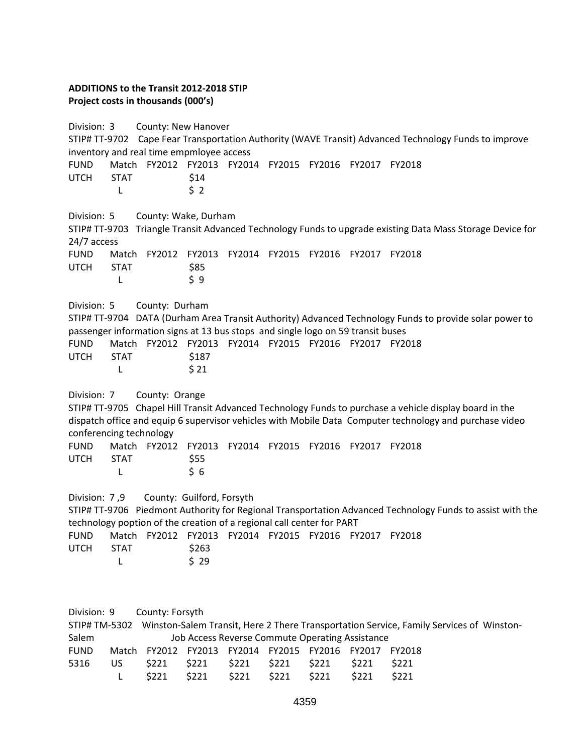# **ADDITIONS to the Transit 2012‐2018 STIP Project costs in thousands (000's)**

Division: 3 County: New Hanover STIP# TT-9702 Cape Fear Transportation Authority (WAVE Transit) Advanced Technology Funds to improve inventory and real time empmloyee access FUND Match FY2012 FY2013 FY2014 FY2015 FY2016 FY2017 FY2018 UTCH STAT \$14  $L \qquad \qquad \xi \; 2$ Division: 5 County: Wake, Durham STIP# TT‐9703 Triangle Transit Advanced Technology Funds to upgrade existing Data Mass Storage Device for 24/7 access FUND Match FY2012 FY2013 FY2014 FY2015 FY2016 FY2017 FY2018 UTCH STAT \$85  $L \qquad \qquad \zeta \, 9$ Division: 5 County: Durham STIP# TT‐9704 DATA (Durham Area Transit Authority) Advanced Technology Funds to provide solar power to passenger information signs at 13 bus stops and single logo on 59 transit buses FUND Match FY2012 FY2013 FY2014 FY2015 FY2016 FY2017 FY2018 UTCH STAT \$187 L \$21 Division: 7 County: Orange STIP# TT‐9705 Chapel Hill Transit Advanced Technology Funds to purchase a vehicle display board in the dispatch office and equip 6 supervisor vehicles with Mobile Data Computer technology and purchase video conferencing technology FUND Match FY2012 FY2013 FY2014 FY2015 FY2016 FY2017 FY2018 UTCH STAT \$55 L \$6 Division: 7,9 County: Guilford, Forsyth STIP# TT‐9706 Piedmont Authority for Regional Transportation Advanced Technology Funds to assist with the technology poption of the creation of a regional call center for PART FUND Match FY2012 FY2013 FY2014 FY2015 FY2016 FY2017 FY2018 UTCH STAT \$263 L \$ 29 Division: 9 County: Forsyth STIP# TM‐5302 Winston‐Salem Transit, Here 2 There Transportation Service, Family Services of Winston‐ Salem **Iob Access Reverse Commute Operating Assistance** FUND Match FY2012 FY2013 FY2014 FY2015 FY2016 FY2017 FY2018 5316 US \$221 \$221 \$221 \$221 \$221 \$221 \$221 L \$221 \$221 \$221 \$221 \$221 \$221 \$221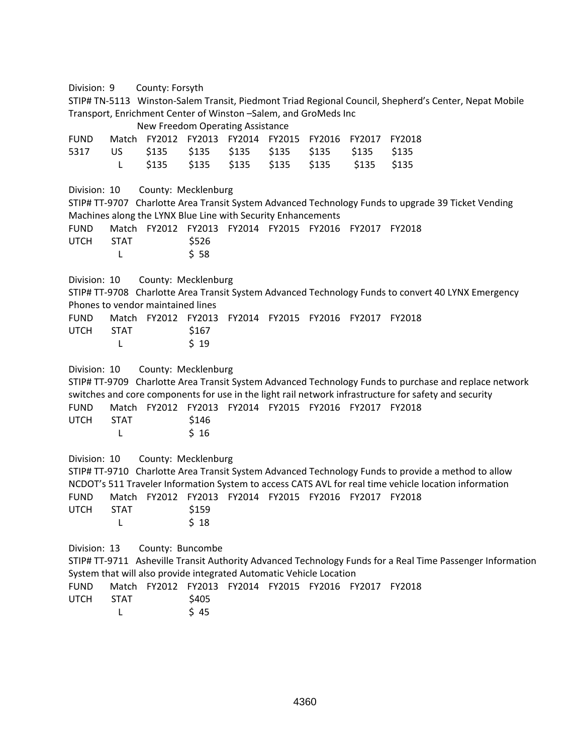Division: 9 County: Forsyth

STIP# TN‐5113 Winston‐Salem Transit, Piedmont Triad Regional Council, Shepherd's Center, Nepat Mobile Transport, Enrichment Center of Winston –Salem, and GroMeds Inc

 New Freedom Operating Assistance FUND Match FY2012 FY2013 FY2014 FY2015 FY2016 FY2017 FY2018 5317 US \$135 \$135 \$135 \$135 \$135 \$135 \$135 L \$135 \$135 \$135 \$135 \$135 \$135 \$135 Division: 10 County: Mecklenburg STIP# TT‐9707 Charlotte Area Transit System Advanced Technology Funds to upgrade 39 Ticket Vending Machines along the LYNX Blue Line with Security Enhancements FUND Match FY2012 FY2013 FY2014 FY2015 FY2016 FY2017 FY2018 UTCH STAT \$526 L \$ 58 Division: 10 County: Mecklenburg STIP# TT‐9708 Charlotte Area Transit System Advanced Technology Funds to convert 40 LYNX Emergency Phones to vendor maintained lines FUND Match FY2012 FY2013 FY2014 FY2015 FY2016 FY2017 FY2018 UTCH STAT \$167 L \$ 19 Division: 10 County: Mecklenburg STIP# TT‐9709 Charlotte Area Transit System Advanced Technology Funds to purchase and replace network switches and core components for use in the light rail network infrastructure for safety and security FUND Match FY2012 FY2013 FY2014 FY2015 FY2016 FY2017 FY2018 UTCH STAT \$146 L \$ 16 Division: 10 County: Mecklenburg STIP# TT‐9710 Charlotte Area Transit System Advanced Technology Funds to provide a method to allow NCDOT's 511 Traveler Information System to access CATS AVL for real time vehicle location information FUND Match FY2012 FY2013 FY2014 FY2015 FY2016 FY2017 FY2018 UTCH STAT \$159 L \$ 18 Division: 13 County: Buncombe STIP# TT‐9711 Asheville Transit Authority Advanced Technology Funds for a Real Time Passenger Information System that will also provide integrated Automatic Vehicle Location FUND Match FY2012 FY2013 FY2014 FY2015 FY2016 FY2017 FY2018 UTCH STAT \$405 L \$45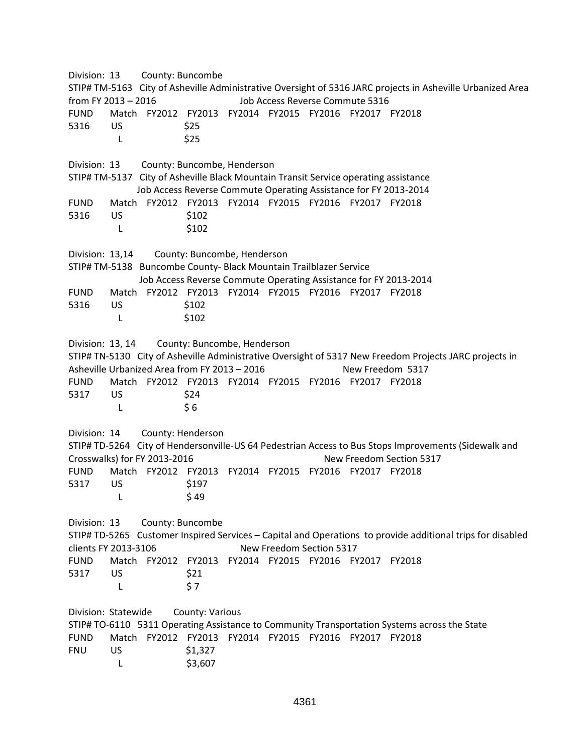Division: 13 County: Buncombe STIP# TM‐5163 City of Asheville Administrative Oversight of 5316 JARC projects in Asheville Urbanized Area from FY 2013 – 2016 Job Access Reverse Commute 5316 FUND Match FY2012 FY2013 FY2014 FY2015 FY2016 FY2017 FY2018 5316 US \$25 L \$25 Division: 13 County: Buncombe, Henderson STIP# TM‐5137 City of Asheville Black Mountain Transit Service operating assistance Job Access Reverse Commute Operating Assistance for FY 2013‐2014 FUND Match FY2012 FY2013 FY2014 FY2015 FY2016 FY2017 FY2018 5316 US \$102 L \$102 Division: 13,14 County: Buncombe, Henderson STIP# TM‐5138 Buncombe County‐ Black Mountain Trailblazer Service Job Access Reverse Commute Operating Assistance for FY 2013‐2014 FUND Match FY2012 FY2013 FY2014 FY2015 FY2016 FY2017 FY2018 5316 US \$102 L \$102 Division: 13, 14 County: Buncombe, Henderson STIP# TN‐5130 City of Asheville Administrative Oversight of 5317 New Freedom Projects JARC projects in Asheville Urbanized Area from FY 2013 – 2016 New Freedom 5317 FUND Match FY2012 FY2013 FY2014 FY2015 FY2016 FY2017 FY2018 5317 US \$24  $L \qquad \qquad \xi \, 6$ Division: 14 County: Henderson STIP# TD‐5264 City of Hendersonville‐US 64 Pedestrian Access to Bus Stops Improvements (Sidewalk and Crosswalks) for FY 2013‐2016 New Freedom Section 5317 FUND Match FY2012 FY2013 FY2014 FY2015 FY2016 FY2017 FY2018 5317 US \$197 L \$49 Division: 13 County: Buncombe STIP# TD‐5265 Customer Inspired Services – Capital and Operations to provide additional trips for disabled clients FY 2013‐3106 New Freedom Section 5317 FUND Match FY2012 FY2013 FY2014 FY2015 FY2016 FY2017 FY2018 5317 US \$21  $L \qquad \qquad \frac{1}{2}$ Division: Statewide County: Various STIP# TO‐6110 5311 Operating Assistance to Community Transportation Systems across the State FUND Match FY2012 FY2013 FY2014 FY2015 FY2016 FY2017 FY2018 FNU US \$1,327 L \$3,607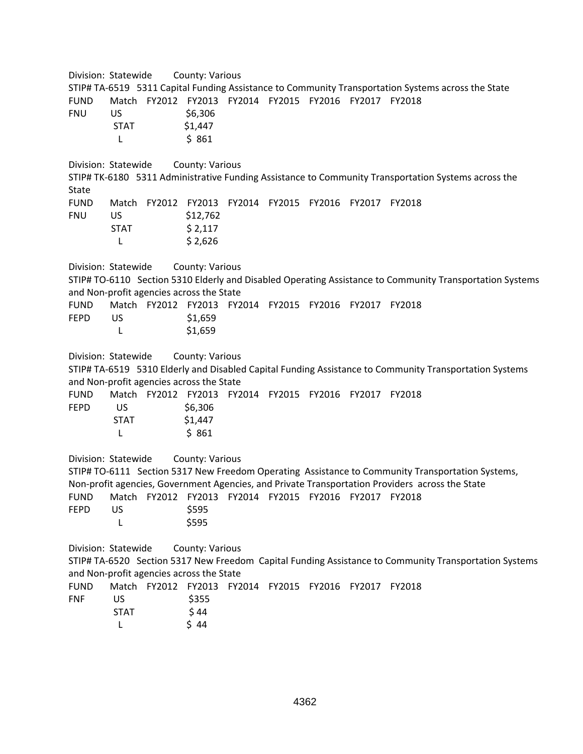Division: Statewide County: Various STIP# TA‐6519 5311 Capital Funding Assistance to Community Transportation Systems across the State FUND Match FY2012 FY2013 FY2014 FY2015 FY2016 FY2017 FY2018 FNU US \$6,306 STAT \$1,447 L \$ 861 Division: Statewide County: Various STIP# TK‐6180 5311 Administrative Funding Assistance to Community Transportation Systems across the State FUND Match FY2012 FY2013 FY2014 FY2015 FY2016 FY2017 FY2018 FNU US \$12,762  $STAT$   $$2,117$ L  $$2,626$ Division: Statewide County: Various STIP# TO‐6110 Section 5310 Elderly and Disabled Operating Assistance to Community Transportation Systems and Non‐profit agencies across the State FUND Match FY2012 FY2013 FY2014 FY2015 FY2016 FY2017 FY2018 FEPD US \$1,659 L \$1,659 Division: Statewide County: Various STIP# TA‐6519 5310 Elderly and Disabled Capital Funding Assistance to Community Transportation Systems and Non‐profit agencies across the State FUND Match FY2012 FY2013 FY2014 FY2015 FY2016 FY2017 FY2018 FEPD US \$6,306 STAT \$1,447 L \$ 861 Division: Statewide County: Various STIP# TO-6111 Section 5317 New Freedom Operating Assistance to Community Transportation Systems, Non‐profit agencies, Government Agencies, and Private Transportation Providers across the State FUND Match FY2012 FY2013 FY2014 FY2015 FY2016 FY2017 FY2018 **FEPD** US \$595 L \$595 Division: Statewide County: Various STIP# TA‐6520 Section 5317 New Freedom Capital Funding Assistance to Community Transportation Systems and Non‐profit agencies across the State FUND Match FY2012 FY2013 FY2014 FY2015 FY2016 FY2017 FY2018 FNF US \$355  $STAT$   $$44$ L \$44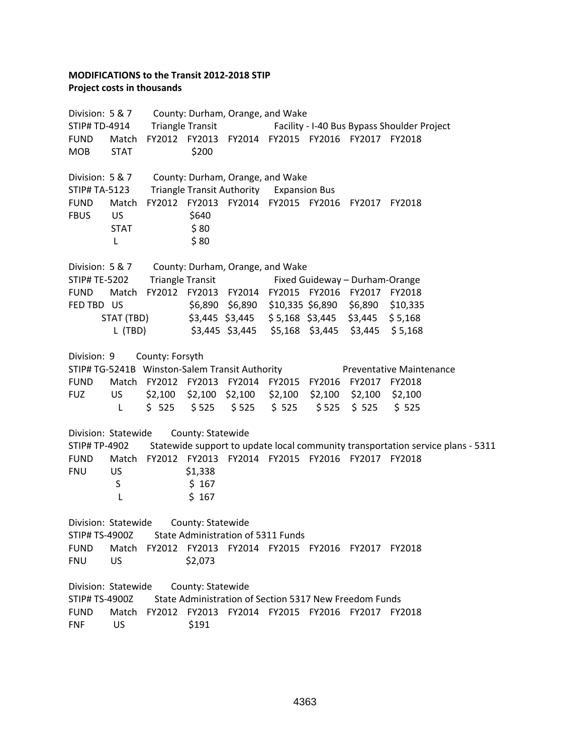## **MODIFICATIONS to the Transit 2012‐2018 STIP Project costs in thousands**

Division: 5 & 7 County: Durham, Orange, and Wake STIP# TD‐4914 Triangle Transit Facility ‐ I‐40 Bus Bypass Shoulder Project FUND Match FY2012 FY2013 FY2014 FY2015 FY2016 FY2017 FY2018 MOB STAT \$200 Division: 5 & 7 County: Durham, Orange, and Wake STIP# TA‐5123 Triangle Transit Authority Expansion Bus FUND Match FY2012 FY2013 FY2014 FY2015 FY2016 FY2017 FY2018 FBUS US \$640  $STAT$   $$80$ L \$80 Division: 5 & 7 County: Durham, Orange, and Wake STIP# TE‐5202 Triangle Transit Fixed Guideway – Durham‐Orange FUND Match FY2012 FY2013 FY2014 FY2015 FY2016 FY2017 FY2018 FED TBD US \$6,890 \$6,890 \$10,335 \$6,890 \$6,890 \$10,335 STAT (TBD) \$3,445 \$3,445 \$ 5,168 \$3,445 \$3,445 \$ 5,168 L (TBD) \$3,445 \$3,445 \$5,168 \$3,445 \$3,445 \$ 5,168 Division: 9 County: Forsyth STIP# TG‐5241B Winston‐Salem Transit Authority Preventative Maintenance FUND Match FY2012 FY2013 FY2014 FY2015 FY2016 FY2017 FY2018 FUZ US \$2,100 \$2,100 \$2,100 \$2,100 \$2,100 \$2,100 \$2,100 L \$ 525 \$ 525 \$ 525 \$ 525 \$ 525 \$ 525 \$ 525 Division: Statewide County: Statewide STIP# TP‐4902 Statewide support to update local community transportation service plans ‐ 5311 FUND Match FY2012 FY2013 FY2014 FY2015 FY2016 FY2017 FY2018 FNU US \$1,338 S \$ 167 L \$ 167 Division: Statewide County: Statewide STIP# TS‐4900Z State Administration of 5311 Funds FUND Match FY2012 FY2013 FY2014 FY2015 FY2016 FY2017 FY2018 FNU US \$2,073 Division: Statewide County: Statewide STIP# TS‐4900Z State Administration of Section 5317 New Freedom Funds FUND Match FY2012 FY2013 FY2014 FY2015 FY2016 FY2017 FY2018 FNF US \$191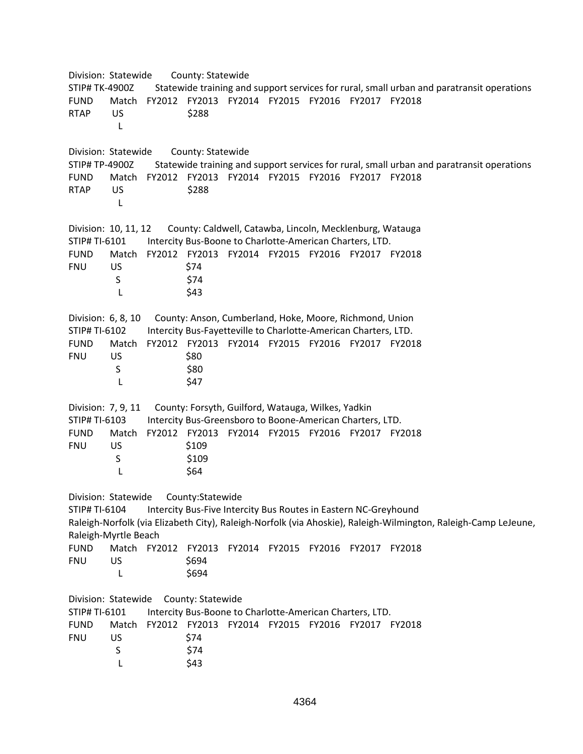Division: Statewide County: Statewide STIP# TK‐4900Z Statewide training and support services for rural, small urban and paratransit operations FUND Match FY2012 FY2013 FY2014 FY2015 FY2016 FY2017 FY2018 RTAP US \$288 **Lating Latin Contract Latin Contract Latin Contract Latin Contract Latin Contract Latin Contract Latin Contract** Division: Statewide County: Statewide STIP# TP‐4900Z Statewide training and support services for rural, small urban and paratransit operations FUND Match FY2012 FY2013 FY2014 FY2015 FY2016 FY2017 FY2018 RTAP US \$288 **Lating Lating Contracts** Division: 10, 11, 12 County: Caldwell, Catawba, Lincoln, Mecklenburg, Watauga STIP# TI‐6101 Intercity Bus‐Boone to Charlotte‐American Charters, LTD. FUND Match FY2012 FY2013 FY2014 FY2015 FY2016 FY2017 FY2018 FNU US \$74 S \$74 L \$43 Division: 6, 8, 10 County: Anson, Cumberland, Hoke, Moore, Richmond, Union STIP# TI‐6102 Intercity Bus‐Fayetteville to Charlotte‐American Charters, LTD. FUND Match FY2012 FY2013 FY2014 FY2015 FY2016 FY2017 FY2018 FNU US \$80 S \$80 L \$47 Division: 7, 9, 11 County: Forsyth, Guilford, Watauga, Wilkes, Yadkin STIP# TI‐6103 Intercity Bus‐Greensboro to Boone‐American Charters, LTD. FUND Match FY2012 FY2013 FY2014 FY2015 FY2016 FY2017 FY2018 FNU US \$109 S \$109 L \$64 Division: Statewide County:Statewide STIP# TI‐6104 Intercity Bus‐Five Intercity Bus Routes in Eastern NC‐Greyhound Raleigh‐Norfolk (via Elizabeth City), Raleigh‐Norfolk (via Ahoskie), Raleigh‐Wilmington, Raleigh‐Camp LeJeune, Raleigh‐Myrtle Beach FUND Match FY2012 FY2013 FY2014 FY2015 FY2016 FY2017 FY2018 FNU US \$694 L \$694 Division: Statewide County: Statewide STIP# TI‐6101 Intercity Bus‐Boone to Charlotte‐American Charters, LTD. FUND Match FY2012 FY2013 FY2014 FY2015 FY2016 FY2017 FY2018 FNU US \$74 S \$74  $L \qquad \qquad$  \$43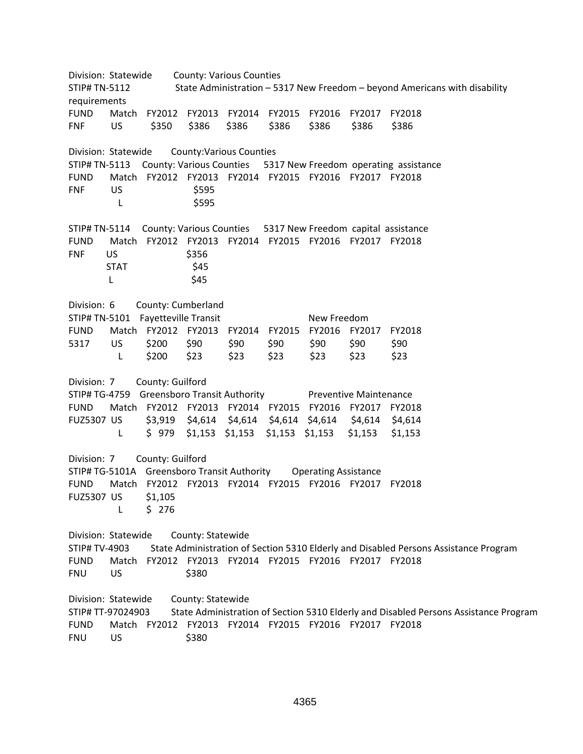Division: Statewide County: Various Counties STIP# TN‐5112 State Administration – 5317 New Freedom – beyond Americans with disability requirements FUND Match FY2012 FY2013 FY2014 FY2015 FY2016 FY2017 FY2018 FNF US \$350 \$386 \$386 \$386 \$386 \$386 \$386 Division: Statewide County:Various Counties STIP# TN‐5113 County: Various Counties 5317 New Freedom operating assistance FUND Match FY2012 FY2013 FY2014 FY2015 FY2016 FY2017 FY2018 FNF US \$595 L \$595 STIP# TN‐5114 County: Various Counties 5317 New Freedom capital assistance FUND Match FY2012 FY2013 FY2014 FY2015 FY2016 FY2017 FY2018 FNF US \$356  $STAT$   $$45$ L \$45 Division: 6 County: Cumberland STIP# TN‐5101 Fayetteville Transit New Freedom FUND Match FY2012 FY2013 FY2014 FY2015 FY2016 FY2017 FY2018 5317 US \$200 \$90 \$90 \$90 \$90 \$90 \$90 L \$200 \$23 \$23 \$23 \$23 \$23 \$23 Division: 7 County: Guilford STIP# TG‐4759 Greensboro Transit Authority Preventive Maintenance FUND Match FY2012 FY2013 FY2014 FY2015 FY2016 FY2017 FY2018 FUZ5307 US \$3,919 \$4,614 \$4,614 \$4,614 \$4,614 \$4,614 \$4,614 L \$ 979 \$1,153 \$1,153 \$1,153 \$1,153 \$1,153 \$1,153 Division: 7 County: Guilford STIP# TG‐5101A Greensboro Transit Authority Operating Assistance FUND Match FY2012 FY2013 FY2014 FY2015 FY2016 FY2017 FY2018 FUZ5307 US \$1,105 L \$ 276 Division: Statewide County: Statewide STIP# TV‐4903 State Administration of Section 5310 Elderly and Disabled Persons Assistance Program FUND Match FY2012 FY2013 FY2014 FY2015 FY2016 FY2017 FY2018 FNU US \$380 Division: Statewide County: Statewide STIP# TT‐97024903 State Administration of Section 5310 Elderly and Disabled Persons Assistance Program FUND Match FY2012 FY2013 FY2014 FY2015 FY2016 FY2017 FY2018 FNU US \$380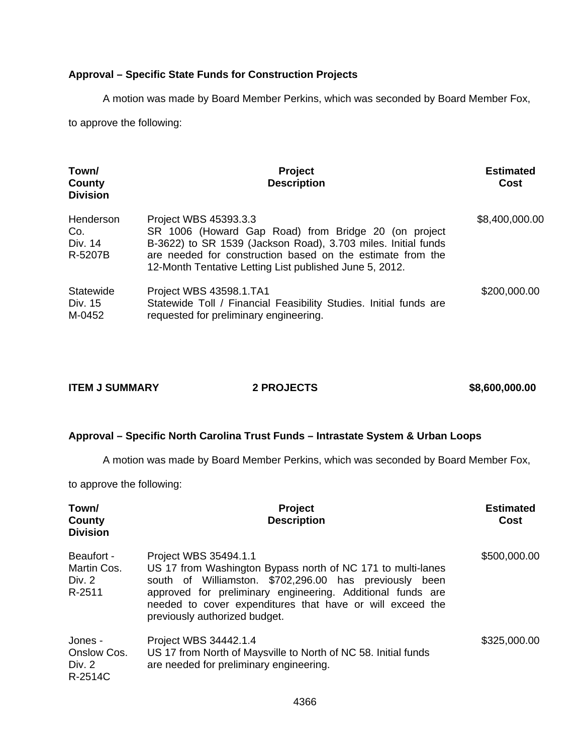# **Approval – Specific State Funds for Construction Projects**

A motion was made by Board Member Perkins, which was seconded by Board Member Fox,

to approve the following:

| Town/<br>County<br><b>Division</b>     | Project<br><b>Description</b>                                                                                                                                                                                                                                           | <b>Estimated</b><br>Cost |
|----------------------------------------|-------------------------------------------------------------------------------------------------------------------------------------------------------------------------------------------------------------------------------------------------------------------------|--------------------------|
| Henderson<br>Co.<br>Div. 14<br>R-5207B | Project WBS 45393.3.3<br>SR 1006 (Howard Gap Road) from Bridge 20 (on project<br>B-3622) to SR 1539 (Jackson Road), 3.703 miles. Initial funds<br>are needed for construction based on the estimate from the<br>12-Month Tentative Letting List published June 5, 2012. | \$8,400,000.00           |
| Statewide<br>Div. 15<br>M-0452         | Project WBS 43598.1.TA1<br>Statewide Toll / Financial Feasibility Studies. Initial funds are<br>requested for preliminary engineering.                                                                                                                                  | \$200,000.00             |

| <b>ITEM J SUMMARY</b> | <b>2 PROJECTS</b> | \$8,600,000.00 |
|-----------------------|-------------------|----------------|
|                       |                   |                |

### **Approval – Specific North Carolina Trust Funds – Intrastate System & Urban Loops**

A motion was made by Board Member Perkins, which was seconded by Board Member Fox,

to approve the following:

| Town/<br>County<br><b>Division</b>            | Project<br><b>Description</b>                                                                                                                                                                                                                                                                                 | <b>Estimated</b><br>Cost |
|-----------------------------------------------|---------------------------------------------------------------------------------------------------------------------------------------------------------------------------------------------------------------------------------------------------------------------------------------------------------------|--------------------------|
| Beaufort -<br>Martin Cos.<br>Div. 2<br>R-2511 | Project WBS 35494.1.1<br>US 17 from Washington Bypass north of NC 171 to multi-lanes<br>south of Williamston. \$702,296.00 has previously<br>been<br>approved for preliminary engineering. Additional funds are<br>needed to cover expenditures that have or will exceed the<br>previously authorized budget. | \$500,000.00             |
| Jones -<br>Onslow Cos.<br>Div. 2<br>R-2514C   | Project WBS 34442.1.4<br>US 17 from North of Maysville to North of NC 58. Initial funds<br>are needed for preliminary engineering.                                                                                                                                                                            | \$325,000.00             |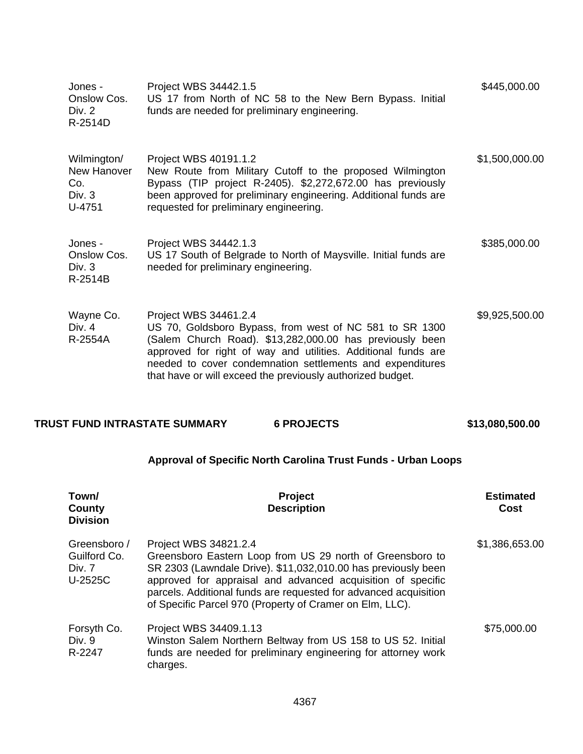| Jones -<br>Onslow Cos.<br>Div. 2<br>R-2514D           | Project WBS 34442.1.5<br>US 17 from North of NC 58 to the New Bern Bypass. Initial<br>funds are needed for preliminary engineering.                                                                                                                                                                                                      | \$445,000.00   |
|-------------------------------------------------------|------------------------------------------------------------------------------------------------------------------------------------------------------------------------------------------------------------------------------------------------------------------------------------------------------------------------------------------|----------------|
| Wilmington/<br>New Hanover<br>Co.<br>Div. 3<br>U-4751 | Project WBS 40191.1.2<br>New Route from Military Cutoff to the proposed Wilmington<br>Bypass (TIP project R-2405). \$2,272,672.00 has previously<br>been approved for preliminary engineering. Additional funds are<br>requested for preliminary engineering.                                                                            | \$1,500,000.00 |
| Jones -<br>Onslow Cos.<br>Div. $3$<br>R-2514B         | Project WBS 34442.1.3<br>US 17 South of Belgrade to North of Maysville. Initial funds are<br>needed for preliminary engineering.                                                                                                                                                                                                         | \$385,000.00   |
| Wayne Co.<br>Div. $4$<br>R-2554A                      | Project WBS 34461.2.4<br>US 70, Goldsboro Bypass, from west of NC 581 to SR 1300<br>(Salem Church Road). \$13,282,000.00 has previously been<br>approved for right of way and utilities. Additional funds are<br>needed to cover condemnation settlements and expenditures<br>that have or will exceed the previously authorized budget. | \$9,925,500.00 |

# **TRUST FUND INTRASTATE SUMMARY 6 PROJECTS \$13,080,500.00**

# **Approval of Specific North Carolina Trust Funds - Urban Loops**

| Town/<br>County<br><b>Division</b>                | <b>Project</b><br><b>Description</b>                                                                                                                                                                                                                                                                                                               | <b>Estimated</b><br>Cost |
|---------------------------------------------------|----------------------------------------------------------------------------------------------------------------------------------------------------------------------------------------------------------------------------------------------------------------------------------------------------------------------------------------------------|--------------------------|
| Greensboro /<br>Guilford Co.<br>Div. 7<br>U-2525C | Project WBS 34821.2.4<br>Greensboro Eastern Loop from US 29 north of Greensboro to<br>SR 2303 (Lawndale Drive). \$11,032,010.00 has previously been<br>approved for appraisal and advanced acquisition of specific<br>parcels. Additional funds are requested for advanced acquisition<br>of Specific Parcel 970 (Property of Cramer on Elm, LLC). | \$1,386,653.00           |
| Forsyth Co.<br>Div. 9<br>R-2247                   | Project WBS 34409.1.13<br>Winston Salem Northern Beltway from US 158 to US 52. Initial<br>funds are needed for preliminary engineering for attorney work<br>charges.                                                                                                                                                                               | \$75,000.00              |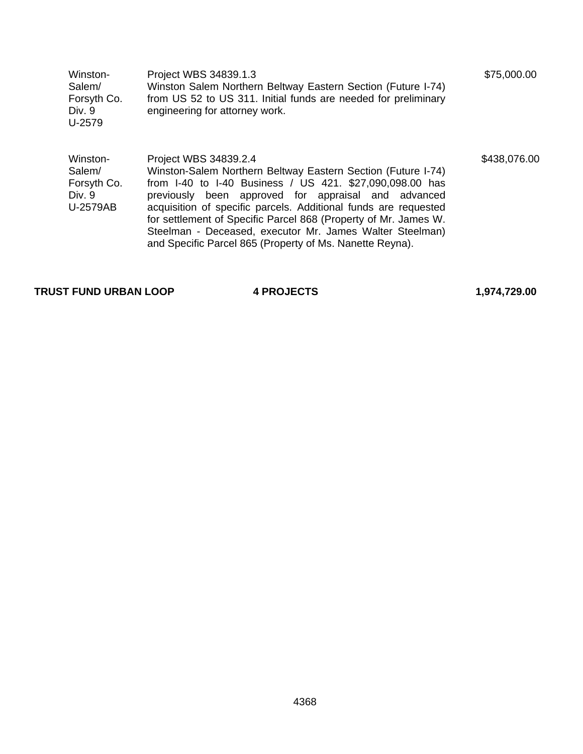| Winston-    | Project WBS 34839.1.3                                          | \$75,000.00 |
|-------------|----------------------------------------------------------------|-------------|
| Salem/      | Winston Salem Northern Beltway Eastern Section (Future I-74)   |             |
| Forsyth Co. | from US 52 to US 311. Initial funds are needed for preliminary |             |
| Div. 9      | engineering for attorney work.                                 |             |
| U-2579      |                                                                |             |
|             |                                                                |             |
|             |                                                                |             |

Winston-Salem/ Forsyth Co. Div. 9 U-2579AB Project WBS 34839.2.4 Winston-Salem Northern Beltway Eastern Section (Future I-74) from I-40 to I-40 Business / US 421. \$27,090,098.00 has previously been approved for appraisal and advanced acquisition of specific parcels. Additional funds are requested for settlement of Specific Parcel 868 (Property of Mr. James W. Steelman - Deceased, executor Mr. James Walter Steelman) and Specific Parcel 865 (Property of Ms. Nanette Reyna).

**TRUST FUND URBAN LOOP 4 PROJECTS 1,974,729.00** 

\$438,076.00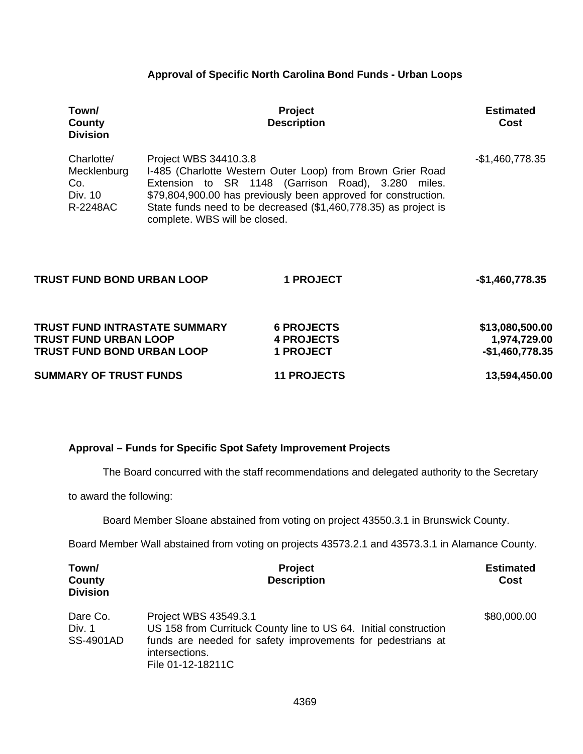### **Approval of Specific North Carolina Bond Funds - Urban Loops**

| Town/<br>County<br><b>Division</b>                                                                        |                                                        | <b>Project</b><br><b>Description</b>                                                                                                                                                                                                                  | <b>Estimated</b><br><b>Cost</b>                     |
|-----------------------------------------------------------------------------------------------------------|--------------------------------------------------------|-------------------------------------------------------------------------------------------------------------------------------------------------------------------------------------------------------------------------------------------------------|-----------------------------------------------------|
| Charlotte/<br>Mecklenburg<br>Co.<br>Div. 10<br>R-2248AC                                                   | Project WBS 34410.3.8<br>complete. WBS will be closed. | I-485 (Charlotte Western Outer Loop) from Brown Grier Road<br>Extension to SR 1148 (Garrison Road), 3.280 miles.<br>\$79,804,900.00 has previously been approved for construction.<br>State funds need to be decreased (\$1,460,778.35) as project is | $-$1,460,778.35$                                    |
| <b>TRUST FUND BOND URBAN LOOP</b>                                                                         |                                                        | <b>1 PROJECT</b>                                                                                                                                                                                                                                      | $-$1,460,778.35$                                    |
| <b>TRUST FUND INTRASTATE SUMMARY</b><br><b>TRUST FUND URBAN LOOP</b><br><b>TRUST FUND BOND URBAN LOOP</b> |                                                        | <b>6 PROJECTS</b><br><b>4 PROJECTS</b><br><b>1 PROJECT</b>                                                                                                                                                                                            | \$13,080,500.00<br>1,974,729.00<br>$-$1,460,778.35$ |
| <b>SUMMARY OF TRUST FUNDS</b>                                                                             |                                                        | <b>11 PROJECTS</b>                                                                                                                                                                                                                                    | 13,594,450.00                                       |

### **Approval – Funds for Specific Spot Safety Improvement Projects**

The Board concurred with the staff recommendations and delegated authority to the Secretary

to award the following:

Board Member Sloane abstained from voting on project 43550.3.1 in Brunswick County.

Board Member Wall abstained from voting on projects 43573.2.1 and 43573.3.1 in Alamance County.

| Town/<br>County<br><b>Division</b>     | <b>Project</b><br><b>Description</b>                                                                                                                                                            | <b>Estimated</b><br>Cost |
|----------------------------------------|-------------------------------------------------------------------------------------------------------------------------------------------------------------------------------------------------|--------------------------|
| Dare Co.<br>Div. 1<br><b>SS-4901AD</b> | Project WBS 43549.3.1<br>US 158 from Currituck County line to US 64. Initial construction<br>funds are needed for safety improvements for pedestrians at<br>intersections.<br>File 01-12-18211C | \$80,000.00              |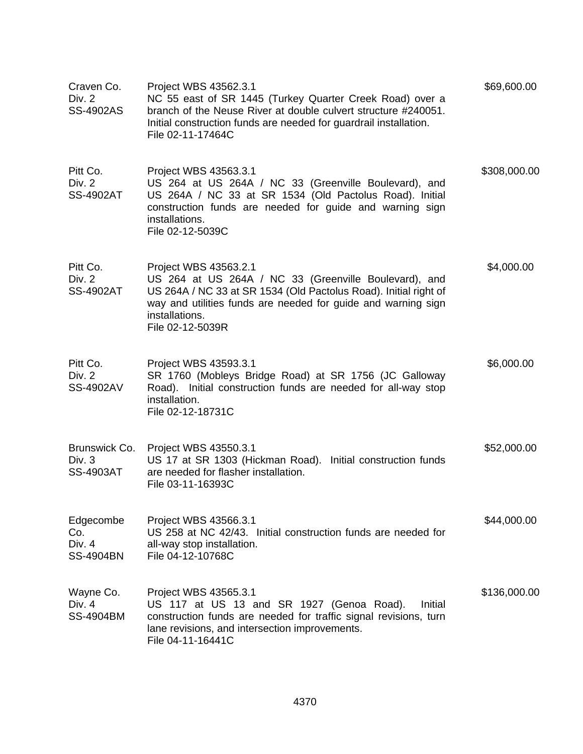| Craven Co.<br>Div. 2<br><b>SS-4902AS</b>       | Project WBS 43562.3.1<br>NC 55 east of SR 1445 (Turkey Quarter Creek Road) over a<br>branch of the Neuse River at double culvert structure #240051.<br>Initial construction funds are needed for guardrail installation.<br>File 02-11-17464C             | \$69,600.00  |
|------------------------------------------------|-----------------------------------------------------------------------------------------------------------------------------------------------------------------------------------------------------------------------------------------------------------|--------------|
| Pitt Co.<br>Div. 2<br><b>SS-4902AT</b>         | Project WBS 43563.3.1<br>US 264 at US 264A / NC 33 (Greenville Boulevard), and<br>US 264A / NC 33 at SR 1534 (Old Pactolus Road). Initial<br>construction funds are needed for guide and warning sign<br>installations.<br>File 02-12-5039C               | \$308,000.00 |
| Pitt Co.<br>Div. 2<br><b>SS-4902AT</b>         | Project WBS 43563.2.1<br>US 264 at US 264A / NC 33 (Greenville Boulevard), and<br>US 264A / NC 33 at SR 1534 (Old Pactolus Road). Initial right of<br>way and utilities funds are needed for guide and warning sign<br>installations.<br>File 02-12-5039R | \$4,000.00   |
| Pitt Co.<br>Div. 2<br><b>SS-4902AV</b>         | Project WBS 43593.3.1<br>SR 1760 (Mobleys Bridge Road) at SR 1756 (JC Galloway<br>Road). Initial construction funds are needed for all-way stop<br>installation.<br>File 02-12-18731C                                                                     | \$6,000.00   |
| Brunswick Co.<br>Div. 3<br><b>SS-4903AT</b>    | Project WBS 43550.3.1<br>US 17 at SR 1303 (Hickman Road). Initial construction funds<br>are needed for flasher installation.<br>File 03-11-16393C                                                                                                         | \$52,000.00  |
| Edgecombe<br>Co.<br>Div. 4<br><b>SS-4904BN</b> | Project WBS 43566.3.1<br>US 258 at NC 42/43. Initial construction funds are needed for<br>all-way stop installation.<br>File 04-12-10768C                                                                                                                 | \$44,000.00  |
| Wayne Co.<br>Div. 4<br><b>SS-4904BM</b>        | Project WBS 43565.3.1<br>US 117 at US 13 and SR 1927 (Genoa Road).<br>Initial<br>construction funds are needed for traffic signal revisions, turn<br>lane revisions, and intersection improvements.<br>File 04-11-16441C                                  | \$136,000.00 |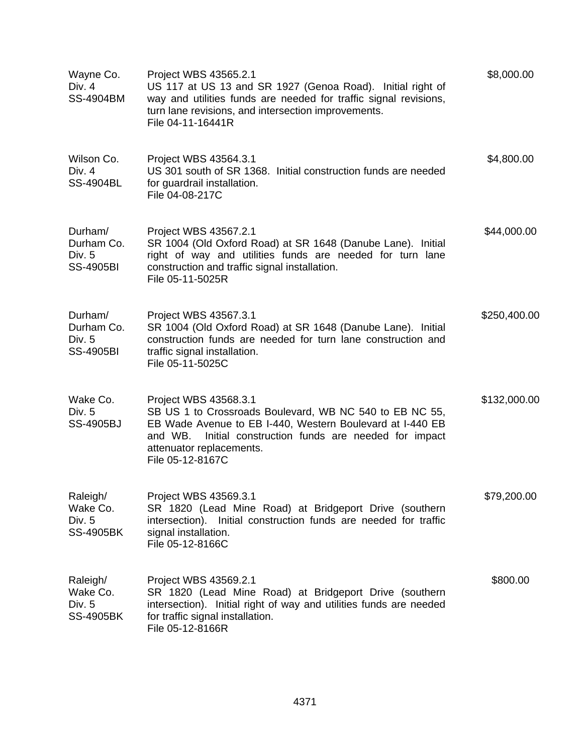| Wayne Co.<br>Div. 4<br><b>SS-4904BM</b>             | Project WBS 43565.2.1<br>US 117 at US 13 and SR 1927 (Genoa Road). Initial right of<br>way and utilities funds are needed for traffic signal revisions,<br>turn lane revisions, and intersection improvements.<br>File 04-11-16441R                          | \$8,000.00   |
|-----------------------------------------------------|--------------------------------------------------------------------------------------------------------------------------------------------------------------------------------------------------------------------------------------------------------------|--------------|
| Wilson Co.<br>Div. 4<br><b>SS-4904BL</b>            | Project WBS 43564.3.1<br>US 301 south of SR 1368. Initial construction funds are needed<br>for guardrail installation.<br>File 04-08-217C                                                                                                                    | \$4,800.00   |
| Durham/<br>Durham Co.<br>Div. 5<br><b>SS-4905BI</b> | Project WBS 43567.2.1<br>SR 1004 (Old Oxford Road) at SR 1648 (Danube Lane). Initial<br>right of way and utilities funds are needed for turn lane<br>construction and traffic signal installation.<br>File 05-11-5025R                                       | \$44,000.00  |
| Durham/<br>Durham Co.<br>Div. 5<br><b>SS-4905BI</b> | Project WBS 43567.3.1<br>SR 1004 (Old Oxford Road) at SR 1648 (Danube Lane). Initial<br>construction funds are needed for turn lane construction and<br>traffic signal installation.<br>File 05-11-5025C                                                     | \$250,400.00 |
| Wake Co.<br>Div. 5<br><b>SS-4905BJ</b>              | Project WBS 43568.3.1<br>SB US 1 to Crossroads Boulevard, WB NC 540 to EB NC 55,<br>EB Wade Avenue to EB I-440, Western Boulevard at I-440 EB<br>Initial construction funds are needed for impact<br>and WB.<br>attenuator replacements.<br>File 05-12-8167C | \$132,000.00 |
| Raleigh/<br>Wake Co.<br>Div. 5<br><b>SS-4905BK</b>  | Project WBS 43569.3.1<br>SR 1820 (Lead Mine Road) at Bridgeport Drive (southern<br>intersection). Initial construction funds are needed for traffic<br>signal installation.<br>File 05-12-8166C                                                              | \$79,200.00  |
| Raleigh/<br>Wake Co.<br>Div. 5<br><b>SS-4905BK</b>  | Project WBS 43569.2.1<br>SR 1820 (Lead Mine Road) at Bridgeport Drive (southern<br>intersection). Initial right of way and utilities funds are needed<br>for traffic signal installation.<br>File 05-12-8166R                                                | \$800.00     |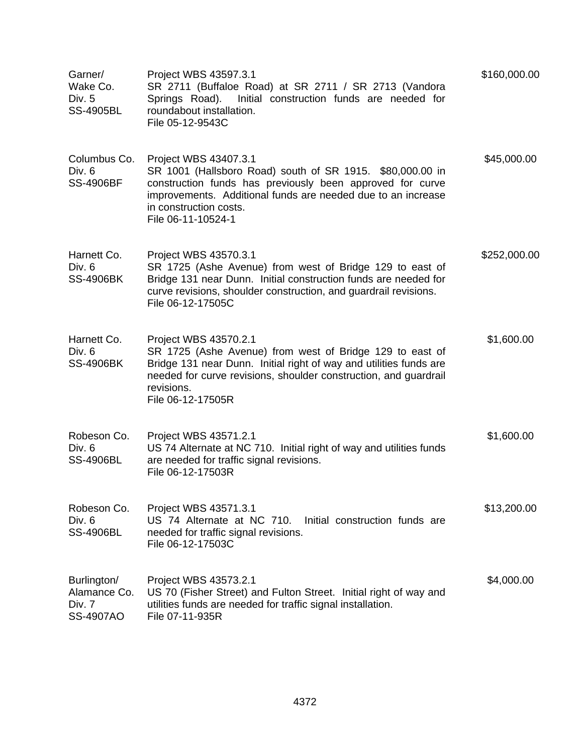| Garner/<br>Wake Co.<br>Div. 5<br><b>SS-4905BL</b>         | Project WBS 43597.3.1<br>SR 2711 (Buffaloe Road) at SR 2711 / SR 2713 (Vandora<br>Initial construction funds are needed for<br>Springs Road).<br>roundabout installation.<br>File 05-12-9543C                                                                   | \$160,000.00 |
|-----------------------------------------------------------|-----------------------------------------------------------------------------------------------------------------------------------------------------------------------------------------------------------------------------------------------------------------|--------------|
| Columbus Co.<br>Div. 6<br><b>SS-4906BF</b>                | Project WBS 43407.3.1<br>SR 1001 (Hallsboro Road) south of SR 1915. \$80,000.00 in<br>construction funds has previously been approved for curve<br>improvements. Additional funds are needed due to an increase<br>in construction costs.<br>File 06-11-10524-1 | \$45,000.00  |
| Harnett Co.<br>Div. 6<br><b>SS-4906BK</b>                 | Project WBS 43570.3.1<br>SR 1725 (Ashe Avenue) from west of Bridge 129 to east of<br>Bridge 131 near Dunn. Initial construction funds are needed for<br>curve revisions, shoulder construction, and guardrail revisions.<br>File 06-12-17505C                   | \$252,000.00 |
| Harnett Co.<br>Div. 6<br><b>SS-4906BK</b>                 | Project WBS 43570.2.1<br>SR 1725 (Ashe Avenue) from west of Bridge 129 to east of<br>Bridge 131 near Dunn. Initial right of way and utilities funds are<br>needed for curve revisions, shoulder construction, and guardrail<br>revisions.<br>File 06-12-17505R  | \$1,600.00   |
| Robeson Co.<br>Div. 6<br><b>SS-4906BL</b>                 | Project WBS 43571.2.1<br>US 74 Alternate at NC 710. Initial right of way and utilities funds<br>are needed for traffic signal revisions.<br>File 06-12-17503R                                                                                                   | \$1,600.00   |
| Robeson Co.<br>Div. 6<br><b>SS-4906BL</b>                 | Project WBS 43571.3.1<br>US 74 Alternate at NC 710.<br>Initial construction funds are<br>needed for traffic signal revisions.<br>File 06-12-17503C                                                                                                              | \$13,200.00  |
| Burlington/<br>Alamance Co.<br>Div. 7<br><b>SS-4907AO</b> | Project WBS 43573.2.1<br>US 70 (Fisher Street) and Fulton Street. Initial right of way and<br>utilities funds are needed for traffic signal installation.<br>File 07-11-935R                                                                                    | \$4,000.00   |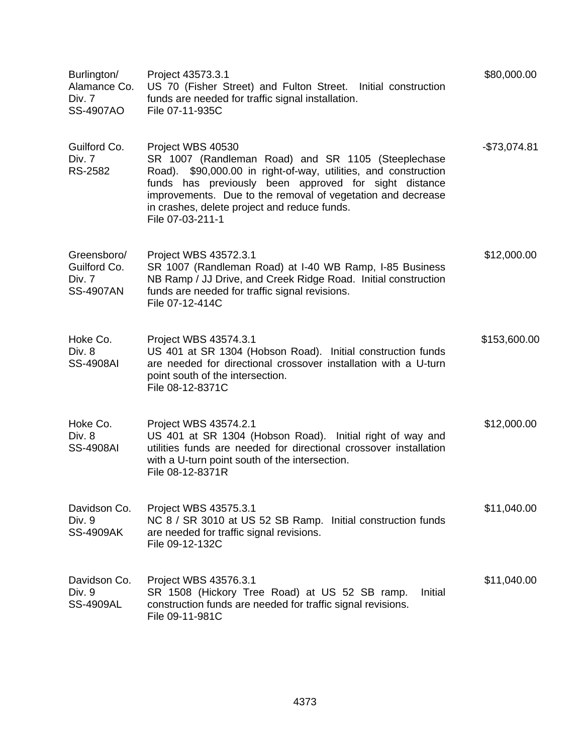| Burlington/<br>Alamance Co.<br>Div. 7<br>SS-4907AO        | Project 43573.3.1<br>US 70 (Fisher Street) and Fulton Street. Initial construction<br>funds are needed for traffic signal installation.<br>File 07-11-935C                                                                                                                                                                             | \$80,000.00   |
|-----------------------------------------------------------|----------------------------------------------------------------------------------------------------------------------------------------------------------------------------------------------------------------------------------------------------------------------------------------------------------------------------------------|---------------|
| Guilford Co.<br>Div. 7<br>RS-2582                         | Project WBS 40530<br>SR 1007 (Randleman Road) and SR 1105 (Steeplechase<br>Road). \$90,000.00 in right-of-way, utilities, and construction<br>funds has previously been approved for sight distance<br>improvements. Due to the removal of vegetation and decrease<br>in crashes, delete project and reduce funds.<br>File 07-03-211-1 | $-$73,074.81$ |
| Greensboro/<br>Guilford Co.<br>Div. 7<br><b>SS-4907AN</b> | Project WBS 43572.3.1<br>SR 1007 (Randleman Road) at I-40 WB Ramp, I-85 Business<br>NB Ramp / JJ Drive, and Creek Ridge Road. Initial construction<br>funds are needed for traffic signal revisions.<br>File 07-12-414C                                                                                                                | \$12,000.00   |
| Hoke Co.<br>Div. 8<br><b>SS-4908AI</b>                    | Project WBS 43574.3.1<br>US 401 at SR 1304 (Hobson Road). Initial construction funds<br>are needed for directional crossover installation with a U-turn<br>point south of the intersection.<br>File 08-12-8371C                                                                                                                        | \$153,600.00  |
| Hoke Co.<br>Div. 8<br><b>SS-4908AI</b>                    | Project WBS 43574.2.1<br>US 401 at SR 1304 (Hobson Road). Initial right of way and<br>utilities funds are needed for directional crossover installation<br>with a U-turn point south of the intersection.<br>File 08-12-8371R                                                                                                          | \$12,000.00   |
| Davidson Co.<br>Div. 9<br><b>SS-4909AK</b>                | Project WBS 43575.3.1<br>NC 8 / SR 3010 at US 52 SB Ramp. Initial construction funds<br>are needed for traffic signal revisions.<br>File 09-12-132C                                                                                                                                                                                    | \$11,040.00   |
| Davidson Co.<br>Div. 9<br><b>SS-4909AL</b>                | Project WBS 43576.3.1<br>Initial<br>SR 1508 (Hickory Tree Road) at US 52 SB ramp.<br>construction funds are needed for traffic signal revisions.<br>File 09-11-981C                                                                                                                                                                    | \$11,040.00   |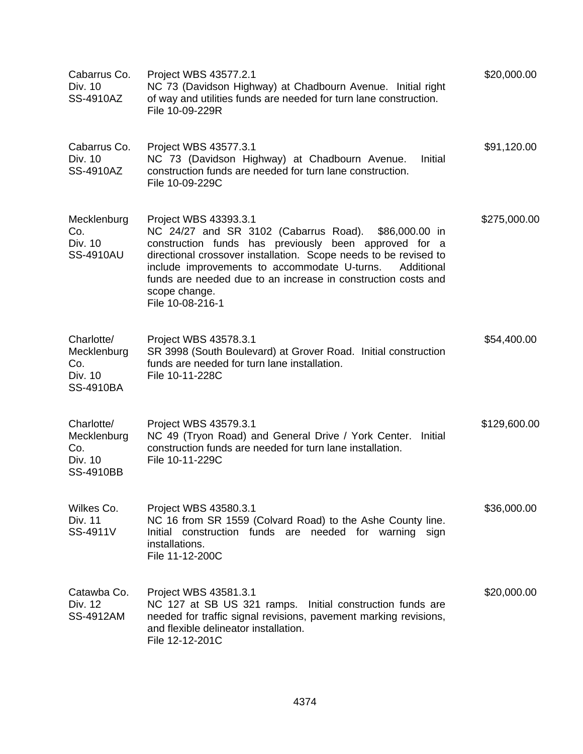| Cabarrus Co.<br>Div. 10<br>SS-4910AZ                            | Project WBS 43577.2.1<br>NC 73 (Davidson Highway) at Chadbourn Avenue. Initial right<br>of way and utilities funds are needed for turn lane construction.<br>File 10-09-229R                                                                                                                                                                                                   | \$20,000.00  |
|-----------------------------------------------------------------|--------------------------------------------------------------------------------------------------------------------------------------------------------------------------------------------------------------------------------------------------------------------------------------------------------------------------------------------------------------------------------|--------------|
| Cabarrus Co.<br>Div. 10<br>SS-4910AZ                            | Project WBS 43577.3.1<br>NC 73 (Davidson Highway) at Chadbourn Avenue.<br>Initial<br>construction funds are needed for turn lane construction.<br>File 10-09-229C                                                                                                                                                                                                              | \$91,120.00  |
| Mecklenburg<br>Co.<br>Div. 10<br><b>SS-4910AU</b>               | Project WBS 43393.3.1<br>NC 24/27 and SR 3102 (Cabarrus Road). \$86,000.00 in<br>construction funds has previously been approved for a<br>directional crossover installation. Scope needs to be revised to<br>include improvements to accommodate U-turns.<br>Additional<br>funds are needed due to an increase in construction costs and<br>scope change.<br>File 10-08-216-1 | \$275,000.00 |
| Charlotte/<br>Mecklenburg<br>Co.<br>Div. 10<br><b>SS-4910BA</b> | Project WBS 43578.3.1<br>SR 3998 (South Boulevard) at Grover Road. Initial construction<br>funds are needed for turn lane installation.<br>File 10-11-228C                                                                                                                                                                                                                     | \$54,400.00  |
| Charlotte/<br>Mecklenburg<br>Co.<br>Div. 10<br><b>SS-4910BB</b> | Project WBS 43579.3.1<br>NC 49 (Tryon Road) and General Drive / York Center.<br>Initial<br>construction funds are needed for turn lane installation.<br>File 10-11-229C                                                                                                                                                                                                        | \$129,600.00 |
| Wilkes Co.<br>Div. 11<br>SS-4911V                               | Project WBS 43580.3.1<br>NC 16 from SR 1559 (Colvard Road) to the Ashe County line.<br>Initial construction funds are needed for warning<br>sign<br>installations.<br>File 11-12-200C                                                                                                                                                                                          | \$36,000.00  |
| Catawba Co.<br>Div. 12<br>SS-4912AM                             | Project WBS 43581.3.1<br>NC 127 at SB US 321 ramps. Initial construction funds are<br>needed for traffic signal revisions, pavement marking revisions,<br>and flexible delineator installation.<br>File 12-12-201C                                                                                                                                                             | \$20,000.00  |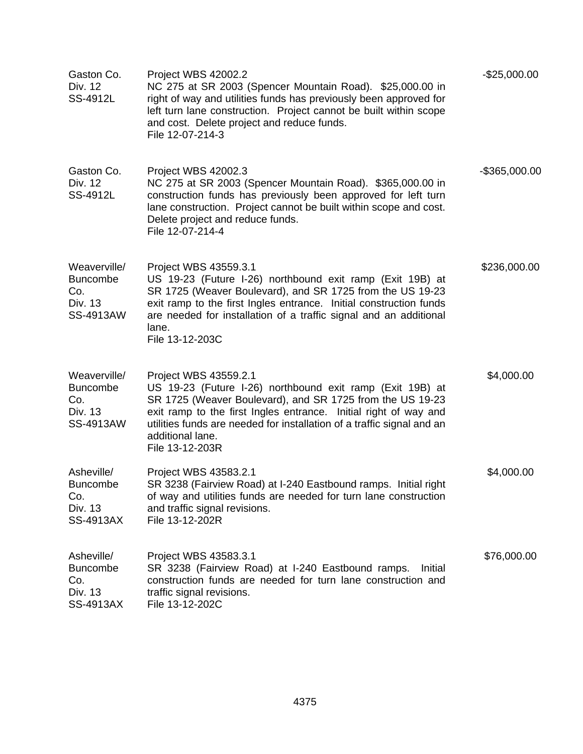| Gaston Co.<br>Div. 12<br>SS-4912L                              | Project WBS 42002.2<br>NC 275 at SR 2003 (Spencer Mountain Road). \$25,000.00 in<br>right of way and utilities funds has previously been approved for<br>left turn lane construction. Project cannot be built within scope<br>and cost. Delete project and reduce funds.<br>File 12-07-214-3                                         | $-$25,000.00$    |
|----------------------------------------------------------------|--------------------------------------------------------------------------------------------------------------------------------------------------------------------------------------------------------------------------------------------------------------------------------------------------------------------------------------|------------------|
| Gaston Co.<br>Div. 12<br>SS-4912L                              | Project WBS 42002.3<br>NC 275 at SR 2003 (Spencer Mountain Road). \$365,000.00 in<br>construction funds has previously been approved for left turn<br>lane construction. Project cannot be built within scope and cost.<br>Delete project and reduce funds.<br>File 12-07-214-4                                                      | $-$ \$365,000.00 |
| Weaverville/<br><b>Buncombe</b><br>Co.<br>Div. 13<br>SS-4913AW | Project WBS 43559.3.1<br>US 19-23 (Future I-26) northbound exit ramp (Exit 19B) at<br>SR 1725 (Weaver Boulevard), and SR 1725 from the US 19-23<br>exit ramp to the first Ingles entrance. Initial construction funds<br>are needed for installation of a traffic signal and an additional<br>lane.<br>File 13-12-203C               | \$236,000.00     |
| Weaverville/<br><b>Buncombe</b><br>Co.<br>Div. 13<br>SS-4913AW | Project WBS 43559.2.1<br>US 19-23 (Future I-26) northbound exit ramp (Exit 19B) at<br>SR 1725 (Weaver Boulevard), and SR 1725 from the US 19-23<br>exit ramp to the first Ingles entrance. Initial right of way and<br>utilities funds are needed for installation of a traffic signal and an<br>additional lane.<br>File 13-12-203R | \$4,000.00       |
| Asheville/<br><b>Buncombe</b><br>Co.<br>Div. 13<br>SS-4913AX   | Project WBS 43583.2.1<br>SR 3238 (Fairview Road) at I-240 Eastbound ramps. Initial right<br>of way and utilities funds are needed for turn lane construction<br>and traffic signal revisions.<br>File 13-12-202R                                                                                                                     | \$4,000.00       |
| Asheville/<br><b>Buncombe</b><br>Co.<br>Div. 13<br>SS-4913AX   | Project WBS 43583.3.1<br>SR 3238 (Fairview Road) at I-240 Eastbound ramps.<br>Initial<br>construction funds are needed for turn lane construction and<br>traffic signal revisions.<br>File 13-12-202C                                                                                                                                | \$76,000.00      |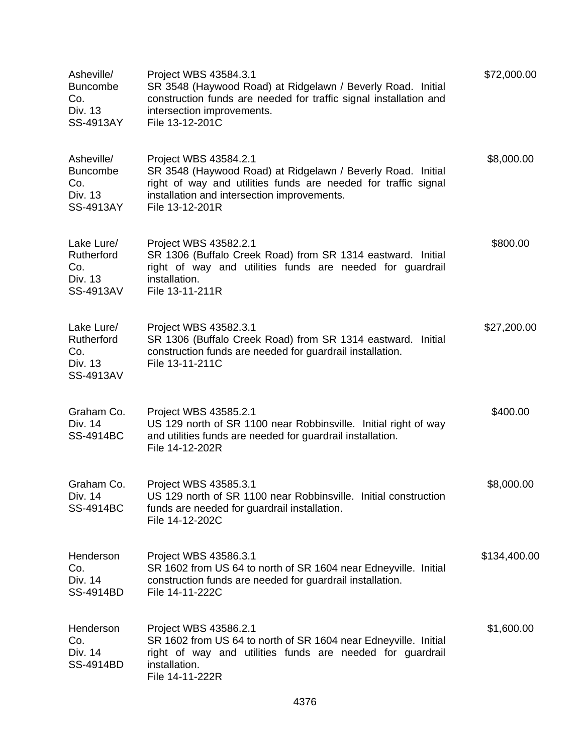| Asheville/<br><b>Buncombe</b><br>Co.<br>Div. 13<br>SS-4913AY | Project WBS 43584.3.1<br>SR 3548 (Haywood Road) at Ridgelawn / Beverly Road. Initial<br>construction funds are needed for traffic signal installation and<br>intersection improvements.<br>File 13-12-201C               | \$72,000.00  |
|--------------------------------------------------------------|--------------------------------------------------------------------------------------------------------------------------------------------------------------------------------------------------------------------------|--------------|
| Asheville/<br><b>Buncombe</b><br>Co.<br>Div. 13<br>SS-4913AY | Project WBS 43584.2.1<br>SR 3548 (Haywood Road) at Ridgelawn / Beverly Road. Initial<br>right of way and utilities funds are needed for traffic signal<br>installation and intersection improvements.<br>File 13-12-201R | \$8,000.00   |
| Lake Lure/<br>Rutherford<br>Co.<br>Div. 13<br>SS-4913AV      | Project WBS 43582.2.1<br>SR 1306 (Buffalo Creek Road) from SR 1314 eastward. Initial<br>right of way and utilities funds are needed for guardrail<br>installation.<br>File 13-11-211R                                    | \$800.00     |
| Lake Lure/<br>Rutherford<br>Co.<br>Div. 13<br>SS-4913AV      | Project WBS 43582.3.1<br>SR 1306 (Buffalo Creek Road) from SR 1314 eastward.<br>Initial<br>construction funds are needed for guardrail installation.<br>File 13-11-211C                                                  | \$27,200.00  |
| Graham Co.<br>Div. 14<br><b>SS-4914BC</b>                    | Project WBS 43585.2.1<br>US 129 north of SR 1100 near Robbinsville. Initial right of way<br>and utilities funds are needed for guardrail installation.<br>File 14-12-202R                                                | \$400.00     |
| Graham Co.<br>Div. 14<br>SS-4914BC                           | Project WBS 43585.3.1<br>US 129 north of SR 1100 near Robbinsville. Initial construction<br>funds are needed for guardrail installation.<br>File 14-12-202C                                                              | \$8,000.00   |
| Henderson<br>Co.<br>Div. 14<br>SS-4914BD                     | Project WBS 43586.3.1<br>SR 1602 from US 64 to north of SR 1604 near Edneyville. Initial<br>construction funds are needed for guardrail installation.<br>File 14-11-222C                                                 | \$134,400.00 |
| Henderson<br>Co.<br>Div. 14<br>SS-4914BD                     | Project WBS 43586.2.1<br>SR 1602 from US 64 to north of SR 1604 near Edneyville. Initial<br>right of way and utilities funds are needed for guardrail<br>installation.<br>File 14-11-222R                                | \$1,600.00   |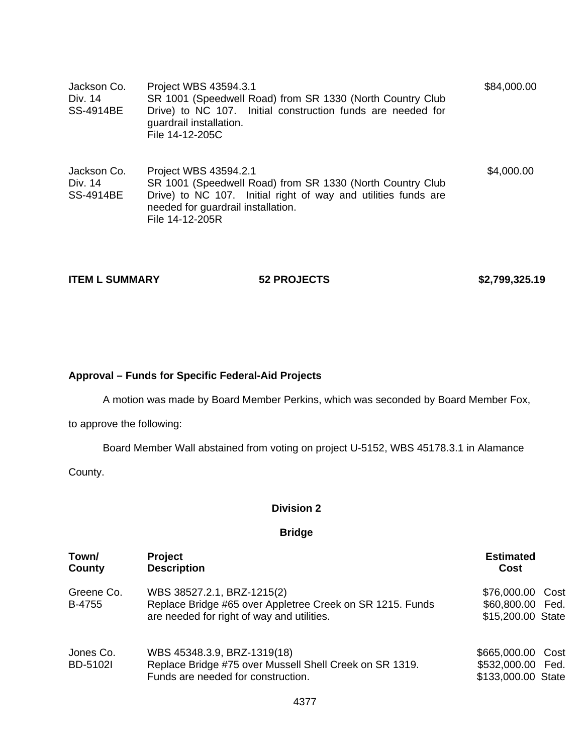| Jackson Co.<br>Div. 14<br><b>SS-4914BE</b> | Project WBS 43594.3.1<br>SR 1001 (Speedwell Road) from SR 1330 (North Country Club<br>Drive) to NC 107. Initial construction funds are needed for<br>guardrail installation.<br>File 14-12-205C               | \$84,000.00 |
|--------------------------------------------|---------------------------------------------------------------------------------------------------------------------------------------------------------------------------------------------------------------|-------------|
| Jackson Co.<br>Div. 14<br><b>SS-4914BE</b> | Project WBS 43594.2.1<br>SR 1001 (Speedwell Road) from SR 1330 (North Country Club<br>Drive) to NC 107. Initial right of way and utilities funds are<br>needed for guardrail installation.<br>File 14-12-205R | \$4,000.00  |

**ITEM L SUMMARY 62 PROJECTS** \$2,799,325.19

### **Approval – Funds for Specific Federal-Aid Projects**

A motion was made by Board Member Perkins, which was seconded by Board Member Fox,

to approve the following:

Board Member Wall abstained from voting on project U-5152, WBS 45178.3.1 in Alamance

County.

### **Division 2**

### **Bridge**

| Town/<br>County              | <b>Project</b><br><b>Description</b>                                                                                                  | <b>Estimated</b><br>Cost                                     |
|------------------------------|---------------------------------------------------------------------------------------------------------------------------------------|--------------------------------------------------------------|
| Greene Co.<br>B-4755         | WBS 38527.2.1, BRZ-1215(2)<br>Replace Bridge #65 over Appletree Creek on SR 1215. Funds<br>are needed for right of way and utilities. | \$76,000.00<br>Cost<br>\$60,800.00 Fed.<br>\$15,200.00 State |
| Jones Co.<br><b>BD-5102I</b> | WBS 45348.3.9, BRZ-1319(18)<br>Replace Bridge #75 over Mussell Shell Creek on SR 1319.<br>Funds are needed for construction.          | \$665,000.00 Cost<br>\$532,000.00 Fed.<br>\$133,000.00 State |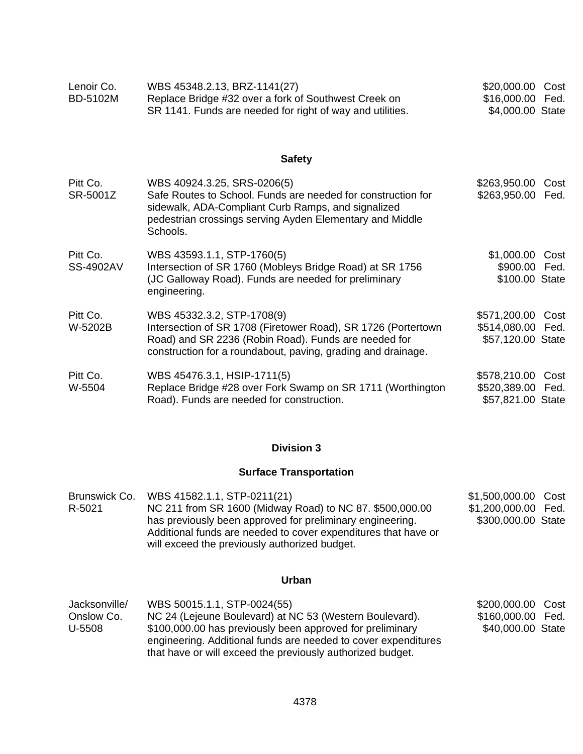| Lenoir Co. | WBS 45348.2.13, BRZ-1141(27)                              | \$20,000.00 Cost |
|------------|-----------------------------------------------------------|------------------|
| BD-5102M   | Replace Bridge #32 over a fork of Southwest Creek on      | \$16,000.00 Fed. |
|            | SR 1141. Funds are needed for right of way and utilities. | \$4,000.00 State |

# **Safety**

| Pitt Co.<br>SR-5001Z  | WBS 40924.3.25, SRS-0206(5)<br>Safe Routes to School. Funds are needed for construction for<br>sidewalk, ADA-Compliant Curb Ramps, and signalized<br>pedestrian crossings serving Ayden Elementary and Middle<br>Schools. | \$263,950.00<br>\$263,950.00 Fed.                           | Cost |
|-----------------------|---------------------------------------------------------------------------------------------------------------------------------------------------------------------------------------------------------------------------|-------------------------------------------------------------|------|
| Pitt Co.<br>SS-4902AV | WBS 43593.1.1, STP-1760(5)<br>Intersection of SR 1760 (Mobleys Bridge Road) at SR 1756<br>(JC Galloway Road). Funds are needed for preliminary<br>engineering.                                                            | \$1,000.00 Cost<br>\$900.00 Fed.<br>\$100.00 State          |      |
| Pitt Co.<br>W-5202B   | WBS 45332.3.2, STP-1708(9)<br>Intersection of SR 1708 (Firetower Road), SR 1726 (Portertown<br>Road) and SR 2236 (Robin Road). Funds are needed for<br>construction for a roundabout, paving, grading and drainage.       | \$571,200.00 Cost<br>\$514,080.00 Fed.<br>\$57,120.00 State |      |
| Pitt Co.<br>W-5504    | WBS 45476.3.1, HSIP-1711(5)<br>Replace Bridge #28 over Fork Swamp on SR 1711 (Worthington<br>Road). Funds are needed for construction.                                                                                    | \$578,210.00<br>\$520,389.00 Fed.<br>\$57,821.00 State      | Cost |

# **Division 3**

# **Surface Transportation**

|        | Brunswick Co. WBS 41582.1.1, STP-0211(21)                      | \$1,500,000.00 Cost |  |
|--------|----------------------------------------------------------------|---------------------|--|
| R-5021 | NC 211 from SR 1600 (Midway Road) to NC 87. \$500,000.00       | \$1,200,000.00 Fed. |  |
|        | has previously been approved for preliminary engineering.      | \$300,000.00 State  |  |
|        | Additional funds are needed to cover expenditures that have or |                     |  |
|        | will exceed the previously authorized budget.                  |                     |  |

# **Urban**

| Jacksonville/ | WBS 50015.1.1, STP-0024(55)                                                                                                                                                               | \$200,000.00 Cost |  |
|---------------|-------------------------------------------------------------------------------------------------------------------------------------------------------------------------------------------|-------------------|--|
| Onslow Co.    | NC 24 (Lejeune Boulevard) at NC 53 (Western Boulevard).                                                                                                                                   | \$160,000.00 Fed. |  |
| U-5508        | \$100,000.00 has previously been approved for preliminary<br>engineering. Additional funds are needed to cover expenditures<br>that have or will exceed the previously authorized budget. | \$40,000.00 State |  |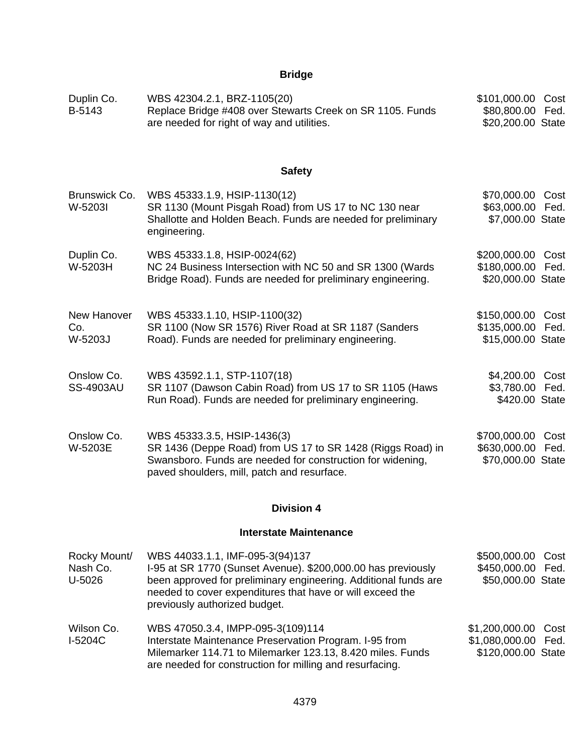| Duplin Co. | WBS 42304.2.1, BRZ-1105(20)                               | \$101,000.00 Cost |  |
|------------|-----------------------------------------------------------|-------------------|--|
| B-5143     | Replace Bridge #408 over Stewarts Creek on SR 1105. Funds | \$80,800.00 Fed.  |  |
|            | are needed for right of way and utilities.                | \$20,200.00 State |  |

# **Safety**

| Brunswick Co.<br>W-5203I       | WBS 45333.1.9, HSIP-1130(12)<br>SR 1130 (Mount Pisgah Road) from US 17 to NC 130 near<br>Shallotte and Holden Beach. Funds are needed for preliminary<br>engineering.                                  | \$70,000.00<br>\$63,000.00<br>\$7,000.00 State         | Cost<br>Fed. |  |
|--------------------------------|--------------------------------------------------------------------------------------------------------------------------------------------------------------------------------------------------------|--------------------------------------------------------|--------------|--|
| Duplin Co.<br>W-5203H          | WBS 45333.1.8, HSIP-0024(62)<br>NC 24 Business Intersection with NC 50 and SR 1300 (Wards<br>Bridge Road). Funds are needed for preliminary engineering.                                               | \$200,000.00<br>\$180,000.00<br>\$20,000.00 State      | Cost<br>Fed. |  |
| New Hanover<br>Co.<br>W-5203J  | WBS 45333.1.10, HSIP-1100(32)<br>SR 1100 (Now SR 1576) River Road at SR 1187 (Sanders<br>Road). Funds are needed for preliminary engineering.                                                          | \$150,000.00 Cost<br>\$135,000.00<br>\$15,000.00 State | Fed.         |  |
| Onslow Co.<br><b>SS-4903AU</b> | WBS 43592.1.1, STP-1107(18)<br>SR 1107 (Dawson Cabin Road) from US 17 to SR 1105 (Haws<br>Run Road). Funds are needed for preliminary engineering.                                                     | \$4,200.00<br>\$3,780.00 Fed.<br>\$420.00 State        | Cost         |  |
| Onslow Co.<br>W-5203E          | WBS 45333.3.5, HSIP-1436(3)<br>SR 1436 (Deppe Road) from US 17 to SR 1428 (Riggs Road) in<br>Swansboro. Funds are needed for construction for widening,<br>paved shoulders, mill, patch and resurface. | \$700,000.00<br>\$630,000.00<br>\$70,000.00 State      | Cost<br>Fed. |  |
|                                | <b>Division 4</b>                                                                                                                                                                                      |                                                        |              |  |

### **Interstate Maintenance**

| Rocky Mount/<br>Nash Co.<br>U-5026 | WBS 44033.1.1, IMF-095-3(94)137<br>I-95 at SR 1770 (Sunset Avenue). \$200,000.00 has previously<br>been approved for preliminary engineering. Additional funds are<br>needed to cover expenditures that have or will exceed the<br>previously authorized budget. | \$500,000.00 Cost<br>\$450,000.00 Fed.<br>\$50,000.00 State      |
|------------------------------------|------------------------------------------------------------------------------------------------------------------------------------------------------------------------------------------------------------------------------------------------------------------|------------------------------------------------------------------|
| Wilson Co.<br>$I-5204C$            | WBS 47050.3.4, IMPP-095-3(109)114<br>Interstate Maintenance Preservation Program. I-95 from<br>Milemarker 114.71 to Milemarker 123.13, 8.420 miles. Funds<br>are needed for construction for milling and resurfacing.                                            | \$1,200,000.00 Cost<br>\$1,080,000.00 Fed.<br>\$120,000.00 State |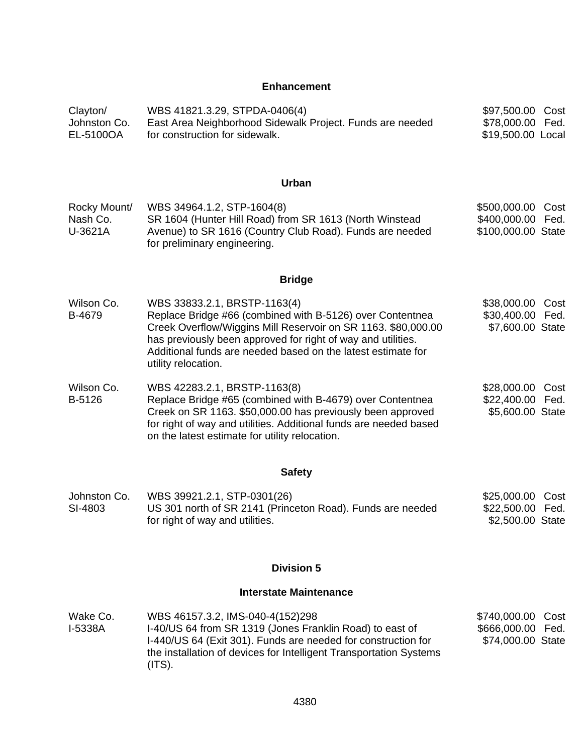#### **Enhancement**

| Clayton/<br>Johnston Co.<br>EL-5100OA | WBS 41821.3.29, STPDA-0406(4)<br>East Area Neighborhood Sidewalk Project. Funds are needed<br>for construction for sidewalk.                                                                                                                                                                                      | \$97,500.00 Cost<br>\$78,000.00 Fed.<br>\$19,500.00 Local         |
|---------------------------------------|-------------------------------------------------------------------------------------------------------------------------------------------------------------------------------------------------------------------------------------------------------------------------------------------------------------------|-------------------------------------------------------------------|
|                                       | Urban                                                                                                                                                                                                                                                                                                             |                                                                   |
| Rocky Mount/<br>Nash Co.<br>U-3621A   | WBS 34964.1.2, STP-1604(8)<br>SR 1604 (Hunter Hill Road) from SR 1613 (North Winstead<br>Avenue) to SR 1616 (Country Club Road). Funds are needed<br>for preliminary engineering.                                                                                                                                 | \$500,000.00 Cost<br>\$400,000.00 Fed.<br>\$100,000.00 State      |
|                                       | <b>Bridge</b>                                                                                                                                                                                                                                                                                                     |                                                                   |
| Wilson Co.<br>B-4679                  | WBS 33833.2.1, BRSTP-1163(4)<br>Replace Bridge #66 (combined with B-5126) over Contentnea<br>Creek Overflow/Wiggins Mill Reservoir on SR 1163. \$80,000.00<br>has previously been approved for right of way and utilities.<br>Additional funds are needed based on the latest estimate for<br>utility relocation. | \$38,000.00 Cost<br>\$30,400.00 Fed.<br>\$7,600.00 State          |
| Wilson Co.<br>B-5126                  | WBS 42283.2.1, BRSTP-1163(8)<br>Replace Bridge #65 (combined with B-4679) over Contentnea<br>Creek on SR 1163. \$50,000.00 has previously been approved<br>for right of way and utilities. Additional funds are needed based<br>on the latest estimate for utility relocation.                                    | \$28,000.00<br>Cost<br>\$22,400.00 Fed.<br>\$5,600.00 State       |
|                                       | <b>Safety</b>                                                                                                                                                                                                                                                                                                     |                                                                   |
| Johnston Co.<br>SI-4803               | WBS 39921.2.1, STP-0301(26)<br>US 301 north of SR 2141 (Princeton Road). Funds are needed<br>for right of way and utilities.                                                                                                                                                                                      | \$25,000.00<br>Cost<br>\$22,500.00 Fed.<br>\$2,500.00 State       |
|                                       | <b>Division 5</b>                                                                                                                                                                                                                                                                                                 |                                                                   |
|                                       | <b>Interstate Maintenance</b>                                                                                                                                                                                                                                                                                     |                                                                   |
| Wake Co.<br>I-5338A                   | WBS 46157.3.2, IMS-040-4(152)298<br>I-40/US 64 from SR 1319 (Jones Franklin Road) to east of<br>I-440/US 64 (Exit 301). Funds are needed for construction for<br>the installation of devices for Intelligent Transportation Systems                                                                               | \$740,000.00<br>Cost<br>\$666,000.00<br>Fed.<br>\$74,000.00 State |

(ITS).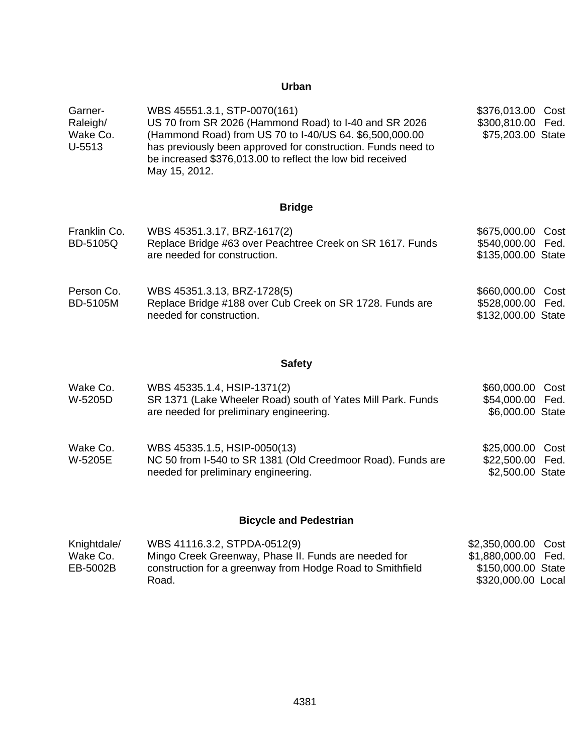# **Urban**

| Garner-  | WBS 45551.3.1, STP-0070(161)                                                                                              | \$376,013.00 Cost |  |
|----------|---------------------------------------------------------------------------------------------------------------------------|-------------------|--|
| Raleigh/ | US 70 from SR 2026 (Hammond Road) to I-40 and SR 2026                                                                     | \$300,810.00 Fed. |  |
| Wake Co. | (Hammond Road) from US 70 to I-40/US 64. \$6,500,000.00                                                                   | \$75,203.00 State |  |
| U-5513   | has previously been approved for construction. Funds need to<br>be increased \$376,013.00 to reflect the low bid received |                   |  |
|          | May 15, 2012.                                                                                                             |                   |  |

# **Bridge**

| Franklin Co.<br><b>BD-5105Q</b> | WBS 45351.3.17, BRZ-1617(2)<br>Replace Bridge #63 over Peachtree Creek on SR 1617. Funds<br>are needed for construction.                                                                                                                                                                                                                                                                                                         | \$675,000.00 Cost<br>\$540,000.00 Fed.<br>\$135,000.00 State |  |
|---------------------------------|----------------------------------------------------------------------------------------------------------------------------------------------------------------------------------------------------------------------------------------------------------------------------------------------------------------------------------------------------------------------------------------------------------------------------------|--------------------------------------------------------------|--|
| <b>D O</b> .                    | $\overline{M}$ $\overline{D}$ $\overline{O}$ $\overline{A}$ $\overline{D}$ $\overline{A}$ $\overline{A}$ $\overline{D}$ $\overline{D}$ $\overline{D}$ $\overline{D}$ $\overline{A}$ $\overline{D}$ $\overline{D}$ $\overline{D}$ $\overline{D}$ $\overline{D}$ $\overline{D}$ $\overline{D}$ $\overline{D}$ $\overline{D}$ $\overline{D}$ $\overline{D}$ $\overline{D}$ $\overline{D}$ $\overline{D}$ $\overline{D}$ $\overline$ |                                                              |  |

| Person Co. | WBS 45351.3.13, BRZ-1728(5)                              | \$660,000.00 Cost  |  |
|------------|----------------------------------------------------------|--------------------|--|
| BD-5105M   | Replace Bridge #188 over Cub Creek on SR 1728. Funds are | \$528,000.00 Fed.  |  |
|            | needed for construction.                                 | \$132,000.00 State |  |

# **Safety**

| Wake Co.<br>W-5205D | WBS 45335.1.4, HSIP-1371(2)<br>SR 1371 (Lake Wheeler Road) south of Yates Mill Park. Funds<br>are needed for preliminary engineering. | \$60,000.00 Cost<br>\$54,000.00 Fed.<br>\$6,000.00 State |  |
|---------------------|---------------------------------------------------------------------------------------------------------------------------------------|----------------------------------------------------------|--|
| Wake Co.<br>W-5205E | WBS 45335.1.5, HSIP-0050(13)<br>NC 50 from I-540 to SR 1381 (Old Creedmoor Road). Funds are<br>needed for preliminary engineering.    | \$25,000.00 Cost<br>\$22,500.00 Fed.<br>\$2,500.00 State |  |

# **Bicycle and Pedestrian**

| Knightdale/ | WBS 41116.3.2, STPDA-0512(9)                              | \$2,350,000.00 Cost |  |
|-------------|-----------------------------------------------------------|---------------------|--|
| Wake Co.    | Mingo Creek Greenway, Phase II. Funds are needed for      | \$1,880,000.00 Fed. |  |
| EB-5002B    | construction for a greenway from Hodge Road to Smithfield | \$150,000.00 State  |  |
|             | Road.                                                     | \$320,000.00 Local  |  |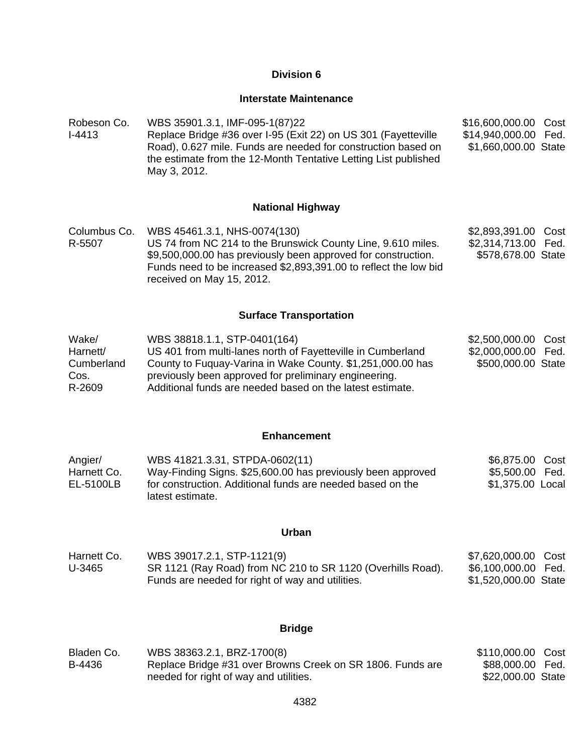#### **Interstate Maintenance**

Robeson Co. I-4413 WBS 35901.3.1, IMF-095-1(87)22 Replace Bridge #36 over I-95 (Exit 22) on US 301 (Fayetteville Road), 0.627 mile. Funds are needed for construction based on the estimate from the 12-Month Tentative Letting List published May 3, 2012. \$16,600,000.00 Cost \$14,940,000.00 Fed. \$1,660,000.00 State

#### **National Highway**

Columbus Co. WBS 45461.3.1, NHS-0074(130) R-5507 US 74 from NC 214 to the Brunswick County Line, 9.610 miles. \$9,500,000.00 has previously been approved for construction. Funds need to be increased \$2,893,391.00 to reflect the low bid received on May 15, 2012. \$2,893,391.00 Cost \$2,314,713.00 Fed. \$578,678.00 State

#### **Surface Transportation**

| Wake/      | WBS 38818.1.1, STP-0401(164)                                | \$2,500,000.00 Cost |  |
|------------|-------------------------------------------------------------|---------------------|--|
| Harnett/   | US 401 from multi-lanes north of Fayetteville in Cumberland | \$2,000,000.00 Fed. |  |
| Cumberland | County to Fuguay-Varina in Wake County. \$1,251,000.00 has  | \$500,000.00 State  |  |
| Cos.       | previously been approved for preliminary engineering.       |                     |  |
| R-2609     | Additional funds are needed based on the latest estimate.   |                     |  |

#### **Enhancement**

| Angier/     | WBS 41821.3.31, STPDA-0602(11)                              | \$6,875.00 Cost  |  |
|-------------|-------------------------------------------------------------|------------------|--|
| Harnett Co. | Way-Finding Signs. \$25,600.00 has previously been approved | \$5,500.00 Fed.  |  |
| EL-5100LB   | for construction. Additional funds are needed based on the  | \$1,375.00 Local |  |
|             | latest estimate.                                            |                  |  |

#### **Urban**

| Harnett Co. | WBS 39017.2.1, STP-1121(9)                                  | \$7,620,000.00 Cost  |  |
|-------------|-------------------------------------------------------------|----------------------|--|
| U-3465      | SR 1121 (Ray Road) from NC 210 to SR 1120 (Overhills Road). | \$6,100,000.00 Fed.  |  |
|             | Funds are needed for right of way and utilities.            | \$1,520,000.00 State |  |

#### **Bridge**

| Bladen Co. | WBS 38363.2.1, BRZ-1700(8)                                 | \$110,000.00 Cost |  |
|------------|------------------------------------------------------------|-------------------|--|
| B-4436     | Replace Bridge #31 over Browns Creek on SR 1806. Funds are | \$88,000.00 Fed.  |  |
|            | needed for right of way and utilities.                     | \$22,000.00 State |  |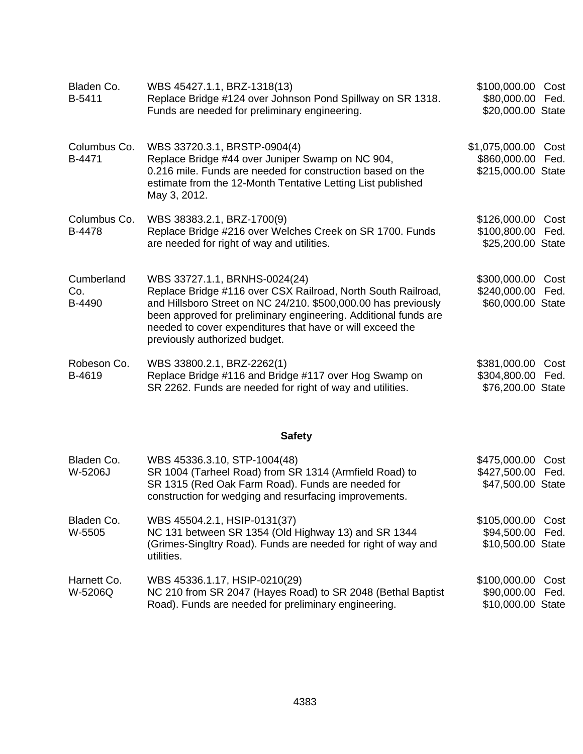| Bladen Co.<br>B-5411        | WBS 45427.1.1, BRZ-1318(13)<br>Replace Bridge #124 over Johnson Pond Spillway on SR 1318.<br>Funds are needed for preliminary engineering.                                                                                                                                                                                       | \$100,000.00<br>\$80,000.00 Fed.<br>\$20,000.00 State       | Cost         |
|-----------------------------|----------------------------------------------------------------------------------------------------------------------------------------------------------------------------------------------------------------------------------------------------------------------------------------------------------------------------------|-------------------------------------------------------------|--------------|
| Columbus Co.<br>B-4471      | WBS 33720.3.1, BRSTP-0904(4)<br>Replace Bridge #44 over Juniper Swamp on NC 904,<br>0.216 mile. Funds are needed for construction based on the<br>estimate from the 12-Month Tentative Letting List published<br>May 3, 2012.                                                                                                    | \$1,075,000.00 Cost<br>\$860,000.00<br>\$215,000.00 State   | Fed.         |
| Columbus Co.<br>B-4478      | WBS 38383.2.1, BRZ-1700(9)<br>Replace Bridge #216 over Welches Creek on SR 1700. Funds<br>are needed for right of way and utilities.                                                                                                                                                                                             | \$126,000.00<br>\$100,800.00<br>\$25,200.00 State           | Cost<br>Fed. |
| Cumberland<br>Co.<br>B-4490 | WBS 33727.1.1, BRNHS-0024(24)<br>Replace Bridge #116 over CSX Railroad, North South Railroad,<br>and Hillsboro Street on NC 24/210. \$500,000.00 has previously<br>been approved for preliminary engineering. Additional funds are<br>needed to cover expenditures that have or will exceed the<br>previously authorized budget. | \$300,000.00 Cost<br>\$240,000.00 Fed.<br>\$60,000.00 State |              |
| Robeson Co.<br>B-4619       | WBS 33800.2.1, BRZ-2262(1)<br>Replace Bridge #116 and Bridge #117 over Hog Swamp on<br>SR 2262. Funds are needed for right of way and utilities.                                                                                                                                                                                 | \$381,000.00 Cost<br>\$304,800.00<br>\$76,200.00 State      | Fed.         |
|                             | <b>Safety</b>                                                                                                                                                                                                                                                                                                                    |                                                             |              |
| Bladen Co.<br>W-5206J       | WBS 45336.3.10, STP-1004(48)<br>SR 1004 (Tarheel Road) from SR 1314 (Armfield Road) to<br>SR 1315 (Red Oak Farm Road). Funds are needed for<br>construction for wedging and resurfacing improvements.                                                                                                                            | \$475,000.00<br>\$427,500.00 Fed.<br>\$47,500.00 State      | Cost         |
| Bladen Co.<br>W-5505        | WBS 45504.2.1, HSIP-0131(37)<br>NC 131 between SR 1354 (Old Highway 13) and SR 1344<br>(Grimes-Singltry Road). Funds are needed for right of way and<br>utilities.                                                                                                                                                               | \$105,000.00<br>\$94,500.00<br>\$10,500.00 State            | Cost<br>Fed. |
| Harnett Co.<br>W-5206Q      | WBS 45336.1.17, HSIP-0210(29)<br>NC 210 from SR 2047 (Hayes Road) to SR 2048 (Bethal Baptist<br>Road). Funds are needed for preliminary engineering.                                                                                                                                                                             | \$100,000.00<br>\$90,000.00<br>\$10,000.00 State            | Cost<br>Fed. |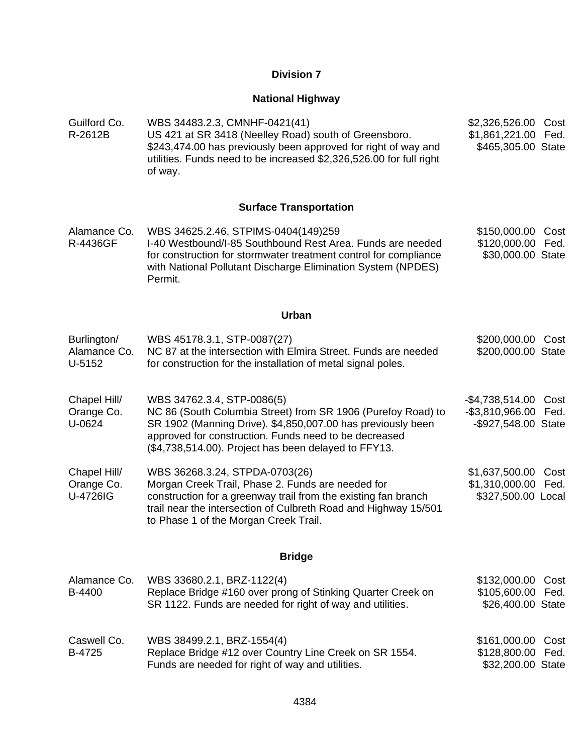#### **National Highway**

Guilford Co. R-2612B WBS 34483.2.3, CMNHF-0421(41) US 421 at SR 3418 (Neelley Road) south of Greensboro. \$243,474.00 has previously been approved for right of way and utilities. Funds need to be increased \$2,326,526.00 for full right of way. \$2,326,526.00 Cost \$1,861,221.00 Fed. \$465,305.00 State

#### **Surface Transportation**

Alamance Co. R-4436GF WBS 34625.2.46, STPIMS-0404(149)259 I-40 Westbound/I-85 Southbound Rest Area. Funds are needed for construction for stormwater treatment control for compliance with National Pollutant Discharge Elimination System (NPDES) Permit. \$150,000.00 Cost \$120,000.00 Fed. \$30,000.00 State

#### **Urban**

| Burlington/<br>Alamance Co.<br>U-5152  | WBS 45178.3.1, STP-0087(27)<br>NC 87 at the intersection with Elmira Street. Funds are needed<br>for construction for the installation of metal signal poles.                                                                                                              | \$200,000.00 Cost<br>\$200,000.00 State                                |
|----------------------------------------|----------------------------------------------------------------------------------------------------------------------------------------------------------------------------------------------------------------------------------------------------------------------------|------------------------------------------------------------------------|
| Chapel Hill/<br>Orange Co.<br>U-0624   | WBS 34762.3.4, STP-0086(5)<br>NC 86 (South Columbia Street) from SR 1906 (Purefoy Road) to<br>SR 1902 (Manning Drive). \$4,850,007.00 has previously been<br>approved for construction. Funds need to be decreased<br>(\$4,738,514.00). Project has been delayed to FFY13. | -\$4,738,514.00<br>Cost<br>-\$3,810,966.00 Fed.<br>-\$927,548.00 State |
| Chapel Hill/<br>Orange Co.<br>U-4726IG | WBS 36268.3.24, STPDA-0703(26)<br>Morgan Creek Trail, Phase 2. Funds are needed for<br>construction for a greenway trail from the existing fan branch<br>trail near the intersection of Culbreth Road and Highway 15/501<br>to Phase 1 of the Morgan Creek Trail.          | \$1,637,500.00<br>Cost<br>\$1,310,000.00 Fed.<br>\$327,500.00 Local    |
|                                        | <b>Bridge</b>                                                                                                                                                                                                                                                              |                                                                        |
| Alamance Co.<br>B-4400                 | WBS 33680.2.1, BRZ-1122(4)<br>Replace Bridge #160 over prong of Stinking Quarter Creek on<br>SR 1122. Funds are needed for right of way and utilities.                                                                                                                     | \$132,000.00<br>Cost<br>\$105,600.00 Fed.<br>\$26,400.00 State         |

| Caswell Co. | WBS 38499.2.1, BRZ-1554(4)                             | \$161,000.00 Cost |  |
|-------------|--------------------------------------------------------|-------------------|--|
| B-4725      | Replace Bridge #12 over Country Line Creek on SR 1554. | \$128,800.00 Fed. |  |
|             | Funds are needed for right of way and utilities.       | \$32,200.00 State |  |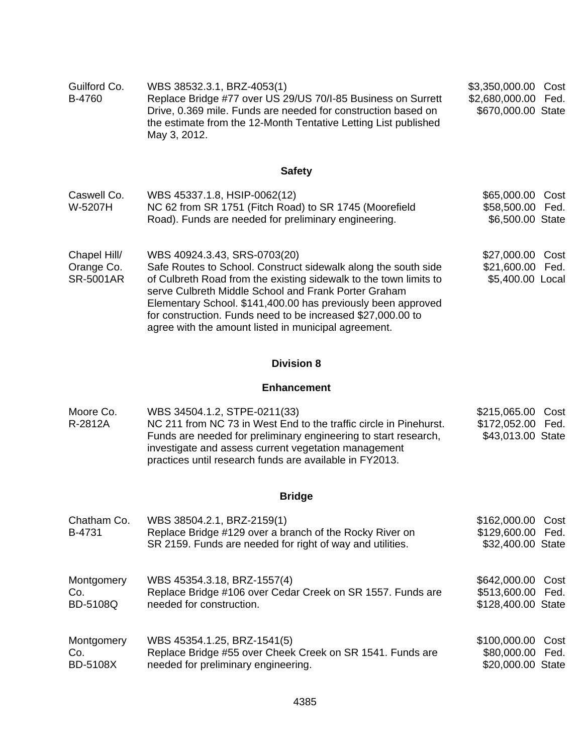| Guilford Co.<br>B-4760                         | WBS 38532.3.1, BRZ-4053(1)<br>Replace Bridge #77 over US 29/US 70/I-85 Business on Surrett<br>Drive, 0.369 mile. Funds are needed for construction based on<br>the estimate from the 12-Month Tentative Letting List published<br>May 3, 2012.                                                                                                                                                                     | \$3,350,000.00<br>Cost<br>\$2,680,000.00 Fed.<br>\$670,000.00 State |
|------------------------------------------------|--------------------------------------------------------------------------------------------------------------------------------------------------------------------------------------------------------------------------------------------------------------------------------------------------------------------------------------------------------------------------------------------------------------------|---------------------------------------------------------------------|
|                                                | <b>Safety</b>                                                                                                                                                                                                                                                                                                                                                                                                      |                                                                     |
| Caswell Co.<br>W-5207H                         | WBS 45337.1.8, HSIP-0062(12)<br>NC 62 from SR 1751 (Fitch Road) to SR 1745 (Moorefield<br>Road). Funds are needed for preliminary engineering.                                                                                                                                                                                                                                                                     | \$65,000.00<br>Cost<br>\$58,500.00 Fed.<br>\$6,500.00 State         |
| Chapel Hill/<br>Orange Co.<br><b>SR-5001AR</b> | WBS 40924.3.43, SRS-0703(20)<br>Safe Routes to School. Construct sidewalk along the south side<br>of Culbreth Road from the existing sidewalk to the town limits to<br>serve Culbreth Middle School and Frank Porter Graham<br>Elementary School. \$141,400.00 has previously been approved<br>for construction. Funds need to be increased \$27,000.00 to<br>agree with the amount listed in municipal agreement. | \$27,000.00<br>Cost<br>\$21,600.00 Fed.<br>\$5,400.00 Local         |

#### **Enhancement**

| Moore Co. | WBS 34504.1.2, STPE-0211(33)                                      | \$215,065.00 Cost |  |
|-----------|-------------------------------------------------------------------|-------------------|--|
| R-2812A   | NC 211 from NC 73 in West End to the traffic circle in Pinehurst. | \$172,052.00 Fed. |  |
|           | Funds are needed for preliminary engineering to start research,   | \$43,013.00 State |  |
|           | investigate and assess current vegetation management              |                   |  |
|           | practices until research funds are available in FY2013.           |                   |  |

# **Bridge**

| Chatham Co.<br>B-4731 | WBS 38504.2.1, BRZ-2159(1)<br>Replace Bridge #129 over a branch of the Rocky River on<br>SR 2159. Funds are needed for right of way and utilities. | \$162,000.00<br>\$129,600.00 Fed.<br>\$32,400.00 State | Cost |
|-----------------------|----------------------------------------------------------------------------------------------------------------------------------------------------|--------------------------------------------------------|------|
| Montgomery            | WBS 45354.3.18, BRZ-1557(4)                                                                                                                        | \$642,000.00                                           | Cost |
| Co.                   | Replace Bridge #106 over Cedar Creek on SR 1557. Funds are                                                                                         | \$513,600.00 Fed.                                      |      |
| <b>BD-5108Q</b>       | needed for construction.                                                                                                                           | \$128,400.00 State                                     |      |
| Montgomery            | WBS 45354.1.25, BRZ-1541(5)                                                                                                                        | \$100,000.00                                           | Cost |
| Co.                   | Replace Bridge #55 over Cheek Creek on SR 1541. Funds are                                                                                          | \$80,000.00 Fed.                                       |      |
| <b>BD-5108X</b>       | needed for preliminary engineering.                                                                                                                | \$20,000.00 State                                      |      |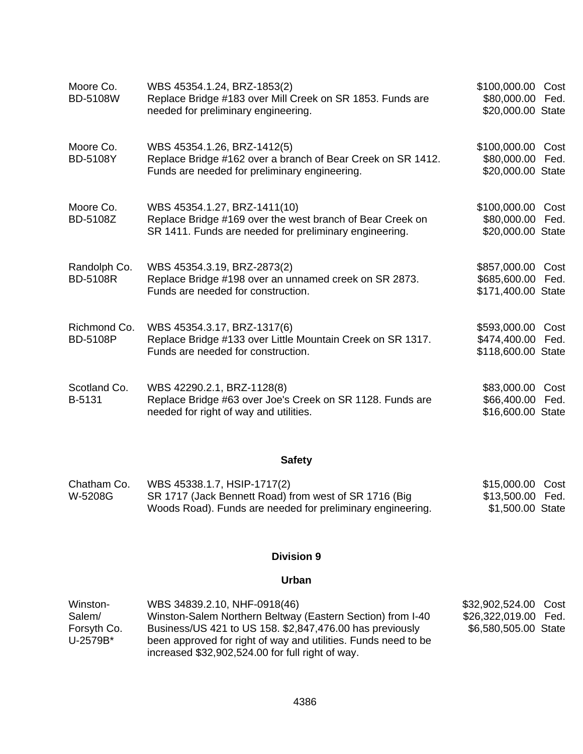| Moore Co.<br><b>BD-5108W</b>    | WBS 45354.1.24, BRZ-1853(2)<br>Replace Bridge #183 over Mill Creek on SR 1853. Funds are<br>needed for preliminary engineering.                     | \$100,000.00<br>Cost<br>\$80,000.00<br>Fed.<br>\$20,000.00 State   |
|---------------------------------|-----------------------------------------------------------------------------------------------------------------------------------------------------|--------------------------------------------------------------------|
| Moore Co.<br><b>BD-5108Y</b>    | WBS 45354.1.26, BRZ-1412(5)<br>Replace Bridge #162 over a branch of Bear Creek on SR 1412.<br>Funds are needed for preliminary engineering.         | \$100,000.00<br>Cost<br>\$80,000.00<br>Fed.<br>\$20,000.00 State   |
| Moore Co.<br><b>BD-5108Z</b>    | WBS 45354.1.27, BRZ-1411(10)<br>Replace Bridge #169 over the west branch of Bear Creek on<br>SR 1411. Funds are needed for preliminary engineering. | \$100,000.00<br>Cost<br>\$80,000.00<br>Fed.<br>\$20,000.00 State   |
| Randolph Co.<br><b>BD-5108R</b> | WBS 45354.3.19, BRZ-2873(2)<br>Replace Bridge #198 over an unnamed creek on SR 2873.<br>Funds are needed for construction.                          | \$857,000.00<br>Cost<br>\$685,600.00<br>Fed.<br>\$171,400.00 State |
| Richmond Co.<br><b>BD-5108P</b> | WBS 45354.3.17, BRZ-1317(6)<br>Replace Bridge #133 over Little Mountain Creek on SR 1317.<br>Funds are needed for construction.                     | \$593,000.00<br>Cost<br>\$474,400.00<br>Fed.<br>\$118,600.00 State |
| Scotland Co.<br>B-5131          | WBS 42290.2.1, BRZ-1128(8)<br>Replace Bridge #63 over Joe's Creek on SR 1128. Funds are<br>needed for right of way and utilities.                   | \$83,000.00<br>Cost<br>\$66,400.00 Fed.<br>\$16,600.00 State       |

# **Safety**

| Chatham Co. | WBS 45338.1.7, HSIP-1717(2)                                | \$15,000.00 Cost |  |
|-------------|------------------------------------------------------------|------------------|--|
| W-5208G     | SR 1717 (Jack Bennett Road) from west of SR 1716 (Big      | \$13,500.00 Fed. |  |
|             | Woods Road). Funds are needed for preliminary engineering. | \$1,500.00 State |  |

# **Division 9**

## **Urban**

| Winston-    | WBS 34839.2.10, NHF-0918(46)                                   | \$32,902,524.00 Cost |  |
|-------------|----------------------------------------------------------------|----------------------|--|
| Salem/      | Winston-Salem Northern Beltway (Eastern Section) from I-40     | \$26,322,019.00 Fed. |  |
| Forsyth Co. | Business/US 421 to US 158. \$2,847,476.00 has previously       | \$6,580,505.00 State |  |
| U-2579B*    | been approved for right of way and utilities. Funds need to be |                      |  |
|             | increased \$32,902,524.00 for full right of way.               |                      |  |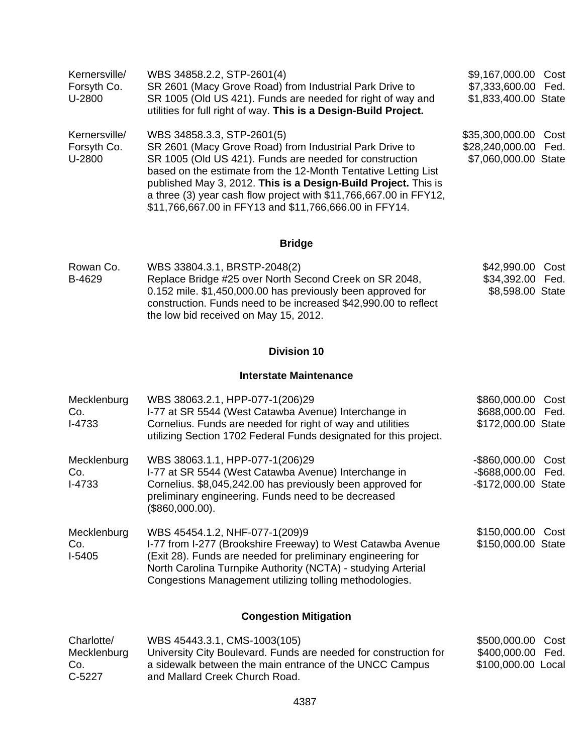| Kernersville/<br>Forsyth Co.<br>U-2800 | WBS 34858.2.2, STP-2601(4)<br>SR 2601 (Macy Grove Road) from Industrial Park Drive to<br>SR 1005 (Old US 421). Funds are needed for right of way and<br>utilities for full right of way. This is a Design-Build Project.                                                                                                                                                                                            | \$9,167,000.00 Cost<br>\$7,333,600.00 Fed.<br>\$1,833,400.00 State   |  |
|----------------------------------------|---------------------------------------------------------------------------------------------------------------------------------------------------------------------------------------------------------------------------------------------------------------------------------------------------------------------------------------------------------------------------------------------------------------------|----------------------------------------------------------------------|--|
| Kernersville/<br>Forsyth Co.<br>U-2800 | WBS 34858.3.3, STP-2601(5)<br>SR 2601 (Macy Grove Road) from Industrial Park Drive to<br>SR 1005 (Old US 421). Funds are needed for construction<br>based on the estimate from the 12-Month Tentative Letting List<br>published May 3, 2012. This is a Design-Build Project. This is<br>a three (3) year cash flow project with \$11,766,667.00 in FFY12,<br>\$11,766,667.00 in FFY13 and \$11,766,666.00 in FFY14. | \$35,300,000.00 Cost<br>\$28,240,000.00 Fed.<br>\$7,060,000.00 State |  |

| Rowan Co. | WBS 33804.3.1, BRSTP-2048(2)                                                                                                                                            | \$42,990.00 Cost |  |
|-----------|-------------------------------------------------------------------------------------------------------------------------------------------------------------------------|------------------|--|
| B-4629    | Replace Bridge #25 over North Second Creek on SR 2048,                                                                                                                  | \$34,392.00 Fed. |  |
|           | 0.152 mile. \$1,450,000.00 has previously been approved for<br>construction. Funds need to be increased \$42,990.00 to reflect<br>the low bid received on May 15, 2012. | \$8,598.00 State |  |

# **Division 10**

#### **Interstate Maintenance**

| Mecklenburg<br>Co.<br>$I-4733$ | WBS 38063.2.1, HPP-077-1(206)29<br>I-77 at SR 5544 (West Catawba Avenue) Interchange in<br>Cornelius. Funds are needed for right of way and utilities<br>utilizing Section 1702 Federal Funds designated for this project.                                                              | \$860,000.00<br>\$688,000.00 Fed.<br>\$172,000.00 State         | Cost |
|--------------------------------|-----------------------------------------------------------------------------------------------------------------------------------------------------------------------------------------------------------------------------------------------------------------------------------------|-----------------------------------------------------------------|------|
| Mecklenburg<br>Co.<br>$I-4733$ | WBS 38063.1.1, HPP-077-1(206)29<br>I-77 at SR 5544 (West Catawba Avenue) Interchange in<br>Cornelius. \$8,045,242.00 has previously been approved for<br>preliminary engineering. Funds need to be decreased<br>(\$860,000.00).                                                         | -\$860,000.00 Cost<br>-\$688,000.00 Fed.<br>-\$172,000.00 State |      |
| Mecklenburg<br>Co.<br>$I-5405$ | WBS 45454.1.2, NHF-077-1(209)9<br>I-77 from I-277 (Brookshire Freeway) to West Catawba Avenue<br>(Exit 28). Funds are needed for preliminary engineering for<br>North Carolina Turnpike Authority (NCTA) - studying Arterial<br>Congestions Management utilizing tolling methodologies. | \$150,000.00 Cost<br>\$150,000.00 State                         |      |
|                                | <b>Congestion Mitigation</b>                                                                                                                                                                                                                                                            |                                                                 |      |

| Charlotte/  | WBS 45443.3.1, CMS-1003(105)                                     | \$500,000.00 Cost  |  |
|-------------|------------------------------------------------------------------|--------------------|--|
| Mecklenburg | University City Boulevard. Funds are needed for construction for | \$400,000.00 Fed.  |  |
| Co.         | a sidewalk between the main entrance of the UNCC Campus          | \$100,000.00 Local |  |
| C-5227      | and Mallard Creek Church Road.                                   |                    |  |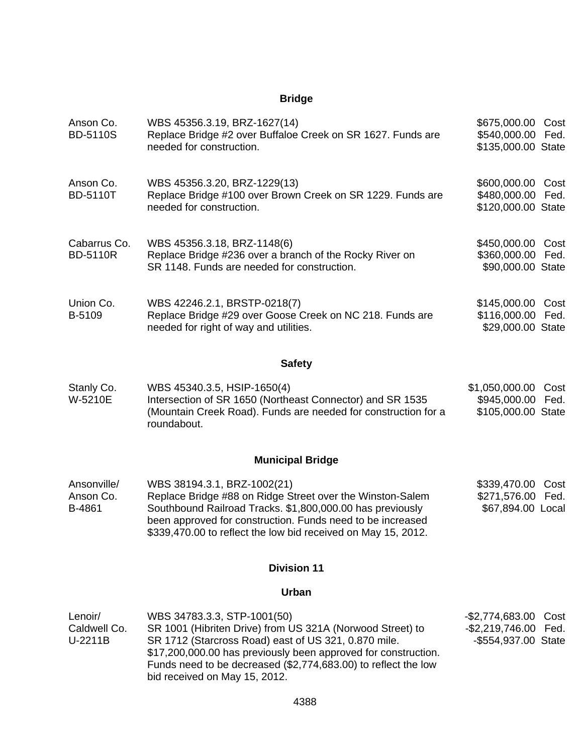| Anson Co.<br><b>BD-5110S</b>       | WBS 45356.3.19, BRZ-1627(14)<br>Replace Bridge #2 over Buffaloe Creek on SR 1627. Funds are<br>needed for construction.                                                                                                                                                                                               | \$675,000.00<br>\$540,000.00<br>\$135,000.00 State                | Cost<br>Fed. |
|------------------------------------|-----------------------------------------------------------------------------------------------------------------------------------------------------------------------------------------------------------------------------------------------------------------------------------------------------------------------|-------------------------------------------------------------------|--------------|
| Anson Co.<br><b>BD-5110T</b>       | WBS 45356.3.20, BRZ-1229(13)<br>Replace Bridge #100 over Brown Creek on SR 1229. Funds are<br>needed for construction.                                                                                                                                                                                                | \$600,000.00<br>\$480,000.00<br>\$120,000.00 State                | Cost<br>Fed. |
| Cabarrus Co.<br><b>BD-5110R</b>    | WBS 45356.3.18, BRZ-1148(6)<br>Replace Bridge #236 over a branch of the Rocky River on<br>SR 1148. Funds are needed for construction.                                                                                                                                                                                 | \$450,000.00 Cost<br>\$360,000.00 Fed.<br>\$90,000.00 State       |              |
| Union Co.<br>B-5109                | WBS 42246.2.1, BRSTP-0218(7)<br>Replace Bridge #29 over Goose Creek on NC 218. Funds are<br>needed for right of way and utilities.                                                                                                                                                                                    | \$145,000.00 Cost<br>\$116,000.00<br>\$29,000.00 State            | Fed.         |
|                                    | <b>Safety</b>                                                                                                                                                                                                                                                                                                         |                                                                   |              |
| Stanly Co.<br>W-5210E              | WBS 45340.3.5, HSIP-1650(4)<br>Intersection of SR 1650 (Northeast Connector) and SR 1535<br>(Mountain Creek Road). Funds are needed for construction for a<br>roundabout.                                                                                                                                             | \$1,050,000.00<br>\$945,000.00<br>\$105,000.00 State              | Cost<br>Fed. |
|                                    | <b>Municipal Bridge</b>                                                                                                                                                                                                                                                                                               |                                                                   |              |
| Ansonville/<br>Anson Co.<br>B-4861 | WBS 38194.3.1, BRZ-1002(21)<br>Replace Bridge #88 on Ridge Street over the Winston-Salem<br>Southbound Railroad Tracks. \$1,800,000.00 has previously<br>been approved for construction. Funds need to be increased<br>\$339,470.00 to reflect the low bid received on May 15, 2012.                                  | \$339,470.00 Cost<br>\$271,576.00 Fed.<br>\$67,894.00 Local       |              |
|                                    | <b>Division 11</b>                                                                                                                                                                                                                                                                                                    |                                                                   |              |
|                                    | Urban                                                                                                                                                                                                                                                                                                                 |                                                                   |              |
| Lenoir/<br>Caldwell Co.<br>U-2211B | WBS 34783.3.3, STP-1001(50)<br>SR 1001 (Hibriten Drive) from US 321A (Norwood Street) to<br>SR 1712 (Starcross Road) east of US 321, 0.870 mile.<br>\$17,200,000.00 has previously been approved for construction.<br>Funds need to be decreased (\$2,774,683.00) to reflect the low<br>bid received on May 15, 2012. | $-$ \$2,774,683.00<br>-\$2,219,746.00 Fed.<br>-\$554,937.00 State | Cost         |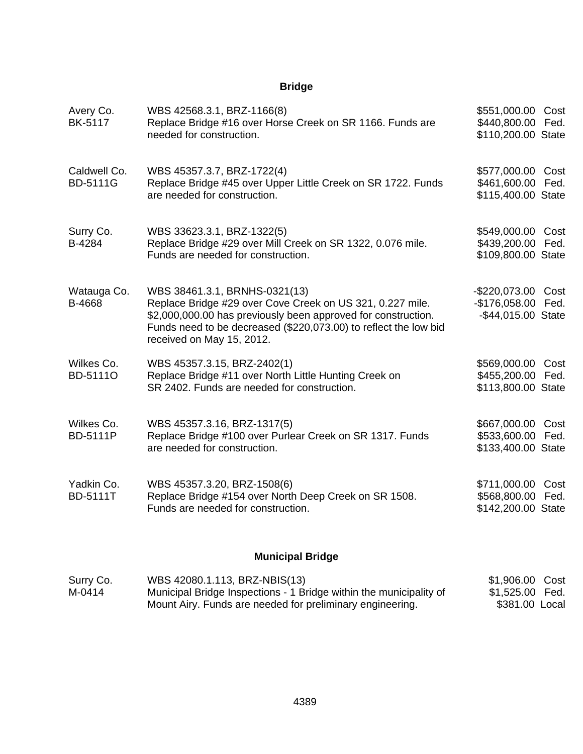| Avery Co.<br><b>BK-5117</b>     | WBS 42568.3.1, BRZ-1166(8)<br>Replace Bridge #16 over Horse Creek on SR 1166. Funds are<br>needed for construction.                                                                                                                                          | \$551,000.00 Cost<br>\$440,800.00 Fed.<br>\$110,200.00 State   |              |
|---------------------------------|--------------------------------------------------------------------------------------------------------------------------------------------------------------------------------------------------------------------------------------------------------------|----------------------------------------------------------------|--------------|
| Caldwell Co.<br><b>BD-5111G</b> | WBS 45357.3.7, BRZ-1722(4)<br>Replace Bridge #45 over Upper Little Creek on SR 1722. Funds<br>are needed for construction.                                                                                                                                   | \$577,000.00 Cost<br>\$461,600.00 Fed.<br>\$115,400.00 State   |              |
| Surry Co.<br>B-4284             | WBS 33623.3.1, BRZ-1322(5)<br>Replace Bridge #29 over Mill Creek on SR 1322, 0.076 mile.<br>Funds are needed for construction.                                                                                                                               | \$549,000.00 Cost<br>\$439,200.00 Fed.<br>\$109,800.00 State   |              |
| Watauga Co.<br>B-4668           | WBS 38461.3.1, BRNHS-0321(13)<br>Replace Bridge #29 over Cove Creek on US 321, 0.227 mile.<br>\$2,000,000.00 has previously been approved for construction.<br>Funds need to be decreased (\$220,073.00) to reflect the low bid<br>received on May 15, 2012. | -\$220,073.00 Cost<br>-\$176,058.00 Fed.<br>-\$44,015.00 State |              |
| Wilkes Co.<br>BD-51110          | WBS 45357.3.15, BRZ-2402(1)<br>Replace Bridge #11 over North Little Hunting Creek on<br>SR 2402. Funds are needed for construction.                                                                                                                          | \$569,000.00<br>\$455,200.00<br>\$113,800.00 State             | Cost<br>Fed. |
| Wilkes Co.<br><b>BD-5111P</b>   | WBS 45357.3.16, BRZ-1317(5)<br>Replace Bridge #100 over Purlear Creek on SR 1317. Funds<br>are needed for construction.                                                                                                                                      | \$667,000.00 Cost<br>\$533,600.00 Fed.<br>\$133,400.00 State   |              |
| Yadkin Co.<br><b>BD-5111T</b>   | WBS 45357.3.20, BRZ-1508(6)<br>Replace Bridge #154 over North Deep Creek on SR 1508.<br>Funds are needed for construction.                                                                                                                                   | \$711,000.00<br>\$568,800.00 Fed.<br>\$142,200.00 State        | Cost         |

# **Municipal Bridge**

| Surry Co. | WBS 42080.1.113, BRZ-NBIS(13)                                      | \$1,906.00 Cost |
|-----------|--------------------------------------------------------------------|-----------------|
| M-0414    | Municipal Bridge Inspections - 1 Bridge within the municipality of | \$1,525.00 Fed. |
|           | Mount Airy. Funds are needed for preliminary engineering.          | \$381.00 Local  |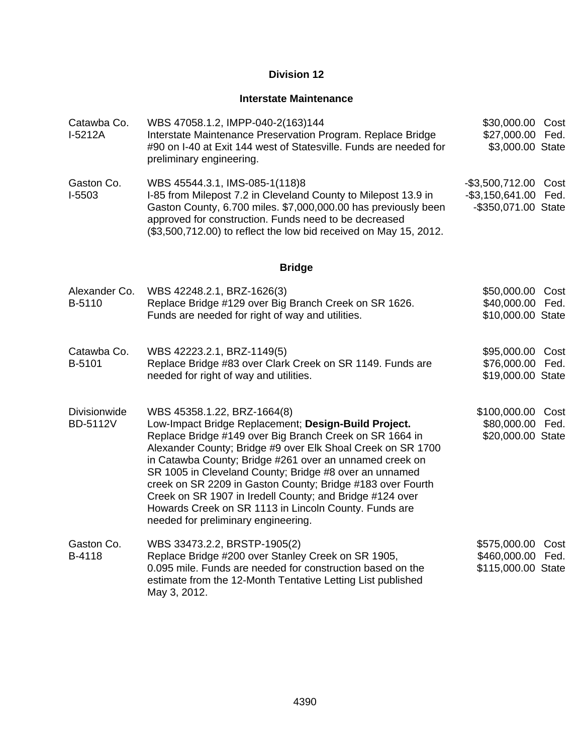#### **Interstate Maintenance**

| Catawba Co.<br>$I-5212A$               | WBS 47058.1.2, IMPP-040-2(163)144<br>Interstate Maintenance Preservation Program. Replace Bridge<br>#90 on I-40 at Exit 144 west of Statesville. Funds are needed for<br>preliminary engineering.                                                                                                                                                                                                                                                                                                                                                            | \$30,000.00 Cost<br>\$27,000.00 Fed.<br>\$3,000.00 State            |      |
|----------------------------------------|--------------------------------------------------------------------------------------------------------------------------------------------------------------------------------------------------------------------------------------------------------------------------------------------------------------------------------------------------------------------------------------------------------------------------------------------------------------------------------------------------------------------------------------------------------------|---------------------------------------------------------------------|------|
| Gaston Co.<br>I-5503                   | WBS 45544.3.1, IMS-085-1(118)8<br>I-85 from Milepost 7.2 in Cleveland County to Milepost 13.9 in<br>Gaston County, 6.700 miles. \$7,000,000.00 has previously been<br>approved for construction. Funds need to be decreased<br>(\$3,500,712.00) to reflect the low bid received on May 15, 2012.                                                                                                                                                                                                                                                             | -\$3,500,712.00 Cost<br>-\$3,150,641.00 Fed.<br>-\$350,071.00 State |      |
|                                        | <b>Bridge</b>                                                                                                                                                                                                                                                                                                                                                                                                                                                                                                                                                |                                                                     |      |
| Alexander Co.<br>B-5110                | WBS 42248.2.1, BRZ-1626(3)<br>Replace Bridge #129 over Big Branch Creek on SR 1626.<br>Funds are needed for right of way and utilities.                                                                                                                                                                                                                                                                                                                                                                                                                      | \$50,000.00 Cost<br>\$40,000.00 Fed.<br>\$10,000.00 State           |      |
| Catawba Co.<br>B-5101                  | WBS 42223.2.1, BRZ-1149(5)<br>Replace Bridge #83 over Clark Creek on SR 1149. Funds are<br>needed for right of way and utilities.                                                                                                                                                                                                                                                                                                                                                                                                                            | \$95,000.00 Cost<br>\$76,000.00 Fed.<br>\$19,000.00 State           |      |
| <b>Divisionwide</b><br><b>BD-5112V</b> | WBS 45358.1.22, BRZ-1664(8)<br>Low-Impact Bridge Replacement; Design-Build Project.<br>Replace Bridge #149 over Big Branch Creek on SR 1664 in<br>Alexander County; Bridge #9 over Elk Shoal Creek on SR 1700<br>in Catawba County; Bridge #261 over an unnamed creek on<br>SR 1005 in Cleveland County; Bridge #8 over an unnamed<br>creek on SR 2209 in Gaston County; Bridge #183 over Fourth<br>Creek on SR 1907 in Iredell County; and Bridge #124 over<br>Howards Creek on SR 1113 in Lincoln County. Funds are<br>needed for preliminary engineering. | \$100,000.00 Cost<br>\$80,000.00 Fed.<br>\$20,000.00 State          |      |
| Gaston Co.<br>B-4118                   | WBS 33473.2.2, BRSTP-1905(2)<br>Replace Bridge #200 over Stanley Creek on SR 1905,<br>0.095 mile. Funds are needed for construction based on the<br>estimate from the 12-Month Tentative Letting List published<br>May 3, 2012.                                                                                                                                                                                                                                                                                                                              | \$575,000.00<br>\$460,000.00 Fed.<br>\$115,000.00 State             | Cost |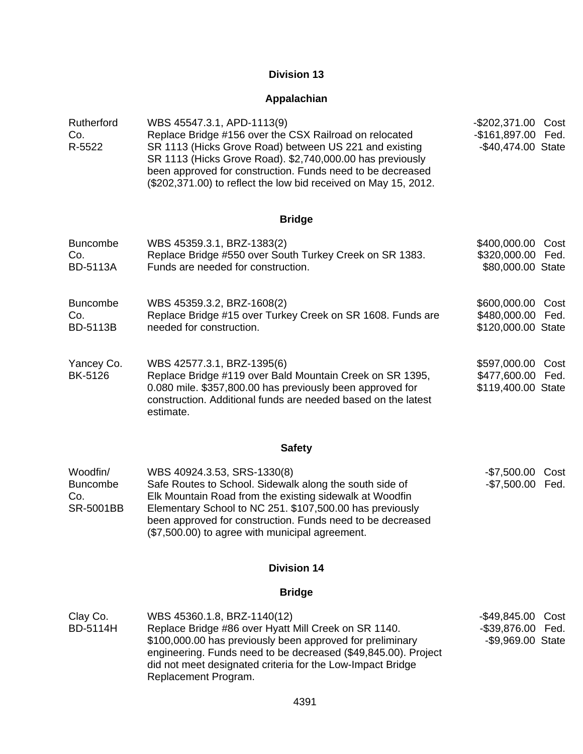### **Appalachian**

| Rutherford<br>Co.<br>R-5522                     | WBS 45547.3.1, APD-1113(9)<br>Replace Bridge #156 over the CSX Railroad on relocated<br>SR 1113 (Hicks Grove Road) between US 221 and existing<br>SR 1113 (Hicks Grove Road). \$2,740,000.00 has previously<br>been approved for construction. Funds need to be decreased<br>(\$202,371.00) to reflect the low bid received on May 15, 2012. | -\$202,371.00 Cost<br>-\$161,897.00 Fed.<br>-\$40,474.00 State  |
|-------------------------------------------------|----------------------------------------------------------------------------------------------------------------------------------------------------------------------------------------------------------------------------------------------------------------------------------------------------------------------------------------------|-----------------------------------------------------------------|
|                                                 | <b>Bridge</b>                                                                                                                                                                                                                                                                                                                                |                                                                 |
| <b>Buncombe</b><br>Co.<br><b>BD-5113A</b>       | WBS 45359.3.1, BRZ-1383(2)<br>Replace Bridge #550 over South Turkey Creek on SR 1383.<br>Funds are needed for construction.                                                                                                                                                                                                                  | \$400,000.00 Cost<br>\$320,000.00 Fed.<br>\$80,000.00 State     |
| <b>Buncombe</b><br>Co.<br><b>BD-5113B</b>       | WBS 45359.3.2, BRZ-1608(2)<br>Replace Bridge #15 over Turkey Creek on SR 1608. Funds are<br>needed for construction.                                                                                                                                                                                                                         | \$600,000.00 Cost<br>\$480,000.00 Fed.<br>\$120,000.00 State    |
| Yancey Co.<br><b>BK-5126</b>                    | WBS 42577.3.1, BRZ-1395(6)<br>Replace Bridge #119 over Bald Mountain Creek on SR 1395,<br>0.080 mile. \$357,800.00 has previously been approved for<br>construction. Additional funds are needed based on the latest<br>estimate.                                                                                                            | \$597,000.00<br>Cost<br>\$477,600.00 Fed.<br>\$119,400.00 State |
|                                                 | <b>Safety</b>                                                                                                                                                                                                                                                                                                                                |                                                                 |
| Woodfin/<br><b>Buncombe</b><br>Co.<br>SR-5001BB | WBS 40924.3.53, SRS-1330(8)<br>Safe Routes to School. Sidewalk along the south side of<br>Elk Mountain Road from the existing sidewalk at Woodfin<br>Elementary School to NC 251. \$107,500.00 has previously<br>been approved for construction. Funds need to be decreased<br>(\$7,500.00) to agree with municipal agreement.               | -\$7,500.00 Cost<br>-\$7,500.00 Fed.                            |
|                                                 | <b>Division 14</b>                                                                                                                                                                                                                                                                                                                           |                                                                 |
|                                                 | <b>Bridge</b>                                                                                                                                                                                                                                                                                                                                |                                                                 |
| Clay Co.<br><b>BD-5114H</b>                     | WBS 45360.1.8, BRZ-1140(12)<br>Replace Bridge #86 over Hyatt Mill Creek on SR 1140.<br>\$100,000.00 has previously been approved for preliminary                                                                                                                                                                                             | -\$49,845.00<br>Cost<br>-\$39,876.00 Fed.<br>-\$9,969.00 State  |

\$100,000.00 has previously been approved for preliminary engineering. Funds need to be decreased (\$49,845.00). Project did not meet designated criteria for the Low-Impact Bridge Replacement Program.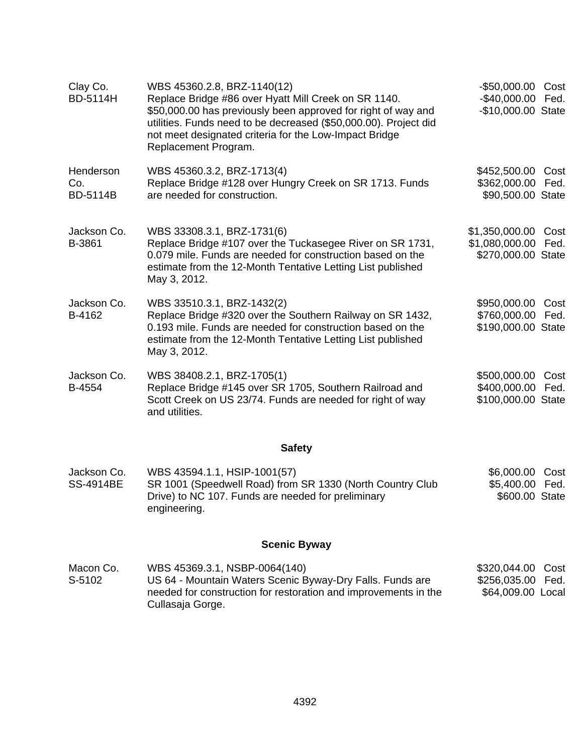| Clay Co.<br><b>BD-5114H</b>         | WBS 45360.2.8, BRZ-1140(12)<br>Replace Bridge #86 over Hyatt Mill Creek on SR 1140.<br>\$50,000.00 has previously been approved for right of way and<br>utilities. Funds need to be decreased (\$50,000.00). Project did<br>not meet designated criteria for the Low-Impact Bridge<br>Replacement Program. | -\$50,000.00 Cost<br>$-$40,000.00$<br>-\$10,000.00 State         | Fed.         |
|-------------------------------------|------------------------------------------------------------------------------------------------------------------------------------------------------------------------------------------------------------------------------------------------------------------------------------------------------------|------------------------------------------------------------------|--------------|
| Henderson<br>Co.<br><b>BD-5114B</b> | WBS 45360.3.2, BRZ-1713(4)<br>Replace Bridge #128 over Hungry Creek on SR 1713. Funds<br>are needed for construction.                                                                                                                                                                                      | \$452,500.00 Cost<br>\$362,000.00<br>\$90,500.00 State           | Fed.         |
| Jackson Co.<br>B-3861               | WBS 33308.3.1, BRZ-1731(6)<br>Replace Bridge #107 over the Tuckasegee River on SR 1731,<br>0.079 mile. Funds are needed for construction based on the<br>estimate from the 12-Month Tentative Letting List published<br>May 3, 2012.                                                                       | \$1,350,000.00 Cost<br>\$1,080,000.00 Fed.<br>\$270,000.00 State |              |
| Jackson Co.<br>B-4162               | WBS 33510.3.1, BRZ-1432(2)<br>Replace Bridge #320 over the Southern Railway on SR 1432,<br>0.193 mile. Funds are needed for construction based on the<br>estimate from the 12-Month Tentative Letting List published<br>May 3, 2012.                                                                       | \$950,000.00 Cost<br>\$760,000.00<br>\$190,000.00 State          | Fed.         |
| Jackson Co.<br>B-4554               | WBS 38408.2.1, BRZ-1705(1)<br>Replace Bridge #145 over SR 1705, Southern Railroad and<br>Scott Creek on US 23/74. Funds are needed for right of way<br>and utilities.                                                                                                                                      | \$500,000.00<br>\$400,000.00<br>\$100,000.00 State               | Cost<br>Fed. |
|                                     | <b>Safety</b>                                                                                                                                                                                                                                                                                              |                                                                  |              |
| Jackson Co.<br><b>SS-4914BE</b>     | WBS 43594.1.1, HSIP-1001(57)<br>SR 1001 (Speedwell Road) from SR 1330 (North Country Club<br>Drive) to NC 107. Funds are needed for preliminary<br>engineering.                                                                                                                                            | \$6,000.00<br>\$5,400.00<br>\$600.00 State                       | Cost<br>Fed. |
|                                     | <b>Scenic Byway</b>                                                                                                                                                                                                                                                                                        |                                                                  |              |
| Macon Co.<br>S-5102                 | WBS 45369.3.1, NSBP-0064(140)<br>US 64 - Mountain Waters Scenic Byway-Dry Falls. Funds are<br>needed for construction for restoration and improvements in the<br>Cullasaja Gorge.                                                                                                                          | \$320,044.00<br>\$256,035.00<br>\$64,009.00 Local                | Cost<br>Fed. |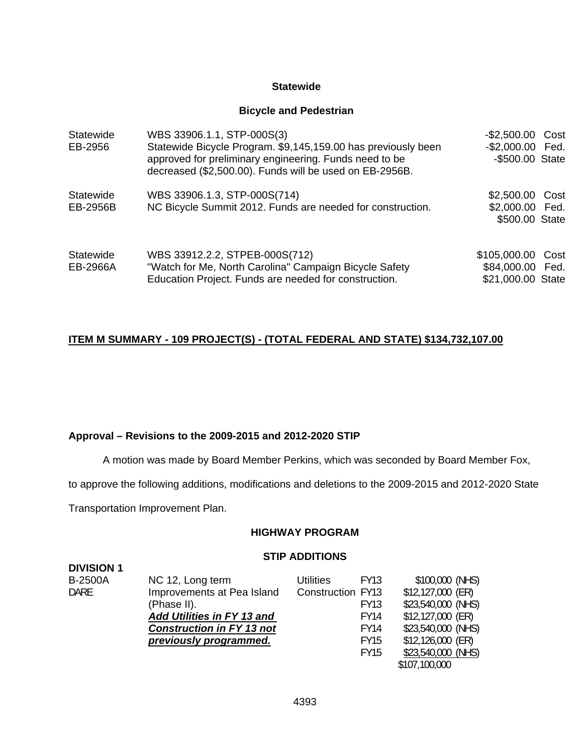#### **Statewide**

#### **Bicycle and Pedestrian**

| Statewide<br>EB-2956  | WBS 33906.1.1, STP-000S(3)<br>Statewide Bicycle Program. \$9,145,159.00 has previously been<br>approved for preliminary engineering. Funds need to be<br>decreased (\$2,500.00). Funds will be used on EB-2956B. | -\$2,500.00 Cost<br>-\$2,000.00 Fed.<br>-\$500.00 State |      |
|-----------------------|------------------------------------------------------------------------------------------------------------------------------------------------------------------------------------------------------------------|---------------------------------------------------------|------|
| Statewide<br>EB-2956B | WBS 33906.1.3, STP-000S(714)<br>NC Bicycle Summit 2012. Funds are needed for construction.                                                                                                                       | \$2,500.00<br>\$2,000.00 Fed.<br>\$500.00 State         | Cost |
| Statewide<br>EB-2966A | WBS 33912.2.2, STPEB-000S(712)<br>"Watch for Me, North Carolina" Campaign Bicycle Safety<br>Education Project. Funds are needed for construction.                                                                | \$105,000.00<br>\$84,000.00 Fed.<br>\$21,000.00 State   | Cost |

### **ITEM M SUMMARY - 109 PROJECT(S) - (TOTAL FEDERAL AND STATE) \$134,732,107.00**

#### **Approval – Revisions to the 2009-2015 and 2012-2020 STIP**

A motion was made by Board Member Perkins, which was seconded by Board Member Fox,

to approve the following additions, modifications and deletions to the 2009-2015 and 2012-2020 State

Transportation Improvement Plan.

**DIVISION 1** 

#### **HIGHWAY PROGRAM**

#### **STIP ADDITIONS**

| LUIVIUI I      |                                   |                          |             |                    |
|----------------|-----------------------------------|--------------------------|-------------|--------------------|
| <b>B-2500A</b> | NC 12, Long term                  | Utilities                | <b>FY13</b> | \$100,000 (NHS)    |
| <b>DARE</b>    | Improvements at Pea Island        | <b>Construction FY13</b> |             | \$12,127,000 (ER)  |
|                | (Phase II).                       |                          | FY13        | \$23,540,000 (NHS) |
|                | <b>Add Utilities in FY 13 and</b> |                          | <b>FY14</b> | \$12,127,000 (ER)  |
|                | <b>Construction in FY 13 not</b>  |                          | FY14        | \$23,540,000 (NHS) |
|                | previously programmed.            |                          | FY15        | $$12,126,000$ (ER) |
|                |                                   |                          | <b>FY15</b> | \$23,540,000 (NHS) |
|                |                                   |                          |             | \$107,100,000      |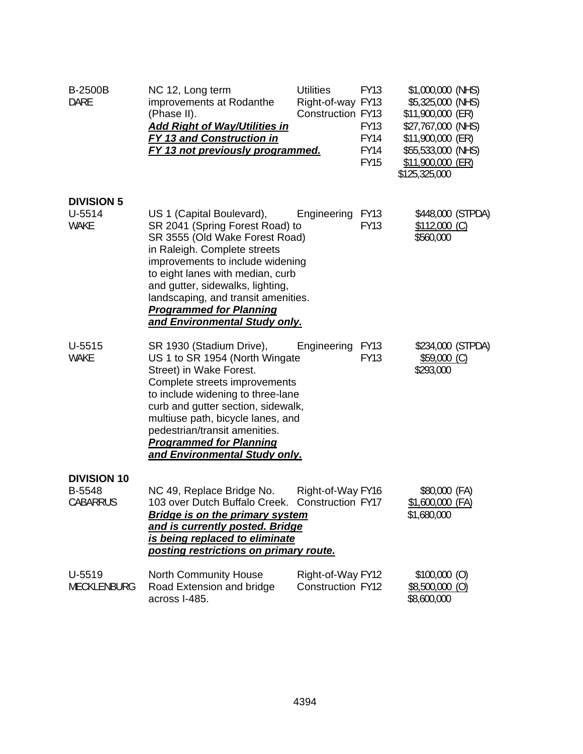| <b>B-2500B</b><br><b>DARE</b>                   | NC 12, Long term<br>improvements at Rodanthe<br>(Phase II).<br><b>Add Right of Way/Utilities in</b><br>FY 13 and Construction in<br>FY 13 not previously programmed.                                                                                                                                                                                 | <b>Utilities</b><br>Right-of-way FY13<br><b>Construction FY13</b> | <b>FY13</b><br><b>FY13</b><br>FY14<br><b>FY14</b><br><b>FY15</b> | \$1,000,000 (NHS)<br>\$5,325,000 (NHS)<br>\$11,900,000 (ER)<br>\$27,767,000 (NHS)<br>\$11,900,000 (ER)<br>\$55,533,000 (NHS)<br>\$11,900,000 (ER)<br>\$125,325,000 |  |
|-------------------------------------------------|------------------------------------------------------------------------------------------------------------------------------------------------------------------------------------------------------------------------------------------------------------------------------------------------------------------------------------------------------|-------------------------------------------------------------------|------------------------------------------------------------------|--------------------------------------------------------------------------------------------------------------------------------------------------------------------|--|
| <b>DIVISION 5</b><br>$U-5514$<br><b>WAKE</b>    | US 1 (Capital Boulevard),<br>SR 2041 (Spring Forest Road) to<br>SR 3555 (Old Wake Forest Road)<br>in Raleigh. Complete streets<br>improvements to include widening<br>to eight lanes with median, curb<br>and gutter, sidewalks, lighting,<br>landscaping, and transit amenities.<br><b>Programmed for Planning</b><br>and Environmental Study only. | Engineering                                                       | <b>FY13</b><br><b>FY13</b>                                       | \$448,000 (STPDA)<br>$$112,000$ (C)<br>\$560,000                                                                                                                   |  |
| $U-5515$<br><b>WAKE</b>                         | SR 1930 (Stadium Drive),<br>US 1 to SR 1954 (North Wingate<br>Street) in Wake Forest.<br>Complete streets improvements<br>to include widening to three-lane<br>curb and gutter section, sidewalk,<br>multiuse path, bicycle lanes, and<br>pedestrian/transit amenities.<br><b>Programmed for Planning</b><br>and Environmental Study only.           | Engineering                                                       | <b>FY13</b><br><b>FY13</b>                                       | \$234,000 (STPDA)<br>$$59,000$ (C)<br>\$293,000                                                                                                                    |  |
| <b>DIVISION 10</b><br>B-5548<br><b>CABARRUS</b> | NC 49, Replace Bridge No.<br>103 over Dutch Buffalo Creek.<br><b>Bridge is on the primary system</b><br>and is currently posted. Bridge<br>is being replaced to eliminate<br>posting restrictions on primary route.                                                                                                                                  | Right-of-Way FY16<br>Construction FY17                            |                                                                  | \$80,000 (FA)<br>$$1,600,000$ (FA)<br>\$1,680,000                                                                                                                  |  |
| U-5519<br>MECKLENBURG                           | North Community House<br>Road Extension and bridge<br>across I-485.                                                                                                                                                                                                                                                                                  | Right-of-Way FY12<br><b>Construction FY12</b>                     |                                                                  | $$100,000$ (O)<br>$$8,500,000$ (O)<br>\$8,600,000                                                                                                                  |  |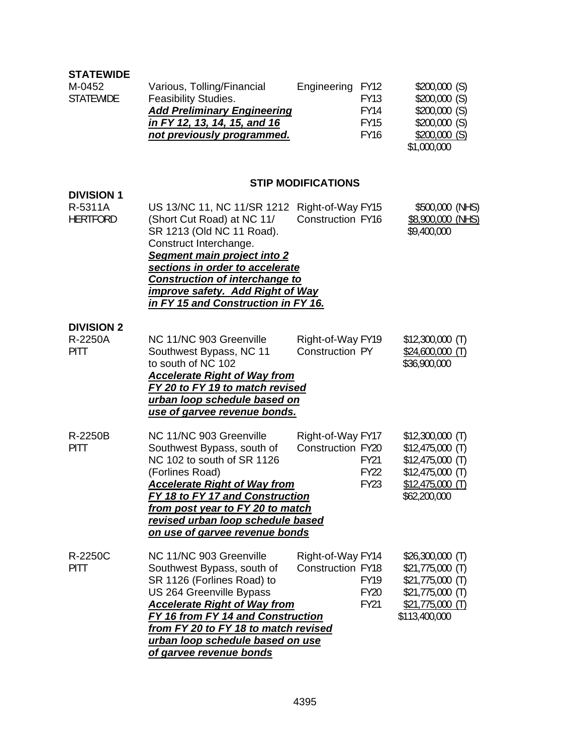| <b>STATEWIDE</b><br>M-0452<br><b>STATEWIDE</b>  | Various, Tolling/Financial<br>Feasibility Studies.<br><b>Add Preliminary Engineering</b><br>in FY 12, 13, 14, 15, and 16<br>not previously programmed.                                                                                                                                             | Engineering<br>FY12<br><b>FY13</b><br><b>FY14</b><br><b>FY15</b><br><b>FY16</b>            | \$200,000(S)<br>\$200,000(S)<br>\$200,000(S)<br>\$200,000(S)<br>\$200,000(S)<br>\$1,000,000                            |
|-------------------------------------------------|----------------------------------------------------------------------------------------------------------------------------------------------------------------------------------------------------------------------------------------------------------------------------------------------------|--------------------------------------------------------------------------------------------|------------------------------------------------------------------------------------------------------------------------|
|                                                 |                                                                                                                                                                                                                                                                                                    | <b>STIP MODIFICATIONS</b>                                                                  |                                                                                                                        |
| <b>DIVISION 1</b><br>R-5311A<br><b>HERTFORD</b> | US 13/NC 11, NC 11/SR 1212 Right-of-Way FY15<br>(Short Cut Road) at NC 11/<br>SR 1213 (Old NC 11 Road).<br>Construct Interchange.<br><b>Segment main project into 2</b><br>sections in order to accelerate<br><b>Construction of interchange to</b>                                                | <b>Construction FY16</b>                                                                   | \$500,000 (NHS)<br>\$8,900,000 (NHS)<br>\$9,400,000                                                                    |
|                                                 | <b>improve safety. Add Right of Way</b><br>in FY 15 and Construction in FY 16.                                                                                                                                                                                                                     |                                                                                            |                                                                                                                        |
| <b>DIVISION 2</b><br>R-2250A<br><b>PITT</b>     | NC 11/NC 903 Greenville<br>Southwest Bypass, NC 11<br>to south of NC 102<br><b>Accelerate Right of Way from</b><br>FY 20 to FY 19 to match revised<br>urban loop schedule based on<br><u>use of garvee revenue bonds.</u>                                                                          | Right-of-Way FY19<br>Construction PY                                                       | $$12,300,000$ (T)<br>$$24,600,000$ (T)<br>\$36,900,000                                                                 |
| R-2250B<br><b>PITT</b>                          | NC 11/NC 903 Greenville<br>Southwest Bypass, south of<br>NC 102 to south of SR 1126<br>(Forlines Road)<br><b>Accelerate Right of Way from</b><br><u>FY 18 to FY 17 and Construction</u><br>from post year to FY 20 to match<br>revised urban loop schedule based<br>on use of garvee revenue bonds | Right-of-Way FY17<br>Construction FY20<br><b>FY21</b><br><b>FY22</b><br><b>FY23</b>        | $$12,300,000$ (T)<br>$$12,475,000$ (T)<br>$$12,475,000$ (T)<br>$$12,475,000$ (T)<br>$$12,475,000$ (T)<br>\$62,200,000  |
| R-2250C<br><b>PITT</b>                          | NC 11/NC 903 Greenville<br>Southwest Bypass, south of<br>SR 1126 (Forlines Road) to<br>US 264 Greenville Bypass<br><b>Accelerate Right of Way from</b><br>FY 16 from FY 14 and Construction<br>from FY 20 to FY 18 to match revised<br>urban loop schedule based on use<br>of garvee revenue bonds | Right-of-Way FY14<br><b>Construction FY18</b><br><b>FY19</b><br><b>FY20</b><br><b>FY21</b> | $$26,300,000$ (T)<br>$$21,775,000$ (T)<br>$$21,775,000$ (T)<br>$$21,775,000$ (T)<br>$$21,775,000$ (T)<br>\$113,400,000 |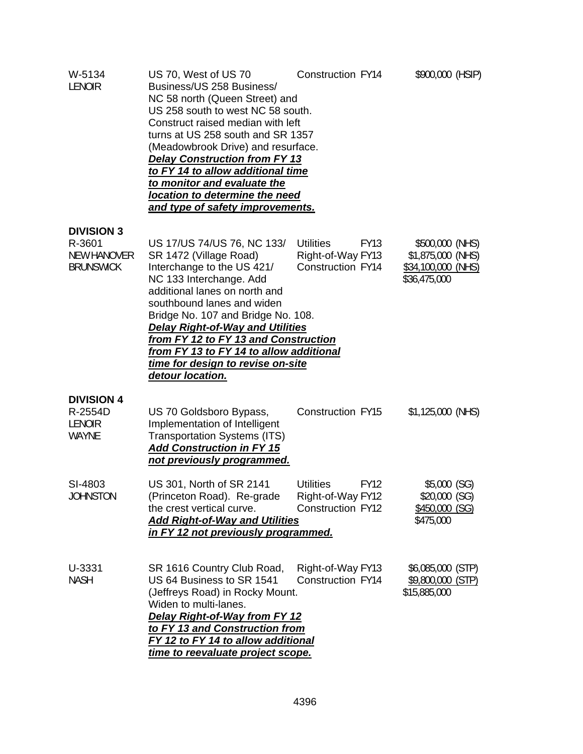| W-5134<br><b>LENOIR</b>                                               | US 70, West of US 70<br>Business/US 258 Business/<br>NC 58 north (Queen Street) and<br>US 258 south to west NC 58 south.<br>Construct raised median with left<br>turns at US 258 south and SR 1357<br>(Meadowbrook Drive) and resurface.<br><b>Delay Construction from FY 13</b><br>to FY 14 to allow additional time<br><u>to monitor and evaluate the </u><br>location to determine the need<br><u>and type of safety improvements.</u> | Construction FY14                                                                | \$900,000 (HSIP)                                                           |
|-----------------------------------------------------------------------|-------------------------------------------------------------------------------------------------------------------------------------------------------------------------------------------------------------------------------------------------------------------------------------------------------------------------------------------------------------------------------------------------------------------------------------------|----------------------------------------------------------------------------------|----------------------------------------------------------------------------|
| <b>DIVISION 3</b><br>R-3601<br><b>NEW HANOVER</b><br><b>BRUNSWICK</b> | US 17/US 74/US 76, NC 133/<br>SR 1472 (Village Road)<br>Interchange to the US 421/<br>NC 133 Interchange. Add<br>additional lanes on north and<br>southbound lanes and widen<br>Bridge No. 107 and Bridge No. 108.<br><b>Delay Right-of-Way and Utilities</b><br>from FY 12 to FY 13 and Construction<br>from FY 13 to FY 14 to allow additional<br>time for design to revise on-site<br>detour location.                                 | <b>Utilities</b><br><b>FY13</b><br>Right-of-Way FY13<br>Construction FY14        | \$500,000 (NHS)<br>\$1,875,000 (NHS)<br>\$34,100,000 (NHS)<br>\$36,475,000 |
| <b>DIVISION 4</b><br>R-2554D<br><b>LENOIR</b><br><b>WAYNE</b>         | US 70 Goldsboro Bypass,<br>Implementation of Intelligent<br><b>Transportation Systems (ITS)</b><br><b>Add Construction in FY 15</b><br>not previously programmed.                                                                                                                                                                                                                                                                         | Construction FY15                                                                | \$1,125,000 (NHS)                                                          |
| SI-4803<br>JOHNSTON                                                   | US 301, North of SR 2141<br>(Princeton Road). Re-grade<br>the crest vertical curve.<br><b>Add Right-of-Way and Utilities</b><br>in FY 12 not previously programmed.                                                                                                                                                                                                                                                                       | <b>Utilities</b><br><b>FY12</b><br>Right-of-Way FY12<br><b>Construction FY12</b> | \$5,000 (SG)<br>\$20,000 (SG)<br>\$450,000 (SG)<br>\$475,000               |
| U-3331<br><b>NASH</b>                                                 | SR 1616 Country Club Road,<br>US 64 Business to SR 1541<br>(Jeffreys Road) in Rocky Mount.<br>Widen to multi-lanes.<br>Delay Right-of-Way from FY 12<br>to FY 13 and Construction from<br>FY 12 to FY 14 to allow additional<br>time to reevaluate project scope.                                                                                                                                                                         | Right-of-Way FY13<br>Construction FY14                                           | \$6,085,000 (STP)<br>\$9,800,000 (STP)<br>\$15,885,000                     |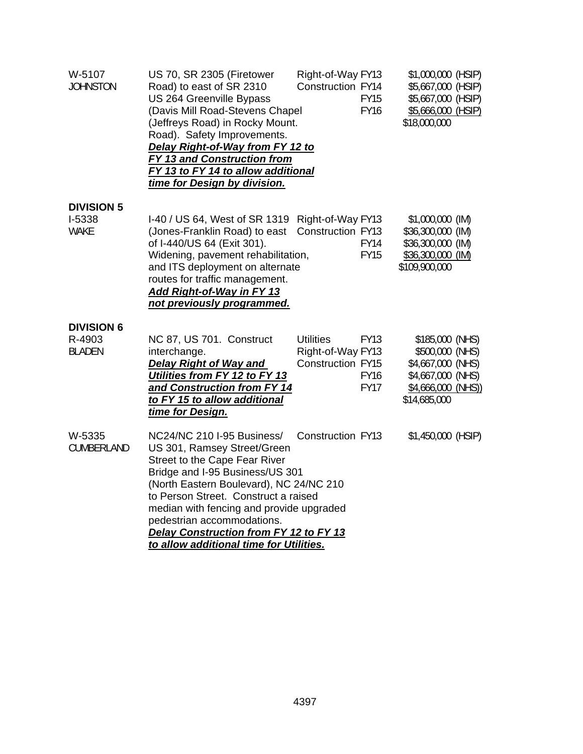| W-5107<br><b>JOHNSTON</b>                    | US 70, SR 2305 (Firetower<br>Road) to east of SR 2310<br>US 264 Greenville Bypass<br>(Davis Mill Road-Stevens Chapel<br>(Jeffreys Road) in Rocky Mount.<br>Road). Safety Improvements.<br>Delay Right-of-Way from FY 12 to<br><b>FY 13 and Construction from</b><br>FY 13 to FY 14 to allow additional<br>time for Design by division.                                          | Right-of-Way FY13<br>Construction FY14<br><b>FY15</b><br><b>FY16</b>                                    | \$1,000,000 (HSIP)<br>\$5,667,000 (HSIP)<br>\$5,667,000 (HSIP)<br>\$5,666,000 (HSIP)<br>\$18,000,000                |
|----------------------------------------------|---------------------------------------------------------------------------------------------------------------------------------------------------------------------------------------------------------------------------------------------------------------------------------------------------------------------------------------------------------------------------------|---------------------------------------------------------------------------------------------------------|---------------------------------------------------------------------------------------------------------------------|
| <b>DIVISION 5</b><br>I-5338<br><b>WAKE</b>   | I-40 / US 64, West of SR 1319 Right-of-Way FY13<br>(Jones-Franklin Road) to east<br>of I-440/US 64 (Exit 301).                                                                                                                                                                                                                                                                  | Construction FY13<br><b>FY14</b>                                                                        | \$1,000,000 (IM)<br>\$36,300,000 (IM)<br>\$36,300,000 (IM)                                                          |
|                                              | Widening, pavement rehabilitation,<br>and ITS deployment on alternate<br>routes for traffic management.<br>Add Right-of-Way in FY 13<br>not previously programmed.                                                                                                                                                                                                              | <b>FY15</b>                                                                                             | \$36,300,000 (IM)<br>\$109,900,000                                                                                  |
| <b>DIVISION 6</b><br>R-4903<br><b>BLADEN</b> | NC 87, US 701. Construct<br>interchange.<br><b>Delay Right of Way and</b><br>Utilities from FY 12 to FY 13<br>and Construction from FY 14<br>to FY 15 to allow additional<br>time for Design.                                                                                                                                                                                   | <b>Utilities</b><br><b>FY13</b><br>Right-of-Way FY13<br>Construction FY15<br><b>FY16</b><br><b>FY17</b> | \$185,000 (NHS)<br>\$500,000 (NHS)<br>\$4,667,000 (NHS)<br>\$4,667,000 (NHS)<br>$$4,666,000$ (NHS))<br>\$14,685,000 |
| W-5335<br>CUMBERLAND                         | NC24/NC 210 I-95 Business/<br>US 301, Ramsey Street/Green<br>Street to the Cape Fear River<br>Bridge and I-95 Business/US 301<br>(North Eastern Boulevard), NC 24/NC 210<br>to Person Street. Construct a raised<br>median with fencing and provide upgraded<br>pedestrian accommodations.<br>Delay Construction from FY 12 to FY 13<br>to allow additional time for Utilities. | <b>Construction FY13</b>                                                                                | \$1,450,000 (HSIP)                                                                                                  |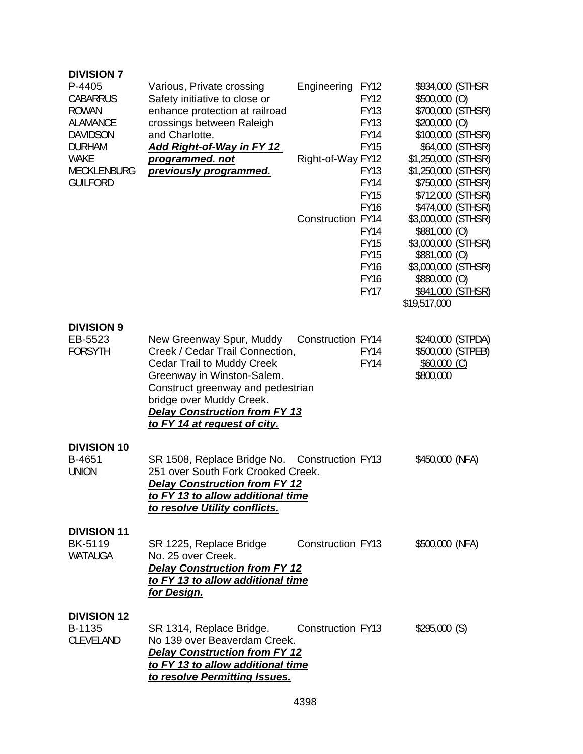| <b>DIVISION 7</b><br>P-4405<br><b>CABARRUS</b><br><b>ROWAN</b><br><b>ALAMANCE</b><br><b>DAVIDSON</b><br><b>DURHAM</b> | Various, Private crossing<br>Safety initiative to close or<br>enhance protection at railroad<br>crossings between Raleigh<br>and Charlotte.<br><u>Add Right-of-Way in FY 12</u>                                                                                                | Engineering              | <b>FY12</b><br><b>FY12</b><br><b>FY13</b><br><b>FY13</b><br><b>FY14</b><br><b>FY15</b> | \$934,000 (STHSR<br>$$500,000$ (O)<br>$$200,000$ (O)                                                                                                      | \$700,000 (STHSR)<br>\$100,000 (STHSR)<br>\$64,000 (STHSR)  |
|-----------------------------------------------------------------------------------------------------------------------|--------------------------------------------------------------------------------------------------------------------------------------------------------------------------------------------------------------------------------------------------------------------------------|--------------------------|----------------------------------------------------------------------------------------|-----------------------------------------------------------------------------------------------------------------------------------------------------------|-------------------------------------------------------------|
| <b>WAKE</b><br><b>MECKLENBURG</b><br><b>GUILFORD</b>                                                                  | programmed. not<br>previously programmed.                                                                                                                                                                                                                                      | Right-of-Way FY12        | <b>FY13</b><br><b>FY14</b><br><b>FY15</b><br><b>FY16</b>                               | \$1,250,000 (STHSR)<br>\$1,250,000 (STHSR)                                                                                                                | \$750,000 (STHSR)<br>\$712,000 (STHSR)<br>\$474,000 (STHSR) |
|                                                                                                                       |                                                                                                                                                                                                                                                                                | Construction FY14        | <b>FY14</b><br><b>FY15</b><br><b>FY15</b><br><b>FY16</b><br><b>FY16</b><br><b>FY17</b> | \$3,000,000 (STHSR)<br>\$881,000 (O)<br>\$3,000,000 (STHSR)<br>\$881,000 (O)<br>\$3,000,000 (STHSR)<br>\$880,000 (O)<br>\$941,000 (STHSR)<br>\$19,517,000 |                                                             |
| <b>DIVISION 9</b><br>EB-5523<br><b>FORSYTH</b>                                                                        | New Greenway Spur, Muddy<br>Creek / Cedar Trail Connection,<br><b>Cedar Trail to Muddy Creek</b><br>Greenway in Winston-Salem.<br>Construct greenway and pedestrian<br>bridge over Muddy Creek.<br><b>Delay Construction from FY 13</b><br><u>to FY 14 at request of city.</u> | Construction FY14        | <b>FY14</b><br><b>FY14</b>                                                             | \$240,000 (STPDA)<br>\$500,000 (STPEB)<br>$$60,000$ (C)<br>\$800,000                                                                                      |                                                             |
| <b>DIVISION 10</b><br>B-4651<br><b>UNION</b>                                                                          | SR 1508, Replace Bridge No. Construction FY13<br>251 over South Fork Crooked Creek.<br><b>Delay Construction from FY 12</b><br>to FY 13 to allow additional time<br>to resolve Utility conflicts.                                                                              |                          |                                                                                        | \$450,000 (NFA)                                                                                                                                           |                                                             |
| <b>DIVISION 11</b><br><b>BK-5119</b><br>WATAUGA                                                                       | SR 1225, Replace Bridge<br>No. 25 over Creek.<br><b>Delay Construction from FY 12</b><br>to FY 13 to allow additional time<br><u>for Design.</u>                                                                                                                               | <b>Construction FY13</b> |                                                                                        | \$500,000 (NFA)                                                                                                                                           |                                                             |
| <b>DIVISION 12</b><br>B-1135<br>CLEVELAND                                                                             | SR 1314, Replace Bridge.<br>No 139 over Beaverdam Creek.<br><b>Delay Construction from FY 12</b><br>to FY 13 to allow additional time<br><u>to resolve Permitting Issues.</u>                                                                                                  | <b>Construction FY13</b> |                                                                                        | \$295,000(S)                                                                                                                                              |                                                             |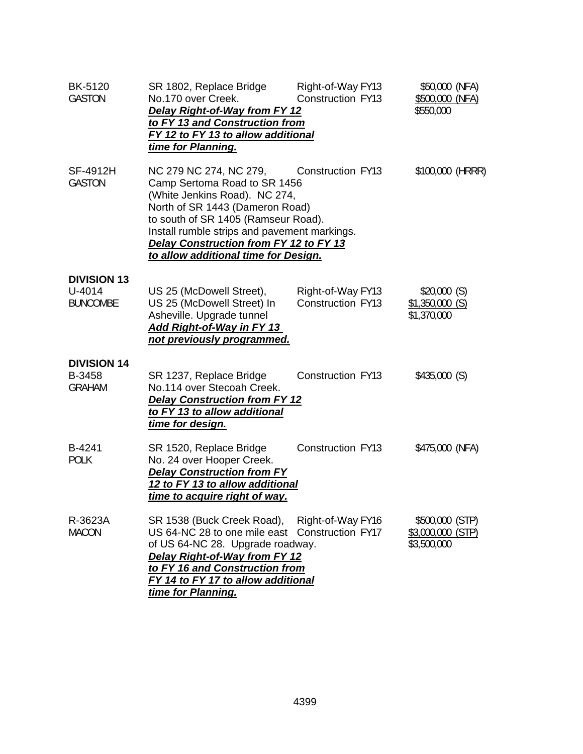| <b>BK-5120</b><br><b>GASTON</b>                     | SR 1802, Replace Bridge<br>No.170 over Creek.<br><b>Delay Right-of-Way from FY 12</b><br>to FY 13 and Construction from<br>FY 12 to FY 13 to allow additional<br>time for Planning.                                                                                                                                   | Right-of-Way FY13<br><b>Construction FY13</b> | \$50,000 (NFA)<br>\$500,000 (NFA)<br>\$550,000      |
|-----------------------------------------------------|-----------------------------------------------------------------------------------------------------------------------------------------------------------------------------------------------------------------------------------------------------------------------------------------------------------------------|-----------------------------------------------|-----------------------------------------------------|
| SF-4912H<br><b>GASTON</b>                           | NC 279 NC 274, NC 279, Construction FY13<br>Camp Sertoma Road to SR 1456<br>(White Jenkins Road). NC 274,<br>North of SR 1443 (Dameron Road)<br>to south of SR 1405 (Ramseur Road).<br>Install rumble strips and pavement markings.<br>Delay Construction from FY 12 to FY 13<br>to allow additional time for Design. |                                               | \$100,000 (HRRR)                                    |
| <b>DIVISION 13</b><br>$U - 4014$<br><b>BUNCOMBE</b> | US 25 (McDowell Street),<br>US 25 (McDowell Street) In<br>Asheville. Upgrade tunnel<br><b>Add Right-of-Way in FY 13</b><br>not previously programmed.                                                                                                                                                                 | Right-of-Way FY13<br><b>Construction FY13</b> | \$20,000(S)<br>$$1,350,000$ (S)<br>\$1,370,000      |
| <b>DIVISION 14</b><br>B-3458<br><b>GRAHAM</b>       | SR 1237, Replace Bridge<br>No.114 over Stecoah Creek.<br><b>Delay Construction from FY 12</b><br>to FY 13 to allow additional<br><u>time for design.</u>                                                                                                                                                              | <b>Construction FY13</b>                      | \$435,000(S)                                        |
| B-4241<br><b>POLK</b>                               | SR 1520, Replace Bridge<br>No. 24 over Hooper Creek.<br><b>Delay Construction from FY</b><br>12 to FY 13 to allow additional<br>time to acquire right of way.                                                                                                                                                         | <b>Construction FY13</b>                      | \$475,000 (NFA)                                     |
| R-3623A<br><b>MACON</b>                             | SR 1538 (Buck Creek Road), Right-of-Way FY16<br>US 64-NC 28 to one mile east<br>of US 64-NC 28. Upgrade roadway.<br>Delay Right-of-Way from FY 12<br>to FY 16 and Construction from<br>FY 14 to FY 17 to allow additional<br>time for Planning.                                                                       | Construction FY17                             | \$500,000 (STP)<br>\$3,000,000 (STP)<br>\$3,500,000 |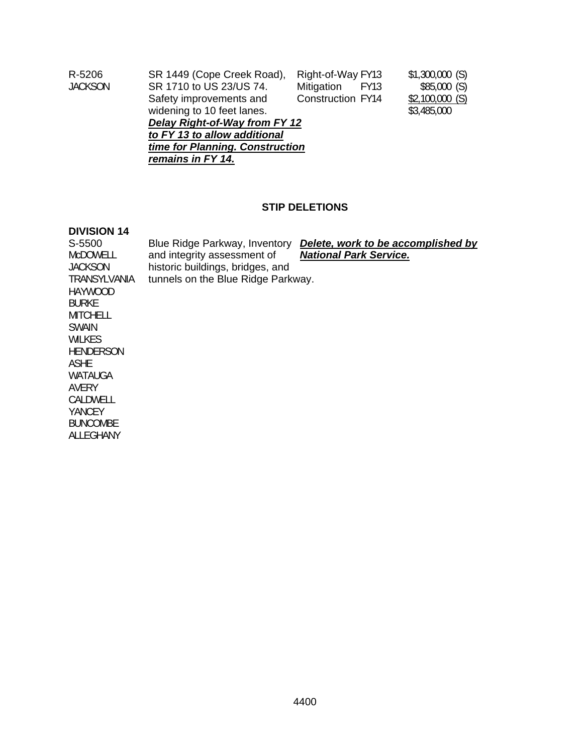| R-5206                          | SR 1449 (Cope Creek Road),                | Right-of-Way FY13 | \$1,300,000(S)   |  |  |
|---------------------------------|-------------------------------------------|-------------------|------------------|--|--|
| <b>JACKSON</b>                  | SR 1710 to US 23/US 74.                   | Mitigation FY13   | \$85,000(S)      |  |  |
|                                 | Safety improvements and                   | Construction FY14 | $$2,100,000$ (S) |  |  |
|                                 | widening to 10 feet lanes.<br>\$3,485,000 |                   |                  |  |  |
|                                 | Delay Right-of-Way from FY 12             |                   |                  |  |  |
| to FY 13 to allow additional    |                                           |                   |                  |  |  |
| time for Planning. Construction |                                           |                   |                  |  |  |
|                                 | remains in FY 14.                         |                   |                  |  |  |

# **STIP DELETIONS**

#### **DIVISION 14**

ALLEGHANY

| S-5500          | Blue Ridge Parkway, Inventory      | Delete, work to be accomplished by |
|-----------------|------------------------------------|------------------------------------|
| <b>MCDOWELL</b> | and integrity assessment of        | <b>National Park Service.</b>      |
| <b>JACKSON</b>  | historic buildings, bridges, and   |                                    |
| TRANSYLVANIA    | tunnels on the Blue Ridge Parkway. |                                    |
| HAYWOOD         |                                    |                                    |
| <b>BURKE</b>    |                                    |                                    |
| MITCHELL        |                                    |                                    |
| SWAIN           |                                    |                                    |
| WILKES          |                                    |                                    |
| HENDERSON       |                                    |                                    |
| ASHE            |                                    |                                    |
| WATAUGA         |                                    |                                    |
| AVERY           |                                    |                                    |
| CALDWELL        |                                    |                                    |
| YANCEY          |                                    |                                    |
| <b>BUNCOMBE</b> |                                    |                                    |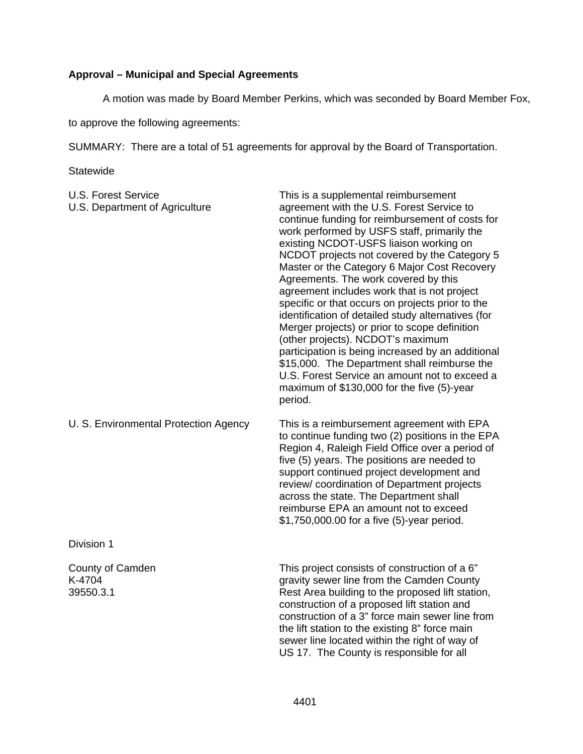# **Approval – Municipal and Special Agreements**

A motion was made by Board Member Perkins, which was seconded by Board Member Fox,

to approve the following agreements:

SUMMARY: There are a total of 51 agreements for approval by the Board of Transportation.

**Statewide** 

| <b>U.S. Forest Service</b><br>U.S. Department of Agriculture | This is a supplemental reimbursement<br>agreement with the U.S. Forest Service to<br>continue funding for reimbursement of costs for<br>work performed by USFS staff, primarily the<br>existing NCDOT-USFS liaison working on<br>NCDOT projects not covered by the Category 5<br>Master or the Category 6 Major Cost Recovery<br>Agreements. The work covered by this<br>agreement includes work that is not project<br>specific or that occurs on projects prior to the<br>identification of detailed study alternatives (for<br>Merger projects) or prior to scope definition<br>(other projects). NCDOT's maximum<br>participation is being increased by an additional<br>\$15,000. The Department shall reimburse the<br>U.S. Forest Service an amount not to exceed a<br>maximum of \$130,000 for the five (5)-year<br>period. |
|--------------------------------------------------------------|-------------------------------------------------------------------------------------------------------------------------------------------------------------------------------------------------------------------------------------------------------------------------------------------------------------------------------------------------------------------------------------------------------------------------------------------------------------------------------------------------------------------------------------------------------------------------------------------------------------------------------------------------------------------------------------------------------------------------------------------------------------------------------------------------------------------------------------|
| U. S. Environmental Protection Agency                        | This is a reimbursement agreement with EPA<br>to continue funding two (2) positions in the EPA<br>Region 4, Raleigh Field Office over a period of<br>five (5) years. The positions are needed to<br>support continued project development and<br>review/ coordination of Department projects<br>across the state. The Department shall<br>reimburse EPA an amount not to exceed<br>\$1,750,000.00 for a five (5)-year period.                                                                                                                                                                                                                                                                                                                                                                                                       |
| Division 1                                                   |                                                                                                                                                                                                                                                                                                                                                                                                                                                                                                                                                                                                                                                                                                                                                                                                                                     |
| County of Camden<br>K-4704<br>39550.3.1                      | This project consists of construction of a 6"<br>gravity sewer line from the Camden County<br>Rest Area building to the proposed lift station,<br>construction of a proposed lift station and<br>construction of a 3" force main sewer line from<br>the lift station to the existing 8" force main<br>sewer line located within the right of way of<br>US 17. The County is responsible for all                                                                                                                                                                                                                                                                                                                                                                                                                                     |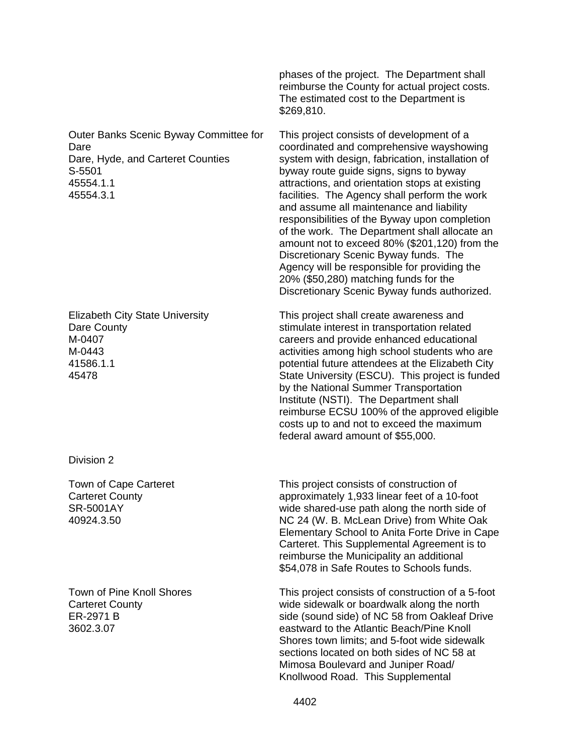Outer Banks Scenic Byway Committee for Dare Dare, Hyde, and Carteret Counties S-5501 45554.1.1 45554.3.1

Elizabeth City State University Dare County M-0407 M-0443 41586.1.1 45478

Division 2

Town of Cape Carteret Carteret County SR-5001AY 40924.3.50

Town of Pine Knoll Shores Carteret County ER-2971 B 3602.3.07

phases of the project. The Department shall reimburse the County for actual project costs. The estimated cost to the Department is \$269,810.

This project consists of development of a coordinated and comprehensive wayshowing system with design, fabrication, installation of byway route guide signs, signs to byway attractions, and orientation stops at existing facilities. The Agency shall perform the work and assume all maintenance and liability responsibilities of the Byway upon completion of the work. The Department shall allocate an amount not to exceed 80% (\$201,120) from the Discretionary Scenic Byway funds. The Agency will be responsible for providing the 20% (\$50,280) matching funds for the Discretionary Scenic Byway funds authorized.

This project shall create awareness and stimulate interest in transportation related careers and provide enhanced educational activities among high school students who are potential future attendees at the Elizabeth City State University (ESCU). This project is funded by the National Summer Transportation Institute (NSTI). The Department shall reimburse ECSU 100% of the approved eligible costs up to and not to exceed the maximum federal award amount of \$55,000.

This project consists of construction of approximately 1,933 linear feet of a 10-foot wide shared-use path along the north side of NC 24 (W. B. McLean Drive) from White Oak Elementary School to Anita Forte Drive in Cape Carteret. This Supplemental Agreement is to reimburse the Municipality an additional \$54,078 in Safe Routes to Schools funds.

This project consists of construction of a 5-foot wide sidewalk or boardwalk along the north side (sound side) of NC 58 from Oakleaf Drive eastward to the Atlantic Beach/Pine Knoll Shores town limits; and 5-foot wide sidewalk sections located on both sides of NC 58 at Mimosa Boulevard and Juniper Road/ Knollwood Road. This Supplemental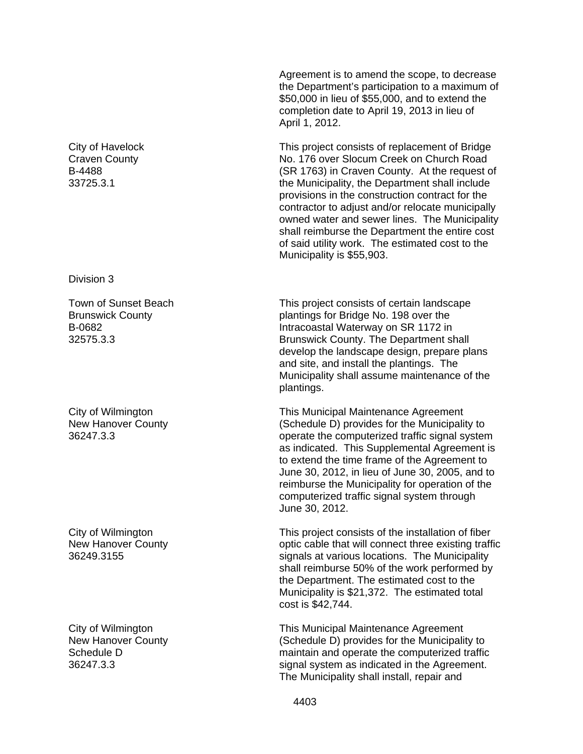City of Havelock Craven County B-4488 33725.3.1

Division 3

Town of Sunset Beach Brunswick County B-0682 32575.3.3

City of Wilmington New Hanover County 36247.3.3

City of Wilmington New Hanover County 36249.3155

City of Wilmington New Hanover County Schedule D 36247.3.3

Agreement is to amend the scope, to decrease the Department's participation to a maximum of \$50,000 in lieu of \$55,000, and to extend the completion date to April 19, 2013 in lieu of April 1, 2012.

This project consists of replacement of Bridge No. 176 over Slocum Creek on Church Road (SR 1763) in Craven County. At the request of the Municipality, the Department shall include provisions in the construction contract for the contractor to adjust and/or relocate municipally owned water and sewer lines. The Municipality shall reimburse the Department the entire cost of said utility work. The estimated cost to the Municipality is \$55,903.

This project consists of certain landscape plantings for Bridge No. 198 over the Intracoastal Waterway on SR 1172 in Brunswick County. The Department shall develop the landscape design, prepare plans and site, and install the plantings. The Municipality shall assume maintenance of the plantings.

This Municipal Maintenance Agreement (Schedule D) provides for the Municipality to operate the computerized traffic signal system as indicated. This Supplemental Agreement is to extend the time frame of the Agreement to June 30, 2012, in lieu of June 30, 2005, and to reimburse the Municipality for operation of the computerized traffic signal system through June 30, 2012.

This project consists of the installation of fiber optic cable that will connect three existing traffic signals at various locations. The Municipality shall reimburse 50% of the work performed by the Department. The estimated cost to the Municipality is \$21,372. The estimated total cost is \$42,744.

This Municipal Maintenance Agreement (Schedule D) provides for the Municipality to maintain and operate the computerized traffic signal system as indicated in the Agreement. The Municipality shall install, repair and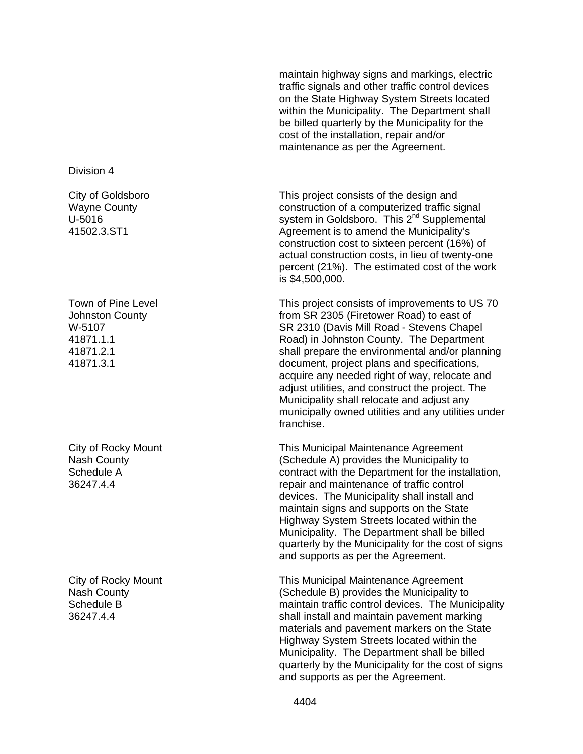Division 4

City of Goldsboro Wayne County U-5016 41502.3.ST1

Town of Pine Level Johnston County W-5107 41871.1.1 41871.2.1 41871.3.1

City of Rocky Mount Nash County Schedule A 36247.4.4

City of Rocky Mount Nash County Schedule B 36247.4.4

maintain highway signs and markings, electric traffic signals and other traffic control devices on the State Highway System Streets located within the Municipality. The Department shall be billed quarterly by the Municipality for the cost of the installation, repair and/or maintenance as per the Agreement.

This project consists of the design and construction of a computerized traffic signal system in Goldsboro. This 2<sup>nd</sup> Supplemental Agreement is to amend the Municipality's construction cost to sixteen percent (16%) of actual construction costs, in lieu of twenty-one percent (21%). The estimated cost of the work is \$4,500,000.

This project consists of improvements to US 70 from SR 2305 (Firetower Road) to east of SR 2310 (Davis Mill Road - Stevens Chapel Road) in Johnston County. The Department shall prepare the environmental and/or planning document, project plans and specifications, acquire any needed right of way, relocate and adjust utilities, and construct the project. The Municipality shall relocate and adjust any municipally owned utilities and any utilities under franchise.

This Municipal Maintenance Agreement (Schedule A) provides the Municipality to contract with the Department for the installation, repair and maintenance of traffic control devices. The Municipality shall install and maintain signs and supports on the State Highway System Streets located within the Municipality. The Department shall be billed quarterly by the Municipality for the cost of signs and supports as per the Agreement.

This Municipal Maintenance Agreement (Schedule B) provides the Municipality to maintain traffic control devices. The Municipality shall install and maintain pavement marking materials and pavement markers on the State Highway System Streets located within the Municipality. The Department shall be billed quarterly by the Municipality for the cost of signs and supports as per the Agreement.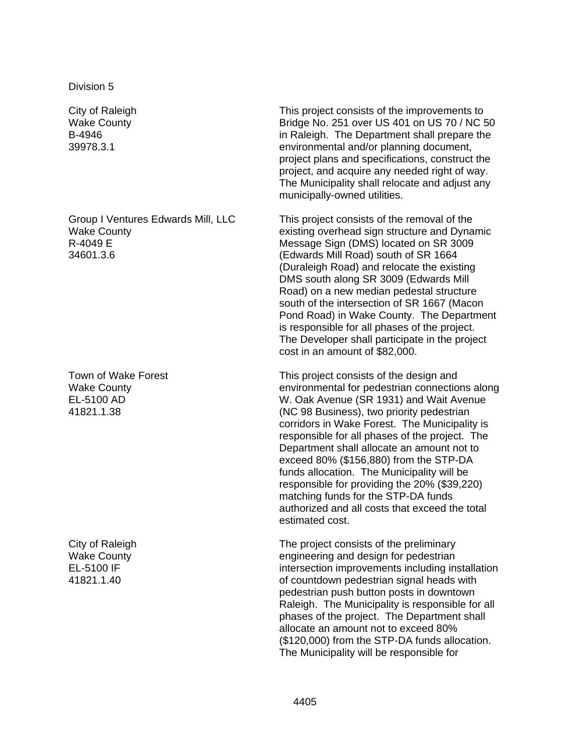Division 5

City of Raleigh Wake County B-4946 39978.3.1

Group I Ventures Edwards Mill, LLC Wake County R-4049 E 34601.3.6

Town of Wake Forest Wake County EL-5100 AD 41821.1.38

City of Raleigh Wake County EL-5100 IF 41821.1.40

This project consists of the improvements to Bridge No. 251 over US 401 on US 70 / NC 50 in Raleigh. The Department shall prepare the environmental and/or planning document, project plans and specifications, construct the project, and acquire any needed right of way. The Municipality shall relocate and adjust any municipally-owned utilities.

This project consists of the removal of the existing overhead sign structure and Dynamic Message Sign (DMS) located on SR 3009 (Edwards Mill Road) south of SR 1664 (Duraleigh Road) and relocate the existing DMS south along SR 3009 (Edwards Mill Road) on a new median pedestal structure south of the intersection of SR 1667 (Macon Pond Road) in Wake County. The Department is responsible for all phases of the project. The Developer shall participate in the project cost in an amount of \$82,000.

This project consists of the design and environmental for pedestrian connections along W. Oak Avenue (SR 1931) and Wait Avenue (NC 98 Business), two priority pedestrian corridors in Wake Forest. The Municipality is responsible for all phases of the project. The Department shall allocate an amount not to exceed 80% (\$156,880) from the STP-DA funds allocation. The Municipality will be responsible for providing the 20% (\$39,220) matching funds for the STP-DA funds authorized and all costs that exceed the total estimated cost.

The project consists of the preliminary engineering and design for pedestrian intersection improvements including installation of countdown pedestrian signal heads with pedestrian push button posts in downtown Raleigh. The Municipality is responsible for all phases of the project. The Department shall allocate an amount not to exceed 80% (\$120,000) from the STP-DA funds allocation. The Municipality will be responsible for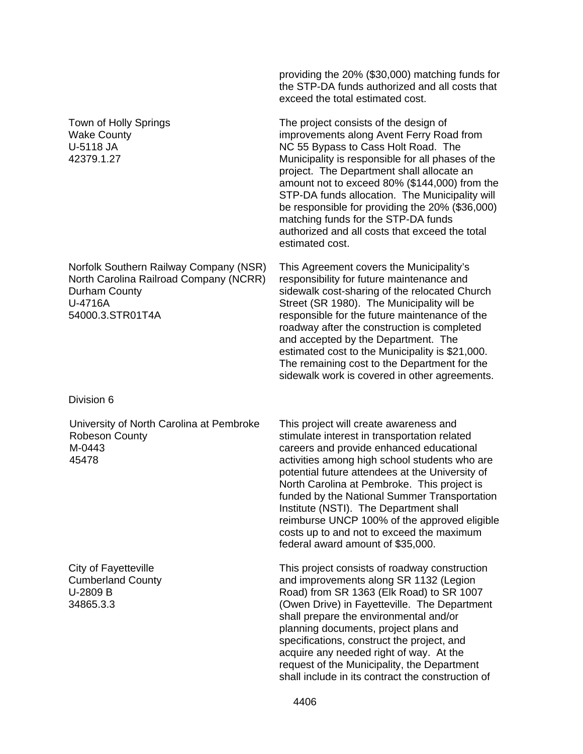|                                                                                                                                  | providing the 20% (\$30,000) matching funds for<br>the STP-DA funds authorized and all costs that<br>exceed the total estimated cost.                                                                                                                                                                                                                                                                                                                                                                             |
|----------------------------------------------------------------------------------------------------------------------------------|-------------------------------------------------------------------------------------------------------------------------------------------------------------------------------------------------------------------------------------------------------------------------------------------------------------------------------------------------------------------------------------------------------------------------------------------------------------------------------------------------------------------|
| Town of Holly Springs<br><b>Wake County</b><br>U-5118 JA<br>42379.1.27                                                           | The project consists of the design of<br>improvements along Avent Ferry Road from<br>NC 55 Bypass to Cass Holt Road. The<br>Municipality is responsible for all phases of the<br>project. The Department shall allocate an<br>amount not to exceed 80% (\$144,000) from the<br>STP-DA funds allocation. The Municipality will<br>be responsible for providing the 20% (\$36,000)<br>matching funds for the STP-DA funds<br>authorized and all costs that exceed the total<br>estimated cost.                      |
| Norfolk Southern Railway Company (NSR)<br>North Carolina Railroad Company (NCRR)<br>Durham County<br>U-4716A<br>54000.3.STR01T4A | This Agreement covers the Municipality's<br>responsibility for future maintenance and<br>sidewalk cost-sharing of the relocated Church<br>Street (SR 1980). The Municipality will be<br>responsible for the future maintenance of the<br>roadway after the construction is completed<br>and accepted by the Department. The<br>estimated cost to the Municipality is \$21,000.<br>The remaining cost to the Department for the<br>sidewalk work is covered in other agreements.                                   |
| Division 6                                                                                                                       |                                                                                                                                                                                                                                                                                                                                                                                                                                                                                                                   |
| University of North Carolina at Pembroke<br><b>Robeson County</b><br>M-0443<br>45478                                             | This project will create awareness and<br>stimulate interest in transportation related<br>careers and provide enhanced educational<br>activities among high school students who are<br>potential future attendees at the University of<br>North Carolina at Pembroke. This project is<br>funded by the National Summer Transportation<br>Institute (NSTI). The Department shall<br>reimburse UNCP 100% of the approved eligible<br>costs up to and not to exceed the maximum<br>federal award amount of \$35,000. |
| City of Fayetteville<br><b>Cumberland County</b><br>U-2809 B<br>34865.3.3                                                        | This project consists of roadway construction<br>and improvements along SR 1132 (Legion<br>Road) from SR 1363 (Elk Road) to SR 1007<br>(Owen Drive) in Fayetteville. The Department<br>shall prepare the environmental and/or<br>planning documents, project plans and<br>specifications, construct the project, and<br>acquire any needed right of way. At the<br>request of the Municipality, the Department<br>shall include in its contract the construction of                                               |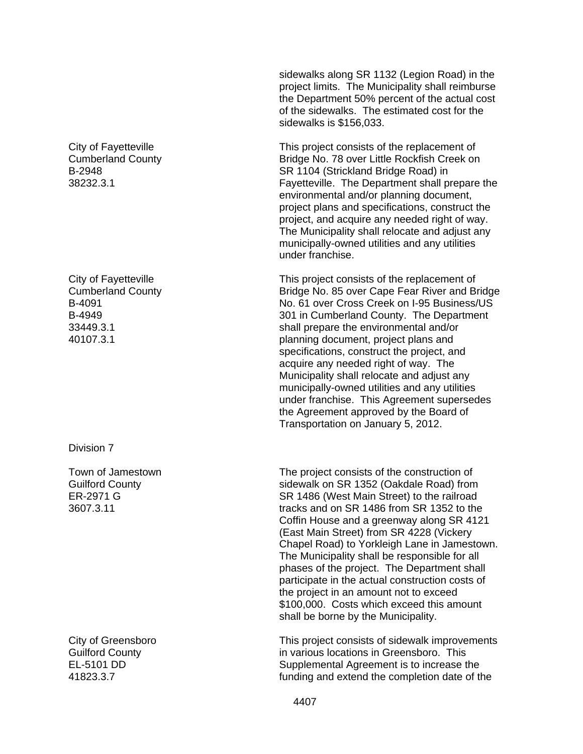City of Fayetteville Cumberland County B-2948 38232.3.1

City of Fayetteville Cumberland County B-4091 B-4949 33449.3.1 40107.3.1

Division 7

Town of Jamestown Guilford County ER-2971 G 3607.3.11

City of Greensboro Guilford County EL-5101 DD 41823.3.7

sidewalks along SR 1132 (Legion Road) in the project limits. The Municipality shall reimburse the Department 50% percent of the actual cost of the sidewalks. The estimated cost for the sidewalks is \$156,033.

This project consists of the replacement of Bridge No. 78 over Little Rockfish Creek on SR 1104 (Strickland Bridge Road) in Fayetteville. The Department shall prepare the environmental and/or planning document, project plans and specifications, construct the project, and acquire any needed right of way. The Municipality shall relocate and adjust any municipally-owned utilities and any utilities under franchise.

This project consists of the replacement of Bridge No. 85 over Cape Fear River and Bridge No. 61 over Cross Creek on I-95 Business/US 301 in Cumberland County. The Department shall prepare the environmental and/or planning document, project plans and specifications, construct the project, and acquire any needed right of way. The Municipality shall relocate and adjust any municipally-owned utilities and any utilities under franchise. This Agreement supersedes the Agreement approved by the Board of Transportation on January 5, 2012.

The project consists of the construction of sidewalk on SR 1352 (Oakdale Road) from SR 1486 (West Main Street) to the railroad tracks and on SR 1486 from SR 1352 to the Coffin House and a greenway along SR 4121 (East Main Street) from SR 4228 (Vickery Chapel Road) to Yorkleigh Lane in Jamestown. The Municipality shall be responsible for all phases of the project. The Department shall participate in the actual construction costs of the project in an amount not to exceed \$100,000. Costs which exceed this amount shall be borne by the Municipality.

This project consists of sidewalk improvements in various locations in Greensboro. This Supplemental Agreement is to increase the funding and extend the completion date of the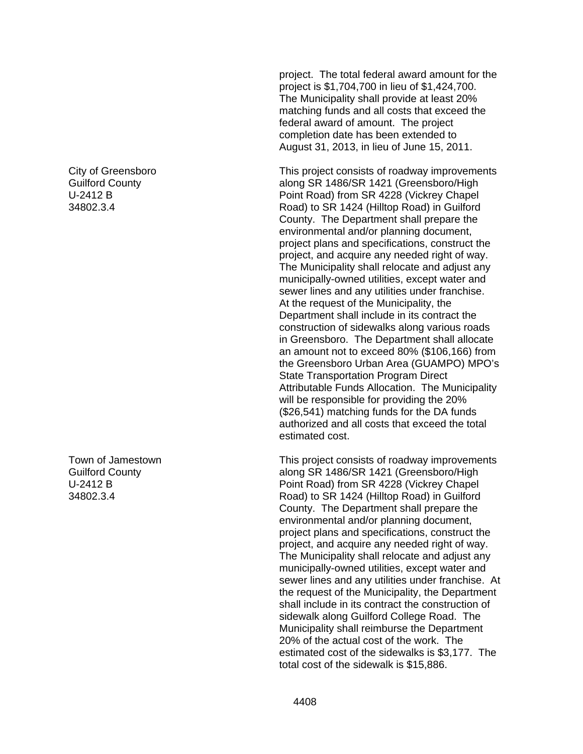City of Greensboro Guilford County U-2412 B 34802.3.4

Town of Jamestown Guilford County U-2412 B 34802.3.4

project. The total federal award amount for the project is \$1,704,700 in lieu of \$1,424,700. The Municipality shall provide at least 20% matching funds and all costs that exceed the federal award of amount. The project completion date has been extended to August 31, 2013, in lieu of June 15, 2011.

This project consists of roadway improvements along SR 1486/SR 1421 (Greensboro/High Point Road) from SR 4228 (Vickrey Chapel Road) to SR 1424 (Hilltop Road) in Guilford County. The Department shall prepare the environmental and/or planning document, project plans and specifications, construct the project, and acquire any needed right of way. The Municipality shall relocate and adjust any municipally-owned utilities, except water and sewer lines and any utilities under franchise. At the request of the Municipality, the Department shall include in its contract the construction of sidewalks along various roads in Greensboro. The Department shall allocate an amount not to exceed 80% (\$106,166) from the Greensboro Urban Area (GUAMPO) MPO's State Transportation Program Direct Attributable Funds Allocation. The Municipality will be responsible for providing the 20% (\$26,541) matching funds for the DA funds authorized and all costs that exceed the total estimated cost.

This project consists of roadway improvements along SR 1486/SR 1421 (Greensboro/High Point Road) from SR 4228 (Vickrey Chapel Road) to SR 1424 (Hilltop Road) in Guilford County. The Department shall prepare the environmental and/or planning document, project plans and specifications, construct the project, and acquire any needed right of way. The Municipality shall relocate and adjust any municipally-owned utilities, except water and sewer lines and any utilities under franchise. At the request of the Municipality, the Department shall include in its contract the construction of sidewalk along Guilford College Road. The Municipality shall reimburse the Department 20% of the actual cost of the work. The estimated cost of the sidewalks is \$3,177. The total cost of the sidewalk is \$15,886.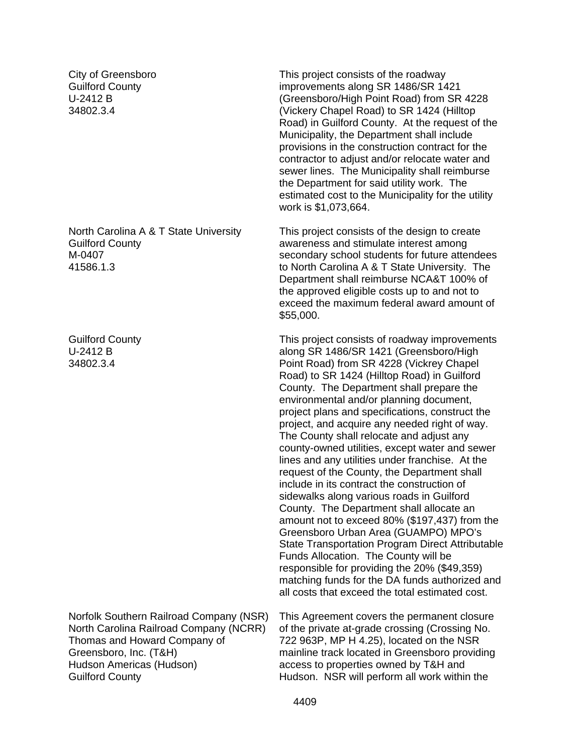City of Greensboro Guilford County U-2412 B 34802.3.4

North Carolina A & T State University Guilford County M-0407 41586.1.3

Guilford County U-2412 B 34802.3.4

Norfolk Southern Railroad Company (NSR) North Carolina Railroad Company (NCRR) Thomas and Howard Company of Greensboro, Inc. (T&H) Hudson Americas (Hudson) Guilford County

This project consists of the roadway improvements along SR 1486/SR 1421 (Greensboro/High Point Road) from SR 4228 (Vickery Chapel Road) to SR 1424 (Hilltop Road) in Guilford County. At the request of the Municipality, the Department shall include provisions in the construction contract for the contractor to adjust and/or relocate water and sewer lines. The Municipality shall reimburse the Department for said utility work. The estimated cost to the Municipality for the utility work is \$1,073,664.

This project consists of the design to create awareness and stimulate interest among secondary school students for future attendees to North Carolina A & T State University. The Department shall reimburse NCA&T 100% of the approved eligible costs up to and not to exceed the maximum federal award amount of \$55,000.

This project consists of roadway improvements along SR 1486/SR 1421 (Greensboro/High Point Road) from SR 4228 (Vickrey Chapel Road) to SR 1424 (Hilltop Road) in Guilford County. The Department shall prepare the environmental and/or planning document, project plans and specifications, construct the project, and acquire any needed right of way. The County shall relocate and adjust any county-owned utilities, except water and sewer lines and any utilities under franchise. At the request of the County, the Department shall include in its contract the construction of sidewalks along various roads in Guilford County. The Department shall allocate an amount not to exceed 80% (\$197,437) from the Greensboro Urban Area (GUAMPO) MPO's State Transportation Program Direct Attributable Funds Allocation. The County will be responsible for providing the 20% (\$49,359) matching funds for the DA funds authorized and all costs that exceed the total estimated cost.

This Agreement covers the permanent closure of the private at-grade crossing (Crossing No. 722 963P, MP H 4.25), located on the NSR mainline track located in Greensboro providing access to properties owned by T&H and Hudson. NSR will perform all work within the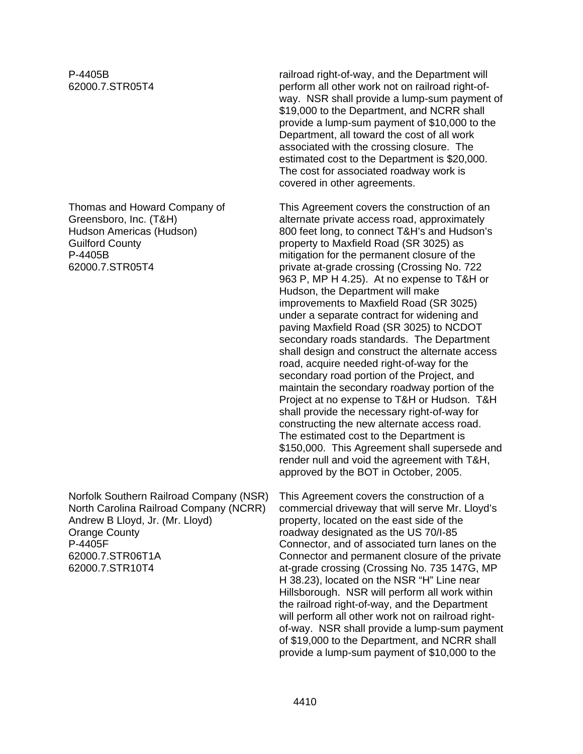P-4405B 62000.7.STR05T4

Thomas and Howard Company of Greensboro, Inc. (T&H) Hudson Americas (Hudson) Guilford County P-4405B 62000.7.STR05T4

Norfolk Southern Railroad Company (NSR) North Carolina Railroad Company (NCRR) Andrew B Lloyd, Jr. (Mr. Lloyd) Orange County P-4405F 62000.7.STR06T1A 62000.7.STR10T4

railroad right-of-way, and the Department will perform all other work not on railroad right-ofway. NSR shall provide a lump-sum payment of \$19,000 to the Department, and NCRR shall provide a lump-sum payment of \$10,000 to the Department, all toward the cost of all work associated with the crossing closure. The estimated cost to the Department is \$20,000. The cost for associated roadway work is covered in other agreements.

This Agreement covers the construction of an alternate private access road, approximately 800 feet long, to connect T&H's and Hudson's property to Maxfield Road (SR 3025) as mitigation for the permanent closure of the private at-grade crossing (Crossing No. 722 963 P, MP H 4.25). At no expense to T&H or Hudson, the Department will make improvements to Maxfield Road (SR 3025) under a separate contract for widening and paving Maxfield Road (SR 3025) to NCDOT secondary roads standards. The Department shall design and construct the alternate access road, acquire needed right-of-way for the secondary road portion of the Project, and maintain the secondary roadway portion of the Project at no expense to T&H or Hudson. T&H shall provide the necessary right-of-way for constructing the new alternate access road. The estimated cost to the Department is \$150,000. This Agreement shall supersede and render null and void the agreement with T&H, approved by the BOT in October, 2005.

This Agreement covers the construction of a commercial driveway that will serve Mr. Lloyd's property, located on the east side of the roadway designated as the US 70/I-85 Connector, and of associated turn lanes on the Connector and permanent closure of the private at-grade crossing (Crossing No. 735 147G, MP H 38.23), located on the NSR "H" Line near Hillsborough. NSR will perform all work within the railroad right-of-way, and the Department will perform all other work not on railroad rightof-way. NSR shall provide a lump-sum payment of \$19,000 to the Department, and NCRR shall provide a lump-sum payment of \$10,000 to the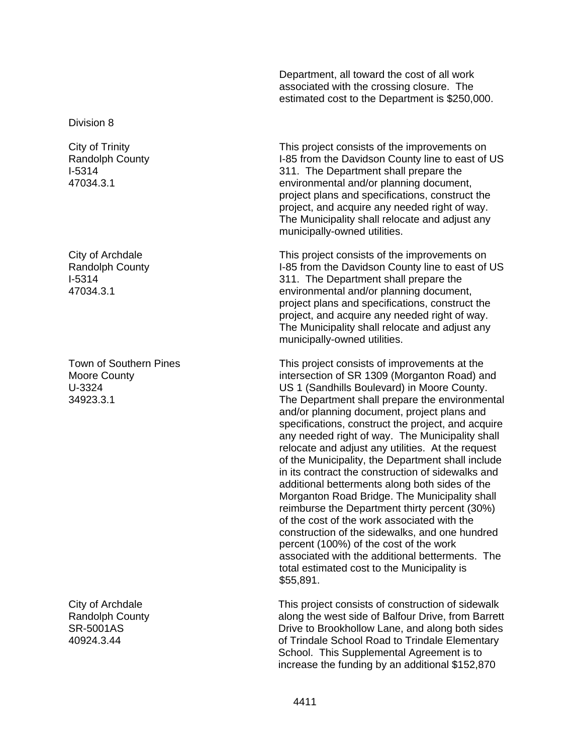Department, all toward the cost of all work associated with the crossing closure. The estimated cost to the Department is \$250,000.

Division 8

City of Trinity Randolph County I-5314 47034.3.1

City of Archdale Randolph County I-5314 47034.3.1

Town of Southern Pines Moore County U-3324 34923.3.1

City of Archdale Randolph County SR-5001AS 40924.3.44

This project consists of the improvements on I-85 from the Davidson County line to east of US 311. The Department shall prepare the environmental and/or planning document, project plans and specifications, construct the project, and acquire any needed right of way. The Municipality shall relocate and adjust any municipally-owned utilities.

This project consists of the improvements on I-85 from the Davidson County line to east of US 311. The Department shall prepare the environmental and/or planning document, project plans and specifications, construct the project, and acquire any needed right of way. The Municipality shall relocate and adjust any municipally-owned utilities.

This project consists of improvements at the intersection of SR 1309 (Morganton Road) and US 1 (Sandhills Boulevard) in Moore County. The Department shall prepare the environmental and/or planning document, project plans and specifications, construct the project, and acquire any needed right of way. The Municipality shall relocate and adjust any utilities. At the request of the Municipality, the Department shall include in its contract the construction of sidewalks and additional betterments along both sides of the Morganton Road Bridge. The Municipality shall reimburse the Department thirty percent (30%) of the cost of the work associated with the construction of the sidewalks, and one hundred percent (100%) of the cost of the work associated with the additional betterments. The total estimated cost to the Municipality is \$55,891.

This project consists of construction of sidewalk along the west side of Balfour Drive, from Barrett Drive to Brookhollow Lane, and along both sides of Trindale School Road to Trindale Elementary School. This Supplemental Agreement is to increase the funding by an additional \$152,870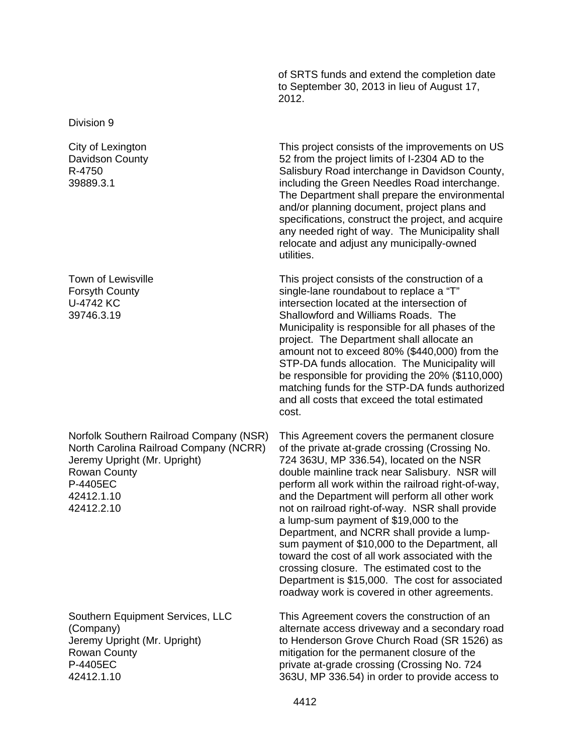of SRTS funds and extend the completion date to September 30, 2013 in lieu of August 17, 2012.

Division 9

City of Lexington Davidson County R-4750 39889.3.1

Town of Lewisville Forsyth County U-4742 KC 39746.3.19

Norfolk Southern Railroad Company (NSR) North Carolina Railroad Company (NCRR) Jeremy Upright (Mr. Upright) Rowan County P-4405EC 42412.1.10 42412.2.10

Southern Equipment Services, LLC (Company) Jeremy Upright (Mr. Upright) Rowan County P-4405EC 42412.1.10

This project consists of the improvements on US 52 from the project limits of I-2304 AD to the Salisbury Road interchange in Davidson County, including the Green Needles Road interchange. The Department shall prepare the environmental and/or planning document, project plans and specifications, construct the project, and acquire any needed right of way. The Municipality shall relocate and adjust any municipally-owned utilities.

This project consists of the construction of a single-lane roundabout to replace a "T" intersection located at the intersection of Shallowford and Williams Roads. The Municipality is responsible for all phases of the project. The Department shall allocate an amount not to exceed 80% (\$440,000) from the STP-DA funds allocation. The Municipality will be responsible for providing the 20% (\$110,000) matching funds for the STP-DA funds authorized and all costs that exceed the total estimated cost.

This Agreement covers the permanent closure of the private at-grade crossing (Crossing No. 724 363U, MP 336.54), located on the NSR double mainline track near Salisbury. NSR will perform all work within the railroad right-of-way, and the Department will perform all other work not on railroad right-of-way. NSR shall provide a lump-sum payment of \$19,000 to the Department, and NCRR shall provide a lumpsum payment of \$10,000 to the Department, all toward the cost of all work associated with the crossing closure. The estimated cost to the Department is \$15,000. The cost for associated roadway work is covered in other agreements.

This Agreement covers the construction of an alternate access driveway and a secondary road to Henderson Grove Church Road (SR 1526) as mitigation for the permanent closure of the private at-grade crossing (Crossing No. 724 363U, MP 336.54) in order to provide access to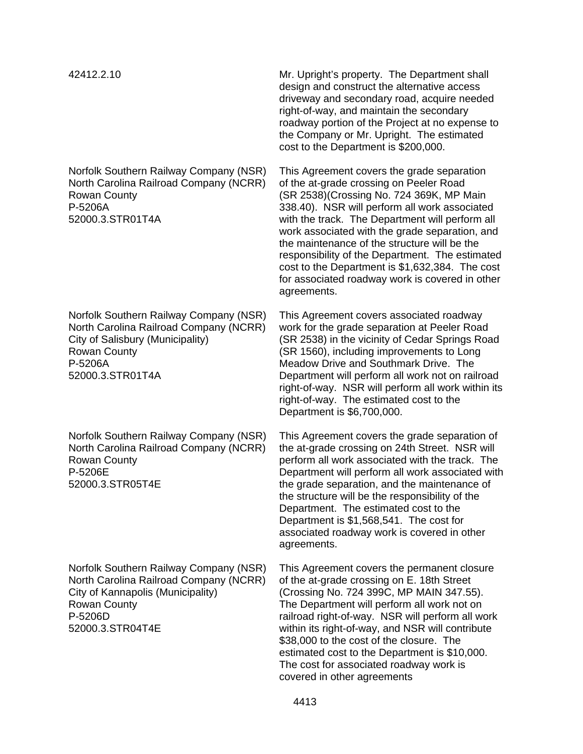Norfolk Southern Railway Company (NSR) North Carolina Railroad Company (NCRR) Rowan County P-5206A 52000.3.STR01T4A

Norfolk Southern Railway Company (NSR) North Carolina Railroad Company (NCRR) City of Salisbury (Municipality) Rowan County P-5206A 52000.3.STR01T4A

Norfolk Southern Railway Company (NSR) North Carolina Railroad Company (NCRR) Rowan County P-5206E 52000.3.STR05T4E

Norfolk Southern Railway Company (NSR) North Carolina Railroad Company (NCRR) City of Kannapolis (Municipality) Rowan County P-5206D 52000.3.STR04T4E

42412.2.10 Mr. Upright's property. The Department shall design and construct the alternative access driveway and secondary road, acquire needed right-of-way, and maintain the secondary roadway portion of the Project at no expense to the Company or Mr. Upright. The estimated cost to the Department is \$200,000.

> This Agreement covers the grade separation of the at-grade crossing on Peeler Road (SR 2538)(Crossing No. 724 369K, MP Main 338.40). NSR will perform all work associated with the track. The Department will perform all work associated with the grade separation, and the maintenance of the structure will be the responsibility of the Department. The estimated cost to the Department is \$1,632,384. The cost for associated roadway work is covered in other agreements.

> This Agreement covers associated roadway work for the grade separation at Peeler Road (SR 2538) in the vicinity of Cedar Springs Road (SR 1560), including improvements to Long Meadow Drive and Southmark Drive. The Department will perform all work not on railroad right-of-way. NSR will perform all work within its right-of-way. The estimated cost to the Department is \$6,700,000.

> This Agreement covers the grade separation of the at-grade crossing on 24th Street. NSR will perform all work associated with the track. The Department will perform all work associated with the grade separation, and the maintenance of the structure will be the responsibility of the Department. The estimated cost to the Department is \$1,568,541. The cost for associated roadway work is covered in other agreements.

This Agreement covers the permanent closure of the at-grade crossing on E. 18th Street (Crossing No. 724 399C, MP MAIN 347.55). The Department will perform all work not on railroad right-of-way. NSR will perform all work within its right-of-way, and NSR will contribute \$38,000 to the cost of the closure. The estimated cost to the Department is \$10,000. The cost for associated roadway work is covered in other agreements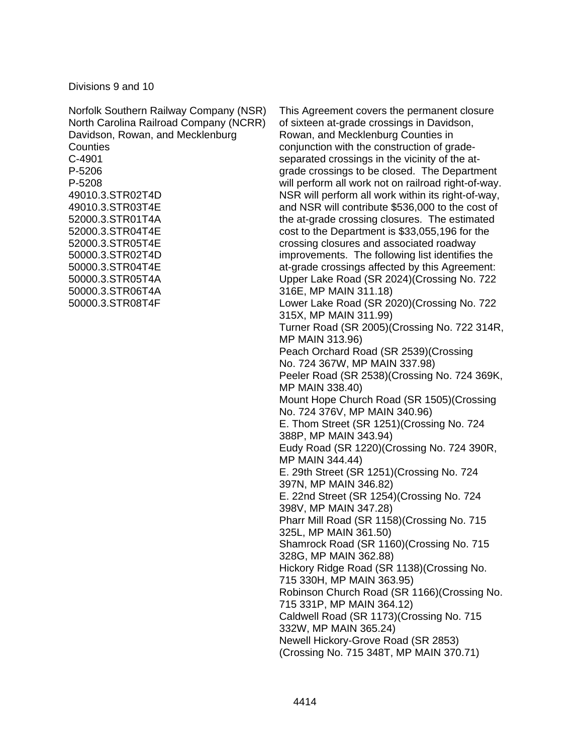Divisions 9 and 10

| Norfolk Southern Railway Company (NSR) | <b>This</b>     |
|----------------------------------------|-----------------|
| North Carolina Railroad Company (NCRR) | of six          |
| Davidson, Rowan, and Mecklenburg       | Rowa            |
| Counties                               | conju           |
| C-4901                                 | sepa            |
| P-5206                                 | grad            |
| P-5208                                 | will p          |
| 49010.3.STR02T4D                       | <b>NSR</b>      |
| 49010.3.STR03T4E                       | and I           |
| 52000.3.STR01T4A                       | the a           |
| 52000.3.STR04T4E                       | cost :          |
| 52000.3.STR05T4E<br>50000.3.STR02T4D   | cross           |
| 50000.3.STR04T4E                       | impro           |
| 50000.3.STR05T4A                       | at-gra<br>Uppe  |
| 50000.3.STR06T4A                       | 316E            |
| 50000.3.STR08T4F                       | Lowe            |
|                                        | 315X            |
|                                        | Turn            |
|                                        | MP <sub>N</sub> |
|                                        | Peac            |
|                                        | No. 7           |
|                                        | Peel            |
|                                        | MP N            |
|                                        | Mour            |
|                                        | No. 7           |
|                                        | E. Tr           |
|                                        | 388P            |
|                                        | Eudy            |
|                                        | MP <sub>N</sub> |
|                                        | E. 29           |
|                                        | 397N            |
|                                        | E.22            |
|                                        | 398V            |
|                                        | Phar            |
|                                        | 325L            |
|                                        | Shan            |
|                                        | 328G            |

Agreement covers the permanent closure teen at-grade crossings in Davidson, an, and Mecklenburg Counties in inction with the construction of graderated crossings in the vicinity of the ate crossings to be closed. The Department erform all work not on railroad right-of-way. will perform all work within its right-of-way, NSR will contribute \$536,000 to the cost of t-grade crossing closures. The estimated to the Department is \$33,055,196 for the sing closures and associated roadway ovements. The following list identifies the ade crossings affected by this Agreement: er Lake Road (SR 2024)(Crossing No. 722 , MP MAIN  $311.18$ ) er Lake Road (SR 2020)(Crossing No. 722  $\ldots$  MP MAIN 311.99) er Road (SR 2005)(Crossing No. 722 314R, MP MAIN 313.96) h Orchard Road (SR 2539)(Crossing 724 367W, MP MAIN 337.98) er Road (SR 2538)(Crossing No. 724 369K, MAIN 338.40) nt Hope Church Road (SR 1505)(Crossing 724 376V, MP MAIN 340.96) om Street (SR 1251)(Crossing No. 724 , MP MAIN 343.94) Road (SR 1220) (Crossing No. 724 390R, MAIN 344.44) Ith Street (SR 1251)(Crossing No. 724 **J, MP MAIN 346.82)** 2nd Street (SR 1254)(Crossing No. 724 , MP MAIN 347.28) r Mill Road (SR 1158)(Crossing No. 715 ., MP MAIN 361.50) nrock Road (SR 1160)(Crossing No. 715 3, MP MAIN 362.88) Hickory Ridge Road (SR 1138)(Crossing No. 715 330H, MP MAIN 363.95) Robinson Church Road (SR 1166)(Crossing No. 715 331P, MP MAIN 364.12) Caldwell Road (SR 1173)(Crossing No. 715 332W, MP MAIN 365.24) Newell Hickory-Grove Road (SR 2853) (Crossing No. 715 348T, MP MAIN 370.71)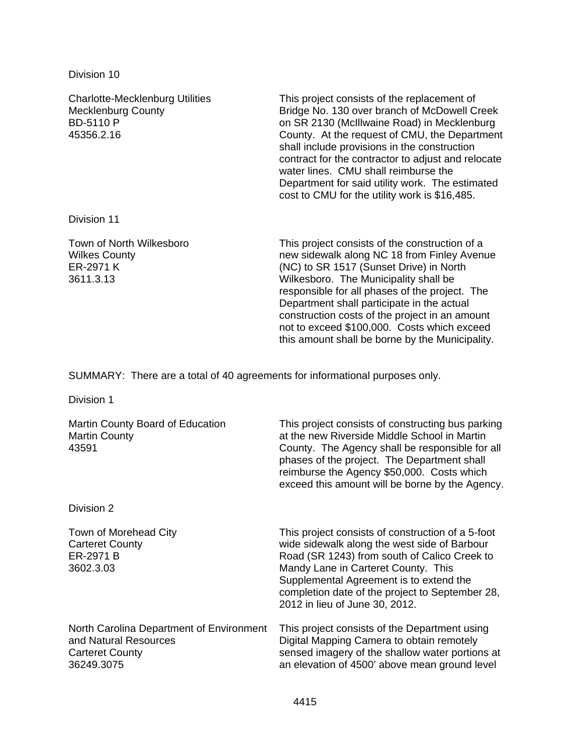Division 10

| <b>Charlotte-Mecklenburg Utilities</b><br><b>Mecklenburg County</b><br><b>BD-5110 P</b><br>45356.2.16 | This project consists of the replacement of<br>Bridge No. 130 over branch of McDowell Creek<br>on SR 2130 (McIllwaine Road) in Mecklenburg<br>County. At the request of CMU, the Department<br>shall include provisions in the construction<br>contract for the contractor to adjust and relocate<br>water lines. CMU shall reimburse the<br>Department for said utility work. The estimated<br>cost to CMU for the utility work is \$16,485. |
|-------------------------------------------------------------------------------------------------------|-----------------------------------------------------------------------------------------------------------------------------------------------------------------------------------------------------------------------------------------------------------------------------------------------------------------------------------------------------------------------------------------------------------------------------------------------|
| Division 11                                                                                           |                                                                                                                                                                                                                                                                                                                                                                                                                                               |
| Town of North Wilkesboro<br><b>Wilkes County</b><br>ER-2971 K<br>3611.3.13                            | This project consists of the construction of a<br>new sidewalk along NC 18 from Finley Avenue<br>(NC) to SR 1517 (Sunset Drive) in North<br>Wilkesboro. The Municipality shall be<br>responsible for all phases of the project. The<br>Department shall participate in the actual<br>construction costs of the project in an amount<br>not to exceed \$100,000. Costs which exceed<br>this amount shall be borne by the Municipality.         |

SUMMARY: There are a total of 40 agreements for informational purposes only.

Division 1

| Martin County Board of Education<br><b>Martin County</b><br>43591                                         | This project consists of constructing bus parking<br>at the new Riverside Middle School in Martin<br>County. The Agency shall be responsible for all<br>phases of the project. The Department shall<br>reimburse the Agency \$50,000. Costs which<br>exceed this amount will be borne by the Agency.                     |
|-----------------------------------------------------------------------------------------------------------|--------------------------------------------------------------------------------------------------------------------------------------------------------------------------------------------------------------------------------------------------------------------------------------------------------------------------|
| Division 2                                                                                                |                                                                                                                                                                                                                                                                                                                          |
| Town of Morehead City<br><b>Carteret County</b><br>ER-2971 B<br>3602.3.03                                 | This project consists of construction of a 5-foot<br>wide sidewalk along the west side of Barbour<br>Road (SR 1243) from south of Calico Creek to<br>Mandy Lane in Carteret County. This<br>Supplemental Agreement is to extend the<br>completion date of the project to September 28,<br>2012 in lieu of June 30, 2012. |
| North Carolina Department of Environment<br>and Natural Resources<br><b>Carteret County</b><br>36249.3075 | This project consists of the Department using<br>Digital Mapping Camera to obtain remotely<br>sensed imagery of the shallow water portions at<br>an elevation of 4500' above mean ground level                                                                                                                           |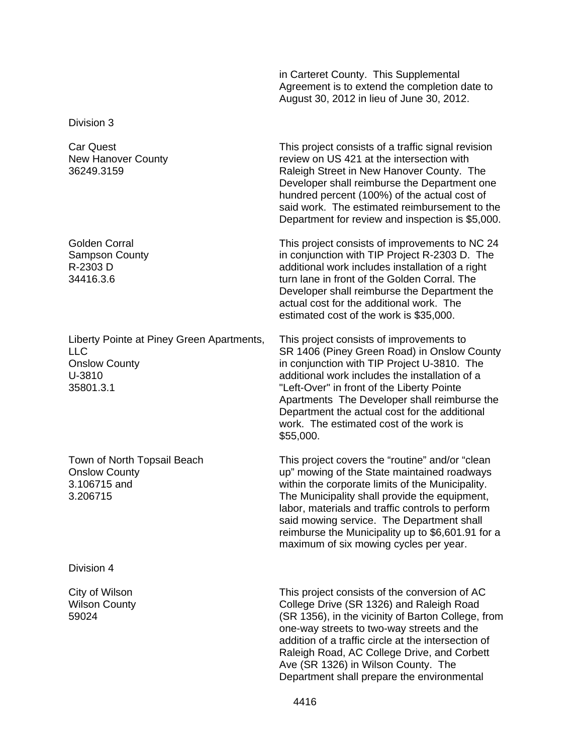in Carteret County. This Supplemental Agreement is to extend the completion date to August 30, 2012 in lieu of June 30, 2012.

Division 3

Car Quest New Hanover County 36249.3159

Golden Corral Sampson County R-2303 D 34416.3.6

Liberty Pointe at Piney Green Apartments, LLC Onslow County U-3810 35801.3.1

Town of North Topsail Beach Onslow County 3.106715 and 3.206715

Division 4

City of Wilson Wilson County 59024

This project consists of a traffic signal revision review on US 421 at the intersection with Raleigh Street in New Hanover County. The Developer shall reimburse the Department one hundred percent (100%) of the actual cost of said work. The estimated reimbursement to the Department for review and inspection is \$5,000.

This project consists of improvements to NC 24 in conjunction with TIP Project R-2303 D. The additional work includes installation of a right turn lane in front of the Golden Corral. The Developer shall reimburse the Department the actual cost for the additional work. The estimated cost of the work is \$35,000.

This project consists of improvements to SR 1406 (Piney Green Road) in Onslow County in conjunction with TIP Project U-3810. The additional work includes the installation of a "Left-Over" in front of the Liberty Pointe Apartments The Developer shall reimburse the Department the actual cost for the additional work. The estimated cost of the work is \$55,000.

This project covers the "routine" and/or "clean up" mowing of the State maintained roadways within the corporate limits of the Municipality. The Municipality shall provide the equipment, labor, materials and traffic controls to perform said mowing service. The Department shall reimburse the Municipality up to \$6,601.91 for a maximum of six mowing cycles per year.

This project consists of the conversion of AC College Drive (SR 1326) and Raleigh Road (SR 1356), in the vicinity of Barton College, from one-way streets to two-way streets and the addition of a traffic circle at the intersection of Raleigh Road, AC College Drive, and Corbett Ave (SR 1326) in Wilson County. The Department shall prepare the environmental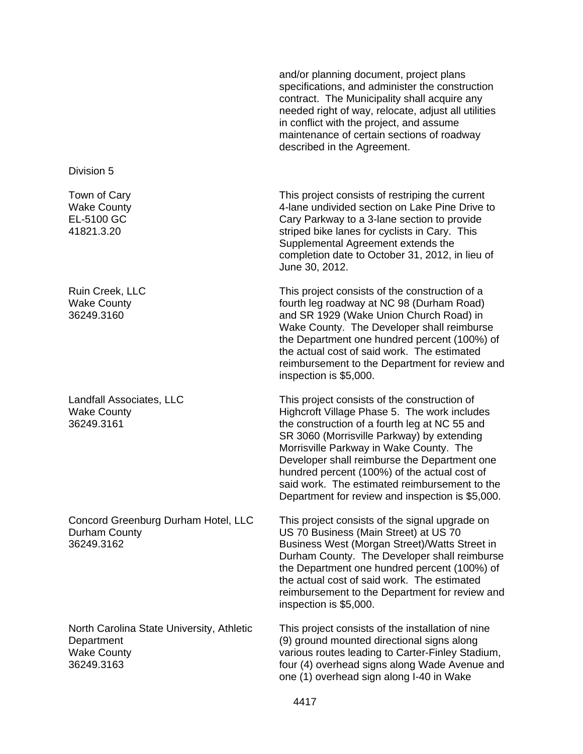and/or planning document, project plans specifications, and administer the construction contract. The Municipality shall acquire any needed right of way, relocate, adjust all utilities in conflict with the project, and assume maintenance of certain sections of roadway described in the Agreement.

This project consists of restriping the current 4-lane undivided section on Lake Pine Drive to Cary Parkway to a 3-lane section to provide striped bike lanes for cyclists in Cary. This Supplemental Agreement extends the completion date to October 31, 2012, in lieu of June 30, 2012.

This project consists of the construction of a fourth leg roadway at NC 98 (Durham Road) and SR 1929 (Wake Union Church Road) in Wake County. The Developer shall reimburse the Department one hundred percent (100%) of the actual cost of said work. The estimated reimbursement to the Department for review and inspection is \$5,000.

This project consists of the construction of Highcroft Village Phase 5. The work includes the construction of a fourth leg at NC 55 and SR 3060 (Morrisville Parkway) by extending Morrisville Parkway in Wake County. The Developer shall reimburse the Department one hundred percent (100%) of the actual cost of said work. The estimated reimbursement to the Department for review and inspection is \$5,000.

This project consists of the signal upgrade on US 70 Business (Main Street) at US 70 Business West (Morgan Street)/Watts Street in Durham County. The Developer shall reimburse the Department one hundred percent (100%) of the actual cost of said work. The estimated reimbursement to the Department for review and inspection is \$5,000.

This project consists of the installation of nine (9) ground mounted directional signs along various routes leading to Carter-Finley Stadium, four (4) overhead signs along Wade Avenue and one (1) overhead sign along I-40 in Wake

Division 5

Town of Cary Wake County EL-5100 GC 41821.3.20

Ruin Creek, LLC Wake County 36249.3160

Landfall Associates, LLC Wake County 36249.3161

Concord Greenburg Durham Hotel, LLC Durham County 36249.3162

North Carolina State University, Athletic **Department** Wake County 36249.3163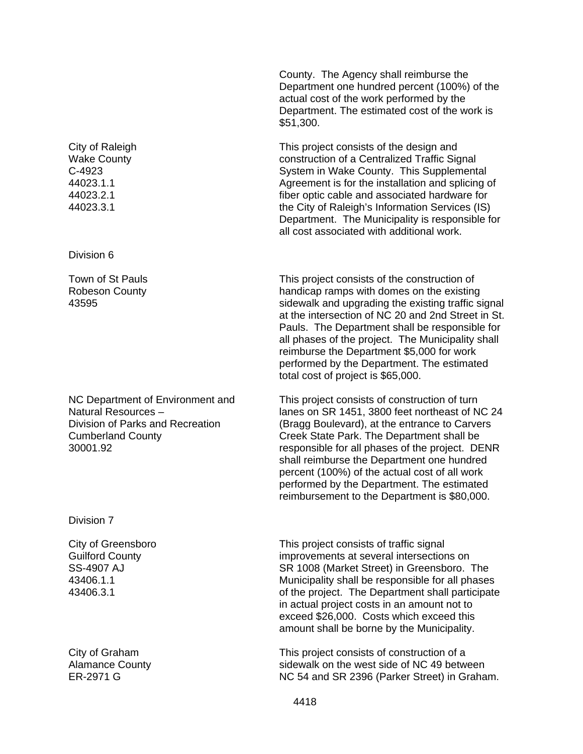City of Raleigh Wake County C-4923 44023.1.1 44023.2.1 44023.3.1

Division 6

Town of St Pauls Robeson County 43595

NC Department of Environment and Natural Resources – Division of Parks and Recreation Cumberland County 30001.92

Division 7

City of Greensboro Guilford County SS-4907 AJ 43406.1.1 43406.3.1

City of Graham Alamance County ER-2971 G

County. The Agency shall reimburse the Department one hundred percent (100%) of the actual cost of the work performed by the Department. The estimated cost of the work is \$51,300.

This project consists of the design and construction of a Centralized Traffic Signal System in Wake County. This Supplemental Agreement is for the installation and splicing of fiber optic cable and associated hardware for the City of Raleigh's Information Services (IS) Department. The Municipality is responsible for all cost associated with additional work.

This project consists of the construction of handicap ramps with domes on the existing sidewalk and upgrading the existing traffic signal at the intersection of NC 20 and 2nd Street in St. Pauls. The Department shall be responsible for all phases of the project. The Municipality shall reimburse the Department \$5,000 for work performed by the Department. The estimated total cost of project is \$65,000.

This project consists of construction of turn lanes on SR 1451, 3800 feet northeast of NC 24 (Bragg Boulevard), at the entrance to Carvers Creek State Park. The Department shall be responsible for all phases of the project. DENR shall reimburse the Department one hundred percent (100%) of the actual cost of all work performed by the Department. The estimated reimbursement to the Department is \$80,000.

This project consists of traffic signal improvements at several intersections on SR 1008 (Market Street) in Greensboro. The Municipality shall be responsible for all phases of the project. The Department shall participate in actual project costs in an amount not to exceed \$26,000. Costs which exceed this amount shall be borne by the Municipality.

This project consists of construction of a sidewalk on the west side of NC 49 between NC 54 and SR 2396 (Parker Street) in Graham.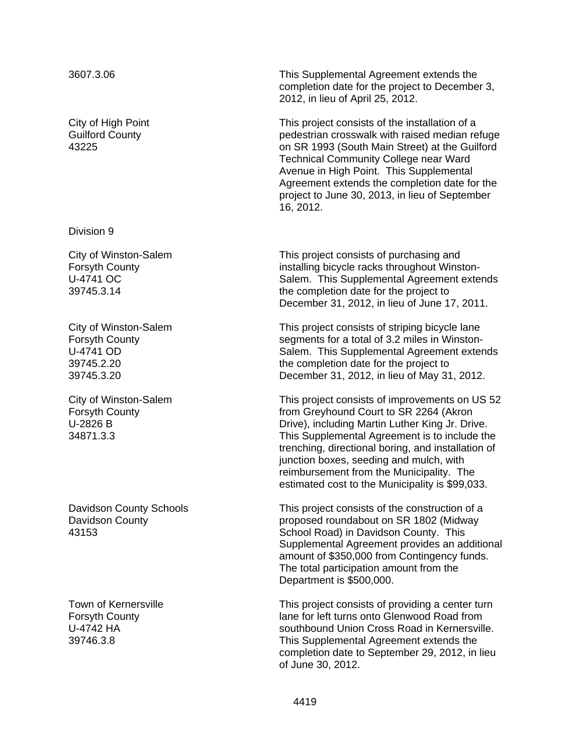City of High Point Guilford County 43225

Division 9

City of Winston-Salem Forsyth County U-4741 OC 39745.3.14

City of Winston-Salem Forsyth County U-4741 OD 39745.2.20 39745.3.20

City of Winston-Salem Forsyth County U-2826 B 34871.3.3

Davidson County Schools Davidson County 43153

Town of Kernersville Forsyth County U-4742 HA 39746.3.8

3607.3.06 This Supplemental Agreement extends the completion date for the project to December 3, 2012, in lieu of April 25, 2012.

> This project consists of the installation of a pedestrian crosswalk with raised median refuge on SR 1993 (South Main Street) at the Guilford Technical Community College near Ward Avenue in High Point. This Supplemental Agreement extends the completion date for the project to June 30, 2013, in lieu of September 16, 2012.

> This project consists of purchasing and installing bicycle racks throughout Winston-Salem. This Supplemental Agreement extends the completion date for the project to December 31, 2012, in lieu of June 17, 2011.

> This project consists of striping bicycle lane segments for a total of 3.2 miles in Winston-Salem. This Supplemental Agreement extends the completion date for the project to December 31, 2012, in lieu of May 31, 2012.

This project consists of improvements on US 52 from Greyhound Court to SR 2264 (Akron Drive), including Martin Luther King Jr. Drive. This Supplemental Agreement is to include the trenching, directional boring, and installation of junction boxes, seeding and mulch, with reimbursement from the Municipality. The estimated cost to the Municipality is \$99,033.

This project consists of the construction of a proposed roundabout on SR 1802 (Midway School Road) in Davidson County. This Supplemental Agreement provides an additional amount of \$350,000 from Contingency funds. The total participation amount from the Department is \$500,000.

This project consists of providing a center turn lane for left turns onto Glenwood Road from southbound Union Cross Road in Kernersville. This Supplemental Agreement extends the completion date to September 29, 2012, in lieu of June 30, 2012.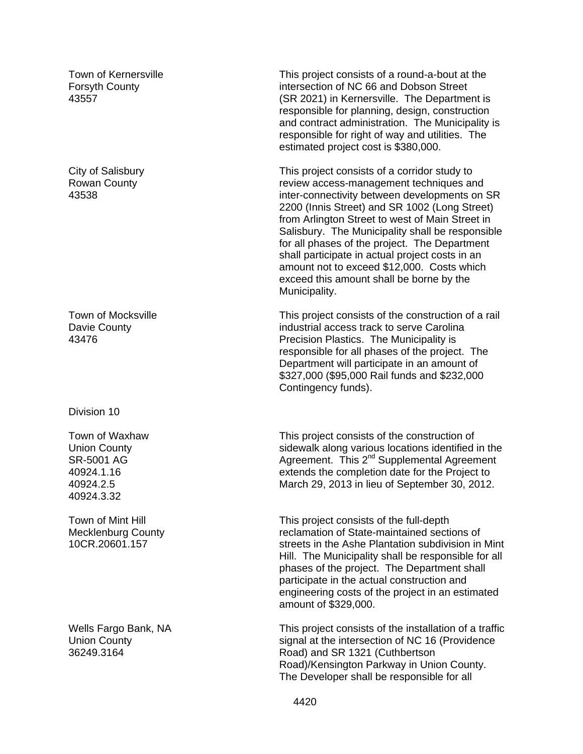Town of Kernersville Forsyth County 43557

City of Salisbury Rowan County 43538

Town of Mocksville Davie County 43476

Division 10

Town of Waxhaw Union County SR-5001 AG 40924.1.16 40924.2.5 40924.3.32

Town of Mint Hill Mecklenburg County 10CR.20601.157

Wells Fargo Bank, NA Union County 36249.3164

This project consists of a round-a-bout at the intersection of NC 66 and Dobson Street (SR 2021) in Kernersville. The Department is responsible for planning, design, construction and contract administration. The Municipality is responsible for right of way and utilities. The estimated project cost is \$380,000.

This project consists of a corridor study to review access-management techniques and inter-connectivity between developments on SR 2200 (Innis Street) and SR 1002 (Long Street) from Arlington Street to west of Main Street in Salisbury. The Municipality shall be responsible for all phases of the project. The Department shall participate in actual project costs in an amount not to exceed \$12,000. Costs which exceed this amount shall be borne by the Municipality.

This project consists of the construction of a rail industrial access track to serve Carolina Precision Plastics. The Municipality is responsible for all phases of the project. The Department will participate in an amount of \$327,000 (\$95,000 Rail funds and \$232,000 Contingency funds).

This project consists of the construction of sidewalk along various locations identified in the Agreement. This 2<sup>nd</sup> Supplemental Agreement extends the completion date for the Project to March 29, 2013 in lieu of September 30, 2012.

This project consists of the full-depth reclamation of State-maintained sections of streets in the Ashe Plantation subdivision in Mint Hill. The Municipality shall be responsible for all phases of the project. The Department shall participate in the actual construction and engineering costs of the project in an estimated amount of \$329,000.

This project consists of the installation of a traffic signal at the intersection of NC 16 (Providence Road) and SR 1321 (Cuthbertson Road)/Kensington Parkway in Union County. The Developer shall be responsible for all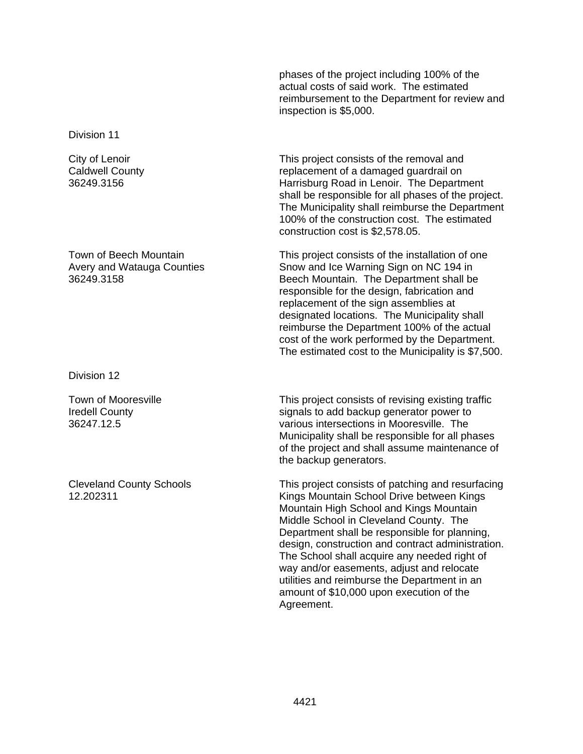phases of the project including 100% of the actual costs of said work. The estimated reimbursement to the Department for review and inspection is \$5,000.

Division 11

City of Lenoir Caldwell County 36249.3156

Town of Beech Mountain Avery and Watauga Counties 36249.3158

Division 12

Town of Mooresville Iredell County 36247.12.5

Cleveland County Schools 12.202311

This project consists of the removal and replacement of a damaged guardrail on Harrisburg Road in Lenoir. The Department shall be responsible for all phases of the project. The Municipality shall reimburse the Department 100% of the construction cost. The estimated construction cost is \$2,578.05.

This project consists of the installation of one Snow and Ice Warning Sign on NC 194 in Beech Mountain. The Department shall be responsible for the design, fabrication and replacement of the sign assemblies at designated locations. The Municipality shall reimburse the Department 100% of the actual cost of the work performed by the Department. The estimated cost to the Municipality is \$7,500.

This project consists of revising existing traffic signals to add backup generator power to various intersections in Mooresville. The Municipality shall be responsible for all phases of the project and shall assume maintenance of the backup generators.

This project consists of patching and resurfacing Kings Mountain School Drive between Kings Mountain High School and Kings Mountain Middle School in Cleveland County. The Department shall be responsible for planning, design, construction and contract administration. The School shall acquire any needed right of way and/or easements, adjust and relocate utilities and reimburse the Department in an amount of \$10,000 upon execution of the Agreement.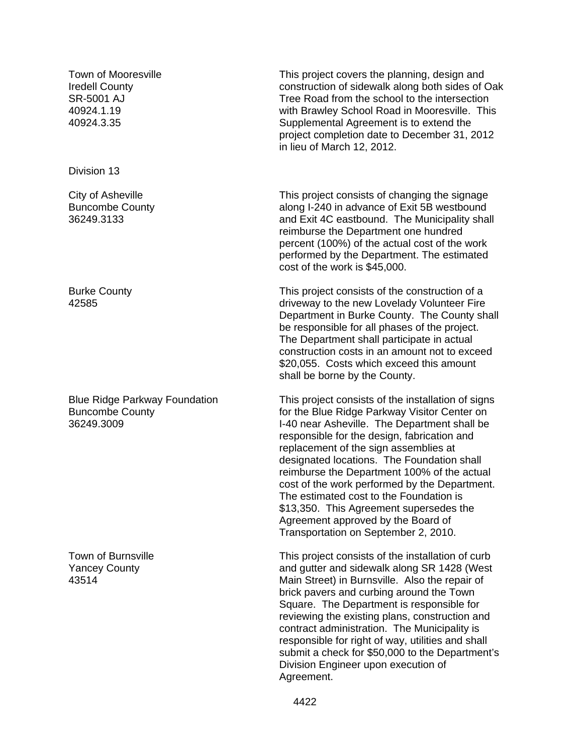Town of Mooresville Iredell County SR-5001 AJ 40924.1.19 40924.3.35

Division 13

City of Asheville Buncombe County 36249.3133

Burke County 42585

Blue Ridge Parkway Foundation Buncombe County 36249.3009

Town of Burnsville Yancey County 43514

This project covers the planning, design and construction of sidewalk along both sides of Oak Tree Road from the school to the intersection with Brawley School Road in Mooresville. This Supplemental Agreement is to extend the project completion date to December 31, 2012 in lieu of March 12, 2012.

This project consists of changing the signage along I-240 in advance of Exit 5B westbound and Exit 4C eastbound. The Municipality shall reimburse the Department one hundred percent (100%) of the actual cost of the work performed by the Department. The estimated cost of the work is \$45,000.

This project consists of the construction of a driveway to the new Lovelady Volunteer Fire Department in Burke County. The County shall be responsible for all phases of the project. The Department shall participate in actual construction costs in an amount not to exceed \$20,055. Costs which exceed this amount shall be borne by the County.

This project consists of the installation of signs for the Blue Ridge Parkway Visitor Center on I-40 near Asheville. The Department shall be responsible for the design, fabrication and replacement of the sign assemblies at designated locations. The Foundation shall reimburse the Department 100% of the actual cost of the work performed by the Department. The estimated cost to the Foundation is \$13,350. This Agreement supersedes the Agreement approved by the Board of Transportation on September 2, 2010.

This project consists of the installation of curb and gutter and sidewalk along SR 1428 (West Main Street) in Burnsville. Also the repair of brick pavers and curbing around the Town Square. The Department is responsible for reviewing the existing plans, construction and contract administration. The Municipality is responsible for right of way, utilities and shall submit a check for \$50,000 to the Department's Division Engineer upon execution of Agreement.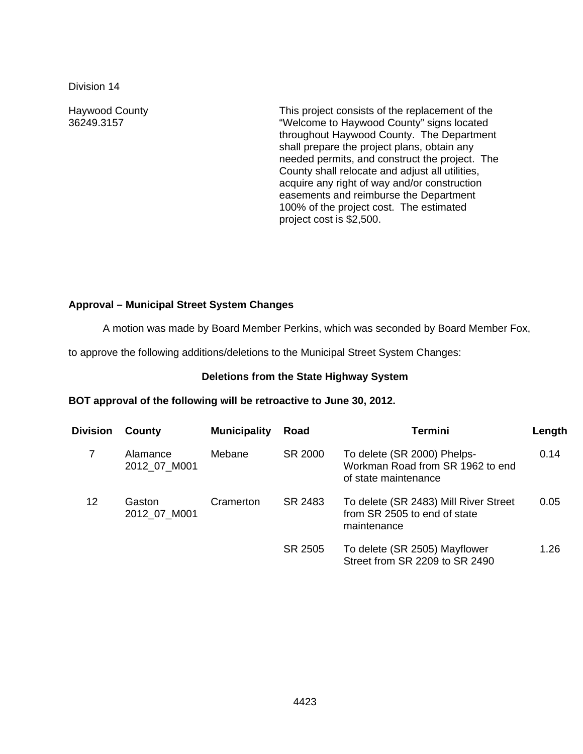Division 14

Haywood County 36249.3157

This project consists of the replacement of the "Welcome to Haywood County" signs located throughout Haywood County. The Department shall prepare the project plans, obtain any needed permits, and construct the project. The County shall relocate and adjust all utilities, acquire any right of way and/or construction easements and reimburse the Department 100% of the project cost. The estimated project cost is \$2,500.

# **Approval – Municipal Street System Changes**

A motion was made by Board Member Perkins, which was seconded by Board Member Fox,

to approve the following additions/deletions to the Municipal Street System Changes:

### **Deletions from the State Highway System**

### **BOT approval of the following will be retroactive to June 30, 2012.**

| Division | County                   | <b>Municipality</b> | Road    | <b>Termini</b>                                                                          | Length |
|----------|--------------------------|---------------------|---------|-----------------------------------------------------------------------------------------|--------|
|          | Alamance<br>2012 07 M001 | Mebane              | SR 2000 | To delete (SR 2000) Phelps-<br>Workman Road from SR 1962 to end<br>of state maintenance | 0.14   |
| 12       | Gaston<br>2012 07 M001   | Cramerton           | SR 2483 | To delete (SR 2483) Mill River Street<br>from SR 2505 to end of state<br>maintenance    | 0.05   |
|          |                          |                     | SR 2505 | To delete (SR 2505) Mayflower<br>Street from SR 2209 to SR 2490                         | 1.26   |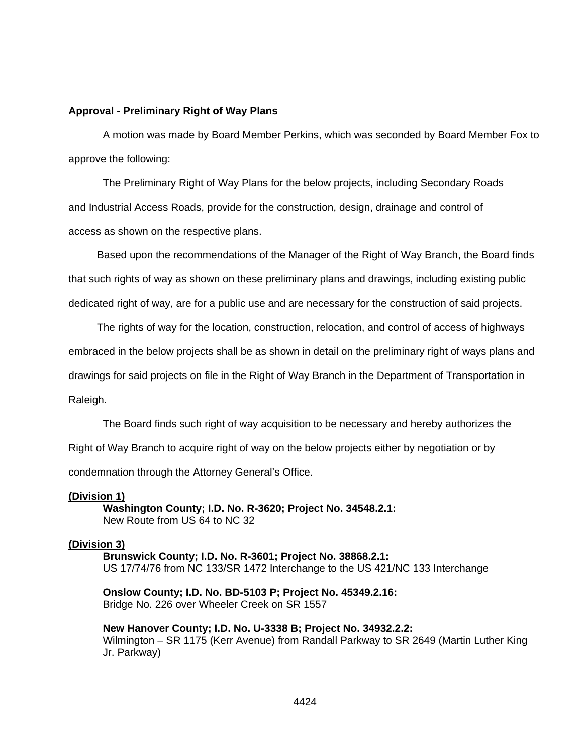#### **Approval - Preliminary Right of Way Plans**

 A motion was made by Board Member Perkins, which was seconded by Board Member Fox to approve the following:

The Preliminary Right of Way Plans for the below projects, including Secondary Roads and Industrial Access Roads, provide for the construction, design, drainage and control of access as shown on the respective plans.

 Based upon the recommendations of the Manager of the Right of Way Branch, the Board finds that such rights of way as shown on these preliminary plans and drawings, including existing public dedicated right of way, are for a public use and are necessary for the construction of said projects.

 The rights of way for the location, construction, relocation, and control of access of highways embraced in the below projects shall be as shown in detail on the preliminary right of ways plans and drawings for said projects on file in the Right of Way Branch in the Department of Transportation in Raleigh.

The Board finds such right of way acquisition to be necessary and hereby authorizes the

Right of Way Branch to acquire right of way on the below projects either by negotiation or by

condemnation through the Attorney General's Office.

#### **(Division 1)**

 **Washington County; I.D. No. R-3620; Project No. 34548.2.1:**  New Route from US 64 to NC 32

### **(Division 3)**

 **Brunswick County; I.D. No. R-3601; Project No. 38868.2.1:**  US 17/74/76 from NC 133/SR 1472 Interchange to the US 421/NC 133 Interchange

**Onslow County; I.D. No. BD-5103 P; Project No. 45349.2.16:**  Bridge No. 226 over Wheeler Creek on SR 1557

**New Hanover County; I.D. No. U-3338 B; Project No. 34932.2.2:**  Wilmington – SR 1175 (Kerr Avenue) from Randall Parkway to SR 2649 (Martin Luther King Jr. Parkway)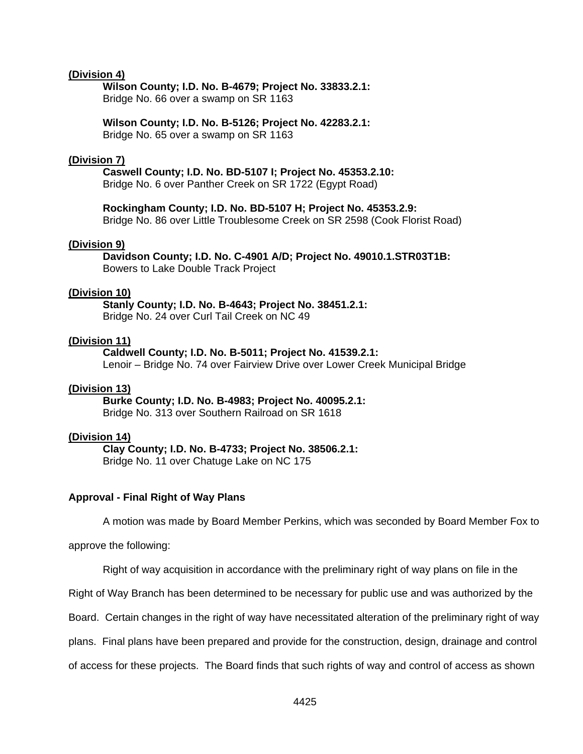#### **(Division 4)**

 **Wilson County; I.D. No. B-4679; Project No. 33833.2.1:**  Bridge No. 66 over a swamp on SR 1163

**Wilson County; I.D. No. B-5126; Project No. 42283.2.1:**  Bridge No. 65 over a swamp on SR 1163

#### **(Division 7)**

### **Caswell County; I.D. No. BD-5107 I; Project No. 45353.2.10:**

Bridge No. 6 over Panther Creek on SR 1722 (Egypt Road)

**Rockingham County; I.D. No. BD-5107 H; Project No. 45353.2.9:**  Bridge No. 86 over Little Troublesome Creek on SR 2598 (Cook Florist Road)

#### **(Division 9)**

 **Davidson County; I.D. No. C-4901 A/D; Project No. 49010.1.STR03T1B:**  Bowers to Lake Double Track Project

### **(Division 10)**

 **Stanly County; I.D. No. B-4643; Project No. 38451.2.1:**  Bridge No. 24 over Curl Tail Creek on NC 49

#### **(Division 11)**

 **Caldwell County; I.D. No. B-5011; Project No. 41539.2.1:**  Lenoir – Bridge No. 74 over Fairview Drive over Lower Creek Municipal Bridge

#### **(Division 13)**

 **Burke County; I.D. No. B-4983; Project No. 40095.2.1:**  Bridge No. 313 over Southern Railroad on SR 1618

#### **(Division 14)**

**Clay County; I.D. No. B-4733; Project No. 38506.2.1:** 

Bridge No. 11 over Chatuge Lake on NC 175

### **Approval - Final Right of Way Plans**

A motion was made by Board Member Perkins, which was seconded by Board Member Fox to

approve the following:

Right of way acquisition in accordance with the preliminary right of way plans on file in the

Right of Way Branch has been determined to be necessary for public use and was authorized by the

Board. Certain changes in the right of way have necessitated alteration of the preliminary right of way

plans. Final plans have been prepared and provide for the construction, design, drainage and control

of access for these projects. The Board finds that such rights of way and control of access as shown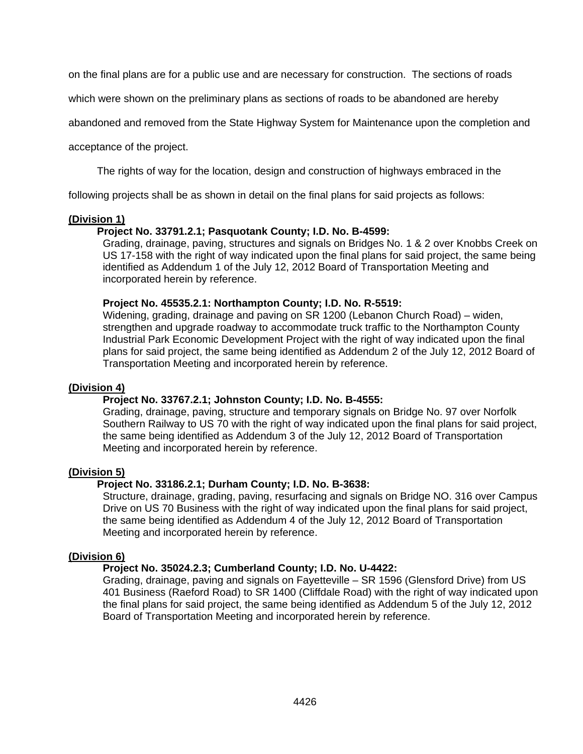on the final plans are for a public use and are necessary for construction. The sections of roads

which were shown on the preliminary plans as sections of roads to be abandoned are hereby

abandoned and removed from the State Highway System for Maintenance upon the completion and

acceptance of the project.

The rights of way for the location, design and construction of highways embraced in the

following projects shall be as shown in detail on the final plans for said projects as follows:

### **(Division 1)**

### **Project No. 33791.2.1; Pasquotank County; I.D. No. B-4599:**

Grading, drainage, paving, structures and signals on Bridges No. 1 & 2 over Knobbs Creek on US 17-158 with the right of way indicated upon the final plans for said project, the same being identified as Addendum 1 of the July 12, 2012 Board of Transportation Meeting and incorporated herein by reference.

### **Project No. 45535.2.1: Northampton County; I.D. No. R-5519:**

Widening, grading, drainage and paving on SR 1200 (Lebanon Church Road) – widen, strengthen and upgrade roadway to accommodate truck traffic to the Northampton County Industrial Park Economic Development Project with the right of way indicated upon the final plans for said project, the same being identified as Addendum 2 of the July 12, 2012 Board of Transportation Meeting and incorporated herein by reference.

### **(Division 4)**

# **Project No. 33767.2.1; Johnston County; I.D. No. B-4555:**

Grading, drainage, paving, structure and temporary signals on Bridge No. 97 over Norfolk Southern Railway to US 70 with the right of way indicated upon the final plans for said project, the same being identified as Addendum 3 of the July 12, 2012 Board of Transportation Meeting and incorporated herein by reference.

# **(Division 5)**

# **Project No. 33186.2.1; Durham County; I.D. No. B-3638:**

Structure, drainage, grading, paving, resurfacing and signals on Bridge NO. 316 over Campus Drive on US 70 Business with the right of way indicated upon the final plans for said project, the same being identified as Addendum 4 of the July 12, 2012 Board of Transportation Meeting and incorporated herein by reference.

### **(Division 6)**

### **Project No. 35024.2.3; Cumberland County; I.D. No. U-4422:**

Grading, drainage, paving and signals on Fayetteville – SR 1596 (Glensford Drive) from US 401 Business (Raeford Road) to SR 1400 (Cliffdale Road) with the right of way indicated upon the final plans for said project, the same being identified as Addendum 5 of the July 12, 2012 Board of Transportation Meeting and incorporated herein by reference.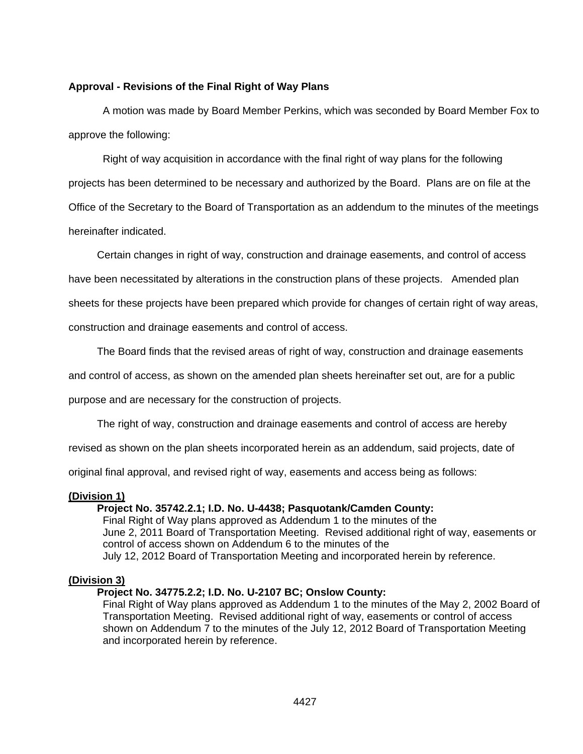### **Approval - Revisions of the Final Right of Way Plans**

A motion was made by Board Member Perkins, which was seconded by Board Member Fox to approve the following:

Right of way acquisition in accordance with the final right of way plans for the following projects has been determined to be necessary and authorized by the Board. Plans are on file at the Office of the Secretary to the Board of Transportation as an addendum to the minutes of the meetings hereinafter indicated.

Certain changes in right of way, construction and drainage easements, and control of access

have been necessitated by alterations in the construction plans of these projects. Amended plan

sheets for these projects have been prepared which provide for changes of certain right of way areas,

construction and drainage easements and control of access.

The Board finds that the revised areas of right of way, construction and drainage easements

and control of access, as shown on the amended plan sheets hereinafter set out, are for a public

purpose and are necessary for the construction of projects.

The right of way, construction and drainage easements and control of access are hereby

revised as shown on the plan sheets incorporated herein as an addendum, said projects, date of

original final approval, and revised right of way, easements and access being as follows:

### **(Division 1)**

### **Project No. 35742.2.1; I.D. No. U-4438; Pasquotank/Camden County:**

Final Right of Way plans approved as Addendum 1 to the minutes of the June 2, 2011 Board of Transportation Meeting. Revised additional right of way, easements or control of access shown on Addendum 6 to the minutes of the July 12, 2012 Board of Transportation Meeting and incorporated herein by reference.

# **(Division 3)**

# **Project No. 34775.2.2; I.D. No. U-2107 BC; Onslow County:**

Final Right of Way plans approved as Addendum 1 to the minutes of the May 2, 2002 Board of Transportation Meeting. Revised additional right of way, easements or control of access shown on Addendum 7 to the minutes of the July 12, 2012 Board of Transportation Meeting and incorporated herein by reference.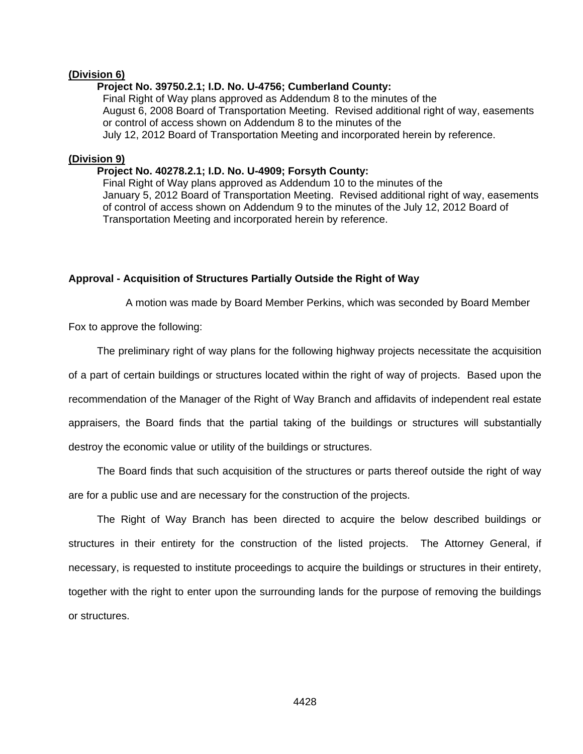#### **(Division 6)**

#### **Project No. 39750.2.1; I.D. No. U-4756; Cumberland County:**

Final Right of Way plans approved as Addendum 8 to the minutes of the August 6, 2008 Board of Transportation Meeting. Revised additional right of way, easements or control of access shown on Addendum 8 to the minutes of the July 12, 2012 Board of Transportation Meeting and incorporated herein by reference.

#### **(Division 9)**

### **Project No. 40278.2.1; I.D. No. U-4909; Forsyth County:**

Final Right of Way plans approved as Addendum 10 to the minutes of the January 5, 2012 Board of Transportation Meeting. Revised additional right of way, easements of control of access shown on Addendum 9 to the minutes of the July 12, 2012 Board of Transportation Meeting and incorporated herein by reference.

### **Approval - Acquisition of Structures Partially Outside the Right of Way**

A motion was made by Board Member Perkins, which was seconded by Board Member

Fox to approve the following:

The preliminary right of way plans for the following highway projects necessitate the acquisition

of a part of certain buildings or structures located within the right of way of projects. Based upon the recommendation of the Manager of the Right of Way Branch and affidavits of independent real estate appraisers, the Board finds that the partial taking of the buildings or structures will substantially destroy the economic value or utility of the buildings or structures.

 The Board finds that such acquisition of the structures or parts thereof outside the right of way are for a public use and are necessary for the construction of the projects.

 The Right of Way Branch has been directed to acquire the below described buildings or structures in their entirety for the construction of the listed projects. The Attorney General, if necessary, is requested to institute proceedings to acquire the buildings or structures in their entirety, together with the right to enter upon the surrounding lands for the purpose of removing the buildings or structures.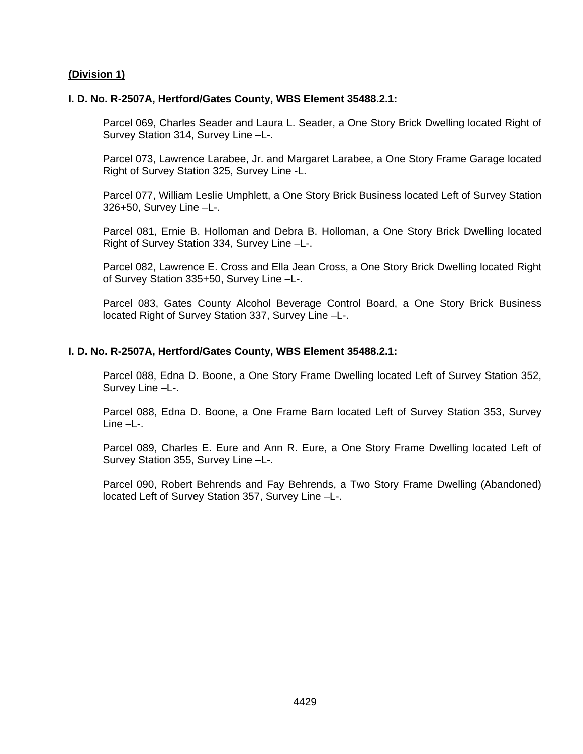### **(Division 1)**

#### **I. D. No. R-2507A, Hertford/Gates County, WBS Element 35488.2.1:**

Parcel 069, Charles Seader and Laura L. Seader, a One Story Brick Dwelling located Right of Survey Station 314, Survey Line –L-.

Parcel 073, Lawrence Larabee, Jr. and Margaret Larabee, a One Story Frame Garage located Right of Survey Station 325, Survey Line -L.

Parcel 077, William Leslie Umphlett, a One Story Brick Business located Left of Survey Station 326+50, Survey Line –L-.

Parcel 081, Ernie B. Holloman and Debra B. Holloman, a One Story Brick Dwelling located Right of Survey Station 334, Survey Line –L-.

Parcel 082, Lawrence E. Cross and Ella Jean Cross, a One Story Brick Dwelling located Right of Survey Station 335+50, Survey Line –L-.

Parcel 083, Gates County Alcohol Beverage Control Board, a One Story Brick Business located Right of Survey Station 337, Survey Line –L-.

#### **I. D. No. R-2507A, Hertford/Gates County, WBS Element 35488.2.1:**

Parcel 088, Edna D. Boone, a One Story Frame Dwelling located Left of Survey Station 352, Survey Line –L-.

Parcel 088, Edna D. Boone, a One Frame Barn located Left of Survey Station 353, Survey Line –L-.

Parcel 089, Charles E. Eure and Ann R. Eure, a One Story Frame Dwelling located Left of Survey Station 355, Survey Line –L-.

Parcel 090, Robert Behrends and Fay Behrends, a Two Story Frame Dwelling (Abandoned) located Left of Survey Station 357, Survey Line –L-.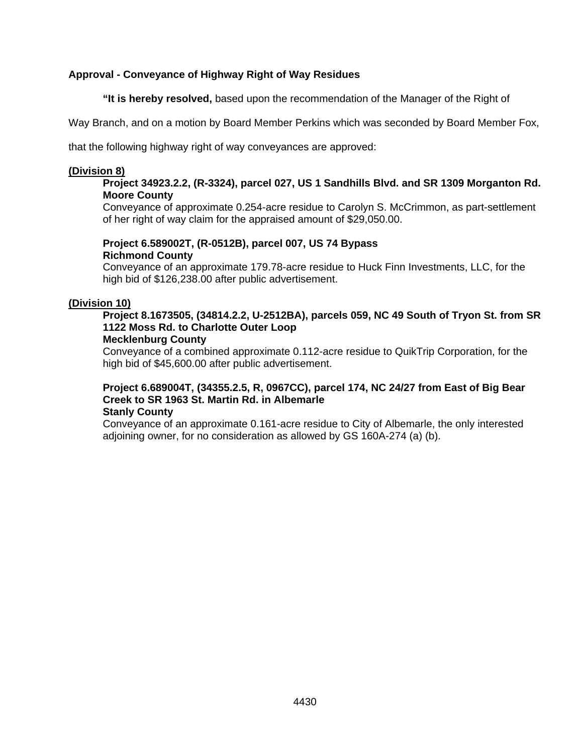# **Approval - Conveyance of Highway Right of Way Residues**

 **"It is hereby resolved,** based upon the recommendation of the Manager of the Right of

Way Branch, and on a motion by Board Member Perkins which was seconded by Board Member Fox,

that the following highway right of way conveyances are approved:

### **(Division 8)**

## **Project 34923.2.2, (R-3324), parcel 027, US 1 Sandhills Blvd. and SR 1309 Morganton Rd. Moore County**

Conveyance of approximate 0.254-acre residue to Carolyn S. McCrimmon, as part-settlement of her right of way claim for the appraised amount of \$29,050.00.

# **Project 6.589002T, (R-0512B), parcel 007, US 74 Bypass Richmond County**

Conveyance of an approximate 179.78-acre residue to Huck Finn Investments, LLC, for the high bid of \$126,238.00 after public advertisement.

# **(Division 10)**

# **Project 8.1673505, (34814.2.2, U-2512BA), parcels 059, NC 49 South of Tryon St. from SR 1122 Moss Rd. to Charlotte Outer Loop**

### **Mecklenburg County**

Conveyance of a combined approximate 0.112-acre residue to QuikTrip Corporation, for the high bid of \$45,600.00 after public advertisement.

#### **Project 6.689004T, (34355.2.5, R, 0967CC), parcel 174, NC 24/27 from East of Big Bear Creek to SR 1963 St. Martin Rd. in Albemarle Stanly County**

Conveyance of an approximate 0.161-acre residue to City of Albemarle, the only interested adjoining owner, for no consideration as allowed by GS 160A-274 (a) (b).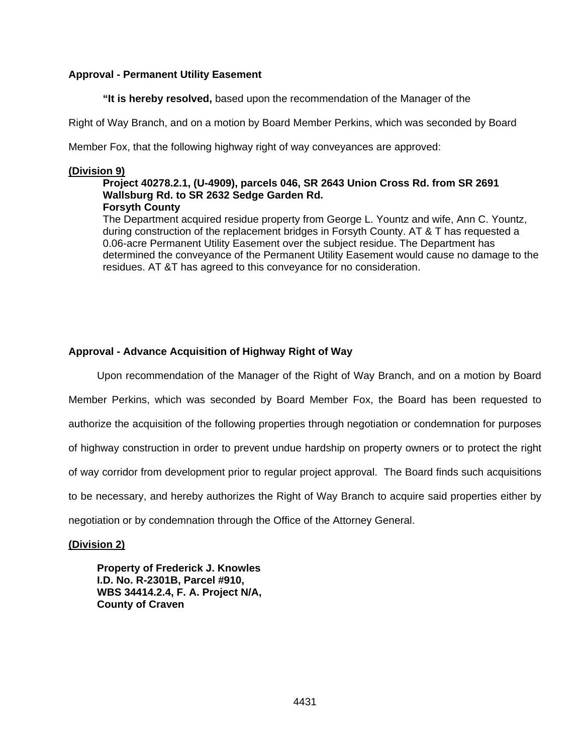## **Approval - Permanent Utility Easement**

 **"It is hereby resolved,** based upon the recommendation of the Manager of the

Right of Way Branch, and on a motion by Board Member Perkins, which was seconded by Board

Member Fox, that the following highway right of way conveyances are approved:

### **(Division 9)**

### **Project 40278.2.1, (U-4909), parcels 046, SR 2643 Union Cross Rd. from SR 2691 Wallsburg Rd. to SR 2632 Sedge Garden Rd. Forsyth County**

The Department acquired residue property from George L. Yountz and wife, Ann C. Yountz, during construction of the replacement bridges in Forsyth County. AT & T has requested a 0.06-acre Permanent Utility Easement over the subject residue. The Department has determined the conveyance of the Permanent Utility Easement would cause no damage to the residues. AT &T has agreed to this conveyance for no consideration.

# **Approval - Advance Acquisition of Highway Right of Way**

 Upon recommendation of the Manager of the Right of Way Branch, and on a motion by Board Member Perkins, which was seconded by Board Member Fox, the Board has been requested to authorize the acquisition of the following properties through negotiation or condemnation for purposes of highway construction in order to prevent undue hardship on property owners or to protect the right of way corridor from development prior to regular project approval. The Board finds such acquisitions to be necessary, and hereby authorizes the Right of Way Branch to acquire said properties either by negotiation or by condemnation through the Office of the Attorney General.

**(Division 2)** 

**Property of Frederick J. Knowles I.D. No. R-2301B, Parcel #910, WBS 34414.2.4, F. A. Project N/A, County of Craven**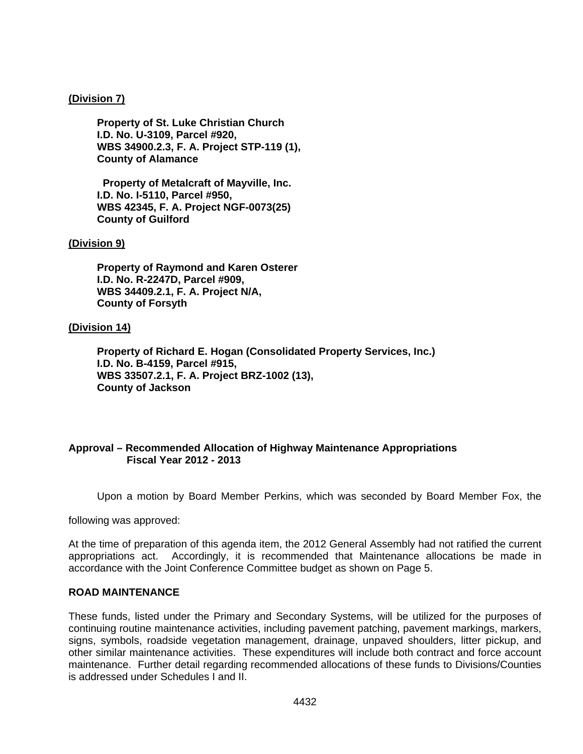### **(Division 7)**

**Property of St. Luke Christian Church I.D. No. U-3109, Parcel #920, WBS 34900.2.3, F. A. Project STP-119 (1), County of Alamance** 

**Property of Metalcraft of Mayville, Inc. I.D. No. I-5110, Parcel #950, WBS 42345, F. A. Project NGF-0073(25) County of Guilford** 

### **(Division 9)**

**Property of Raymond and Karen Osterer I.D. No. R-2247D, Parcel #909, WBS 34409.2.1, F. A. Project N/A, County of Forsyth** 

### **(Division 14)**

**Property of Richard E. Hogan (Consolidated Property Services, Inc.) I.D. No. B-4159, Parcel #915, WBS 33507.2.1, F. A. Project BRZ-1002 (13), County of Jackson** 

# **Approval – Recommended Allocation of Highway Maintenance Appropriations Fiscal Year 2012 - 2013**

Upon a motion by Board Member Perkins, which was seconded by Board Member Fox, the

following was approved:

At the time of preparation of this agenda item, the 2012 General Assembly had not ratified the current appropriations act. Accordingly, it is recommended that Maintenance allocations be made in accordance with the Joint Conference Committee budget as shown on Page 5.

### **ROAD MAINTENANCE**

These funds, listed under the Primary and Secondary Systems, will be utilized for the purposes of continuing routine maintenance activities, including pavement patching, pavement markings, markers, signs, symbols, roadside vegetation management, drainage, unpaved shoulders, litter pickup, and other similar maintenance activities. These expenditures will include both contract and force account maintenance. Further detail regarding recommended allocations of these funds to Divisions/Counties is addressed under Schedules I and II.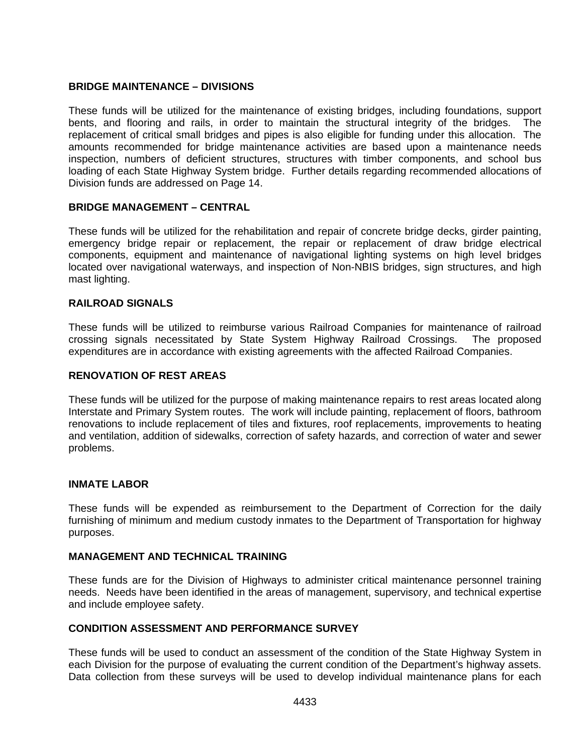### **BRIDGE MAINTENANCE – DIVISIONS**

These funds will be utilized for the maintenance of existing bridges, including foundations, support bents, and flooring and rails, in order to maintain the structural integrity of the bridges. The replacement of critical small bridges and pipes is also eligible for funding under this allocation. The amounts recommended for bridge maintenance activities are based upon a maintenance needs inspection, numbers of deficient structures, structures with timber components, and school bus loading of each State Highway System bridge. Further details regarding recommended allocations of Division funds are addressed on Page 14.

### **BRIDGE MANAGEMENT – CENTRAL**

These funds will be utilized for the rehabilitation and repair of concrete bridge decks, girder painting, emergency bridge repair or replacement, the repair or replacement of draw bridge electrical components, equipment and maintenance of navigational lighting systems on high level bridges located over navigational waterways, and inspection of Non-NBIS bridges, sign structures, and high mast lighting.

### **RAILROAD SIGNALS**

These funds will be utilized to reimburse various Railroad Companies for maintenance of railroad crossing signals necessitated by State System Highway Railroad Crossings. The proposed expenditures are in accordance with existing agreements with the affected Railroad Companies.

### **RENOVATION OF REST AREAS**

These funds will be utilized for the purpose of making maintenance repairs to rest areas located along Interstate and Primary System routes. The work will include painting, replacement of floors, bathroom renovations to include replacement of tiles and fixtures, roof replacements, improvements to heating and ventilation, addition of sidewalks, correction of safety hazards, and correction of water and sewer problems.

### **INMATE LABOR**

These funds will be expended as reimbursement to the Department of Correction for the daily furnishing of minimum and medium custody inmates to the Department of Transportation for highway purposes.

### **MANAGEMENT AND TECHNICAL TRAINING**

These funds are for the Division of Highways to administer critical maintenance personnel training needs. Needs have been identified in the areas of management, supervisory, and technical expertise and include employee safety.

### **CONDITION ASSESSMENT AND PERFORMANCE SURVEY**

These funds will be used to conduct an assessment of the condition of the State Highway System in each Division for the purpose of evaluating the current condition of the Department's highway assets. Data collection from these surveys will be used to develop individual maintenance plans for each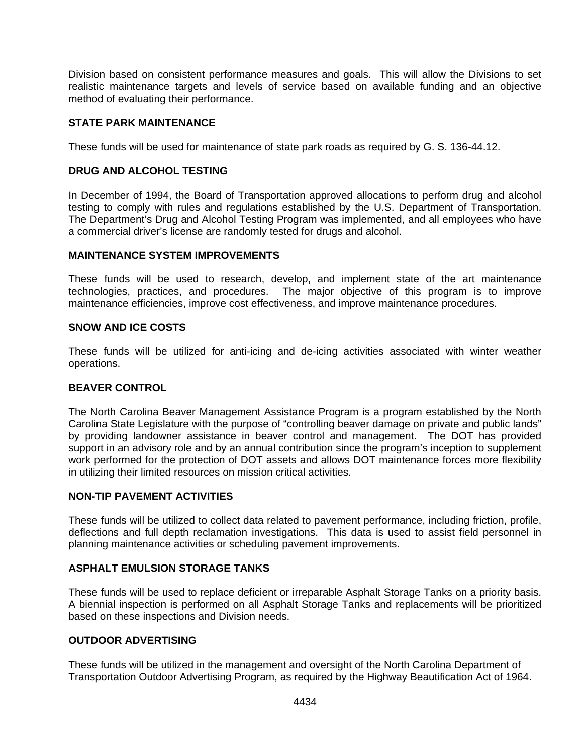Division based on consistent performance measures and goals. This will allow the Divisions to set realistic maintenance targets and levels of service based on available funding and an objective method of evaluating their performance.

## **STATE PARK MAINTENANCE**

These funds will be used for maintenance of state park roads as required by G. S. 136-44.12.

### **DRUG AND ALCOHOL TESTING**

In December of 1994, the Board of Transportation approved allocations to perform drug and alcohol testing to comply with rules and regulations established by the U.S. Department of Transportation. The Department's Drug and Alcohol Testing Program was implemented, and all employees who have a commercial driver's license are randomly tested for drugs and alcohol.

### **MAINTENANCE SYSTEM IMPROVEMENTS**

These funds will be used to research, develop, and implement state of the art maintenance technologies, practices, and procedures. The major objective of this program is to improve maintenance efficiencies, improve cost effectiveness, and improve maintenance procedures.

### **SNOW AND ICE COSTS**

These funds will be utilized for anti-icing and de-icing activities associated with winter weather operations.

### **BEAVER CONTROL**

The North Carolina Beaver Management Assistance Program is a program established by the North Carolina State Legislature with the purpose of "controlling beaver damage on private and public lands" by providing landowner assistance in beaver control and management. The DOT has provided support in an advisory role and by an annual contribution since the program's inception to supplement work performed for the protection of DOT assets and allows DOT maintenance forces more flexibility in utilizing their limited resources on mission critical activities.

### **NON-TIP PAVEMENT ACTIVITIES**

These funds will be utilized to collect data related to pavement performance, including friction, profile, deflections and full depth reclamation investigations. This data is used to assist field personnel in planning maintenance activities or scheduling pavement improvements.

### **ASPHALT EMULSION STORAGE TANKS**

These funds will be used to replace deficient or irreparable Asphalt Storage Tanks on a priority basis. A biennial inspection is performed on all Asphalt Storage Tanks and replacements will be prioritized based on these inspections and Division needs.

# **OUTDOOR ADVERTISING**

These funds will be utilized in the management and oversight of the North Carolina Department of Transportation Outdoor Advertising Program, as required by the Highway Beautification Act of 1964.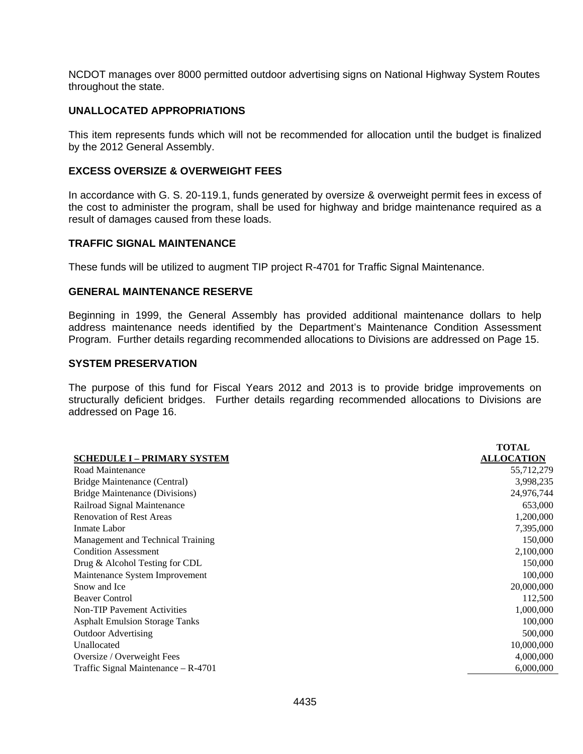NCDOT manages over 8000 permitted outdoor advertising signs on National Highway System Routes throughout the state.

### **UNALLOCATED APPROPRIATIONS**

This item represents funds which will not be recommended for allocation until the budget is finalized by the 2012 General Assembly.

### **EXCESS OVERSIZE & OVERWEIGHT FEES**

In accordance with G. S. 20-119.1, funds generated by oversize & overweight permit fees in excess of the cost to administer the program, shall be used for highway and bridge maintenance required as a result of damages caused from these loads.

### **TRAFFIC SIGNAL MAINTENANCE**

These funds will be utilized to augment TIP project R-4701 for Traffic Signal Maintenance.

### **GENERAL MAINTENANCE RESERVE**

Beginning in 1999, the General Assembly has provided additional maintenance dollars to help address maintenance needs identified by the Department's Maintenance Condition Assessment Program. Further details regarding recommended allocations to Divisions are addressed on Page 15.

## **SYSTEM PRESERVATION**

The purpose of this fund for Fiscal Years 2012 and 2013 is to provide bridge improvements on structurally deficient bridges. Further details regarding recommended allocations to Divisions are addressed on Page 16.

|                                       | <b>TOTAL</b>      |
|---------------------------------------|-------------------|
| <b>SCHEDULE I - PRIMARY SYSTEM</b>    | <b>ALLOCATION</b> |
| Road Maintenance                      | 55,712,279        |
| Bridge Maintenance (Central)          | 3,998,235         |
| Bridge Maintenance (Divisions)        | 24,976,744        |
| Railroad Signal Maintenance           | 653,000           |
| <b>Renovation of Rest Areas</b>       | 1,200,000         |
| Inmate Labor                          | 7,395,000         |
| Management and Technical Training     | 150,000           |
| <b>Condition Assessment</b>           | 2,100,000         |
| Drug & Alcohol Testing for CDL        | 150,000           |
| Maintenance System Improvement        | 100,000           |
| Snow and Ice                          | 20,000,000        |
| <b>Beaver Control</b>                 | 112,500           |
| <b>Non-TIP Pavement Activities</b>    | 1,000,000         |
| <b>Asphalt Emulsion Storage Tanks</b> | 100,000           |
| <b>Outdoor Advertising</b>            | 500,000           |
| Unallocated                           | 10,000,000        |
| Oversize / Overweight Fees            | 4,000,000         |
| Traffic Signal Maintenance - R-4701   | 6,000,000         |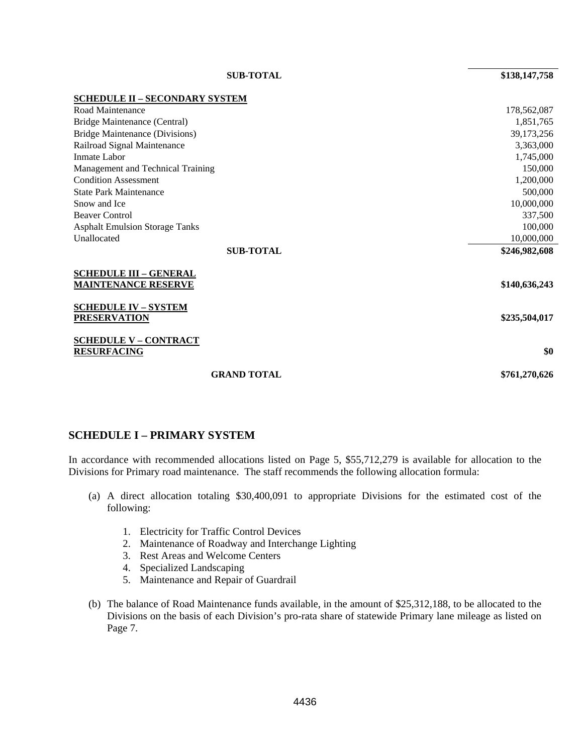| <b>SUB-TOTAL</b>                                            | \$138,147,758 |
|-------------------------------------------------------------|---------------|
| <b>SCHEDULE II - SECONDARY SYSTEM</b>                       |               |
| Road Maintenance                                            | 178,562,087   |
| Bridge Maintenance (Central)                                | 1,851,765     |
| Bridge Maintenance (Divisions)                              | 39,173,256    |
| Railroad Signal Maintenance                                 | 3,363,000     |
| Inmate Labor                                                | 1,745,000     |
| Management and Technical Training                           | 150,000       |
| <b>Condition Assessment</b>                                 | 1,200,000     |
| <b>State Park Maintenance</b>                               | 500,000       |
| Snow and Ice                                                | 10,000,000    |
| <b>Beaver Control</b>                                       | 337,500       |
| <b>Asphalt Emulsion Storage Tanks</b>                       | 100,000       |
| Unallocated                                                 | 10,000,000    |
| <b>SUB-TOTAL</b>                                            | \$246,982,608 |
| <b>SCHEDULE III - GENERAL</b><br><b>MAINTENANCE RESERVE</b> | \$140,636,243 |
| <b>SCHEDULE IV - SYSTEM</b><br><b>PRESERVATION</b>          | \$235,504,017 |
| <b>SCHEDULE V - CONTRACT</b><br><b>RESURFACING</b>          | \$0           |

**GRAND TOTAL \$761,270,626** 

## **SCHEDULE I – PRIMARY SYSTEM**

In accordance with recommended allocations listed on Page 5, \$55,712,279 is available for allocation to the Divisions for Primary road maintenance. The staff recommends the following allocation formula:

- (a) A direct allocation totaling \$30,400,091 to appropriate Divisions for the estimated cost of the following:
	- 1. Electricity for Traffic Control Devices
	- 2. Maintenance of Roadway and Interchange Lighting
	- 3. Rest Areas and Welcome Centers
	- 4. Specialized Landscaping
	- 5. Maintenance and Repair of Guardrail
- (b) The balance of Road Maintenance funds available, in the amount of \$25,312,188, to be allocated to the Divisions on the basis of each Division's pro-rata share of statewide Primary lane mileage as listed on Page 7.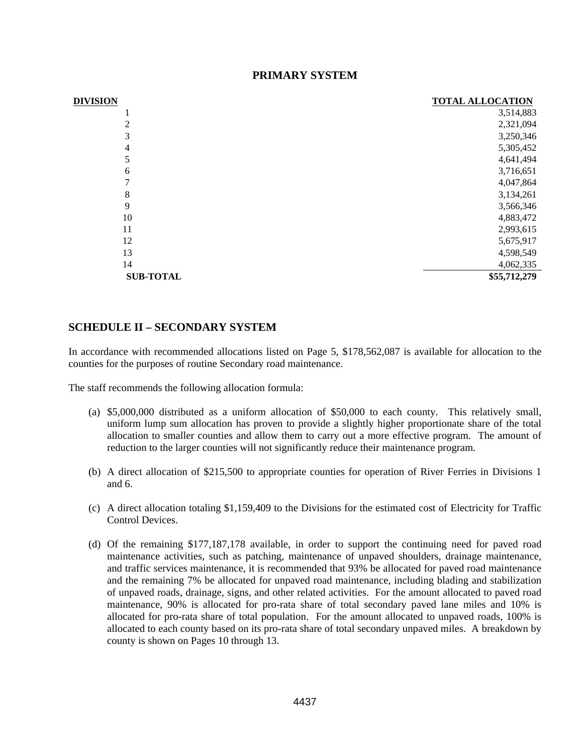| <b>DIVISION</b>  | <b>TOTAL ALLOCATION</b> |
|------------------|-------------------------|
|                  | 3,514,883               |
| 2                | 2,321,094               |
| 3                | 3,250,346               |
| 4                | 5,305,452               |
| 5                | 4,641,494               |
| 6                | 3,716,651               |
| 7                | 4,047,864               |
| 8                | 3,134,261               |
| 9                | 3,566,346               |
| 10               | 4,883,472               |
| 11               | 2,993,615               |
| 12               | 5,675,917               |
| 13               | 4,598,549               |
| 14               | 4,062,335               |
| <b>SUB-TOTAL</b> | \$55,712,279            |

## **PRIMARY SYSTEM**

## **SCHEDULE II – SECONDARY SYSTEM**

In accordance with recommended allocations listed on Page 5, \$178,562,087 is available for allocation to the counties for the purposes of routine Secondary road maintenance.

The staff recommends the following allocation formula:

- (a) \$5,000,000 distributed as a uniform allocation of \$50,000 to each county. This relatively small, uniform lump sum allocation has proven to provide a slightly higher proportionate share of the total allocation to smaller counties and allow them to carry out a more effective program. The amount of reduction to the larger counties will not significantly reduce their maintenance program.
- (b) A direct allocation of \$215,500 to appropriate counties for operation of River Ferries in Divisions 1 and 6.
- (c) A direct allocation totaling \$1,159,409 to the Divisions for the estimated cost of Electricity for Traffic Control Devices.
- (d) Of the remaining \$177,187,178 available, in order to support the continuing need for paved road maintenance activities, such as patching, maintenance of unpaved shoulders, drainage maintenance, and traffic services maintenance, it is recommended that 93% be allocated for paved road maintenance and the remaining 7% be allocated for unpaved road maintenance, including blading and stabilization of unpaved roads, drainage, signs, and other related activities. For the amount allocated to paved road maintenance, 90% is allocated for pro-rata share of total secondary paved lane miles and 10% is allocated for pro-rata share of total population. For the amount allocated to unpaved roads, 100% is allocated to each county based on its pro-rata share of total secondary unpaved miles. A breakdown by county is shown on Pages 10 through 13.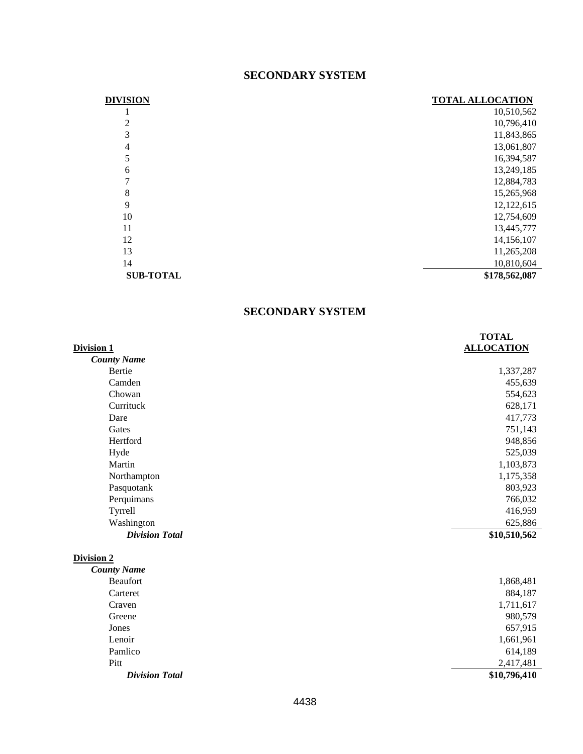# **SECONDARY SYSTEM**

| <b>DIVISION</b>  | <b>TOTAL ALLOCATION</b> |
|------------------|-------------------------|
|                  | 10,510,562              |
| 2                | 10,796,410              |
| 3                | 11,843,865              |
| 4                | 13,061,807              |
| 5                | 16,394,587              |
| 6                | 13,249,185              |
| 7                | 12,884,783              |
| 8                | 15,265,968              |
| 9                | 12,122,615              |
| 10               | 12,754,609              |
| 11               | 13,445,777              |
| 12               | 14,156,107              |
| 13               | 11,265,208              |
| 14               | 10,810,604              |
| <b>SUB-TOTAL</b> | \$178,562,087           |

# **SECONDARY SYSTEM**

|                       | <b>TOTAL</b>      |
|-----------------------|-------------------|
| Division 1            | <b>ALLOCATION</b> |
| <b>County Name</b>    |                   |
| Bertie                | 1,337,287         |
| Camden                | 455,639           |
| Chowan                | 554,623           |
| Currituck             | 628,171           |
| Dare                  | 417,773           |
| Gates                 | 751,143           |
| Hertford              | 948,856           |
| Hyde                  | 525,039           |
| Martin                | 1,103,873         |
| Northampton           | 1,175,358         |
| Pasquotank            | 803,923           |
| Perquimans            | 766,032           |
| Tyrrell               | 416,959           |
| Washington            | 625,886           |
| <b>Division Total</b> | \$10,510,562      |
| <b>Division 2</b>     |                   |
| <b>County Name</b>    |                   |
| <b>Beaufort</b>       | 1,868,481         |
| Carteret              | 884,187           |
| Craven                | 1,711,617         |
| Greene                | 980,579           |
| Jones                 | 657,915           |
| Lenoir                | 1,661,961         |
| Pamlico               | 614,189           |
| Pitt                  | 2,417,481         |
| <b>Division Total</b> | \$10,796,410      |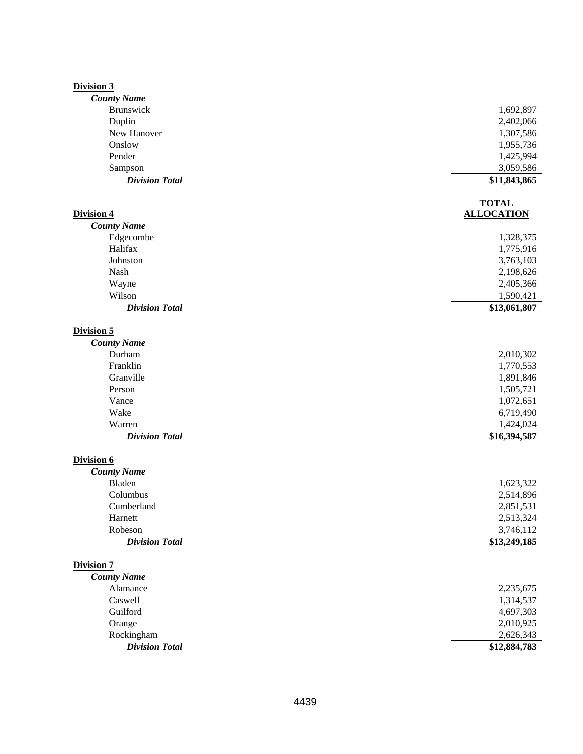#### **Division 3**

| <b>County Name</b>    |                   |
|-----------------------|-------------------|
| <b>Brunswick</b>      | 1,692,897         |
| Duplin                | 2,402,066         |
| New Hanover           | 1,307,586         |
| Onslow                | 1,955,736         |
| Pender                | 1,425,994         |
| Sampson               | 3,059,586         |
| <b>Division Total</b> | \$11,843,865      |
|                       | <b>TOTAL</b>      |
| <b>Division 4</b>     | <b>ALLOCATION</b> |
| <b>County Name</b>    |                   |
| Edgecombe             | 1,328,375         |
| Halifax               | 1,775,916         |
| Johnston              | 3,763,103         |
| Nash                  | 2,198,626         |
| Wayne                 | 2,405,366         |
| Wilson                | 1,590,421         |
| <b>Division Total</b> | \$13,061,807      |
| <b>Division 5</b>     |                   |
| <b>County Name</b>    |                   |
| Durham                | 2,010,302         |
| Franklin              | 1,770,553         |
| Granville             | 1,891,846         |
| Person                | 1,505,721         |
| Vance                 | 1,072,651         |
| Wake                  | 6,719,490         |
| Warren                | 1,424,024         |
| <b>Division Total</b> | \$16,394,587      |
| Division 6            |                   |
| <b>County Name</b>    |                   |
| Bladen                | 1,623,322         |
| Columbus              | 2,514,896         |
| Cumberland            | 2,851,531         |
| Harnett               | 2,513,324         |
| Robeson               | 3,746,112         |
| <b>Division Total</b> | \$13,249,185      |
| <b>Division 7</b>     |                   |
| <b>County Name</b>    |                   |
| Alamance              | 2,235,675         |
| Caswell               | 1,314,537         |
| Guilford              | 4,697,303         |
| Orange                | 2,010,925         |
| Rockingham            | 2,626,343         |
| <b>Division Total</b> | \$12,884,783      |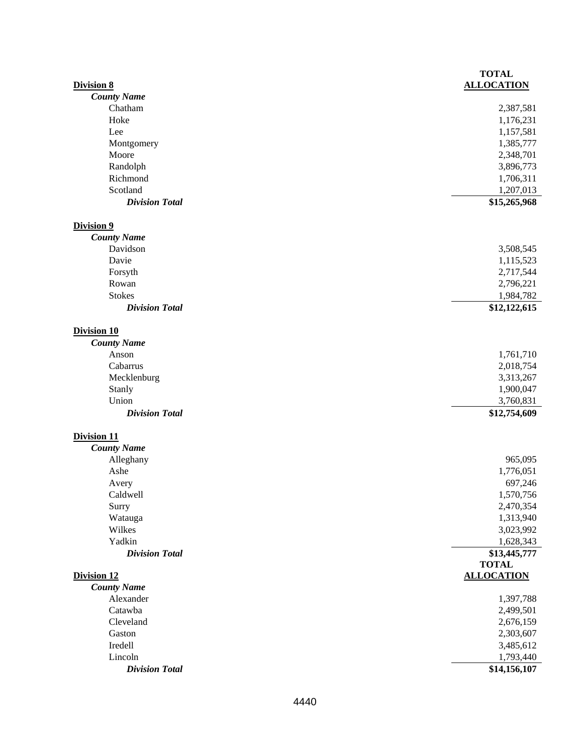|                       | <b>TOTAL</b>      |
|-----------------------|-------------------|
| <b>Division 8</b>     | <b>ALLOCATION</b> |
| <b>County Name</b>    |                   |
| Chatham               | 2,387,581         |
| Hoke                  | 1,176,231         |
| Lee                   | 1,157,581         |
| Montgomery            | 1,385,777         |
| Moore                 | 2,348,701         |
| Randolph              | 3,896,773         |
| Richmond              | 1,706,311         |
| Scotland              | 1,207,013         |
| <b>Division Total</b> | \$15,265,968      |
| Division 9            |                   |
| <b>County Name</b>    |                   |
| Davidson              | 3,508,545         |
| Davie                 | 1,115,523         |
| Forsyth               | 2,717,544         |
| Rowan                 | 2,796,221         |
| <b>Stokes</b>         | 1,984,782         |
| <b>Division Total</b> | \$12,122,615      |
|                       |                   |
| <b>Division 10</b>    |                   |
| <b>County Name</b>    |                   |
| Anson                 | 1,761,710         |
| Cabarrus              | 2,018,754         |
| Mecklenburg           | 3,313,267         |
| Stanly                | 1,900,047         |
| Union                 | 3,760,831         |
| <b>Division Total</b> | \$12,754,609      |
| <b>Division 11</b>    |                   |
| <b>County Name</b>    |                   |
| Alleghany             | 965,095           |
| Ashe                  | 1,776,051         |
| Avery                 | 697,246           |
| Caldwell              | 1,570,756         |
| Surry                 | 2,470,354         |
| Watauga               | 1,313,940         |
| Wilkes                | 3,023,992         |
| Yadkin                | 1,628,343         |
| <b>Division Total</b> | \$13,445,777      |
|                       | <b>TOTAL</b>      |
| Division 12           | <b>ALLOCATION</b> |
| <b>County Name</b>    |                   |
| Alexander             | 1,397,788         |
| Catawba               | 2,499,501         |
| Cleveland             | 2,676,159         |
| Gaston                | 2,303,607         |
| Iredell               | 3,485,612         |
| Lincoln               | 1,793,440         |
|                       |                   |
| <b>Division Total</b> | \$14,156,107      |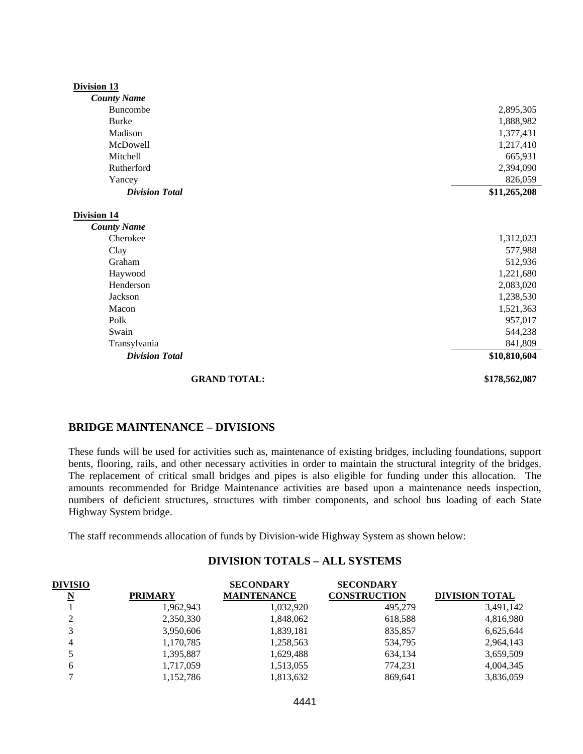| Division 13           |               |
|-----------------------|---------------|
| <b>County Name</b>    |               |
| Buncombe              | 2,895,305     |
| <b>Burke</b>          | 1,888,982     |
| Madison               | 1,377,431     |
| McDowell              | 1,217,410     |
| Mitchell              | 665,931       |
| Rutherford            | 2,394,090     |
| Yancey                | 826,059       |
| <b>Division Total</b> | \$11,265,208  |
|                       |               |
| <b>Division 14</b>    |               |
| <b>County Name</b>    |               |
| Cherokee              | 1,312,023     |
| Clay                  | 577,988       |
| Graham                | 512,936       |
| Haywood               | 1,221,680     |
| Henderson             | 2,083,020     |
| Jackson               | 1,238,530     |
| Macon                 | 1,521,363     |
| Polk                  | 957,017       |
| Swain                 | 544,238       |
| Transylvania          | 841,809       |
| <b>Division Total</b> | \$10,810,604  |
| <b>GRAND TOTAL:</b>   | \$178,562,087 |

#### **BRIDGE MAINTENANCE – DIVISIONS**

These funds will be used for activities such as, maintenance of existing bridges, including foundations, support bents, flooring, rails, and other necessary activities in order to maintain the structural integrity of the bridges. The replacement of critical small bridges and pipes is also eligible for funding under this allocation. The amounts recommended for Bridge Maintenance activities are based upon a maintenance needs inspection, numbers of deficient structures, structures with timber components, and school bus loading of each State Highway System bridge.

The staff recommends allocation of funds by Division-wide Highway System as shown below:

# **DIVISION TOTALS – ALL SYSTEMS**

| <b>DIVISIO</b>          |                | <b>SECONDARY</b>   | <b>SECONDARY</b>    |                       |
|-------------------------|----------------|--------------------|---------------------|-----------------------|
| $\overline{\mathbf{N}}$ | <b>PRIMARY</b> | <b>MAINTENANCE</b> | <b>CONSTRUCTION</b> | <b>DIVISION TOTAL</b> |
|                         | 1,962,943      | 1,032,920          | 495.279             | 3,491,142             |
| $\mathcal{D}$           | 2,350,330      | 1,848,062          | 618,588             | 4,816,980             |
| 3                       | 3,950,606      | 1,839,181          | 835,857             | 6,625,644             |
| 4                       | 1,170,785      | 1,258,563          | 534,795             | 2,964,143             |
|                         | 1,395,887      | 1,629,488          | 634,134             | 3,659,509             |
| 6                       | 1,717,059      | 1,513,055          | 774,231             | 4,004,345             |
|                         | 1,152,786      | 1,813,632          | 869.641             | 3,836,059             |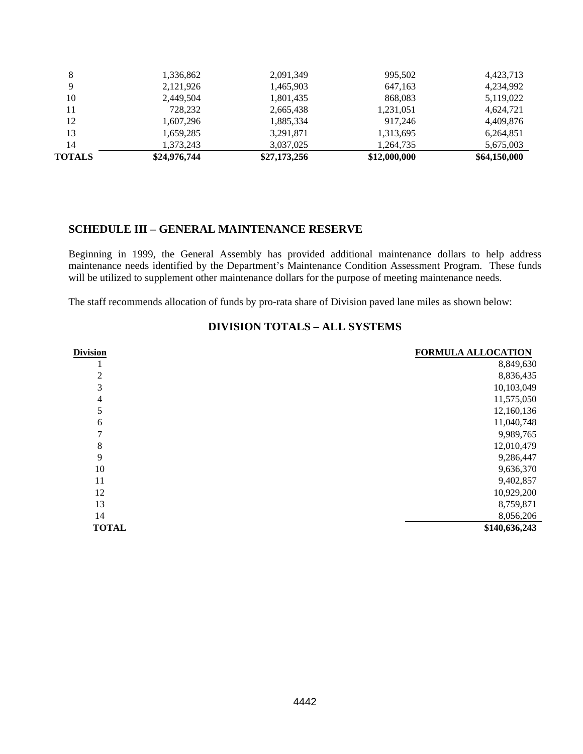| <b>TOTALS</b> | \$24,976,744 | \$27,173,256 | \$12,000,000 | \$64,150,000 |
|---------------|--------------|--------------|--------------|--------------|
| 14            | 1,373,243    | 3,037,025    | 1,264,735    | 5,675,003    |
| 13            | 1,659,285    | 3,291,871    | 1,313,695    | 6,264,851    |
| 12            | 1,607,296    | 1,885,334    | 917.246      | 4,409,876    |
| 11            | 728,232      | 2,665,438    | 1,231,051    | 4,624,721    |
| 10            | 2,449,504    | 1,801,435    | 868,083      | 5,119,022    |
| Q             | 2,121,926    | 1,465,903    | 647,163      | 4,234,992    |
| 8             | 1,336,862    | 2,091,349    | 995,502      | 4,423,713    |
|               |              |              |              |              |

#### **SCHEDULE III – GENERAL MAINTENANCE RESERVE**

Beginning in 1999, the General Assembly has provided additional maintenance dollars to help address maintenance needs identified by the Department's Maintenance Condition Assessment Program. These funds will be utilized to supplement other maintenance dollars for the purpose of meeting maintenance needs.

The staff recommends allocation of funds by pro-rata share of Division paved lane miles as shown below:

| <b>Division</b> | <b>FORMULA ALLOCATION</b> |
|-----------------|---------------------------|
|                 | 8,849,630                 |
| 2               | 8,836,435                 |
| 3               | 10,103,049                |
| 4               | 11,575,050                |
| 5               | 12,160,136                |
| 6               | 11,040,748                |
|                 | 9,989,765                 |
| 8               | 12,010,479                |
| 9               | 9,286,447                 |
| 10              | 9,636,370                 |
| 11              | 9,402,857                 |
| 12              | 10,929,200                |
| 13              | 8,759,871                 |
| 14              | 8,056,206                 |
| <b>TOTAL</b>    | \$140,636,243             |

## **DIVISION TOTALS – ALL SYSTEMS**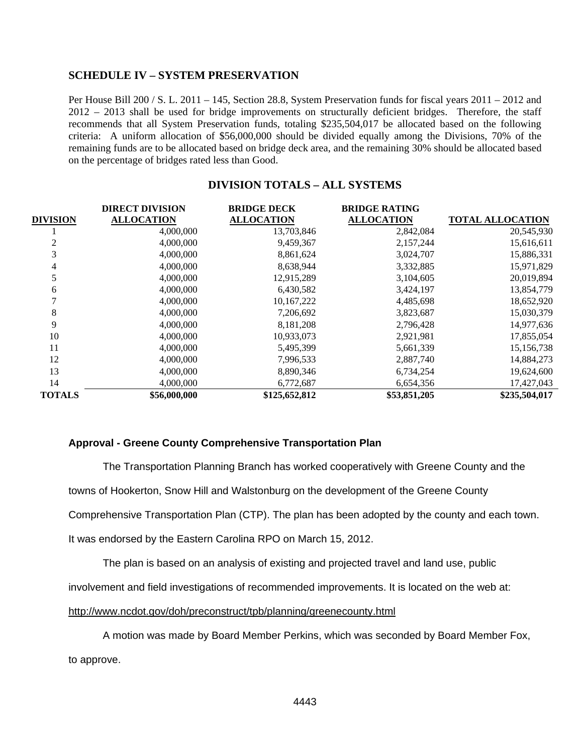### **SCHEDULE IV – SYSTEM PRESERVATION**

Per House Bill 200 / S. L. 2011 – 145, Section 28.8, System Preservation funds for fiscal years 2011 – 2012 and 2012 – 2013 shall be used for bridge improvements on structurally deficient bridges. Therefore, the staff recommends that all System Preservation funds, totaling \$235,504,017 be allocated based on the following criteria: A uniform allocation of \$56,000,000 should be divided equally among the Divisions, 70% of the remaining funds are to be allocated based on bridge deck area, and the remaining 30% should be allocated based on the percentage of bridges rated less than Good.

# **DIVISION TOTALS – ALL SYSTEMS**

|                 | <b>DIRECT DIVISION</b> | <b>BRIDGE DECK</b> | <b>BRIDGE RATING</b> |                         |
|-----------------|------------------------|--------------------|----------------------|-------------------------|
| <b>DIVISION</b> | <b>ALLOCATION</b>      | <b>ALLOCATION</b>  | <b>ALLOCATION</b>    | <b>TOTAL ALLOCATION</b> |
|                 | 4,000,000              | 13,703,846         | 2,842,084            | 20,545,930              |
|                 | 4,000,000              | 9,459,367          | 2,157,244            | 15,616,611              |
| 3               | 4,000,000              | 8,861,624          | 3,024,707            | 15,886,331              |
| 4               | 4,000,000              | 8,638,944          | 3,332,885            | 15,971,829              |
|                 | 4,000,000              | 12,915,289         | 3,104,605            | 20,019,894              |
| 6               | 4,000,000              | 6,430,582          | 3,424,197            | 13,854,779              |
|                 | 4,000,000              | 10,167,222         | 4,485,698            | 18,652,920              |
| 8               | 4,000,000              | 7,206,692          | 3,823,687            | 15,030,379              |
| 9               | 4,000,000              | 8,181,208          | 2,796,428            | 14,977,636              |
| 10              | 4,000,000              | 10,933,073         | 2,921,981            | 17,855,054              |
| 11              | 4,000,000              | 5,495,399          | 5,661,339            | 15,156,738              |
| 12              | 4,000,000              | 7,996,533          | 2,887,740            | 14,884,273              |
| 13              | 4,000,000              | 8,890,346          | 6,734,254            | 19,624,600              |
| 14              | 4,000,000              | 6,772,687          | 6,654,356            | 17,427,043              |
| <b>TOTALS</b>   | \$56,000,000           | \$125,652,812      | \$53,851,205         | \$235,504,017           |

#### **Approval - Greene County Comprehensive Transportation Plan**

The Transportation Planning Branch has worked cooperatively with Greene County and the towns of Hookerton, Snow Hill and Walstonburg on the development of the Greene County Comprehensive Transportation Plan (CTP). The plan has been adopted by the county and each town. It was endorsed by the Eastern Carolina RPO on March 15, 2012.

The plan is based on an analysis of existing and projected travel and land use, public

involvement and field investigations of recommended improvements. It is located on the web at:

http://www.ncdot.gov/doh/preconstruct/tpb/planning/greenecounty.html

A motion was made by Board Member Perkins, which was seconded by Board Member Fox, to approve.